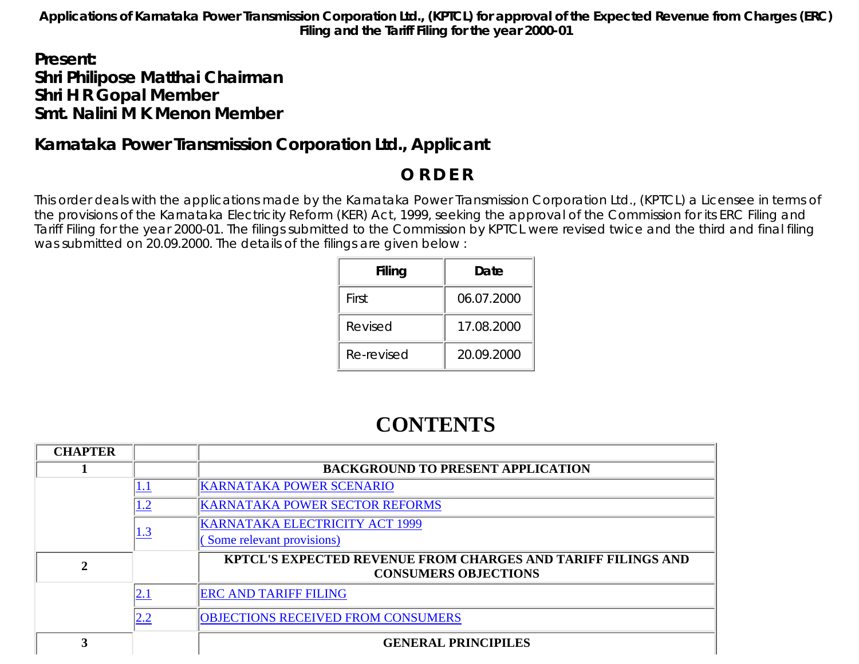**Applications of Karnataka Power Transmission Corporation Ltd., (KPTCL) for approval of the Expected Revenue from Charges (ERC) Filing and the Tariff Filing for the year 2000-01**

# *Present: Shri Philipose Matthai Chairman Shri H R Gopal Member Smt. Nalini M K Menon Member*

# **Karnataka Power Transmission Corporation Ltd., Applicant**

# **O R D E R**

This order deals with the applications made by the Karnataka Power Transmission Corporation Ltd., (KPTCL) a Licensee in terms of the provisions of the Karnataka Electricity Reform (KER) Act, 1999, seeking the approval of the Commission for its ERC Filing and Tariff Filing for the year 2000-01. The filings submitted to the Commission by KPTCL were revised twice and the third and final filing was submitted on 20.09.2000. The details of the filings are given below :

| Filing     | Date       |
|------------|------------|
| First      | 06.07.2000 |
| Revised    | 17.08.2000 |
| Re-revised | 20.09.2000 |

# **CONTENTS**

| <b>CHAPTER</b> |            |                                                                                                    |
|----------------|------------|----------------------------------------------------------------------------------------------------|
|                |            | <b>BACKGROUND TO PRESENT APPLICATION</b>                                                           |
|                | <u>1.1</u> | <b>KARNATAKA POWER SCENARIO</b>                                                                    |
|                | 1.2        | <b>KARNATAKA POWER SECTOR REFORMS</b>                                                              |
|                | <u>1.3</u> | <b>KARNATAKA ELECTRICITY ACT 1999</b>                                                              |
|                |            | Some relevant provisions)                                                                          |
| 2              |            | <b>KPTCL'S EXPECTED REVENUE FROM CHARGES AND TARIFF FILINGS AND</b><br><b>CONSUMERS OBJECTIONS</b> |
|                | <u>2.1</u> | <b>ERC AND TARIFF FILING</b>                                                                       |
|                | 2.2        | <b>OBJECTIONS RECEIVED FROM CONSUMERS</b>                                                          |
| 3              |            | <b>GENERAL PRINCIPILES</b>                                                                         |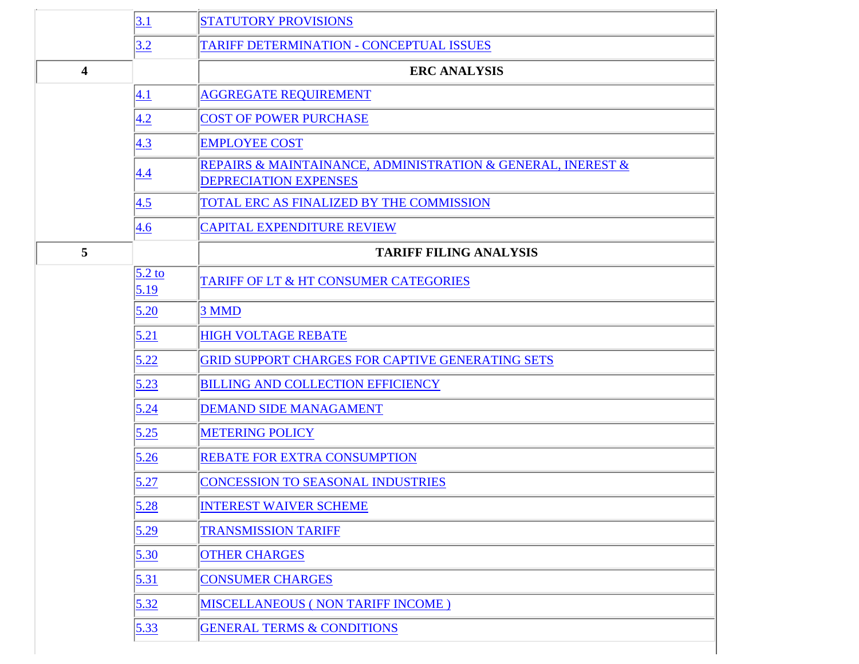|                         | 3.1              | <b>STATUTORY PROVISIONS</b>                                                                 |
|-------------------------|------------------|---------------------------------------------------------------------------------------------|
|                         | 3.2              | TARIFF DETERMINATION - CONCEPTUAL ISSUES                                                    |
| $\overline{\mathbf{4}}$ |                  | <b>ERC ANALYSIS</b>                                                                         |
|                         | 4.1              | <b>AGGREGATE REQUIREMENT</b>                                                                |
|                         | 4.2              | <b>COST OF POWER PURCHASE</b>                                                               |
|                         | 4.3              | <b>EMPLOYEE COST</b>                                                                        |
|                         | 4.4              | REPAIRS & MAINTAINANCE, ADMINISTRATION & GENERAL, INEREST &<br><b>DEPRECIATION EXPENSES</b> |
|                         | 4.5              | TOTAL ERC AS FINALIZED BY THE COMMISSION                                                    |
|                         | 4.6              | <b>CAPITAL EXPENDITURE REVIEW</b>                                                           |
| 5                       |                  | <b>TARIFF FILING ANALYSIS</b>                                                               |
|                         | $5.2$ to<br>5.19 | TARIFF OF LT & HT CONSUMER CATEGORIES                                                       |
|                         | 5.20             | 3 MMD                                                                                       |
|                         | 5.21             | <b>HIGH VOLTAGE REBATE</b>                                                                  |
|                         | 5.22             | GRID SUPPORT CHARGES FOR CAPTIVE GENERATING SETS                                            |
|                         | 5.23             | <b>BILLING AND COLLECTION EFFICIENCY</b>                                                    |
|                         | 5.24             | <b>DEMAND SIDE MANAGAMENT</b>                                                               |
|                         | 5.25             | <b>METERING POLICY</b>                                                                      |
|                         | 5.26             | REBATE FOR EXTRA CONSUMPTION                                                                |
|                         | 5.27             | CONCESSION TO SEASONAL INDUSTRIES                                                           |
|                         | 5.28             | <b>INTEREST WAIVER SCHEME</b>                                                               |
|                         | 5.29             | <b>TRANSMISSION TARIFF</b>                                                                  |
|                         | 5.30             | <b>OTHER CHARGES</b>                                                                        |
|                         | 5.31             | <b>CONSUMER CHARGES</b>                                                                     |
|                         | 5.32             | MISCELLANEOUS (NON TARIFF INCOME)                                                           |
|                         | 5.33             | <b>GENERAL TERMS &amp; CONDITIONS</b>                                                       |
|                         |                  |                                                                                             |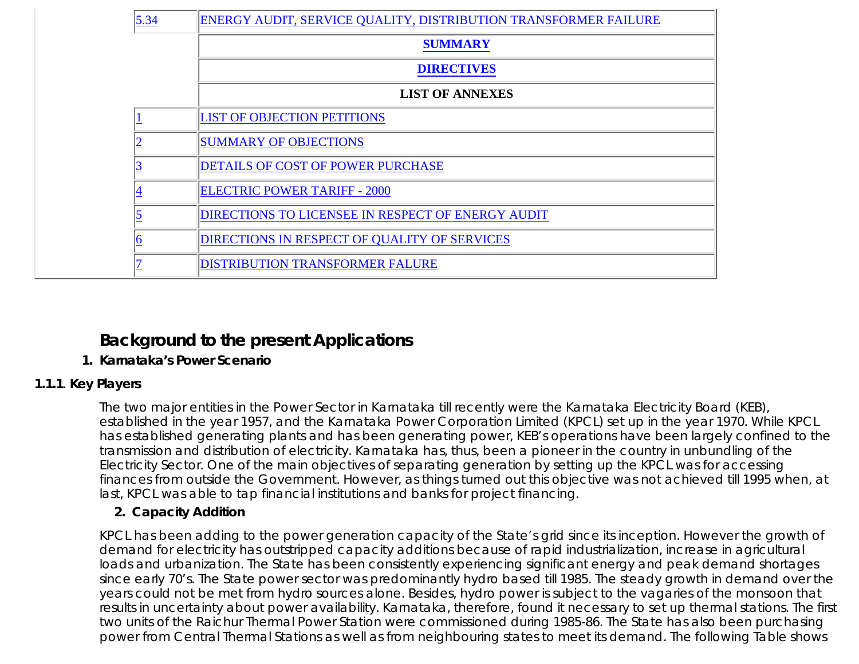| 5.34 | ENERGY AUDIT, SERVICE QUALITY, DISTRIBUTION TRANSFORMER FAILURE |
|------|-----------------------------------------------------------------|
|      | <b>SUMMARY</b>                                                  |
|      | <b>DIRECTIVES</b>                                               |
|      | <b>LIST OF ANNEXES</b>                                          |
|      | <b>LIST OF OBJECTION PETITIONS</b>                              |
|      | <b>SUMMARY OF OBJECTIONS</b>                                    |
|      | <b>DETAILS OF COST OF POWER PURCHASE</b>                        |
|      | <b>ELECTRIC POWER TARIFF - 2000</b>                             |
|      | <b>DIRECTIONS TO LICENSEE IN RESPECT OF ENERGY AUDIT</b>        |
|      | <b>DIRECTIONS IN RESPECT OF QUALITY OF SERVICES</b>             |
|      | <b>DISTRIBUTION TRANSFORMER FALURE</b>                          |

# **Background to the present Applications**

### **1. Karnataka's Power Scenario**

## **1.1.1**. **Key Players**

The two major entities in the Power Sector in Karnataka till recently were the Karnataka Electricity Board (KEB), established in the year 1957, and the Karnataka Power Corporation Limited (KPCL) set up in the year 1970. While KPCL has established generating plants and has been generating power, KEB's operations have been largely confined to the transmission and distribution of electricity. Karnataka has, thus, been a pioneer in the country in unbundling of the Electricity Sector. One of the main objectives of separating generation by setting up the KPCL was for accessing finances from outside the Government. However, as things turned out this objective was not achieved till 1995 when, at last, KPCL was able to tap financial institutions and banks for project financing.

## **2. Capacity Addition**

KPCL has been adding to the power generation capacity of the State's grid since its inception. However the growth of demand for electricity has outstripped capacity additions because of rapid industrialization, increase in agricultural loads and urbanization. The State has been consistently experiencing significant energy and peak demand shortages since early 70's. The State power sector was predominantly hydro based till 1985. The steady growth in demand over the years could not be met from hydro sources alone. Besides, hydro power is subject to the vagaries of the monsoon that results in uncertainty about power availability. Karnataka, therefore, found it necessary to set up thermal stations. The first two units of the Raichur Thermal Power Station were commissioned during 1985-86. The State has also been purchasing power from Central Thermal Stations as well as from neighbouring states to meet its demand. The following Table shows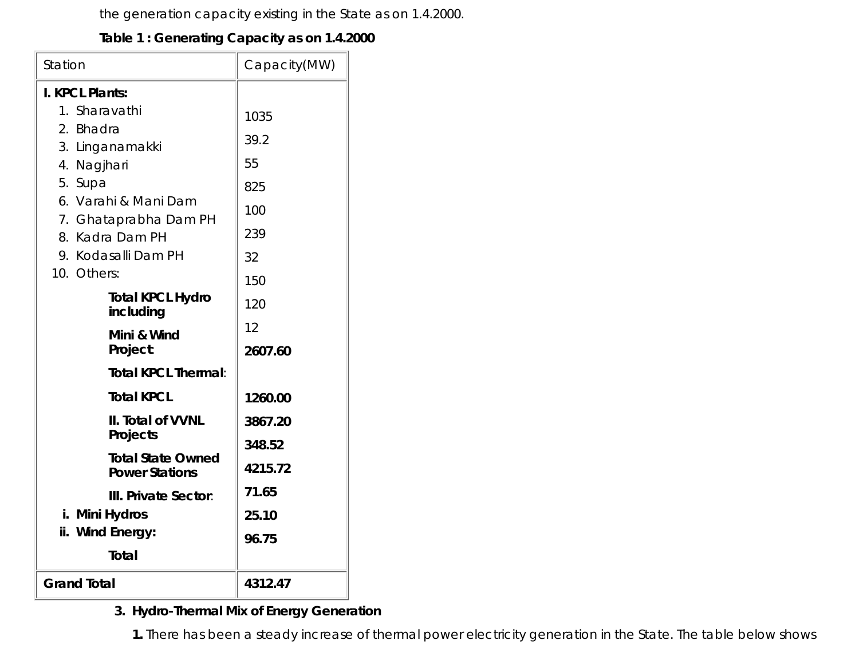the generation capacity existing in the State as on 1.4.2000.

### **Table 1 : Generating Capacity as on 1.4.2000**

| Station                                           | Capacity(MW) |
|---------------------------------------------------|--------------|
| I. KPCL Plants:                                   |              |
| 1. Sharavathi                                     | 1035         |
| 2. Bhadra                                         | 39.2         |
| 3. Linganamakki                                   |              |
| 4. Nagjhari                                       | 55           |
| 5. Supa                                           | 825          |
| 6. Varahi & Mani Dam                              | 100          |
| 7. Ghataprabha Dam PH<br>8. Kadra Dam PH          | 239          |
| 9. Kodasalli Dam PH                               | 32           |
| 10. Others:                                       | 150          |
| <b>Total KPCL Hydro</b>                           |              |
| including                                         | 120          |
| Mini & Wind                                       | 12           |
| Project:                                          | 2607.60      |
| <b>Total KPCL Thermal:</b>                        |              |
| <b>Total KPCL</b>                                 | 1260.00      |
| II. Total of VVNL                                 | 3867.20      |
| Projects                                          | 348.52       |
| <b>Total State Owned</b><br><b>Power Stations</b> | 4215.72      |
| <b>III. Private Sector:</b>                       | 71.65        |
| i. Mini Hydros                                    | 25.10        |
| ii. Wind Energy:                                  | 96.75        |
| <b>Total</b>                                      |              |
| <b>Grand Total</b>                                | 4312.47      |

# **Hydro-Thermal Mix of Energy Generation 3.**

**1.** There has been a steady increase of thermal power electricity generation in the State. The table below shows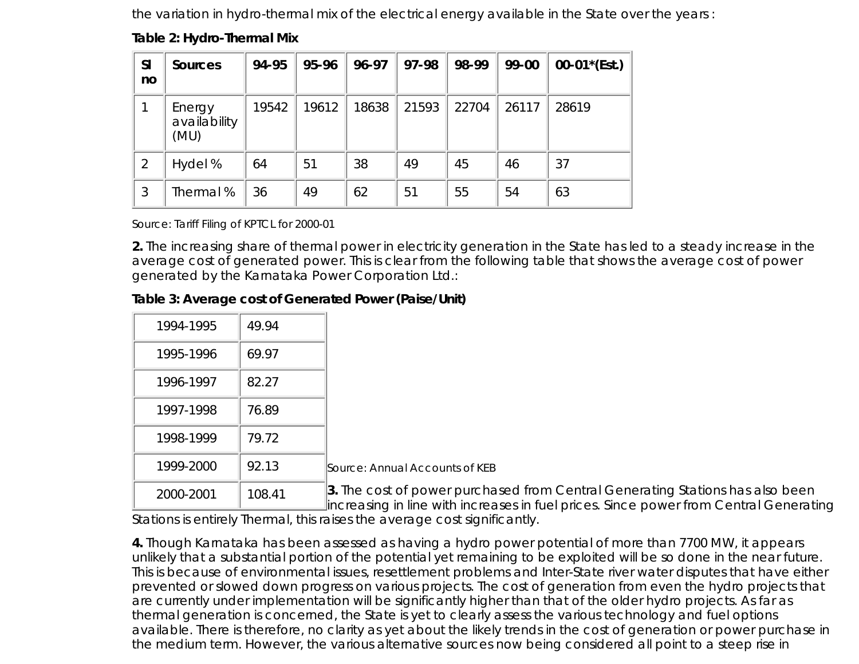the variation in hydro-thermal mix of the electrical energy available in the State over the years :

|  | Table 2: Hydro-Thermal Mix |  |
|--|----------------------------|--|
|  |                            |  |

| <b>SI</b><br>no | <b>Sources</b>                 | 94-95 | 95-96 | 96-97 | 97-98 | 98-99 | 99-00 | $00-01*(Est.)$ |
|-----------------|--------------------------------|-------|-------|-------|-------|-------|-------|----------------|
|                 | Energy<br>availability<br>(MU) | 19542 | 19612 | 18638 | 21593 | 22704 | 26117 | 28619          |
| 2               | Hydel %                        | 64    | 51    | 38    | 49    | 45    | 46    | 37             |
| 3               | Thermal%                       | 36    | 49    | 62    | 51    | 55    | 54    | 63             |

Source: Tariff Filing of KPTCL for 2000-01

**2.** The increasing share of thermal power in electricity generation in the State has led to a steady increase in the average cost of generated power. This is clear from the following table that shows the average cost of power generated by the Karnataka Power Corporation Ltd.:

#### **Table 3: Average cost of Generated Power (Paise/Unit)**

| 1994-1995 | 49.94  |                                                |
|-----------|--------|------------------------------------------------|
| 1995-1996 | 69.97  |                                                |
| 1996-1997 | 82.27  |                                                |
| 1997-1998 | 76.89  |                                                |
| 1998-1999 | 79.72  |                                                |
| 1999-2000 | 92.13  | Source: Annual Accou                           |
| 2000-2001 | 108.41 | 3. The cost of powe<br>lincreasing in line wit |

nts of KEB

**3.** The cost of power purchased from Central Generating Stations has also been increasing in line with increases in fuel prices. Since power from Central Generating

Stations is entirely Thermal, this raises the average cost significantly.

**4.** Though Karnataka has been assessed as having a hydro power potential of more than 7700 MW, it appears unlikely that a substantial portion of the potential yet remaining to be exploited will be so done in the near future. This is because of environmental issues, resettlement problems and Inter-State river water disputes that have either prevented or slowed down progress on various projects. The cost of generation from even the hydro projects that are currently under implementation will be significantly higher than that of the older hydro projects. As far as thermal generation is concerned, the State is yet to clearly assess the various technology and fuel options available. There is therefore, no clarity as yet about the likely trends in the cost of generation or power purchase in the medium term. However, the various alternative sources now being considered all point to a steep rise in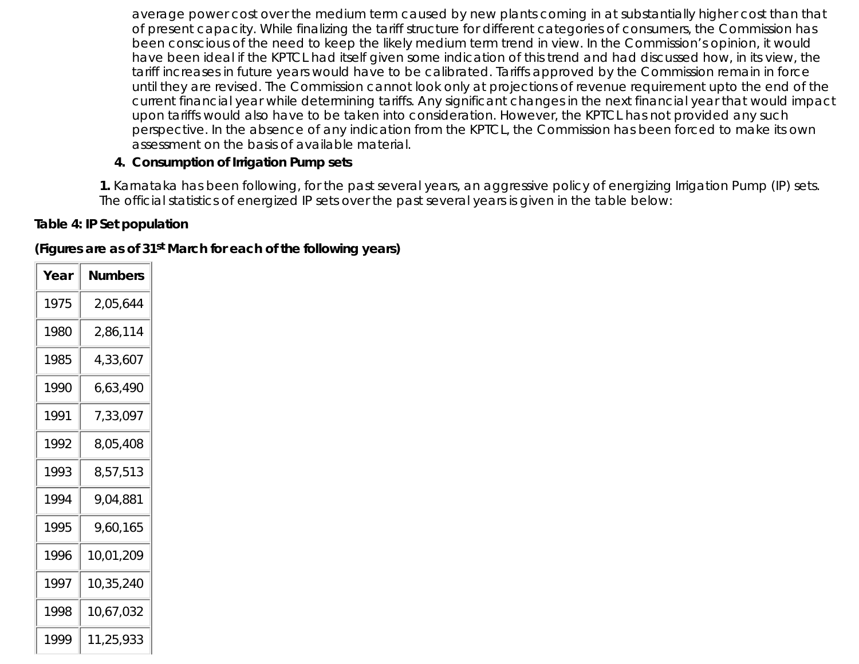average power cost over the medium term caused by new plants coming in at substantially higher cost than that of present capacity. While finalizing the tariff structure for different categories of consumers, the Commission has been conscious of the need to keep the likely medium term trend in view. In the Commission's opinion, it would have been ideal if the KPTCL had itself given some indication of this trend and had discussed how, in its view, the tariff increases in future years would have to be calibrated. Tariffs approved by the Commission remain in force until they are revised. The Commission cannot look only at projections of revenue requirement upto the end of the current financial year while determining tariffs. Any significant changes in the next financial year that would impact upon tariffs would also have to be taken into consideration. However, the KPTCL has not provided any such perspective. In the absence of any indication from the KPTCL, the Commission has been forced to make its own assessment on the basis of available material.

### **4. Consumption of Irrigation Pump sets**

**1.** Karnataka has been following, for the past several years, an aggressive policy of energizing Irrigation Pump (IP) sets. The official statistics of energized IP sets over the past several years is given in the table below:

# **Table 4: IP Set population**

**(Figures are as of 31st March for each of the following years)**

| Year | Numbers   |
|------|-----------|
| 1975 | 2,05,644  |
| 1980 | 2,86,114  |
| 1985 | 4,33,607  |
| 1990 | 6,63,490  |
| 1991 | 7,33,097  |
| 1992 | 8,05,408  |
| 1993 | 8,57,513  |
| 1994 | 9,04,881  |
| 1995 | 9,60,165  |
| 1996 | 10,01,209 |
| 1997 | 10,35,240 |
| 1998 | 10,67,032 |
| 1999 | 11,25,933 |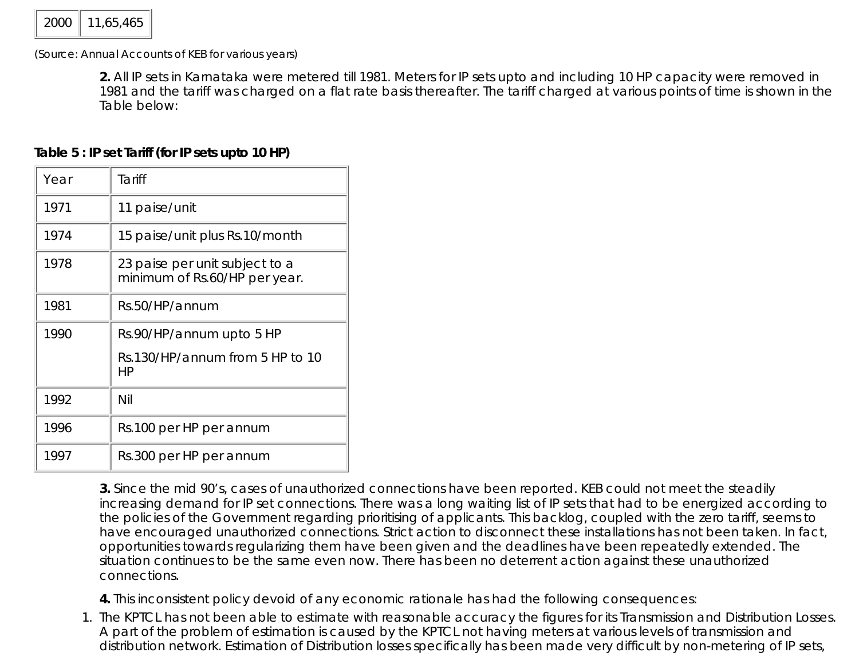(Source: Annual Accounts of KEB for various years)

**2.** All IP sets in Karnataka were metered till 1981. Meters for IP sets upto and including 10 HP capacity were removed in 1981 and the tariff was charged on a flat rate basis thereafter. The tariff charged at various points of time is shown in the Table below:

## **Table 5 : IP set Tariff (for IP sets upto 10 HP)**

| Year | Tariff                                                          |
|------|-----------------------------------------------------------------|
| 1971 | 11 paise/unit                                                   |
| 1974 | 15 paise/unit plus Rs.10/month                                  |
| 1978 | 23 paise per unit subject to a<br>minimum of Rs.60/HP per year. |
| 1981 | Rs.50/HP/annum                                                  |
| 1990 | Rs.90/HP/annum upto 5 HP                                        |
|      | Rs.130/HP/annum from 5 HP to 10<br>НP                           |
| 1992 | Nil                                                             |
| 1996 | Rs.100 per HP per annum                                         |
| 1997 | Rs.300 per HP per annum                                         |

**3.** Since the mid 90's, cases of unauthorized connections have been reported. KEB could not meet the steadily increasing demand for IP set connections. There was a long waiting list of IP sets that had to be energized according to the policies of the Government regarding prioritising of applicants. This backlog, coupled with the zero tariff, seems to have encouraged unauthorized connections. Strict action to disconnect these installations has not been taken. In fact, opportunities towards regularizing them have been given and the deadlines have been repeatedly extended. The situation continues to be the same even now. There has been no deterrent action against these unauthorized connections.

**4.** This inconsistent policy devoid of any economic rationale has had the following consequences:

1. The KPTCL has not been able to estimate with reasonable accuracy the figures for its Transmission and Distribution Losses. A part of the problem of estimation is caused by the KPTCL not having meters at various levels of transmission and distribution network. Estimation of Distribution losses specifically has been made very difficult by non-metering of IP sets,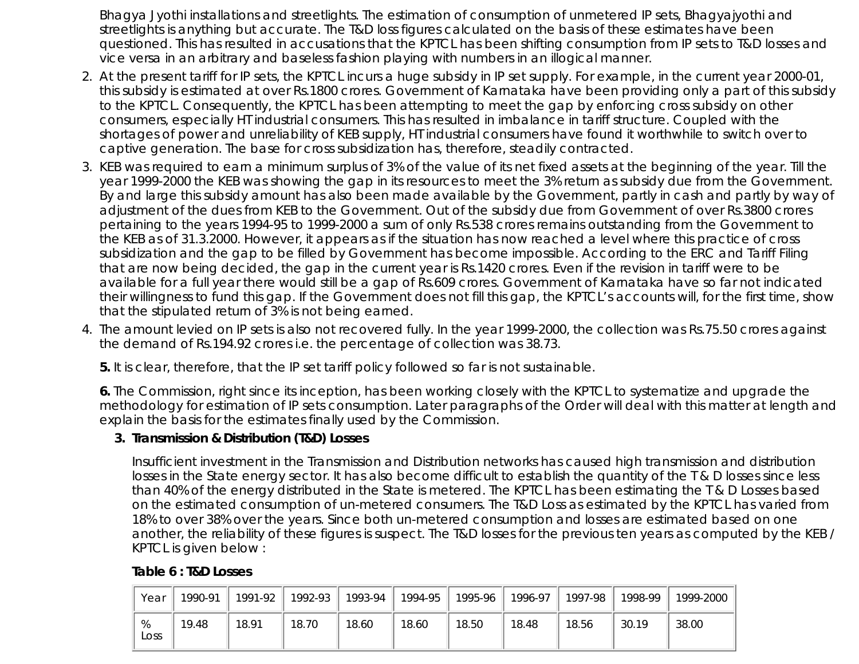Bhagya Jyothi installations and streetlights. The estimation of consumption of unmetered IP sets, Bhagyajyothi and streetlights is anything but accurate. The T&D loss figures calculated on the basis of these estimates have been questioned. This has resulted in accusations that the KPTCL has been shifting consumption from IP sets to T&D losses and vice versa in an arbitrary and baseless fashion playing with numbers in an illogical manner.

- At the present tariff for IP sets, the KPTCL incurs a huge subsidy in IP set supply. For example, in the current year 2000-01, 2. this subsidy is estimated at over Rs.1800 crores. Government of Karnataka have been providing only a part of this subsidy to the KPTCL. Consequently, the KPTCL has been attempting to meet the gap by enforcing cross subsidy on other consumers, especially HT industrial consumers. This has resulted in imbalance in tariff structure. Coupled with the shortages of power and unreliability of KEB supply, HT industrial consumers have found it worthwhile to switch over to captive generation. The base for cross subsidization has, therefore, steadily contracted.
- 3. KEB was required to earn a minimum surplus of 3% of the value of its net fixed assets at the beginning of the year. Till the year 1999-2000 the KEB was showing the gap in its resources to meet the 3% return as subsidy due from the Government. By and large this subsidy amount has also been made available by the Government, partly in cash and partly by way of adjustment of the dues from KEB to the Government. Out of the subsidy due from Government of over Rs.3800 crores pertaining to the years 1994-95 to 1999-2000 a sum of only Rs.538 crores remains outstanding from the Government to the KEB as of 31.3.2000. However, it appears as if the situation has now reached a level where this practice of cross subsidization and the gap to be filled by Government has become impossible. According to the ERC and Tariff Filing that are now being decided, the gap in the current year is Rs.1420 crores. Even if the revision in tariff were to be available for a full year there would still be a gap of Rs.609 crores. Government of Karnataka have so far not indicated their willingness to fund this gap. If the Government does not fill this gap, the KPTCL's accounts will, for the first time, show that the stipulated return of 3% is not being earned.
- The amount levied on IP sets is also not recovered fully. In the year 1999-2000, the collection was Rs.75.50 crores against 4. the demand of Rs.194.92 crores i.e. the percentage of collection was 38.73.

**5.** It is clear, therefore, that the IP set tariff policy followed so far is not sustainable.

**6.** The Commission, right since its inception, has been working closely with the KPTCL to systematize and upgrade the methodology for estimation of IP sets consumption. Later paragraphs of the Order will deal with this matter at length and explain the basis for the estimates finally used by the Commission.

#### **Transmission & Distribution (T&D) Losses 3.**

Insufficient investment in the Transmission and Distribution networks has caused high transmission and distribution losses in the State energy sector. It has also become difficult to establish the quantity of the T & D losses since less than 40% of the energy distributed in the State is metered. The KPTCL has been estimating the T & D Losses based on the estimated consumption of un-metered consumers. The T&D Loss as estimated by the KPTCL has varied from 18% to over 38% over the years. Since both un-metered consumption and losses are estimated based on one another, the reliability of these figures is suspect. The T&D losses for the previous ten years as computed by the KEB / KPTCL is given below :

| Year      | 1990-91 | 1991-92 | 1992-93 | 1993-94 | 1994-95 | 1995-96 | 1996-97 | 1997-98 | 1998-99 | 1999-2000 |
|-----------|---------|---------|---------|---------|---------|---------|---------|---------|---------|-----------|
| %<br>Loss | 19.48   | 18.91   | 18.70   | 18.60   | 18.60   | 18.50   | 18.48   | 18.56   | 30.19   | 38.00     |

#### **Table 6 : T&D Losses**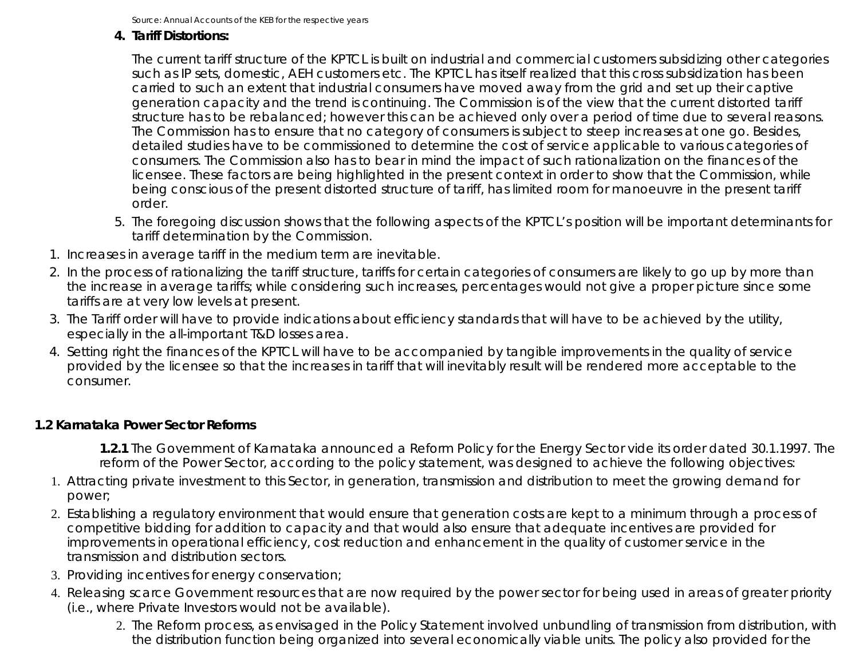Source: Annual Accounts of the KEB for the respective years

### **Tariff Distortions: 4.**

The current tariff structure of the KPTCL is built on industrial and commercial customers subsidizing other categories such as IP sets, domestic, AEH customers etc. The KPTCL has itself realized that this cross subsidization has been carried to such an extent that industrial consumers have moved away from the grid and set up their captive generation capacity and the trend is continuing. The Commission is of the view that the current distorted tariff structure has to be rebalanced; however this can be achieved only over a period of time due to several reasons. The Commission has to ensure that no category of consumers is subject to steep increases at one go. Besides, detailed studies have to be commissioned to determine the cost of service applicable to various categories of consumers. The Commission also has to bear in mind the impact of such rationalization on the finances of the licensee. These factors are being highlighted in the present context in order to show that the Commission, while being conscious of the present distorted structure of tariff, has limited room for manoeuvre in the present tariff order.

- 5. The foregoing discussion shows that the following aspects of the KPTCL's position will be important determinants for tariff determination by the Commission.
- 1. Increases in average tariff in the medium term are inevitable.
- In the process of rationalizing the tariff structure, tariffs for certain categories of consumers are likely to go up by more than 2. the increase in average tariffs; while considering such increases, percentages would not give a proper picture since some tariffs are at very low levels at present.
- 3. The Tariff order will have to provide indications about efficiency standards that will have to be achieved by the utility, especially in the all-important T&D losses area.
- 4. Setting right the finances of the KPTCL will have to be accompanied by tangible improvements in the quality of service provided by the licensee so that the increases in tariff that will inevitably result will be rendered more acceptable to the consumer.

## **1.2 Karnataka Power Sector Reforms**

**1.2.1** The Government of Karnataka announced a Reform Policy for the Energy Sector vide its order dated 30.1.1997. The reform of the Power Sector, according to the policy statement, was designed to achieve the following objectives:

- Attracting private investment to this Sector, in generation, transmission and distribution to meet the growing demand for 1. power;
- Establishing a regulatory environment that would ensure that generation costs are kept to a minimum through a process of 2. competitive bidding for addition to capacity and that would also ensure that adequate incentives are provided for improvements in operational efficiency, cost reduction and enhancement in the quality of customer service in the transmission and distribution sectors.
- 3. Providing incentives for energy conservation;
- 4. Releasing scarce Government resources that are now required by the power sector for being used in areas of greater priority (i.e., where Private Investors would not be available).
	- 2. The Reform process, as envisaged in the Policy Statement involved unbundling of transmission from distribution, with the distribution function being organized into several economically viable units. The policy also provided for the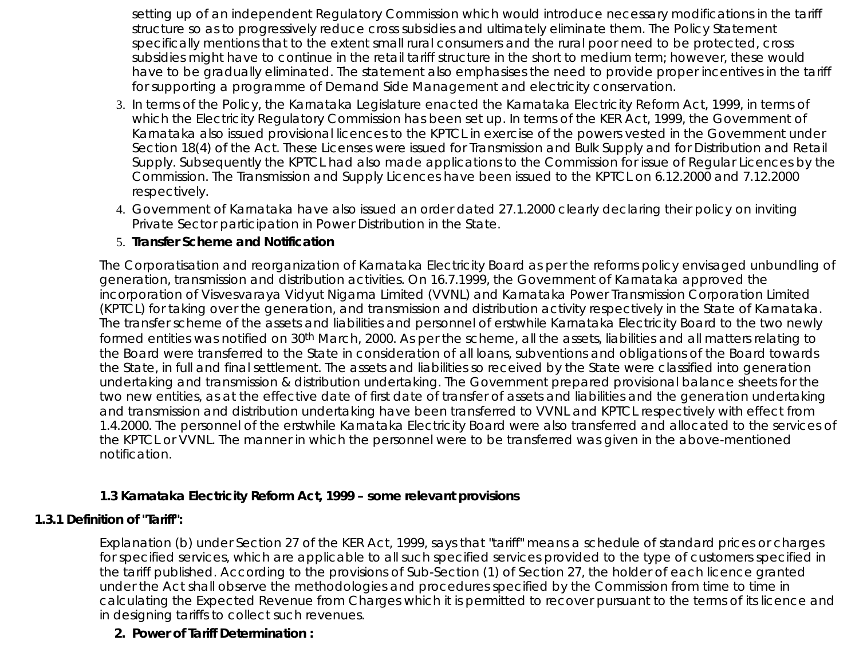setting up of an independent Regulatory Commission which would introduce necessary modifications in the tariff structure so as to progressively reduce cross subsidies and ultimately eliminate them. The Policy Statement specifically mentions that to the extent small rural consumers and the rural poor need to be protected, cross subsidies might have to continue in the retail tariff structure in the short to medium term; however, these would have to be gradually eliminated. The statement also emphasises the need to provide proper incentives in the tariff for supporting a programme of Demand Side Management and electricity conservation.

- 3. In terms of the Policy, the Karnataka Legislature enacted the Karnataka Electricity Reform Act, 1999, in terms of which the Electricity Regulatory Commission has been set up. In terms of the KER Act, 1999, the Government of Karnataka also issued provisional licences to the KPTCL in exercise of the powers vested in the Government under Section 18(4) of the Act. These Licenses were issued for Transmission and Bulk Supply and for Distribution and Retail Supply. Subsequently the KPTCL had also made applications to the Commission for issue of Regular Licences by the Commission. The Transmission and Supply Licences have been issued to the KPTCL on 6.12.2000 and 7.12.2000 respectively.
- Government of Karnataka have also issued an order dated 27.1.2000 clearly declaring their policy on inviting 4. Private Sector participation in Power Distribution in the State.

#### 5. **Transfer Scheme and Notification**

The Corporatisation and reorganization of Karnataka Electricity Board as per the reforms policy envisaged unbundling of generation, transmission and distribution activities. On 16.7.1999, the Government of Karnataka approved the incorporation of Visvesvaraya Vidyut Nigama Limited (VVNL) and Karnataka Power Transmission Corporation Limited (KPTCL) for taking over the generation, and transmission and distribution activity respectively in the State of Karnataka. The transfer scheme of the assets and liabilities and personnel of erstwhile Karnataka Electricity Board to the two newly formed entities was notified on 30th March, 2000. As per the scheme, all the assets, liabilities and all matters relating to the Board were transferred to the State in consideration of all loans, subventions and obligations of the Board towards the State, in full and final settlement. The assets and liabilities so received by the State were classified into generation undertaking and transmission & distribution undertaking. The Government prepared provisional balance sheets for the two new entities, as at the effective date of first date of transfer of assets and liabilities and the generation undertaking and transmission and distribution undertaking have been transferred to VVNL and KPTCL respectively with effect from 1.4.2000. The personnel of the erstwhile Karnataka Electricity Board were also transferred and allocated to the services of the KPTCL or VVNL. The manner in which the personnel were to be transferred was given in the above-mentioned notification.

#### **1.3 Karnataka Electricity Reform Act, 1999 – some relevant provisions**

#### **1.3.1 Definition of "Tariff":**

Explanation (b) under Section 27 of the KER Act, 1999, says that "tariff" means a schedule of standard prices or charges for specified services, which are applicable to all such specified services provided to the type of customers specified in the tariff published. According to the provisions of Sub-Section (1) of Section 27, the holder of each licence granted under the Act shall observe the methodologies and procedures specified by the Commission from time to time in calculating the Expected Revenue from Charges which it is permitted to recover pursuant to the terms of its licence and in designing tariffs to collect such revenues.

#### **2. Power of Tariff Determination :**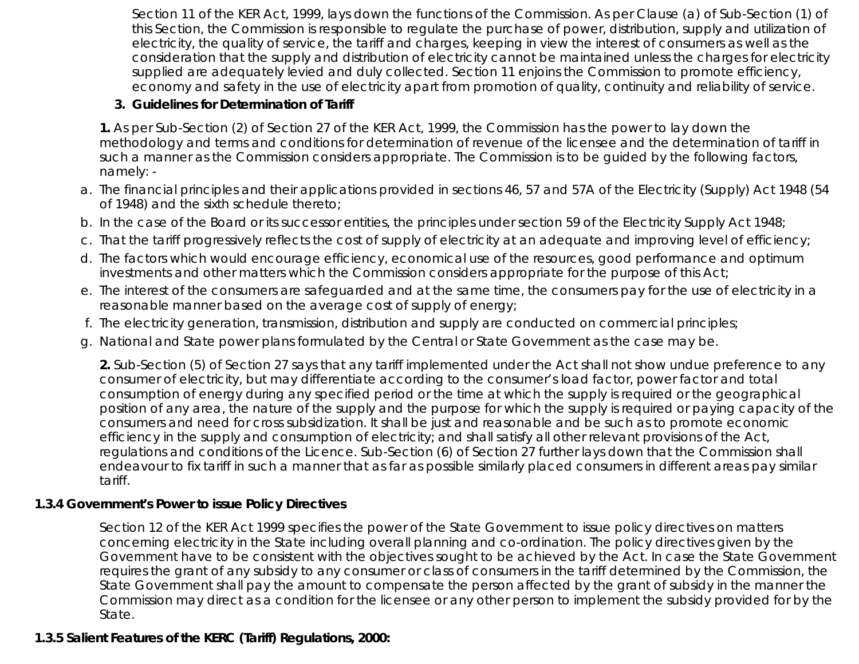Section 11 of the KER Act, 1999, lays down the functions of the Commission. As per Clause (a) of Sub-Section (1) of this Section, the Commission is responsible to regulate the purchase of power, distribution, supply and utilization of electricity, the quality of service, the tariff and charges, keeping in view the interest of consumers as well as the consideration that the supply and distribution of electricity cannot be maintained unless the charges for electricity supplied are adequately levied and duly collected. Section 11 enjoins the Commission to promote efficiency, economy and safety in the use of electricity apart from promotion of quality, continuity and reliability of service.

### **3. Guidelines for Determination of Tariff**

**1.** As per Sub-Section (2) of Section 27 of the KER Act, 1999, the Commission has the power to lay down the methodology and terms and conditions for determination of revenue of the licensee and the determination of tariff in such a manner as the Commission considers appropriate. The Commission is to be guided by the following factors, namely: -

- The financial principles and their applications provided in sections 46, 57 and 57A of the Electricity (Supply) Act 1948 (54 a. of 1948) and the sixth schedule thereto;
- b. In the case of the Board or its successor entities, the principles under section 59 of the Electricity Supply Act 1948;
- c. That the tariff progressively reflects the cost of supply of electricity at an adequate and improving level of efficiency;
- d. The factors which would encourage efficiency, economical use of the resources, good performance and optimum investments and other matters which the Commission considers appropriate for the purpose of this Act;
- The interest of the consumers are safeguarded and at the same time, the consumers pay for the use of electricity in a e. reasonable manner based on the average cost of supply of energy;
- f. The electricity generation, transmission, distribution and supply are conducted on commercial principles;
- g. National and State power plans formulated by the Central or State Government as the case may be.

**2.** Sub-Section (5) of Section 27 says that any tariff implemented under the Act shall not show undue preference to any consumer of electricity, but may differentiate according to the consumer's load factor, power factor and total consumption of energy during any specified period or the time at which the supply is required or the geographical position of any area, the nature of the supply and the purpose for which the supply is required or paying capacity of the consumers and need for cross subsidization. It shall be just and reasonable and be such as to promote economic efficiency in the supply and consumption of electricity; and shall satisfy all other relevant provisions of the Act, regulations and conditions of the Licence. Sub-Section (6) of Section 27 further lays down that the Commission shall endeavour to fix tariff in such a manner that as far as possible similarly placed consumers in different areas pay similar tariff.

## **1.3.4 Government's Power to issue Policy Directives**

Section 12 of the KER Act 1999 specifies the power of the State Government to issue policy directives on matters concerning electricity in the State including overall planning and co-ordination. The policy directives given by the Government have to be consistent with the objectives sought to be achieved by the Act. In case the State Government requires the grant of any subsidy to any consumer or class of consumers in the tariff determined by the Commission, the State Government shall pay the amount to compensate the person affected by the grant of subsidy in the manner the Commission may direct as a condition for the licensee or any other person to implement the subsidy provided for by the State.

# **1.3.5 Salient Features of the KERC (Tariff) Regulations, 2000:**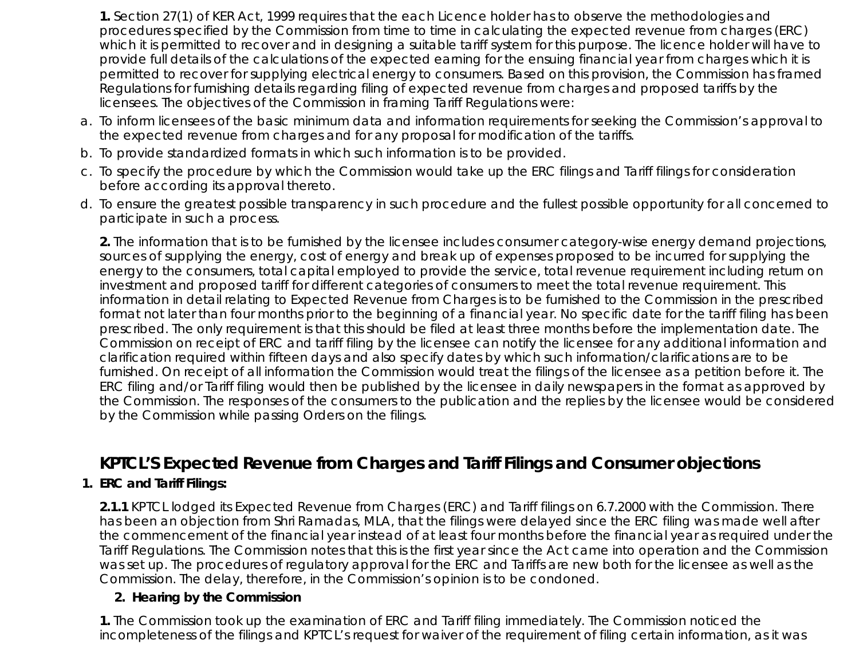**1.** Section 27(1) of KER Act, 1999 requires that the each Licence holder has to observe the methodologies and procedures specified by the Commission from time to time in calculating the expected revenue from charges (ERC) which it is permitted to recover and in designing a suitable tariff system for this purpose. The licence holder will have to provide full details of the calculations of the expected earning for the ensuing financial year from charges which it is permitted to recover for supplying electrical energy to consumers. Based on this provision, the Commission has framed Regulations for furnishing details regarding filing of expected revenue from charges and proposed tariffs by the licensees. The objectives of the Commission in framing Tariff Regulations were:

- a. To inform licensees of the basic minimum data and information requirements for seeking the Commission's approval to the expected revenue from charges and for any proposal for modification of the tariffs.
- b. To provide standardized formats in which such information is to be provided.
- c. To specify the procedure by which the Commission would take up the ERC filings and Tariff filings for consideration before according its approval thereto.
- d. To ensure the greatest possible transparency in such procedure and the fullest possible opportunity for all concerned to participate in such a process.

**2.** The information that is to be furnished by the licensee includes consumer category-wise energy demand projections, sources of supplying the energy, cost of energy and break up of expenses proposed to be incurred for supplying the energy to the consumers, total capital employed to provide the service, total revenue requirement including return on investment and proposed tariff for different categories of consumers to meet the total revenue requirement. This information in detail relating to Expected Revenue from Charges is to be furnished to the Commission in the prescribed format not later than four months prior to the beginning of a financial year. No specific date for the tariff filing has been prescribed. The only requirement is that this should be filed at least three months before the implementation date. The Commission on receipt of ERC and tariff filing by the licensee can notify the licensee for any additional information and clarification required within fifteen days and also specify dates by which such information/clarifications are to be furnished. On receipt of all information the Commission would treat the filings of the licensee as a petition before it. The ERC filing and/or Tariff filing would then be published by the licensee in daily newspapers in the format as approved by the Commission. The responses of the consumers to the publication and the replies by the licensee would be considered by the Commission while passing Orders on the filings.

# **KPTCL'S Expected Revenue from Charges and Tariff Filings and Consumer objections**

## **1. ERC and Tariff Filings:**

**2.1.1** KPTCL lodged its Expected Revenue from Charges (ERC) and Tariff filings on 6.7.2000 with the Commission. There has been an objection from Shri Ramadas, MLA, that the filings were delayed since the ERC filing was made well after the commencement of the financial year instead of at least four months before the financial year as required under the Tariff Regulations. The Commission notes that this is the first year since the Act came into operation and the Commission was set up. The procedures of regulatory approval for the ERC and Tariffs are new both for the licensee as well as the Commission. The delay, therefore, in the Commission's opinion is to be condoned.

#### **2. Hearing by the Commission**

**1.** The Commission took up the examination of ERC and Tariff filing immediately. The Commission noticed the incompleteness of the filings and KPTCL's request for waiver of the requirement of filing certain information, as it was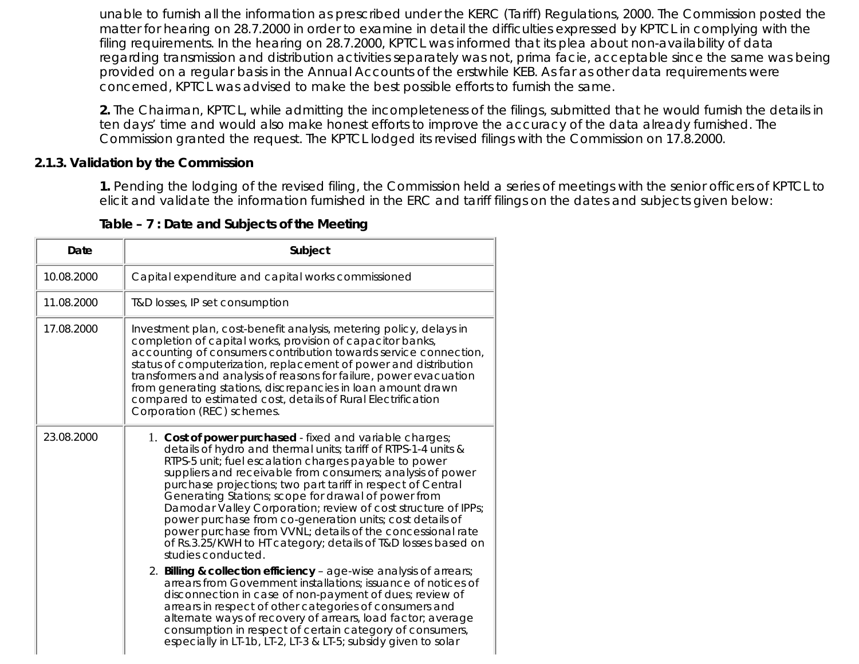unable to furnish all the information as prescribed under the KERC (Tariff) Regulations, 2000. The Commission posted the matter for hearing on 28.7.2000 in order to examine in detail the difficulties expressed by KPTCL in complying with the filing requirements. In the hearing on 28.7.2000, KPTCL was informed that its plea about non-availability of data regarding transmission and distribution activities separately was not, prima facie, acceptable since the same was being provided on a regular basis in the Annual Accounts of the erstwhile KEB. As far as other data requirements were concerned, KPTCL was advised to make the best possible efforts to furnish the same.

**2.** The Chairman, KPTCL, while admitting the incompleteness of the filings, submitted that he would furnish the details in ten days' time and would also make honest efforts to improve the accuracy of the data already furnished. The Commission granted the request. The KPTCL lodged its revised filings with the Commission on 17.8.2000.

#### **2.1.3. Validation by the Commission**

**1.** Pending the lodging of the revised filing, the Commission held a series of meetings with the senior officers of KPTCL to elicit and validate the information furnished in the ERC and tariff filings on the dates and subjects given below:

| Date       | Subject                                                                                                                                                                                                                                                                                                                                                                                                                                                                                                                                                                                                                                                                                                                                                                                                                                                                                                                                                                                                                                                                                                             |
|------------|---------------------------------------------------------------------------------------------------------------------------------------------------------------------------------------------------------------------------------------------------------------------------------------------------------------------------------------------------------------------------------------------------------------------------------------------------------------------------------------------------------------------------------------------------------------------------------------------------------------------------------------------------------------------------------------------------------------------------------------------------------------------------------------------------------------------------------------------------------------------------------------------------------------------------------------------------------------------------------------------------------------------------------------------------------------------------------------------------------------------|
| 10.08.2000 | Capital expenditure and capital works commissioned                                                                                                                                                                                                                                                                                                                                                                                                                                                                                                                                                                                                                                                                                                                                                                                                                                                                                                                                                                                                                                                                  |
| 11.08.2000 | T&D losses, IP set consumption                                                                                                                                                                                                                                                                                                                                                                                                                                                                                                                                                                                                                                                                                                                                                                                                                                                                                                                                                                                                                                                                                      |
| 17.08.2000 | Investment plan, cost-benefit analysis, metering policy, delays in<br>completion of capital works, provision of capacitor banks,<br>accounting of consumers contribution towards service connection,<br>status of computerization, replacement of power and distribution<br>transformers and analysis of reasons for failure, power evacuation<br>from generating stations, discrepancies in loan amount drawn<br>compared to estimated cost, details of Rural Electrification<br>Corporation (REC) schemes.                                                                                                                                                                                                                                                                                                                                                                                                                                                                                                                                                                                                        |
| 23.08.2000 | 1. Cost of power purchased - fixed and variable charges;<br>details of hydro and thermal units; tariff of RTPS-1-4 units &<br>RTPS-5 unit; fuel escalation charges payable to power<br>suppliers and receivable from consumers; analysis of power<br>purchase projections; two part tariff in respect of Central<br>Generating Stations; scope for drawal of power from<br>Damodar Valley Corporation; review of cost structure of IPPs;<br>power purchase from co-generation units; cost details of<br>power purchase from VVNL; details of the concessional rate<br>of Rs.3.25/KWH to HT category; details of T&D losses based on<br>studies conducted.<br>2. Billing & collection efficiency - age-wise analysis of arrears;<br>arrears from Government installations; issuance of notices of<br>disconnection in case of non-payment of dues; review of<br>arrears in respect of other categories of consumers and<br>alternate ways of recovery of arrears, load factor; average<br>consumption in respect of certain category of consumers,<br>especially in LT-1b, LT-2, LT-3 & LT-5; subsidy given to solar |

**Table – 7 : Date and Subjects of the Meeting**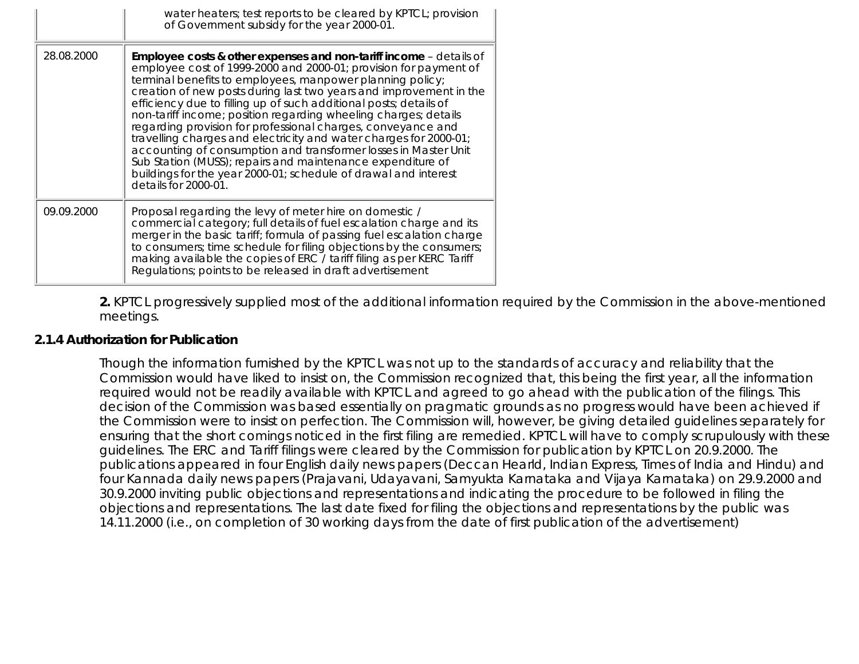|            | water heaters; test reports to be cleared by KPTCL; provision<br>of Government subsidy for the year 2000-01.                                                                                                                                                                                                                                                                                                                                                                                                                                                                                                                                                                                                                                                                       |
|------------|------------------------------------------------------------------------------------------------------------------------------------------------------------------------------------------------------------------------------------------------------------------------------------------------------------------------------------------------------------------------------------------------------------------------------------------------------------------------------------------------------------------------------------------------------------------------------------------------------------------------------------------------------------------------------------------------------------------------------------------------------------------------------------|
| 28.08.2000 | Employee costs & other expenses and non-tariff income - details of<br>employee cost of 1999-2000 and 2000-01; provision for payment of<br>terminal benefits to employees, manpower planning policy;<br>creation of new posts during last two years and improvement in the<br>efficiency due to filling up of such additional posts; details of<br>non-tariff income; position regarding wheeling charges; details<br>regarding provision for professional charges, conveyance and<br>travelling charges and electricity and water charges for 2000-01;<br>accounting of consumption and transformer losses in Master Unit<br>Sub Station (MUSS); repairs and maintenance expenditure of<br>buildings for the year 2000-01; schedule of drawal and interest<br>details for 2000-01. |
| 09.09.2000 | Proposal regarding the levy of meter hire on domestic /<br>commercial category; full details of fuel escalation charge and its<br>merger in the basic tariff; formula of passing fuel escalation charge<br>to consumers; time schedule for filing objections by the consumers;<br>making available the copies of ERC / tariff filing as per KERC Tariff<br>Regulations; points to be released in draft advertisement                                                                                                                                                                                                                                                                                                                                                               |

**2.** KPTCL progressively supplied most of the additional information required by the Commission in the above-mentioned meetings.

#### **2.1.4 Authorization for Publication**

Though the information furnished by the KPTCL was not up to the standards of accuracy and reliability that the Commission would have liked to insist on, the Commission recognized that, this being the first year, all the information required would not be readily available with KPTCL and agreed to go ahead with the publication of the filings. This decision of the Commission was based essentially on pragmatic grounds as no progress would have been achieved if the Commission were to insist on perfection. The Commission will, however, be giving detailed guidelines separately for ensuring that the short comings noticed in the first filing are remedied. KPTCL will have to comply scrupulously with these guidelines. The ERC and Tariff filings were cleared by the Commission for publication by KPTCL on 20.9.2000. The publications appeared in four English daily news papers (Deccan Hearld, Indian Express, Times of India and Hindu) and four Kannada daily news papers (Prajavani, Udayavani, Samyukta Karnataka and Vijaya Karnataka) on 29.9.2000 and 30.9.2000 inviting public objections and representations and indicating the procedure to be followed in filing the objections and representations. The last date fixed for filing the objections and representations by the public was 14.11.2000 (i.e., on completion of 30 working days from the date of first publication of the advertisement)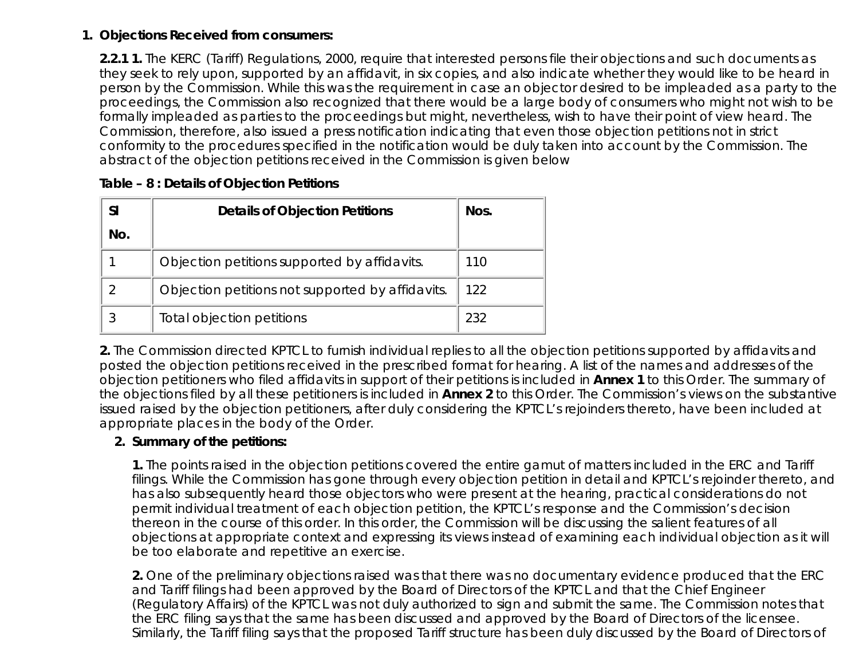#### **Objections Received from consumers: 1.**

**2.2.1 1.** The KERC (Tariff) Regulations, 2000, require that interested persons file their objections and such documents as they seek to rely upon, supported by an affidavit, in six copies, and also indicate whether they would like to be heard in person by the Commission. While this was the requirement in case an objector desired to be impleaded as a party to the proceedings, the Commission also recognized that there would be a large body of consumers who might not wish to be formally impleaded as parties to the proceedings but might, nevertheless, wish to have their point of view heard. The Commission, therefore, also issued a press notification indicating that even those objection petitions not in strict conformity to the procedures specified in the notification would be duly taken into account by the Commission. The abstract of the objection petitions received in the Commission is given below

| <b>SI</b> | <b>Details of Objection Petitions</b>            | Nos. |
|-----------|--------------------------------------------------|------|
| No.       |                                                  |      |
|           | Objection petitions supported by affidavits.     | 110  |
|           | Objection petitions not supported by affidavits. | 122  |
|           | Total objection petitions                        | 232  |

### **Table – 8 : Details of Objection Petitions**

**2.** The Commission directed KPTCL to furnish individual replies to all the objection petitions supported by affidavits and posted the objection petitions received in the prescribed format for hearing. A list of the names and addresses of the objection petitioners who filed affidavits in support of their petitions is included in **Annex 1** to this Order. The summary of the objections filed by all these petitioners is included in **Annex 2** to this Order. The Commission's views on the substantive issued raised by the objection petitioners, after duly considering the KPTCL's rejoinders thereto, have been included at appropriate places in the body of the Order.

## **Summary of the petitions: 2.**

**1.** The points raised in the objection petitions covered the entire gamut of matters included in the ERC and Tariff filings. While the Commission has gone through every objection petition in detail and KPTCL's rejoinder thereto, and has also subsequently heard those objectors who were present at the hearing, practical considerations do not permit individual treatment of each objection petition, the KPTCL's response and the Commission's decision thereon in the course of this order. In this order, the Commission will be discussing the salient features of all objections at appropriate context and expressing its views instead of examining each individual objection as it will be too elaborate and repetitive an exercise.

**2.** One of the preliminary objections raised was that there was no documentary evidence produced that the ERC and Tariff filings had been approved by the Board of Directors of the KPTCL and that the Chief Engineer (Regulatory Affairs) of the KPTCL was not duly authorized to sign and submit the same. The Commission notes that the ERC filing says that the same has been discussed and approved by the Board of Directors of the licensee. Similarly, the Tariff filing says that the proposed Tariff structure has been duly discussed by the Board of Directors of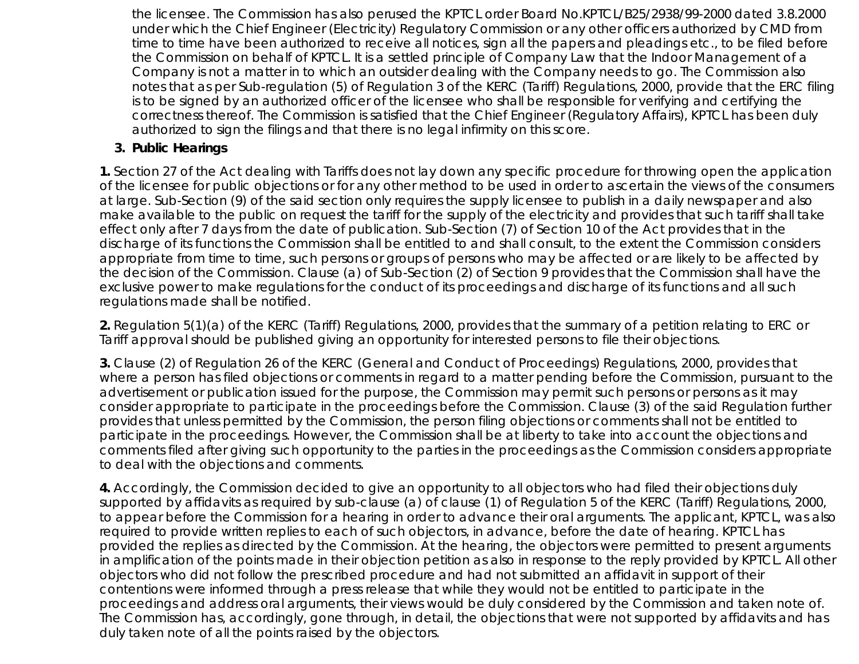the licensee. The Commission has also perused the KPTCL order Board No.KPTCL/B25/2938/99-2000 dated 3.8.2000 under which the Chief Engineer (Electricity) Regulatory Commission or any other officers authorized by CMD from time to time have been authorized to receive all notices, sign all the papers and pleadings etc., to be filed before the Commission on behalf of KPTCL. It is a settled principle of Company Law that the Indoor Management of a Company is not a matter in to which an outsider dealing with the Company needs to go. The Commission also notes that as per Sub-regulation (5) of Regulation 3 of the KERC (Tariff) Regulations, 2000, provide that the ERC filing is to be signed by an authorized officer of the licensee who shall be responsible for verifying and certifying the correctness thereof. The Commission is satisfied that the Chief Engineer (Regulatory Affairs), KPTCL has been duly authorized to sign the filings and that there is no legal infirmity on this score.

### **3. Public Hearings**

**1.** Section 27 of the Act dealing with Tariffs does not lay down any specific procedure for throwing open the application of the licensee for public objections or for any other method to be used in order to ascertain the views of the consumers at large. Sub-Section (9) of the said section only requires the supply licensee to publish in a daily newspaper and also make available to the public on request the tariff for the supply of the electricity and provides that such tariff shall take effect only after 7 days from the date of publication. Sub-Section (7) of Section 10 of the Act provides that in the discharge of its functions the Commission shall be entitled to and shall consult, to the extent the Commission considers appropriate from time to time, such persons or groups of persons who may be affected or are likely to be affected by the decision of the Commission. Clause (a) of Sub-Section (2) of Section 9 provides that the Commission shall have the exclusive power to make regulations for the conduct of its proceedings and discharge of its functions and all such regulations made shall be notified.

**2.** Regulation 5(1)(a) of the KERC (Tariff) Regulations, 2000, provides that the summary of a petition relating to ERC or Tariff approval should be published giving an opportunity for interested persons to file their objections.

**3.** Clause (2) of Regulation 26 of the KERC (General and Conduct of Proceedings) Regulations, 2000, provides that where a person has filed objections or comments in regard to a matter pending before the Commission, pursuant to the advertisement or publication issued for the purpose, the Commission may permit such persons or persons as it may consider appropriate to participate in the proceedings before the Commission. Clause (3) of the said Regulation further provides that unless permitted by the Commission, the person filing objections or comments shall not be entitled to participate in the proceedings. However, the Commission shall be at liberty to take into account the objections and comments filed after giving such opportunity to the parties in the proceedings as the Commission considers appropriate to deal with the objections and comments.

**4.** Accordingly, the Commission decided to give an opportunity to all objectors who had filed their objections duly supported by affidavits as required by sub-clause (a) of clause (1) of Regulation 5 of the KERC (Tariff) Regulations, 2000, to appear before the Commission for a hearing in order to advance their oral arguments. The applicant, KPTCL, was also required to provide written replies to each of such objectors, in advance, before the date of hearing. KPTCL has provided the replies as directed by the Commission. At the hearing, the objectors were permitted to present arguments in amplification of the points made in their objection petition as also in response to the reply provided by KPTCL. All other objectors who did not follow the prescribed procedure and had not submitted an affidavit in support of their contentions were informed through a press release that while they would not be entitled to participate in the proceedings and address oral arguments, their views would be duly considered by the Commission and taken note of. The Commission has, accordingly, gone through, in detail, the objections that were not supported by affidavits and has duly taken note of all the points raised by the objectors.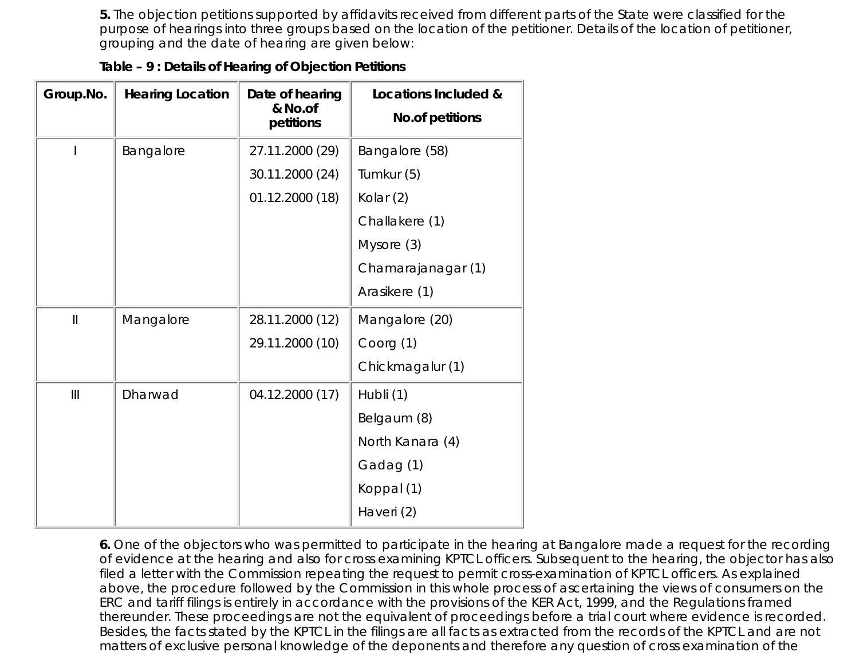**5.** The objection petitions supported by affidavits received from different parts of the State were classified for the purpose of hearings into three groups based on the location of the petitioner. Details of the location of petitioner, grouping and the date of hearing are given below:

| Table - 9 : Details of Hearing of Objection Petitions |  |  |  |
|-------------------------------------------------------|--|--|--|
|                                                       |  |  |  |

| Group.No.                                                      | <b>Hearing Location</b> | Date of hearing<br>& No.of<br>petitions | Locations Included &<br><b>No.of petitions</b> |
|----------------------------------------------------------------|-------------------------|-----------------------------------------|------------------------------------------------|
|                                                                | Bangalore               | 27.11.2000 (29)                         | Bangalore (58)                                 |
|                                                                |                         | 30.11.2000 (24)                         | Tumkur (5)                                     |
|                                                                |                         | 01.12.2000 (18)                         | Kolar (2)                                      |
|                                                                |                         |                                         | Challakere (1)                                 |
|                                                                |                         |                                         | Mysore (3)                                     |
|                                                                |                         |                                         | Chamarajanagar (1)                             |
|                                                                |                         |                                         | Arasikere (1)                                  |
| $\label{eq:1} \prod_{i=1}^n \alpha_i = \prod_{i=1}^n \alpha_i$ | Mangalore               | 28.11.2000 (12)                         | Mangalore (20)                                 |
|                                                                |                         | 29.11.2000 (10)                         | Coorg (1)                                      |
|                                                                |                         |                                         | Chickmagalur (1)                               |
| III                                                            | Dharwad                 | 04.12.2000 (17)                         | Hubli (1)                                      |
|                                                                |                         |                                         | Belgaum (8)                                    |
|                                                                |                         |                                         | North Kanara (4)                               |
|                                                                |                         |                                         | Gadag (1)                                      |
|                                                                |                         |                                         | Koppal (1)                                     |
|                                                                |                         |                                         | Haveri (2)                                     |

**6.** One of the objectors who was permitted to participate in the hearing at Bangalore made a request for the recording of evidence at the hearing and also for cross examining KPTCL officers. Subsequent to the hearing, the objector has also filed a letter with the Commission repeating the request to permit cross-examination of KPTCL officers. As explained above, the procedure followed by the Commission in this whole process of ascertaining the views of consumers on the ERC and tariff filings is entirely in accordance with the provisions of the KER Act, 1999, and the Regulations framed thereunder. These proceedings are not the equivalent of proceedings before a trial court where evidence is recorded. Besides, the facts stated by the KPTCL in the filings are all facts as extracted from the records of the KPTCL and are not matters of exclusive personal knowledge of the deponents and therefore any question of cross examination of the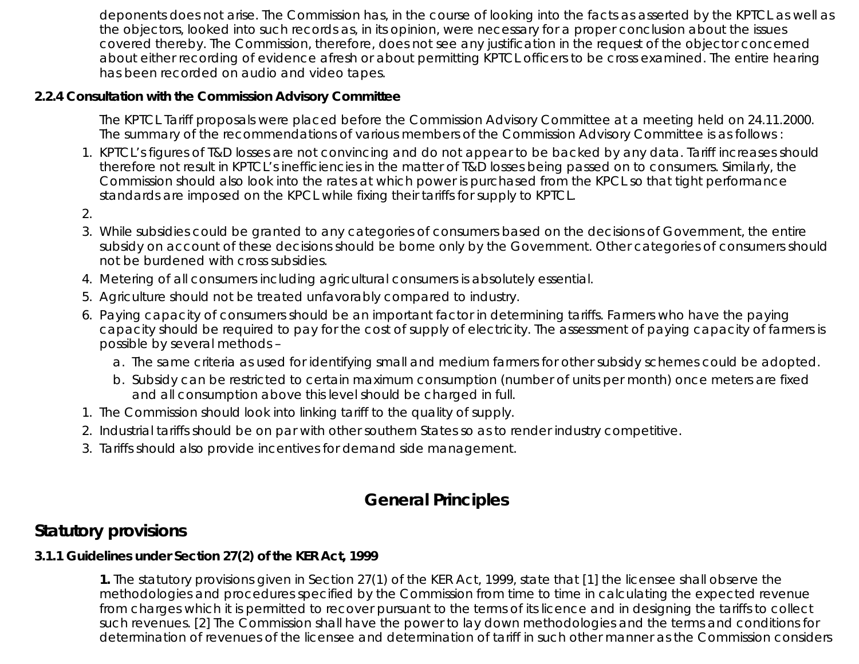deponents does not arise. The Commission has, in the course of looking into the facts as asserted by the KPTCL as well as the objectors, looked into such records as, in its opinion, were necessary for a proper conclusion about the issues covered thereby. The Commission, therefore, does not see any justification in the request of the objector concerned about either recording of evidence afresh or about permitting KPTCL officers to be cross examined. The entire hearing has been recorded on audio and video tapes.

## **2.2.4 Consultation with the Commission Advisory Committee**

The KPTCL Tariff proposals were placed before the Commission Advisory Committee at a meeting held on 24.11.2000. The summary of the recommendations of various members of the Commission Advisory Committee is as follows :

- 1. KPTCL's figures of T&D losses are not convincing and do not appear to be backed by any data. Tariff increases should therefore not result in KPTCL's inefficiencies in the matter of T&D losses being passed on to consumers. Similarly, the Commission should also look into the rates at which power is purchased from the KPCL so that tight performance standards are imposed on the KPCL while fixing their tariffs for supply to KPTCL.
- 2.
- While subsidies could be granted to any categories of consumers based on the decisions of Government, the entire 3. subsidy on account of these decisions should be borne only by the Government. Other categories of consumers should not be burdened with cross subsidies.
- 4. Metering of all consumers including agricultural consumers is absolutely essential.
- 5. Agriculture should not be treated unfavorably compared to industry.
- 6. Paying capacity of consumers should be an important factor in determining tariffs. Farmers who have the paying capacity should be required to pay for the cost of supply of electricity. The assessment of paying capacity of farmers is possible by several methods –
	- a. The same criteria as used for identifying small and medium farmers for other subsidy schemes could be adopted.
	- b. Subsidy can be restricted to certain maximum consumption (number of units per month) once meters are fixed and all consumption above this level should be charged in full.
- 1. The Commission should look into linking tariff to the quality of supply.
- 2. Industrial tariffs should be on par with other southern States so as to render industry competitive.
- 3. Tariffs should also provide incentives for demand side management.

# **General Principles**

# **Statutory provisions**

# **3.1.1 Guidelines under Section 27(2) of the KER Act, 1999**

**1.** The statutory provisions given in Section 27(1) of the KER Act, 1999, state that [1] the licensee shall observe the methodologies and procedures specified by the Commission from time to time in calculating the expected revenue from charges which it is permitted to recover pursuant to the terms of its licence and in designing the tariffs to collect such revenues. [2] The Commission shall have the power to lay down methodologies and the terms and conditions for determination of revenues of the licensee and determination of tariff in such other manner as the Commission considers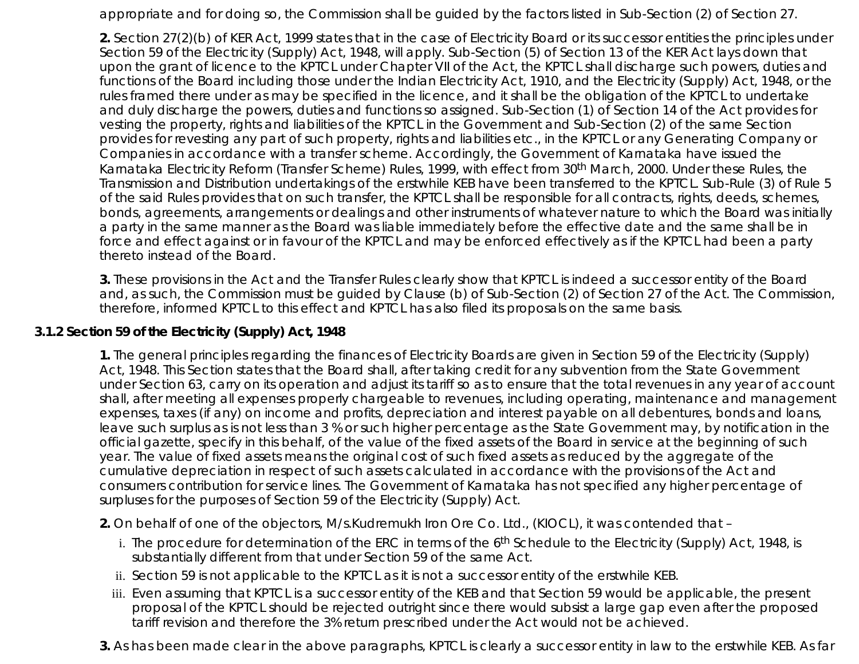appropriate and for doing so, the Commission shall be guided by the factors listed in Sub-Section (2) of Section 27.

**2.** Section 27(2)(b) of KER Act, 1999 states that in the case of Electricity Board or its successor entities the principles under Section 59 of the Electricity (Supply) Act, 1948, will apply. Sub-Section (5) of Section 13 of the KER Act lays down that upon the grant of licence to the KPTCL under Chapter VII of the Act, the KPTCL shall discharge such powers, duties and functions of the Board including those under the Indian Electricity Act, 1910, and the Electricity (Supply) Act, 1948, or the rules framed there under as may be specified in the licence, and it shall be the obligation of the KPTCL to undertake and duly discharge the powers, duties and functions so assigned. Sub-Section (1) of Section 14 of the Act provides for vesting the property, rights and liabilities of the KPTCL in the Government and Sub-Section (2) of the same Section provides for revesting any part of such property, rights and liabilities etc., in the KPTCL or any Generating Company or Companies in accordance with a transfer scheme. Accordingly, the Government of Karnataka have issued the Karnataka Electricity Reform (Transfer Scheme) Rules, 1999, with effect from 30th March, 2000. Under these Rules, the Transmission and Distribution undertakings of the erstwhile KEB have been transferred to the KPTCL. Sub-Rule (3) of Rule 5 of the said Rules provides that on such transfer, the KPTCL shall be responsible for all contracts, rights, deeds, schemes, bonds, agreements, arrangements or dealings and other instruments of whatever nature to which the Board was initially a party in the same manner as the Board was liable immediately before the effective date and the same shall be in force and effect against or in favour of the KPTCL and may be enforced effectively as if the KPTCL had been a party thereto instead of the Board.

**3.** These provisions in the Act and the Transfer Rules clearly show that KPTCL is indeed a successor entity of the Board and, as such, the Commission must be guided by Clause (b) of Sub-Section (2) of Section 27 of the Act. The Commission, therefore, informed KPTCL to this effect and KPTCL has also filed its proposals on the same basis.

#### **3.1.2 Section 59 of the Electricity (Supply) Act, 1948**

**1.** The general principles regarding the finances of Electricity Boards are given in Section 59 of the Electricity (Supply) Act, 1948. This Section states that the Board shall, after taking credit for any subvention from the State Government under Section 63, carry on its operation and adjust its tariff so as to ensure that the total revenues in any year of account shall, after meeting all expenses properly chargeable to revenues, including operating, maintenance and management expenses, taxes (if any) on income and profits, depreciation and interest payable on all debentures, bonds and loans, leave such surplus as is not less than 3 % or such higher percentage as the State Government may, by notification in the official gazette, specify in this behalf, of the value of the fixed assets of the Board in service at the beginning of such year. The value of fixed assets means the original cost of such fixed assets as reduced by the aggregate of the cumulative depreciation in respect of such assets calculated in accordance with the provisions of the Act and consumers contribution for service lines. The Government of Karnataka has not specified any higher percentage of surpluses for the purposes of Section 59 of the Electricity (Supply) Act.

**2.** On behalf of one of the objectors, M/s.Kudremukh Iron Ore Co. Ltd., (KIOCL), it was contended that –

- i. The procedure for determination of the ERC in terms of the 6<sup>th</sup> Schedule to the Electricity (Supply) Act, 1948, is substantially different from that under Section 59 of the same Act.
- ii. Section 59 is not applicable to the KPTCL as it is not a successor entity of the erstwhile KEB.
- iii. Even assuming that KPTCL is a successor entity of the KEB and that Section 59 would be applicable, the present proposal of the KPTCL should be rejected outright since there would subsist a large gap even after the proposed tariff revision and therefore the 3% return prescribed under the Act would not be achieved.
- **3.** As has been made clear in the above paragraphs, KPTCL is clearly a successor entity in law to the erstwhile KEB. As far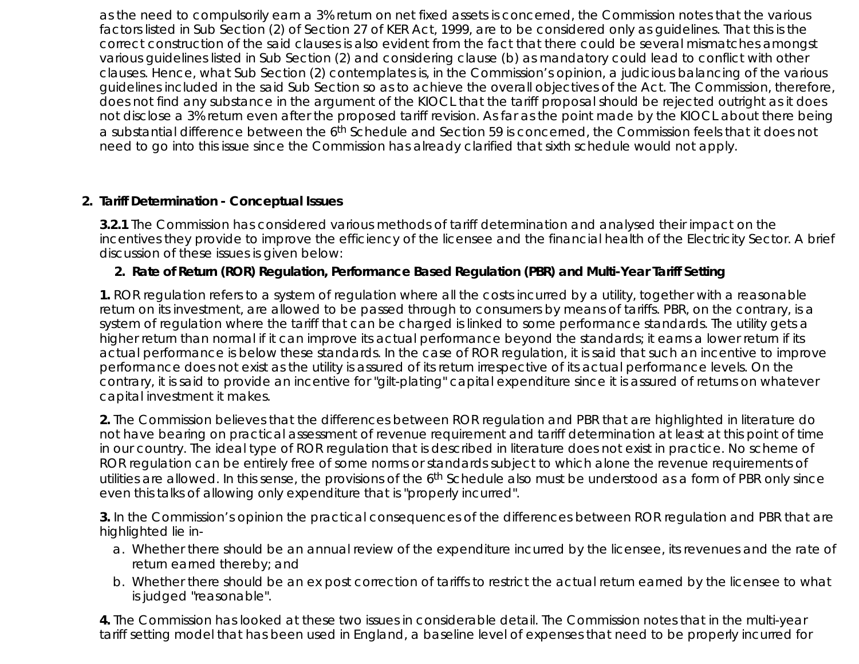as the need to compulsorily earn a 3% return on net fixed assets is concerned, the Commission notes that the various factors listed in Sub Section (2) of Section 27 of KER Act, 1999, are to be considered only as guidelines. That this is the correct construction of the said clauses is also evident from the fact that there could be several mismatches amongst various guidelines listed in Sub Section (2) and considering clause (b) as mandatory could lead to conflict with other clauses. Hence, what Sub Section (2) contemplates is, in the Commission's opinion, a judicious balancing of the various guidelines included in the said Sub Section so as to achieve the overall objectives of the Act. The Commission, therefore, does not find any substance in the argument of the KIOCL that the tariff proposal should be rejected outright as it does not disclose a 3% return even after the proposed tariff revision. As far as the point made by the KIOCL about there being a substantial difference between the 6th Schedule and Section 59 is concerned, the Commission feels that it does not need to go into this issue since the Commission has already clarified that sixth schedule would not apply.

#### **2. Tariff Determination - Conceptual Issues**

**3.2.1** The Commission has considered various methods of tariff determination and analysed their impact on the incentives they provide to improve the efficiency of the licensee and the financial health of the Electricity Sector. A brief discussion of these issues is given below:

#### **2. Rate of Return (ROR) Regulation, Performance Based Regulation (PBR) and Multi-Year Tariff Setting**

**1.** ROR regulation refers to a system of regulation where all the costs incurred by a utility, together with a reasonable return on its investment, are allowed to be passed through to consumers by means of tariffs. PBR, on the contrary, is a system of regulation where the tariff that can be charged is linked to some performance standards. The utility gets a higher return than normal if it can improve its actual performance beyond the standards; it earns a lower return if its actual performance is below these standards. In the case of ROR regulation, it is said that such an incentive to improve performance does not exist as the utility is assured of its return irrespective of its actual performance levels. On the contrary, it is said to provide an incentive for "gilt-plating" capital expenditure since it is assured of returns on whatever capital investment it makes.

**2.** The Commission believes that the differences between ROR regulation and PBR that are highlighted in literature do not have bearing on practical assessment of revenue requirement and tariff determination at least at this point of time in our country. The ideal type of ROR regulation that is described in literature does not exist in practice. No scheme of ROR regulation can be entirely free of some norms or standards subject to which alone the revenue requirements of utilities are allowed. In this sense, the provisions of the 6<sup>th</sup> Schedule also must be understood as a form of PBR only since even this talks of allowing only expenditure that is "properly incurred".

**3.** In the Commission's opinion the practical consequences of the differences between ROR regulation and PBR that are highlighted lie in-

- Whether there should be an annual review of the expenditure incurred by the licensee, its revenues and the rate of a. return earned thereby; and
- Whether there should be an ex post correction of tariffs to restrict the actual return earned by the licensee to what b. is judged "reasonable".

**4.** The Commission has looked at these two issues in considerable detail. The Commission notes that in the multi-year tariff setting model that has been used in England, a baseline level of expenses that need to be properly incurred for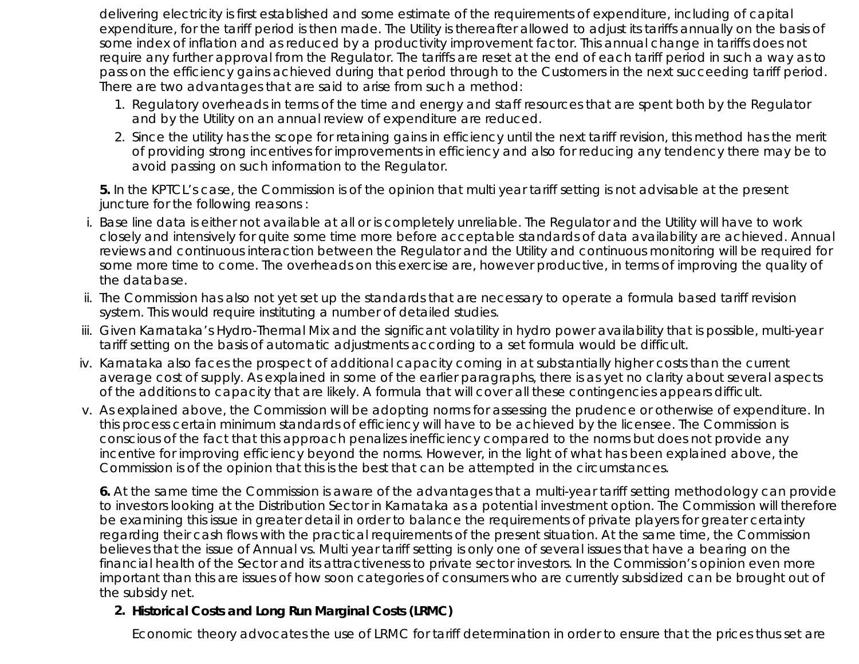delivering electricity is first established and some estimate of the requirements of expenditure, including of capital expenditure, for the tariff period is then made. The Utility is thereafter allowed to adjust its tariffs annually on the basis of some index of inflation and as reduced by a productivity improvement factor. This annual change in tariffs does not require any further approval from the Regulator. The tariffs are reset at the end of each tariff period in such a way as to pass on the efficiency gains achieved during that period through to the Customers in the next succeeding tariff period. There are two advantages that are said to arise from such a method:

- 1. Regulatory overheads in terms of the time and energy and staff resources that are spent both by the Regulator and by the Utility on an annual review of expenditure are reduced.
- 2. Since the utility has the scope for retaining gains in efficiency until the next tariff revision, this method has the merit of providing strong incentives for improvements in efficiency and also for reducing any tendency there may be to avoid passing on such information to the Regulator.

**5.** In the KPTCL's case, the Commission is of the opinion that multi year tariff setting is not advisable at the present juncture for the following reasons :

- i. Base line data is either not available at all or is completely unreliable. The Regulator and the Utility will have to work closely and intensively for quite some time more before acceptable standards of data availability are achieved. Annual reviews and continuous interaction between the Regulator and the Utility and continuous monitoring will be required for some more time to come. The overheads on this exercise are, however productive, in terms of improving the quality of the database.
- ii. The Commission has also not yet set up the standards that are necessary to operate a formula based tariff revision system. This would require instituting a number of detailed studies.
- Given Karnataka's Hydro-Thermal Mix and the significant volatility in hydro power availability that is possible, multi-year iii. tariff setting on the basis of automatic adjustments according to a set formula would be difficult.
- iv. Karnataka also faces the prospect of additional capacity coming in at substantially higher costs than the current average cost of supply. As explained in some of the earlier paragraphs, there is as yet no clarity about several aspects of the additions to capacity that are likely. A formula that will cover all these contingencies appears difficult.
- As explained above, the Commission will be adopting norms for assessing the prudence or otherwise of expenditure. In v. this process certain minimum standards of efficiency will have to be achieved by the licensee. The Commission is conscious of the fact that this approach penalizes inefficiency compared to the norms but does not provide any incentive for improving efficiency beyond the norms. However, in the light of what has been explained above, the Commission is of the opinion that this is the best that can be attempted in the circumstances.

**6.** At the same time the Commission is aware of the advantages that a multi-year tariff setting methodology can provide to investors looking at the Distribution Sector in Karnataka as a potential investment option. The Commission will therefore be examining this issue in greater detail in order to balance the requirements of private players for greater certainty regarding their cash flows with the practical requirements of the present situation. At the same time, the Commission believes that the issue of Annual vs. Multi year tariff setting is only one of several issues that have a bearing on the financial health of the Sector and its attractiveness to private sector investors. In the Commission's opinion even more important than this are issues of how soon categories of consumers who are currently subsidized can be brought out of the subsidy net.

#### **Historical Costs and Long Run Marginal Costs (LRMC) 2.**

Economic theory advocates the use of LRMC for tariff determination in order to ensure that the prices thus set are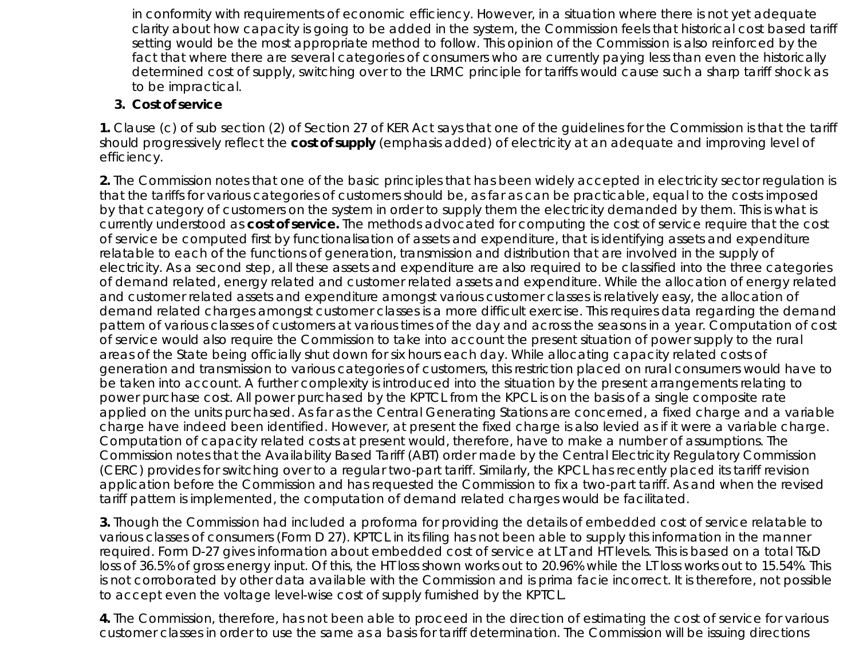in conformity with requirements of economic efficiency. However, in a situation where there is not yet adequate clarity about how capacity is going to be added in the system, the Commission feels that historical cost based tariff setting would be the most appropriate method to follow. This opinion of the Commission is also reinforced by the fact that where there are several categories of consumers who are currently paying less than even the historically determined cost of supply, switching over to the LRMC principle for tariffs would cause such a sharp tariff shock as to be impractical.

#### **3. Cost of service**

**1.** Clause (c) of sub section (2) of Section 27 of KER Act says that one of the guidelines for the Commission is that the tariff should progressively reflect the *cost of supply* (emphasis added) of electricity at an adequate and improving level of efficiency.

**2.** The Commission notes that one of the basic principles that has been widely accepted in electricity sector regulation is that the tariffs for various categories of customers should be, as far as can be practicable, equal to the costs imposed by that category of customers on the system in order to supply them the electricity demanded by them. This is what is currently understood as *cost of service.* The methods advocated for computing the cost of service require that the cost of service be computed first by functionalisation of assets and expenditure, that is identifying assets and expenditure relatable to each of the functions of generation, transmission and distribution that are involved in the supply of electricity. As a second step, all these assets and expenditure are also required to be classified into the three categories of demand related, energy related and customer related assets and expenditure. While the allocation of energy related and customer related assets and expenditure amongst various customer classes is relatively easy, the allocation of demand related charges amongst customer classes is a more difficult exercise. This requires data regarding the demand pattern of various classes of customers at various times of the day and across the seasons in a year. Computation of cost of service would also require the Commission to take into account the present situation of power supply to the rural areas of the State being officially shut down for six hours each day. While allocating capacity related costs of generation and transmission to various categories of customers, this restriction placed on rural consumers would have to be taken into account. A further complexity is introduced into the situation by the present arrangements relating to power purchase cost. All power purchased by the KPTCL from the KPCL is on the basis of a single composite rate applied on the units purchased. As far as the Central Generating Stations are concerned, a fixed charge and a variable charge have indeed been identified. However, at present the fixed charge is also levied as if it were a variable charge. Computation of capacity related costs at present would, therefore, have to make a number of assumptions. The Commission notes that the Availability Based Tariff (ABT) order made by the Central Electricity Regulatory Commission (CERC) provides for switching over to a regular two-part tariff. Similarly, the KPCL has recently placed its tariff revision application before the Commission and has requested the Commission to fix a two-part tariff. As and when the revised tariff pattern is implemented, the computation of demand related charges would be facilitated.

**3.** Though the Commission had included a proforma for providing the details of embedded cost of service relatable to various classes of consumers (Form D 27). KPTCL in its filing has not been able to supply this information in the manner required. Form D-27 gives information about embedded cost of service at LT and HT levels. This is based on a total T&D loss of 36.5% of gross energy input. Of this, the HT loss shown works out to 20.96% while the LT loss works out to 15.54%. This is not corroborated by other data available with the Commission and is prima facie incorrect. It is therefore, not possible to accept even the voltage level-wise cost of supply furnished by the KPTCL.

**4.** The Commission, therefore, has not been able to proceed in the direction of estimating the cost of service for various customer classes in order to use the same as a basis for tariff determination. The Commission will be issuing directions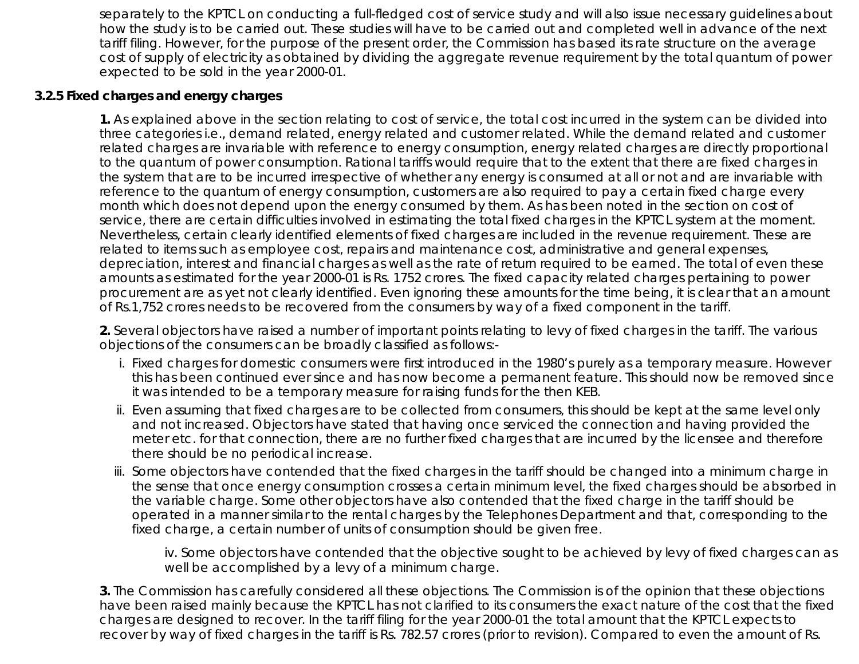separately to the KPTCL on conducting a full-fledged cost of service study and will also issue necessary guidelines about how the study is to be carried out. These studies will have to be carried out and completed well in advance of the next tariff filing. However, for the purpose of the present order, the Commission has based its rate structure on the average cost of supply of electricity as obtained by dividing the aggregate revenue requirement by the total quantum of power expected to be sold in the year 2000-01.

### **3.2.5 Fixed charges and energy charges**

**1.** As explained above in the section relating to cost of service, the total cost incurred in the system can be divided into three categories i.e., demand related, energy related and customer related. While the demand related and customer related charges are invariable with reference to energy consumption, energy related charges are directly proportional to the quantum of power consumption. Rational tariffs would require that to the extent that there are fixed charges in the system that are to be incurred irrespective of whether any energy is consumed at all or not and are invariable with reference to the quantum of energy consumption, customers are also required to pay a certain fixed charge every month which does not depend upon the energy consumed by them. As has been noted in the section on cost of service, there are certain difficulties involved in estimating the total fixed charges in the KPTCL system at the moment. Nevertheless, certain clearly identified elements of fixed charges are included in the revenue requirement. These are related to items such as employee cost, repairs and maintenance cost, administrative and general expenses, depreciation, interest and financial charges as well as the rate of return required to be earned. The total of even these amounts as estimated for the year 2000-01 is Rs. 1752 crores. The fixed capacity related charges pertaining to power procurement are as yet not clearly identified. Even ignoring these amounts for the time being, it is clear that an amount of Rs.1,752 crores needs to be recovered from the consumers by way of a fixed component in the tariff.

**2.** Several objectors have raised a number of important points relating to levy of fixed charges in the tariff. The various objections of the consumers can be broadly classified as follows:-

- i. Fixed charges for domestic consumers were first introduced in the 1980's purely as a temporary measure. However this has been continued ever since and has now become a permanent feature. This should now be removed since it was intended to be a temporary measure for raising funds for the then KEB.
- ii. Even assuming that fixed charges are to be collected from consumers, this should be kept at the same level only and not increased. Objectors have stated that having once serviced the connection and having provided the meter etc. for that connection, there are no further fixed charges that are incurred by the licensee and therefore there should be no periodical increase.
- iii. Some objectors have contended that the fixed charges in the tariff should be changed into a minimum charge in the sense that once energy consumption crosses a certain minimum level, the fixed charges should be absorbed in the variable charge. Some other objectors have also contended that the fixed charge in the tariff should be operated in a manner similar to the rental charges by the Telephones Department and that, corresponding to the fixed charge, a certain number of units of consumption should be given free.

iv. Some objectors have contended that the objective sought to be achieved by levy of fixed charges can as well be accomplished by a levy of a minimum charge.

**3.** The Commission has carefully considered all these objections. The Commission is of the opinion that these objections have been raised mainly because the KPTCL has not clarified to its consumers the exact nature of the cost that the fixed charges are designed to recover. In the tariff filing for the year 2000-01 the total amount that the KPTCL expects to recover by way of fixed charges in the tariff is Rs. 782.57 crores (prior to revision). Compared to even the amount of Rs.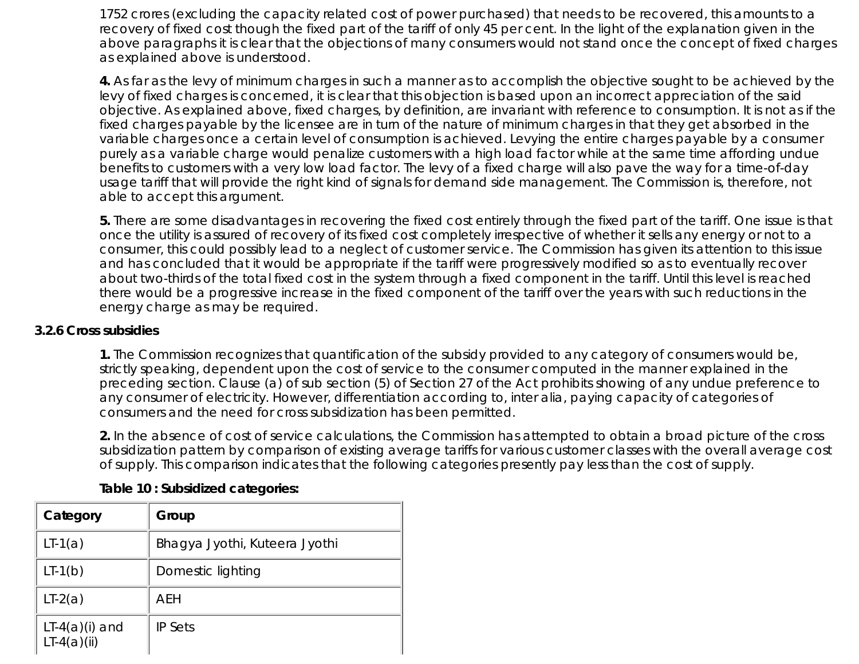1752 crores (excluding the capacity related cost of power purchased) that needs to be recovered, this amounts to a recovery of fixed cost though the fixed part of the tariff of only 45 per cent. In the light of the explanation given in the above paragraphs it is clear that the objections of many consumers would not stand once the concept of fixed charges as explained above is understood.

**4.** As far as the levy of minimum charges in such a manner as to accomplish the objective sought to be achieved by the levy of fixed charges is concerned, it is clear that this objection is based upon an incorrect appreciation of the said objective. As explained above, fixed charges, by definition, are invariant with reference to consumption. It is not as if the fixed charges payable by the licensee are in turn of the nature of minimum charges in that they get absorbed in the variable charges once a certain level of consumption is achieved. Levying the entire charges payable by a consumer purely as a variable charge would penalize customers with a high load factor while at the same time affording undue benefits to customers with a very low load factor. The levy of a fixed charge will also pave the way for a time-of-day usage tariff that will provide the right kind of signals for demand side management. The Commission is, therefore, not able to accept this argument.

**5.** There are some disadvantages in recovering the fixed cost entirely through the fixed part of the tariff. One issue is that once the utility is assured of recovery of its fixed cost completely irrespective of whether it sells any energy or not to a consumer, this could possibly lead to a neglect of customer service. The Commission has given its attention to this issue and has concluded that it would be appropriate if the tariff were progressively modified so as to eventually recover about two-thirds of the total fixed cost in the system through a fixed component in the tariff. Until this level is reached there would be a progressive increase in the fixed component of the tariff over the years with such reductions in the energy charge as may be required.

#### **3.2.6 Cross subsidies**

**1.** The Commission recognizes that quantification of the subsidy provided to any category of consumers would be, strictly speaking, dependent upon the cost of service to the consumer computed in the manner explained in the preceding section. Clause (a) of sub section (5) of Section 27 of the Act prohibits showing of any undue preference to any consumer of electricity. However, differentiation according to, inter alia, paying capacity of categories of consumers and the need for cross subsidization has been permitted.

**2.** In the absence of cost of service calculations, the Commission has attempted to obtain a broad picture of the cross subsidization pattern by comparison of existing average tariffs for various customer classes with the overall average cost of supply. This comparison indicates that the following categories presently pay less than the cost of supply.

| Category                          | Group                         |
|-----------------------------------|-------------------------------|
| $LT-1(a)$                         | Bhagya Jyothi, Kuteera Jyothi |
| $LT-1(b)$                         | Domestic lighting             |
| $LT-2(a)$                         | AEH                           |
| $LT-4(a)(i)$ and<br>$LT-4(a)(ii)$ | <b>IP Sets</b>                |

#### **Table 10 : Subsidized categories:**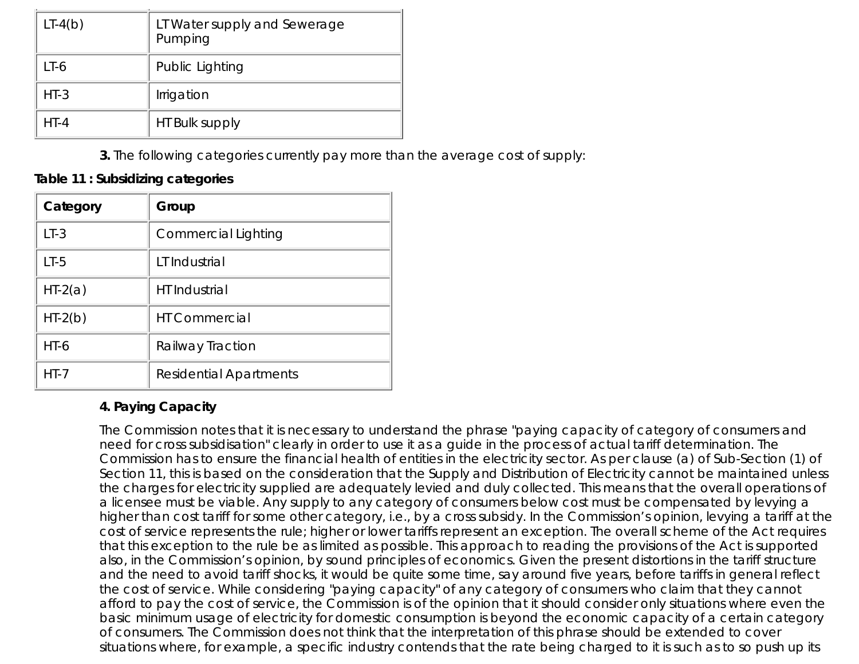| $LT-4(b)$ | LT Water supply and Sewerage<br>Pumping |
|-----------|-----------------------------------------|
| LT-6      | Public Lighting                         |
| $HT-3$    | Irrigation                              |
| $HT-4$    | HT Bulk supply                          |

**3.** The following categories currently pay more than the average cost of supply:

#### **Table 11 : Subsidizing categories**

| Category  | Group                         |
|-----------|-------------------------------|
| $LT-3$    | <b>Commercial Lighting</b>    |
| $LT-5$    | LT Industrial                 |
| $HT-2(a)$ | <b>HT</b> Industrial          |
| $HT-2(b)$ | <b>HT Commercial</b>          |
| $HT-6$    | Railway Traction              |
| $HT - 7$  | <b>Residential Apartments</b> |

#### **4. Paying Capacity**

The Commission notes that it is necessary to understand the phrase "paying capacity of category of consumers and need for cross subsidisation" clearly in order to use it as a guide in the process of actual tariff determination. The Commission has to ensure the financial health of entities in the electricity sector. As per clause (a) of Sub-Section (1) of Section 11, this is based on the consideration that the Supply and Distribution of Electricity cannot be maintained unless the charges for electricity supplied are adequately levied and duly collected. This means that the overall operations of a licensee must be viable. Any supply to any category of consumers below cost must be compensated by levying a higher than cost tariff for some other category, i.e., by a cross subsidy. In the Commission's opinion, levying a tariff at the cost of service represents the rule; higher or lower tariffs represent an exception. The overall scheme of the Act requires that this exception to the rule be as limited as possible. This approach to reading the provisions of the Act is supported also, in the Commission's opinion, by sound principles of economics. Given the present distortions in the tariff structure and the need to avoid tariff shocks, it would be quite some time, say around five years, before tariffs in general reflect the cost of service. While considering "paying capacity" of any category of consumers who claim that they cannot afford to pay the cost of service, the Commission is of the opinion that it should consider only situations where even the basic minimum usage of electricity for domestic consumption is beyond the economic capacity of a certain category of consumers. The Commission does not think that the interpretation of this phrase should be extended to cover situations where, for example, a specific industry contends that the rate being charged to it is such as to so push up its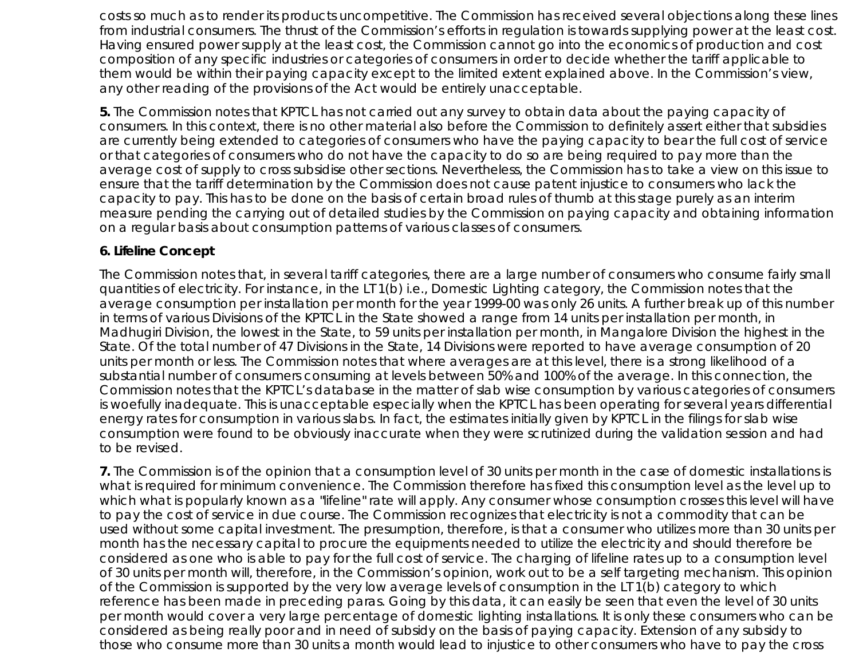costs so much as to render its products uncompetitive. The Commission has received several objections along these lines from industrial consumers. The thrust of the Commission's efforts in regulation is towards supplying power at the least cost. Having ensured power supply at the least cost, the Commission cannot go into the economics of production and cost composition of any specific industries or categories of consumers in order to decide whether the tariff applicable to them would be within their paying capacity except to the limited extent explained above. In the Commission's view, any other reading of the provisions of the Act would be entirely unacceptable.

**5.** The Commission notes that KPTCL has not carried out any survey to obtain data about the paying capacity of consumers. In this context, there is no other material also before the Commission to definitely assert either that subsidies are currently being extended to categories of consumers who have the paying capacity to bear the full cost of service or that categories of consumers who do not have the capacity to do so are being required to pay more than the average cost of supply to cross subsidise other sections. Nevertheless, the Commission has to take a view on this issue to ensure that the tariff determination by the Commission does not cause patent injustice to consumers who lack the capacity to pay. This has to be done on the basis of certain broad rules of thumb at this stage purely as an interim measure pending the carrying out of detailed studies by the Commission on paying capacity and obtaining information on a regular basis about consumption patterns of various classes of consumers.

#### **6. Lifeline Concept**

The Commission notes that, in several tariff categories, there are a large number of consumers who consume fairly small quantities of electricity. For instance, in the LT 1(b) i.e., Domestic Lighting category, the Commission notes that the average consumption per installation per month for the year 1999-00 was only 26 units. A further break up of this number in terms of various Divisions of the KPTCL in the State showed a range from 14 units per installation per month, in Madhugiri Division, the lowest in the State, to 59 units per installation per month, in Mangalore Division the highest in the State. Of the total number of 47 Divisions in the State, 14 Divisions were reported to have average consumption of 20 units per month or less. The Commission notes that where averages are at this level, there is a strong likelihood of a substantial number of consumers consuming at levels between 50% and 100% of the average. In this connection, the Commission notes that the KPTCL's database in the matter of slab wise consumption by various categories of consumers is woefully inadequate. This is unacceptable especially when the KPTCL has been operating for several years differential energy rates for consumption in various slabs. In fact, the estimates initially given by KPTCL in the filings for slab wise consumption were found to be obviously inaccurate when they were scrutinized during the validation session and had to be revised.

**7.** The Commission is of the opinion that a consumption level of 30 units per month in the case of domestic installations is what is required for minimum convenience. The Commission therefore has fixed this consumption level as the level up to which what is popularly known as a "lifeline" rate will apply. Any consumer whose consumption crosses this level will have to pay the cost of service in due course. The Commission recognizes that electricity is not a commodity that can be used without some capital investment. The presumption, therefore, is that a consumer who utilizes more than 30 units per month has the necessary capital to procure the equipments needed to utilize the electricity and should therefore be considered as one who is able to pay for the full cost of service. The charging of lifeline rates up to a consumption level of 30 units per month will, therefore, in the Commission's opinion, work out to be a self targeting mechanism. This opinion of the Commission is supported by the very low average levels of consumption in the LT 1(b) category to which reference has been made in preceding paras. Going by this data, it can easily be seen that even the level of 30 units per month would cover a very large percentage of domestic lighting installations. It is only these consumers who can be considered as being really poor and in need of subsidy on the basis of paying capacity. Extension of any subsidy to those who consume more than 30 units a month would lead to injustice to other consumers who have to pay the cross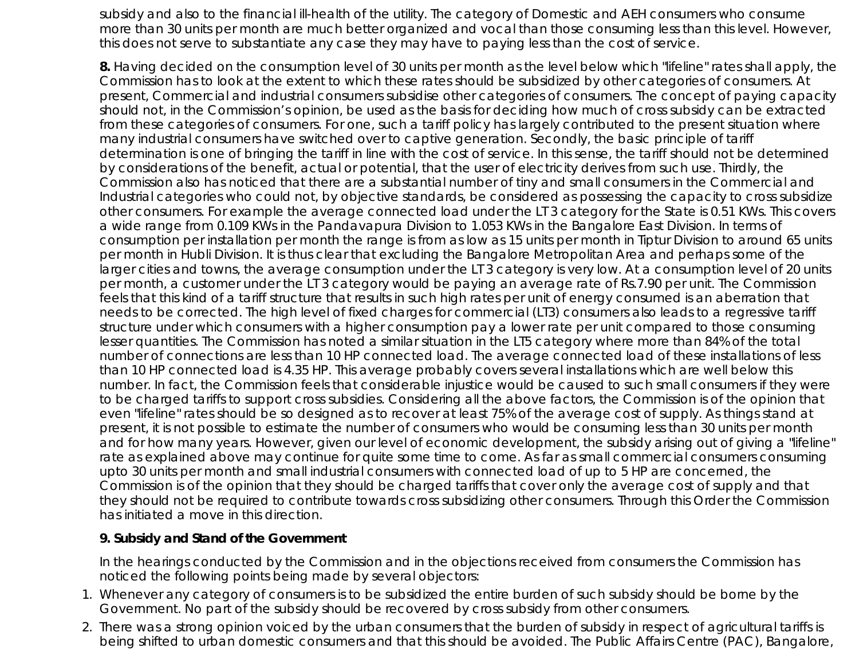subsidy and also to the financial ill-health of the utility. The category of Domestic and AEH consumers who consume more than 30 units per month are much better organized and vocal than those consuming less than this level. However, this does not serve to substantiate any case they may have to paying less than the cost of service.

**8.** Having decided on the consumption level of 30 units per month as the level below which "lifeline" rates shall apply, the Commission has to look at the extent to which these rates should be subsidized by other categories of consumers. At present, Commercial and industrial consumers subsidise other categories of consumers. The concept of paying capacity should not, in the Commission's opinion, be used as the basis for deciding how much of cross subsidy can be extracted from these categories of consumers. For one, such a tariff policy has largely contributed to the present situation where many industrial consumers have switched over to captive generation. Secondly, the basic principle of tariff determination is one of bringing the tariff in line with the cost of service. In this sense, the tariff should not be determined by considerations of the benefit, actual or potential, that the user of electricity derives from such use. Thirdly, the Commission also has noticed that there are a substantial number of tiny and small consumers in the Commercial and Industrial categories who could not, by objective standards, be considered as possessing the capacity to cross subsidize other consumers. For example the average connected load under the LT 3 category for the State is 0.51 KWs. This covers a wide range from 0.109 KWs in the Pandavapura Division to 1.053 KWs in the Bangalore East Division. In terms of consumption per installation per month the range is from as low as 15 units per month in Tiptur Division to around 65 units per month in Hubli Division. It is thus clear that excluding the Bangalore Metropolitan Area and perhaps some of the larger cities and towns, the average consumption under the LT 3 category is very low. At a consumption level of 20 units per month, a customer under the LT 3 category would be paying an average rate of Rs.7.90 per unit. The Commission feels that this kind of a tariff structure that results in such high rates per unit of energy consumed is an aberration that needs to be corrected. The high level of fixed charges for commercial (LT3) consumers also leads to a regressive tariff structure under which consumers with a higher consumption pay a lower rate per unit compared to those consuming lesser quantities. The Commission has noted a similar situation in the LT5 category where more than 84% of the total number of connections are less than 10 HP connected load. The average connected load of these installations of less than 10 HP connected load is 4.35 HP. This average probably covers several installations which are well below this number. In fact, the Commission feels that considerable injustice would be caused to such small consumers if they were to be charged tariffs to support cross subsidies. Considering all the above factors, the Commission is of the opinion that even "lifeline" rates should be so designed as to recover at least 75% of the average cost of supply. As things stand at present, it is not possible to estimate the number of consumers who would be consuming less than 30 units per month and for how many years. However, given our level of economic development, the subsidy arising out of giving a "lifeline" rate as explained above may continue for quite some time to come. As far as small commercial consumers consuming upto 30 units per month and small industrial consumers with connected load of up to 5 HP are concerned, the Commission is of the opinion that they should be charged tariffs that cover only the average cost of supply and that they should not be required to contribute towards cross subsidizing other consumers. Through this Order the Commission has initiated a move in this direction.

#### **9. Subsidy and Stand of the Government**

In the hearings conducted by the Commission and in the objections received from consumers the Commission has noticed the following points being made by several objectors:

- Whenever any category of consumers is to be subsidized the entire burden of such subsidy should be borne by the 1. Government. No part of the subsidy should be recovered by cross subsidy from other consumers.
- 2. There was a strong opinion voiced by the urban consumers that the burden of subsidy in respect of agricultural tariffs is being shifted to urban domestic consumers and that this should be avoided. The Public Affairs Centre (PAC), Bangalore,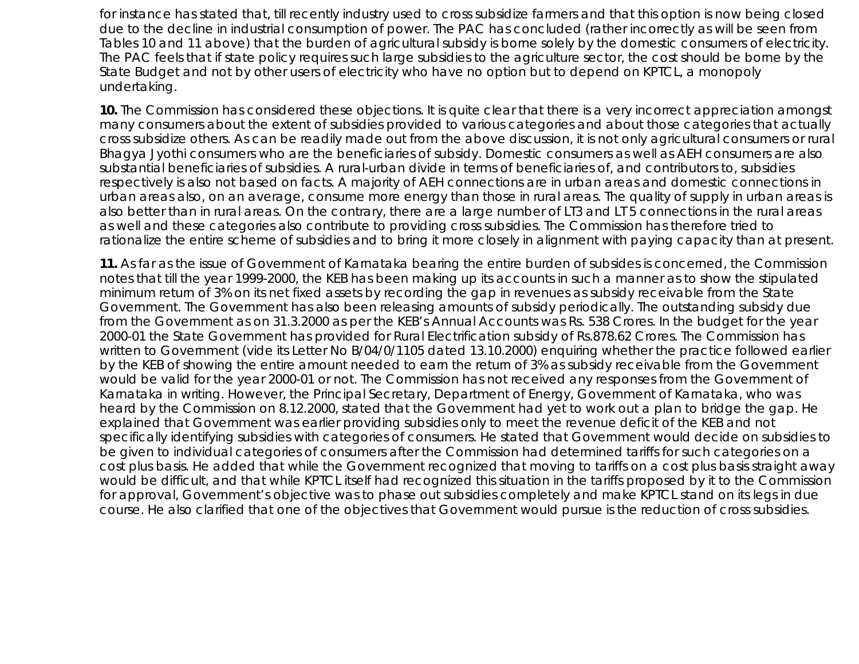for instance has stated that, till recently industry used to cross subsidize farmers and that this option is now being closed due to the decline in industrial consumption of power. The PAC has concluded (rather incorrectly as will be seen from Tables 10 and 11 above) that the burden of agricultural subsidy is borne solely by the domestic consumers of electricity. The PAC feels that if state policy requires such large subsidies to the agriculture sector, the cost should be borne by the State Budget and not by other users of electricity who have no option but to depend on KPTCL, a monopoly undertaking.

**10.** The Commission has considered these objections. It is quite clear that there is a very incorrect appreciation amongst many consumers about the extent of subsidies provided to various categories and about those categories that actually cross subsidize others. As can be readily made out from the above discussion, it is not only agricultural consumers or rural Bhagya Jyothi consumers who are the beneficiaries of subsidy. Domestic consumers as well as AEH consumers are also substantial beneficiaries of subsidies. A rural-urban divide in terms of beneficiaries of, and contributors to, subsidies respectively is also not based on facts. A majority of AEH connections are in urban areas and domestic connections in urban areas also, on an average, consume more energy than those in rural areas. The quality of supply in urban areas is also better than in rural areas. On the contrary, there are a large number of LT3 and LT 5 connections in the rural areas as well and these categories also contribute to providing cross subsidies. The Commission has therefore tried to rationalize the entire scheme of subsidies and to bring it more closely in alignment with paying capacity than at present.

**11.** As far as the issue of Government of Karnataka bearing the entire burden of subsides is concerned, the Commission notes that till the year 1999-2000, the KEB has been making up its accounts in such a manner as to show the stipulated minimum return of 3% on its net fixed assets by recording the gap in revenues as subsidy receivable from the State Government. The Government has also been releasing amounts of subsidy periodically. The outstanding subsidy due from the Government as on 31.3.2000 as per the KEB's Annual Accounts was Rs. 538 Crores. In the budget for the year 2000-01 the State Government has provided for Rural Electrification subsidy of Rs.878.62 Crores. The Commission has written to Government (vide its Letter No B/04/0/1105 dated 13.10.2000) enquiring whether the practice followed earlier by the KEB of showing the entire amount needed to earn the return of 3% as subsidy receivable from the Government would be valid for the year 2000-01 or not. The Commission has not received any responses from the Government of Karnataka in writing. However, the Principal Secretary, Department of Energy, Government of Karnataka, who was heard by the Commission on 8.12.2000, stated that the Government had yet to work out a plan to bridge the gap. He explained that Government was earlier providing subsidies only to meet the revenue deficit of the KEB and not specifically identifying subsidies with categories of consumers. He stated that Government would decide on subsidies to be given to individual categories of consumers after the Commission had determined tariffs for such categories on a cost plus basis. He added that while the Government recognized that moving to tariffs on a cost plus basis straight away would be difficult, and that while KPTCL itself had recognized this situation in the tariffs proposed by it to the Commission for approval, Government's objective was to phase out subsidies completely and make KPTCL stand on its legs in due course. He also clarified that one of the objectives that Government would pursue is the reduction of cross subsidies.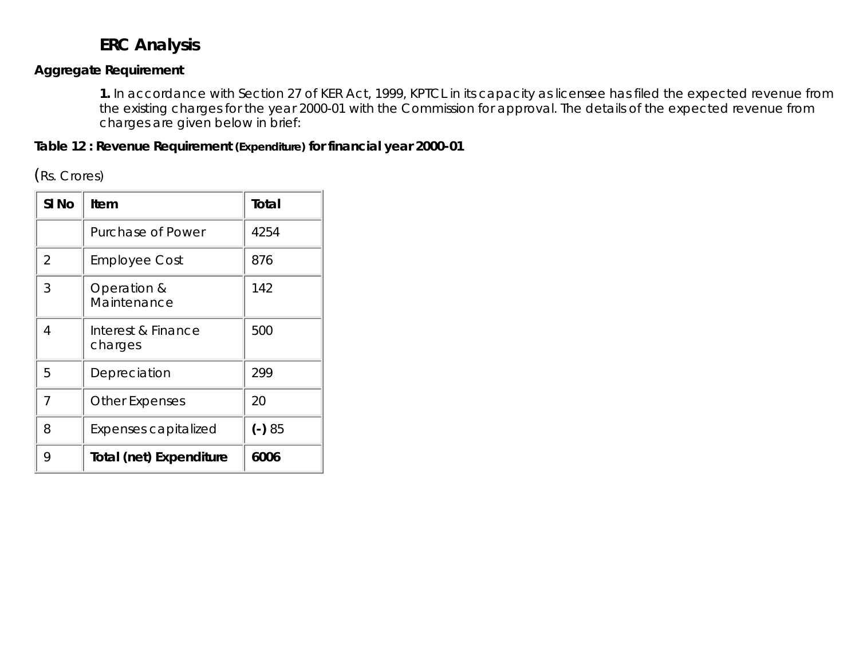# **ERC Analysis**

#### **Aggregate Requirement**

**1.** In accordance with Section 27 of KER Act, 1999, KPTCL in its capacity as licensee has filed the expected revenue from the existing charges for the year 2000-01 with the Commission for approval. The details of the expected revenue from charges are given below in brief:

**Table 12 : Revenue Requirement (Expenditure) for financial year 2000-01**

(Rs. Crores)

| SI <sub>No</sub> | Item                          | Total    |
|------------------|-------------------------------|----------|
|                  | Purchase of Power             | 4254     |
| 2                | <b>Employee Cost</b>          | 876      |
| 3                | Operation &<br>Maintenance    | 142      |
| 4                | Interest & Finance<br>charges | 500      |
| 5                | Depreciation                  | 299      |
| $\overline{7}$   | <b>Other Expenses</b>         | 20       |
| 8                | Expenses capitalized          | $(-) 85$ |
| 9                | Total (net) Expenditure       | 6006     |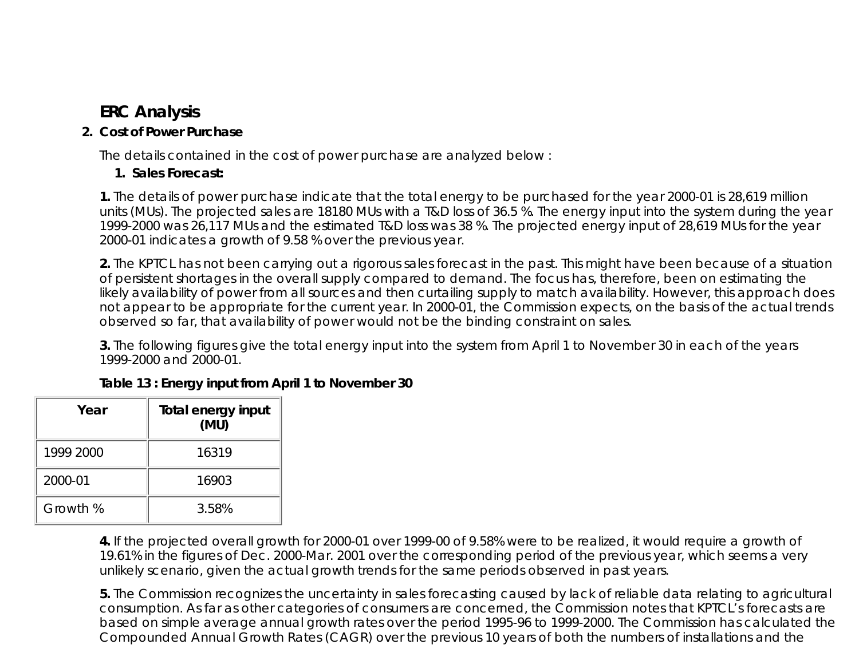# **ERC Analysis**

# **Cost of Power Purchase 2.**

The details contained in the cost of power purchase are analyzed below :

# **1. Sales Forecast:**

**1.** The details of power purchase indicate that the total energy to be purchased for the year 2000-01 is 28,619 million units (MUs). The projected sales are 18180 MUs with a T&D loss of 36.5 %. The energy input into the system during the year 1999-2000 was 26,117 MUs and the estimated T&D loss was 38 %. The projected energy input of 28,619 MUs for the year 2000-01 indicates a growth of 9.58 % over the previous year.

**2.** The KPTCL has not been carrying out a rigorous sales forecast in the past. This might have been because of a situation of persistent shortages in the overall supply compared to demand. The focus has, therefore, been on estimating the likely availability of power from all sources and then curtailing supply to match availability. However, this approach does not appear to be appropriate for the current year. In 2000-01, the Commission expects, on the basis of the actual trends observed so far, that availability of power would not be the binding constraint on sales.

**3.** The following figures give the total energy input into the system from April 1 to November 30 in each of the years 1999-2000 and 2000-01.

| Year      | <b>Total energy input</b><br>(MU) |
|-----------|-----------------------------------|
| 1999 2000 | 16319                             |
| 2000-01   | 16903                             |
| Growth %  | 3.58%                             |

**Table 13 : Energy input from April 1 to November 30**

**4.** If the projected overall growth for 2000-01 over 1999-00 of 9.58% were to be realized, it would require a growth of 19.61% in the figures of Dec. 2000-Mar. 2001 over the corresponding period of the previous year, which seems a very unlikely scenario, given the actual growth trends for the same periods observed in past years.

**5.** The Commission recognizes the uncertainty in sales forecasting caused by lack of reliable data relating to agricultural consumption. As far as other categories of consumers are concerned, the Commission notes that KPTCL's forecasts are based on simple average annual growth rates over the period 1995-96 to 1999-2000. The Commission has calculated the Compounded Annual Growth Rates (CAGR) over the previous 10 years of both the numbers of installations and the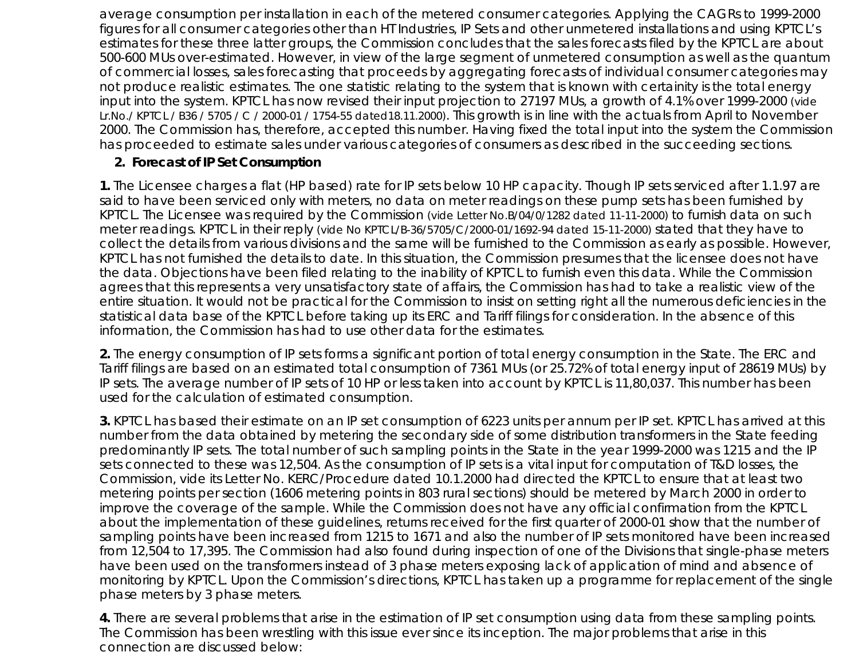average consumption per installation in each of the metered consumer categories. Applying the CAGRs to 1999-2000 figures for all consumer categories other than HT Industries, IP Sets and other unmetered installations and using KPTCL's estimates for these three latter groups, the Commission concludes that the sales forecasts filed by the KPTCL are about 500-600 MUs over-estimated. However, in view of the large segment of unmetered consumption as well as the quantum of commercial losses, sales forecasting that proceeds by aggregating forecasts of individual consumer categories may not produce realistic estimates. The one statistic relating to the system that is known with certainity is the total energy input into the system. KPTCL has now revised their input projection to 27197 MUs, a growth of 4.1% over 1999-2000 (vide Lr.No./ KPTCL / B36 / 5705 / C / 2000-01 / 1754-55 dated18.11.2000). This growth is in line with the actuals from April to November 2000. The Commission has, therefore, accepted this number. Having fixed the total input into the system the Commission has proceeded to estimate sales under various categories of consumers as described in the succeeding sections.

#### **2. Forecast of IP Set Consumption**

**1.** The Licensee charges a flat (HP based) rate for IP sets below 10 HP capacity. Though IP sets serviced after 1.1.97 are said to have been serviced only with meters, no data on meter readings on these pump sets has been furnished by KPTCL. The Licensee was required by the Commission (vide Letter No.B/04/0/1282 dated 11-11-2000) to furnish data on such meter readings. KPTCL in their reply (vide No KPTCL/B-36/5705/C/2000-01/1692-94 dated 15-11-2000) stated that they have to collect the details from various divisions and the same will be furnished to the Commission as early as possible. However, KPTCL has not furnished the details to date. In this situation, the Commission presumes that the licensee does not have the data. Objections have been filed relating to the inability of KPTCL to furnish even this data. While the Commission agrees that this represents a very unsatisfactory state of affairs, the Commission has had to take a realistic view of the entire situation. It would not be practical for the Commission to insist on setting right all the numerous deficiencies in the statistical data base of the KPTCL before taking up its ERC and Tariff filings for consideration. In the absence of this information, the Commission has had to use other data for the estimates.

**2.** The energy consumption of IP sets forms a significant portion of total energy consumption in the State. The ERC and Tariff filings are based on an estimated total consumption of 7361 MUs (or 25.72% of total energy input of 28619 MUs) by IP sets. The average number of IP sets of 10 HP or less taken into account by KPTCL is 11,80,037. This number has been used for the calculation of estimated consumption.

**3.** KPTCL has based their estimate on an IP set consumption of 6223 units per annum per IP set. KPTCL has arrived at this number from the data obtained by metering the secondary side of some distribution transformers in the State feeding predominantly IP sets. The total number of such sampling points in the State in the year 1999-2000 was 1215 and the IP sets connected to these was 12,504. As the consumption of IP sets is a vital input for computation of T&D losses, the Commission, vide its Letter No. KERC/Procedure dated 10.1.2000 had directed the KPTCL to ensure that at least two metering points per section (1606 metering points in 803 rural sections) should be metered by March 2000 in order to improve the coverage of the sample. While the Commission does not have any official confirmation from the KPTCL about the implementation of these guidelines, returns received for the first quarter of 2000-01 show that the number of sampling points have been increased from 1215 to 1671 and also the number of IP sets monitored have been increased from 12,504 to 17,395. The Commission had also found during inspection of one of the Divisions that single-phase meters have been used on the transformers instead of 3 phase meters exposing lack of application of mind and absence of monitoring by KPTCL. Upon the Commission's directions, KPTCL has taken up a programme for replacement of the single phase meters by 3 phase meters.

**4.** There are several problems that arise in the estimation of IP set consumption using data from these sampling points. The Commission has been wrestling with this issue ever since its inception. The major problems that arise in this connection are discussed below: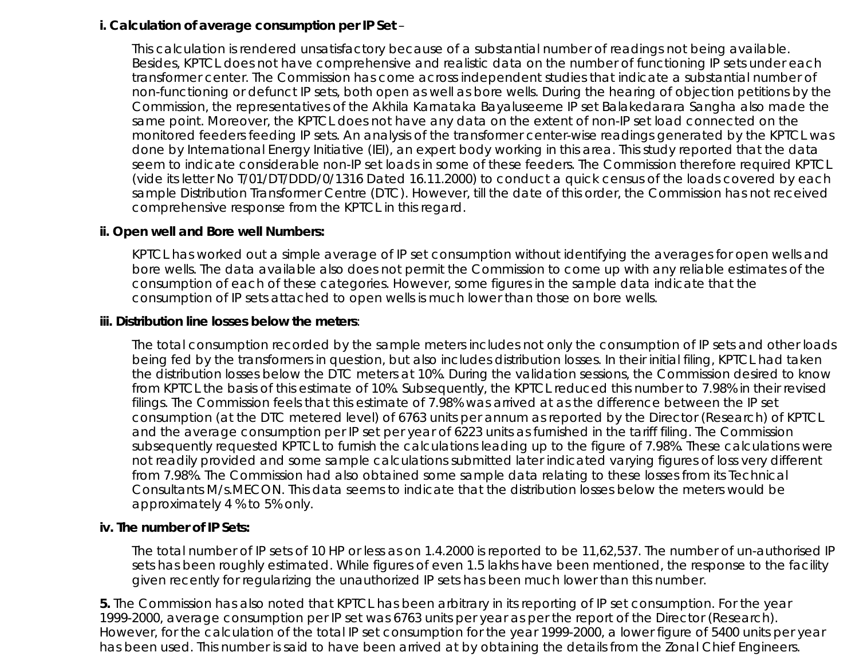#### **i. Calculation of average consumption per IP Set** –

This calculation is rendered unsatisfactory because of a substantial number of readings not being available. Besides, KPTCL does not have comprehensive and realistic data on the number of functioning IP sets under each transformer center. The Commission has come across independent studies that indicate a substantial number of non-functioning or defunct IP sets, both open as well as bore wells. During the hearing of objection petitions by the Commission, the representatives of the Akhila Karnataka Bayaluseeme IP set Balakedarara Sangha also made the same point. Moreover, the KPTCL does not have any data on the extent of non-IP set load connected on the monitored feeders feeding IP sets. An analysis of the transformer center-wise readings generated by the KPTCL was done by International Energy Initiative (IEI), an expert body working in this area. This study reported that the data seem to indicate considerable non-IP set loads in some of these feeders. The Commission therefore required KPTCL (vide its letter No T/01/DT/DDD/0/1316 Dated 16.11.2000) to conduct a quick census of the loads covered by each sample Distribution Transformer Centre (DTC). However, till the date of this order, the Commission has not received comprehensive response from the KPTCL in this regard.

#### **ii. Open well and Bore well Numbers:**

KPTCL has worked out a simple average of IP set consumption without identifying the averages for open wells and bore wells. The data available also does not permit the Commission to come up with any reliable estimates of the consumption of each of these categories. However, some figures in the sample data indicate that the consumption of IP sets attached to open wells is much lower than those on bore wells.

#### **iii. Distribution line losses below the meters**:

The total consumption recorded by the sample meters includes not only the consumption of IP sets and other loads being fed by the transformers in question, but also includes distribution losses. In their initial filing, KPTCL had taken the distribution losses below the DTC meters at 10%. During the validation sessions, the Commission desired to know from KPTCL the basis of this estimate of 10%. Subsequently, the KPTCL reduced this number to 7.98% in their revised filings. The Commission feels that this estimate of 7.98% was arrived at as the difference between the IP set consumption (at the DTC metered level) of 6763 units per annum as reported by the Director (Research) of KPTCL and the average consumption per IP set per year of 6223 units as furnished in the tariff filing. The Commission subsequently requested KPTCL to furnish the calculations leading up to the figure of 7.98%. These calculations were not readily provided and some sample calculations submitted later indicated varying figures of loss very different from 7.98%. The Commission had also obtained some sample data relating to these losses from its Technical Consultants M/s.MECON. This data seems to indicate that the distribution losses below the meters would be approximately 4 % to 5% only.

#### **iv. The number of IP Sets:**

The total number of IP sets of 10 HP or less as on 1.4.2000 is reported to be 11,62,537. The number of un-authorised IP sets has been roughly estimated. While figures of even 1.5 lakhs have been mentioned, the response to the facility given recently for regularizing the unauthorized IP sets has been much lower than this number.

**5.** The Commission has also noted that KPTCL has been arbitrary in its reporting of IP set consumption. For the year 1999-2000, average consumption per IP set was 6763 units per year as per the report of the Director (Research). However, for the calculation of the total IP set consumption for the year 1999-2000, a lower figure of 5400 units per year has been used. This number is said to have been arrived at by obtaining the details from the Zonal Chief Engineers.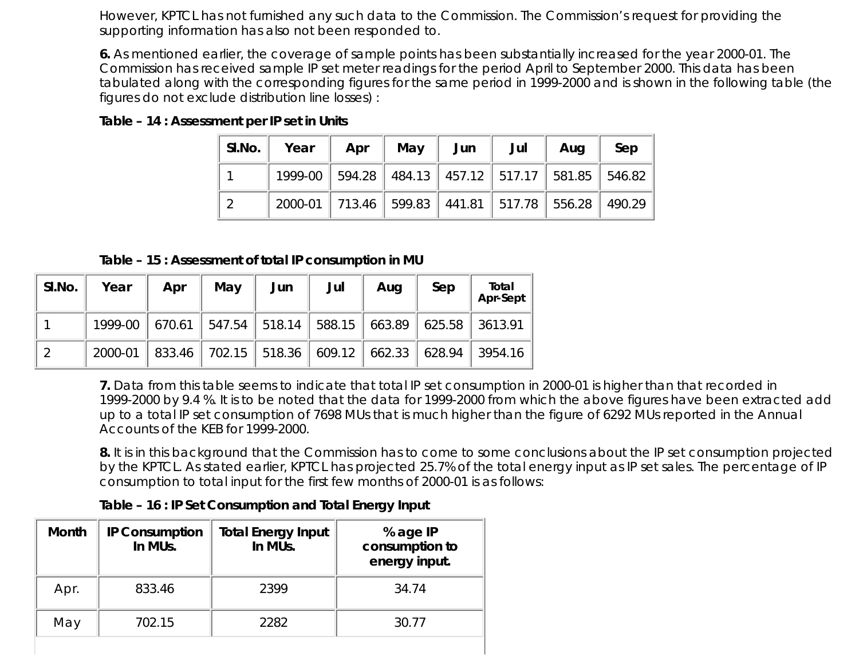However, KPTCL has not furnished any such data to the Commission. The Commission's request for providing the supporting information has also not been responded to.

**6.** As mentioned earlier, the coverage of sample points has been substantially increased for the year 2000-01. The Commission has received sample IP set meter readings for the period April to September 2000. This data has been tabulated along with the corresponding figures for the same period in 1999-2000 and is shown in the following table (the figures do not exclude distribution line losses) :

**Table – 14 : Assessment per IP set in Units**

| SI.No. Year |                                                               | Apr   May   Jun |  | Jul | Aug | Sep |
|-------------|---------------------------------------------------------------|-----------------|--|-----|-----|-----|
|             | 1999-00   594.28   484.13   457.12   517.17   581.85   546.82 |                 |  |     |     |     |
|             | 2000-01 713.46 599.83 441.81 517.78 556.28 490.29             |                 |  |     |     |     |

**Table – 15 : Assessment of total IP consumption in MU**

| SI.No. | Year                                                      | Apr    | May | Jun | Jul | Aug | Sep | Total<br>Apr-Sept                                    |
|--------|-----------------------------------------------------------|--------|-----|-----|-----|-----|-----|------------------------------------------------------|
|        | 1999-00 670.61 547.54 518.14 588.15 663.89 625.58 3613.91 |        |     |     |     |     |     |                                                      |
| - റ    | 2000-01                                                   | 833.46 |     |     |     |     |     | 702.15   518.36   609.12   662.33   628.94   3954.16 |

**7.** Data from this table seems to indicate that total IP set consumption in 2000-01 is higher than that recorded in 1999-2000 by 9.4 %. It is to be noted that the data for 1999-2000 from which the above figures have been extracted add up to a total IP set consumption of 7698 MUs that is much higher than the figure of 6292 MUs reported in the Annual Accounts of the KEB for 1999-2000.

**8.** It is in this background that the Commission has to come to some conclusions about the IP set consumption projected by the KPTCL. As stated earlier, KPTCL has projected 25.7% of the total energy input as IP set sales. The percentage of IP consumption to total input for the first few months of 2000-01 is as follows:

**Table – 16 : IP Set Consumption and Total Energy Input**

| Month | <b>IP Consumption</b><br>In MUs. | <b>Total Energy Input</b><br>In MUs. | % age IP<br>consumption to<br>energy input. |
|-------|----------------------------------|--------------------------------------|---------------------------------------------|
| Apr.  | 833.46                           | 2399                                 | 34.74                                       |
| May   | 702.15                           | 2282                                 | 30.77                                       |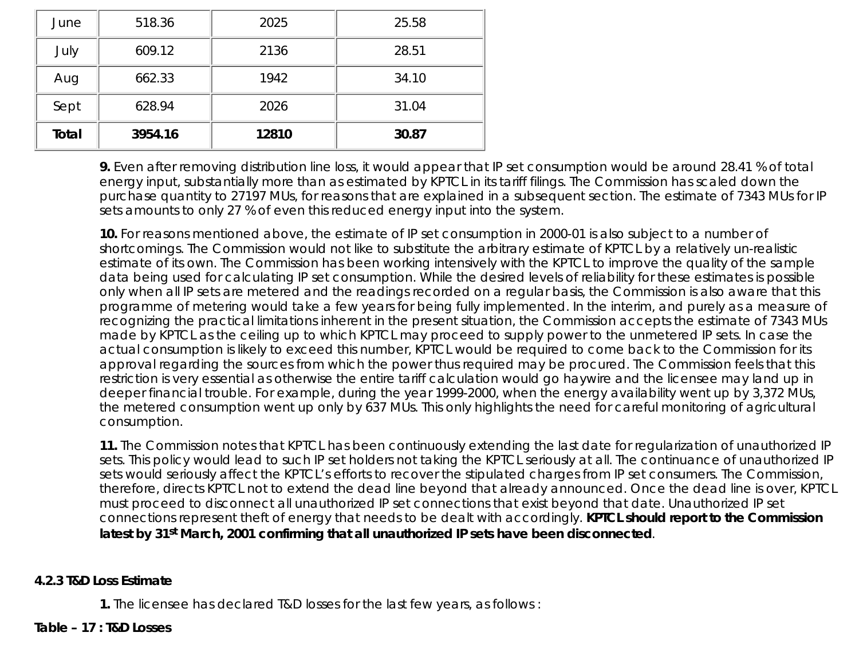| June         | 518.36  | 2025  | 25.58 |
|--------------|---------|-------|-------|
| July         | 609.12  | 2136  | 28.51 |
| Aug          | 662.33  | 1942  | 34.10 |
| Sept         | 628.94  | 2026  | 31.04 |
| <b>Total</b> | 3954.16 | 12810 | 30.87 |

**9.** Even after removing distribution line loss, it would appear that IP set consumption would be around 28.41 % of total energy input, substantially more than as estimated by KPTCL in its tariff filings. The Commission has scaled down the purchase quantity to 27197 MUs, for reasons that are explained in a subsequent section. The estimate of 7343 MUs for IP sets amounts to only 27 % of even this reduced energy input into the system.

**10.** For reasons mentioned above, the estimate of IP set consumption in 2000-01 is also subject to a number of shortcomings. The Commission would not like to substitute the arbitrary estimate of KPTCL by a relatively un-realistic estimate of its own. The Commission has been working intensively with the KPTCL to improve the quality of the sample data being used for calculating IP set consumption. While the desired levels of reliability for these estimates is possible only when all IP sets are metered and the readings recorded on a regular basis, the Commission is also aware that this programme of metering would take a few years for being fully implemented. In the interim, and purely as a measure of recognizing the practical limitations inherent in the present situation, the Commission accepts the estimate of 7343 MUs made by KPTCL as the ceiling up to which KPTCL may proceed to supply power to the unmetered IP sets. In case the actual consumption is likely to exceed this number, KPTCL would be required to come back to the Commission for its approval regarding the sources from which the power thus required may be procured. The Commission feels that this restriction is very essential as otherwise the entire tariff calculation would go haywire and the licensee may land up in deeper financial trouble. For example, during the year 1999-2000, when the energy availability went up by 3,372 MUs, the metered consumption went up only by 637 MUs. This only highlights the need for careful monitoring of agricultural consumption.

**11.** The Commission notes that KPTCL has been continuously extending the last date for regularization of unauthorized IP sets. This policy would lead to such IP set holders not taking the KPTCL seriously at all. The continuance of unauthorized IP sets would seriously affect the KPTCL's efforts to recover the stipulated charges from IP set consumers. The Commission, therefore, directs KPTCL not to extend the dead line beyond that already announced. Once the dead line is over, KPTCL must proceed to disconnect all unauthorized IP set connections that exist beyond that date. Unauthorized IP set connections represent theft of energy that needs to be dealt with accordingly. **KPTCL should report to the Commission latest by 31st March, 2001 confirming that all unauthorized IP sets have been disconnected**.

#### **4.2.3 T&D Loss Estimate**

**1.** The licensee has declared T&D losses for the last few years, as follows :

#### **Table – 17 : T&D Losses**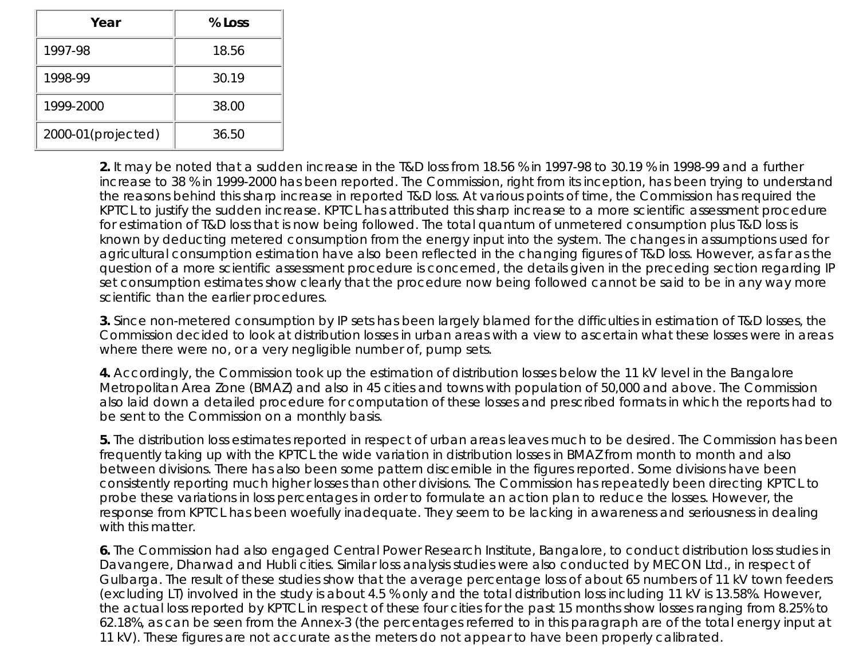| Year               | % Loss |  |
|--------------------|--------|--|
| 1997-98            | 18.56  |  |
| 1998-99            | 30.19  |  |
| 1999-2000          | 38.00  |  |
| 2000-01(projected) | 36.50  |  |

**2.** It may be noted that a sudden increase in the T&D loss from 18.56 % in 1997-98 to 30.19 % in 1998-99 and a further increase to 38 % in 1999-2000 has been reported. The Commission, right from its inception, has been trying to understand the reasons behind this sharp increase in reported T&D loss. At various points of time, the Commission has required the KPTCL to justify the sudden increase. KPTCL has attributed this sharp increase to a more scientific assessment procedure for estimation of T&D loss that is now being followed. The total quantum of unmetered consumption plus T&D loss is known by deducting metered consumption from the energy input into the system. The changes in assumptions used for agricultural consumption estimation have also been reflected in the changing figures of T&D loss. However, as far as the question of a more scientific assessment procedure is concerned, the details given in the preceding section regarding IP set consumption estimates show clearly that the procedure now being followed cannot be said to be in any way more scientific than the earlier procedures.

**3.** Since non-metered consumption by IP sets has been largely blamed for the difficulties in estimation of T&D losses, the Commission decided to look at distribution losses in urban areas with a view to ascertain what these losses were in areas where there were no, or a very negligible number of, pump sets.

**4.** Accordingly, the Commission took up the estimation of distribution losses below the 11 kV level in the Bangalore Metropolitan Area Zone (BMAZ) and also in 45 cities and towns with population of 50,000 and above. The Commission also laid down a detailed procedure for computation of these losses and prescribed formats in which the reports had to be sent to the Commission on a monthly basis.

**5.** The distribution loss estimates reported in respect of urban areas leaves much to be desired. The Commission has been frequently taking up with the KPTCL the wide variation in distribution losses in BMAZ from month to month and also between divisions. There has also been some pattern discernible in the figures reported. Some divisions have been consistently reporting much higher losses than other divisions. The Commission has repeatedly been directing KPTCL to probe these variations in loss percentages in order to formulate an action plan to reduce the losses. However, the response from KPTCL has been woefully inadequate. They seem to be lacking in awareness and seriousness in dealing with this matter.

**6.** The Commission had also engaged Central Power Research Institute, Bangalore, to conduct distribution loss studies in Davangere, Dharwad and Hubli cities. Similar loss analysis studies were also conducted by MECON Ltd., in respect of Gulbarga. The result of these studies show that the average percentage loss of about 65 numbers of 11 kV town feeders (excluding LT) involved in the study is about 4.5 % only and the total distribution loss including 11 kV is 13.58%. However, the actual loss reported by KPTCL in respect of these four cities for the past 15 months show losses ranging from 8.25% to 62.18%, as can be seen from the Annex-3 (the percentages referred to in this paragraph are of the total energy input at 11 kV). These figures are not accurate as the meters do not appear to have been properly calibrated.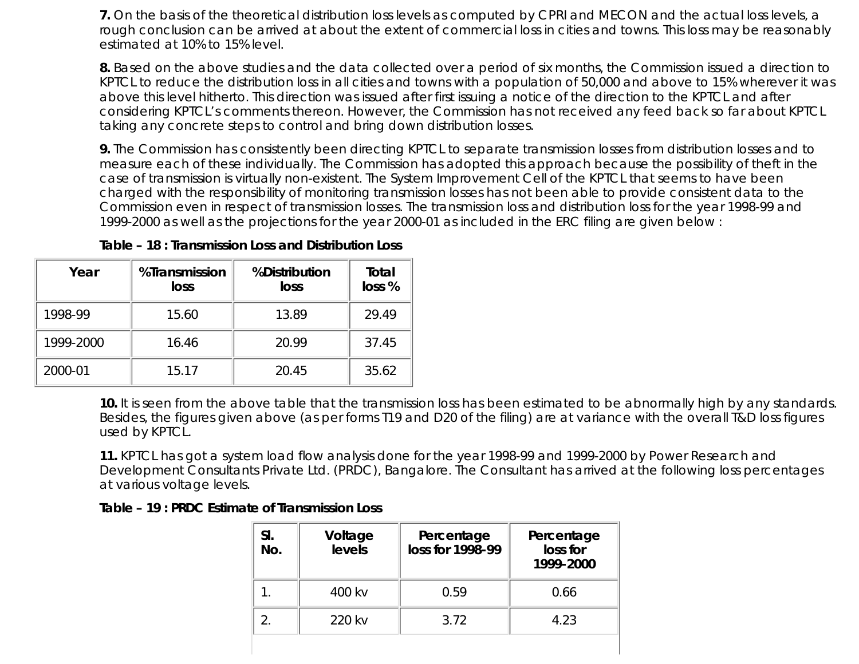**7.** On the basis of the theoretical distribution loss levels as computed by CPRI and MECON and the actual loss levels, a rough conclusion can be arrived at about the extent of commercial loss in cities and towns. This loss may be reasonably estimated at 10% to 15% level.

**8.** Based on the above studies and the data collected over a period of six months, the Commission issued a direction to KPTCL to reduce the distribution loss in all cities and towns with a population of 50,000 and above to 15% wherever it was above this level hitherto. This direction was issued after first issuing a notice of the direction to the KPTCL and after considering KPTCL's comments thereon. However, the Commission has not received any feed back so far about KPTCL taking any concrete steps to control and bring down distribution losses.

**9.** The Commission has consistently been directing KPTCL to separate transmission losses from distribution losses and to measure each of these individually. The Commission has adopted this approach because the possibility of theft in the case of transmission is virtually non-existent. The System Improvement Cell of the KPTCL that seems to have been charged with the responsibility of monitoring transmission losses has not been able to provide consistent data to the Commission even in respect of transmission losses. The transmission loss and distribution loss for the year 1998-99 and 1999-2000 as well as the projections for the year 2000-01 as included in the ERC filing are given below :

| Year      | %Transmission<br>loss | %Distribution<br>loss | Total<br>loss % |
|-----------|-----------------------|-----------------------|-----------------|
| 1998-99   | 15.60                 | 13.89                 | 29.49           |
| 1999-2000 | 16.46                 | 20.99                 | 37.45           |
| 2000-01   | 15.17                 | 20.45                 | 35.62           |

**Table – 18 : Transmission Loss and Distribution Loss**

**10.** It is seen from the above table that the transmission loss has been estimated to be abnormally high by any standards. Besides, the figures given above (as per forms T19 and D20 of the filing) are at variance with the overall T&D loss figures used by KPTCL.

**11.** KPTCL has got a system load flow analysis done for the year 1998-99 and 1999-2000 by Power Research and Development Consultants Private Ltd. (PRDC), Bangalore. The Consultant has arrived at the following loss percentages at various voltage levels.

**Table – 19 : PRDC Estimate of Transmission Loss**

| SI.<br>No. | Voltage<br>levels | Percentage<br>loss for 1998-99 | Percentage<br>loss for<br>1999-2000 |
|------------|-------------------|--------------------------------|-------------------------------------|
|            | 400 kv            | 0.59                           | 0.66                                |
|            | 220 kv            | 3.72                           | 4.23                                |
|            |                   |                                |                                     |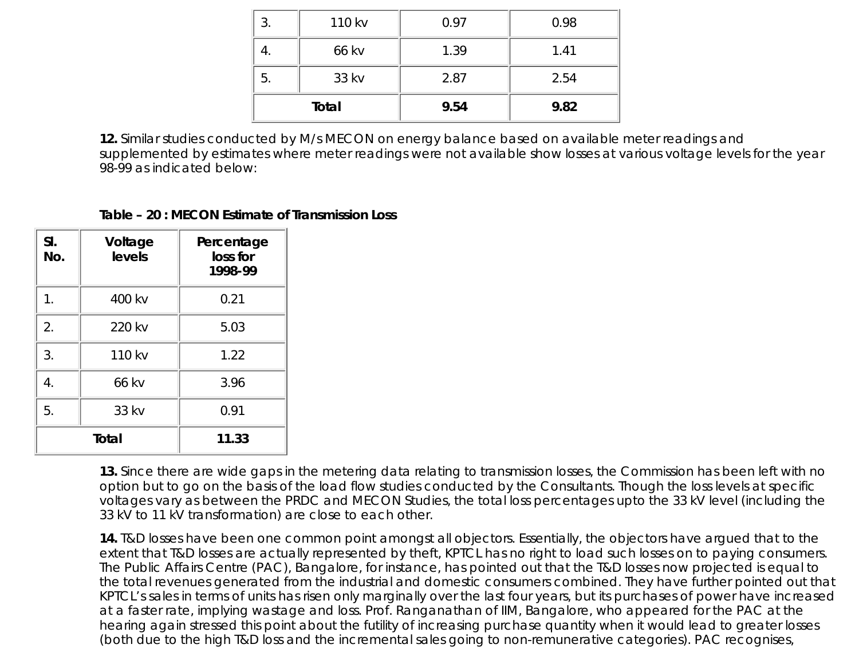|    | 110 kv | 0.97 | 0.98 |
|----|--------|------|------|
|    | 66 kv  | 1.39 | 1.41 |
| 5. | 33 kv  | 2.87 | 2.54 |
|    | Total  | 9.54 | 9.82 |

**12.** Similar studies conducted by M/s MECON on energy balance based on available meter readings and supplemented by estimates where meter readings were not available show losses at various voltage levels for the year 98-99 as indicated below:

#### **Table – 20 : MECON Estimate of Transmission Loss**

| SI.<br>No. | Voltage<br>levels | Percentage<br>loss for<br>1998-99 |
|------------|-------------------|-----------------------------------|
| 1.         | 400 kv            | 0.21                              |
| 2.         | 220 kv            | 5.03                              |
| 3.         | 110 kv            | 1.22                              |
| 4.         | 66 kv             | 3.96                              |
| 5.         | 33 kv             | 0.91                              |
|            | Total             | 11.33                             |

**13.** Since there are wide gaps in the metering data relating to transmission losses, the Commission has been left with no option but to go on the basis of the load flow studies conducted by the Consultants. Though the loss levels at specific voltages vary as between the PRDC and MECON Studies, the total loss percentages upto the 33 kV level (including the 33 kV to 11 kV transformation) are close to each other.

**14.** T&D losses have been one common point amongst all objectors. Essentially, the objectors have argued that to the extent that T&D losses are actually represented by theft, KPTCL has no right to load such losses on to paying consumers. The Public Affairs Centre (PAC), Bangalore, for instance, has pointed out that the T&D losses now projected is equal to the total revenues generated from the industrial and domestic consumers combined. They have further pointed out that KPTCL's sales in terms of units has risen only marginally over the last four years, but its purchases of power have increased at a faster rate, implying wastage and loss. Prof. Ranganathan of IIM, Bangalore, who appeared for the PAC at the hearing again stressed this point about the futility of increasing purchase quantity when it would lead to greater losses (both due to the high T&D loss and the incremental sales going to non-remunerative categories). PAC recognises,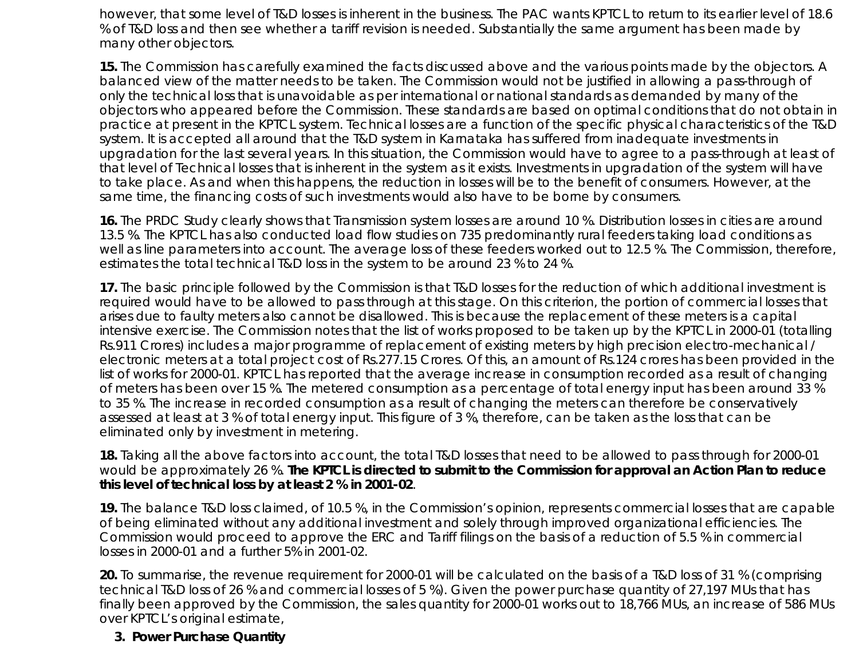however, that some level of T&D losses is inherent in the business. The PAC wants KPTCL to return to its earlier level of 18.6 % of T&D loss and then see whether a tariff revision is needed. Substantially the same argument has been made by many other objectors.

**15.** The Commission has carefully examined the facts discussed above and the various points made by the objectors. A balanced view of the matter needs to be taken. The Commission would not be justified in allowing a pass-through of only the technical loss that is unavoidable as per international or national standards as demanded by many of the objectors who appeared before the Commission. These standards are based on optimal conditions that do not obtain in practice at present in the KPTCL system. Technical losses are a function of the specific physical characteristics of the T&D system. It is accepted all around that the T&D system in Karnataka has suffered from inadequate investments in upgradation for the last several years. In this situation, the Commission would have to agree to a pass-through at least of that level of Technical losses that is inherent in the system as it exists. Investments in upgradation of the system will have to take place. As and when this happens, the reduction in losses will be to the benefit of consumers. However, at the same time, the financing costs of such investments would also have to be borne by consumers.

**16.** The PRDC Study clearly shows that Transmission system losses are around 10 %. Distribution losses in cities are around 13.5 %. The KPTCL has also conducted load flow studies on 735 predominantly rural feeders taking load conditions as well as line parameters into account. The average loss of these feeders worked out to 12.5 %. The Commission, therefore, estimates the total technical T&D loss in the system to be around 23 % to 24 %.

**17.** The basic principle followed by the Commission is that T&D losses for the reduction of which additional investment is required would have to be allowed to pass through at this stage. On this criterion, the portion of commercial losses that arises due to faulty meters also cannot be disallowed. This is because the replacement of these meters is a capital intensive exercise. The Commission notes that the list of works proposed to be taken up by the KPTCL in 2000-01 (totalling Rs.911 Crores) includes a major programme of replacement of existing meters by high precision electro-mechanical / electronic meters at a total project cost of Rs.277.15 Crores. Of this, an amount of Rs.124 crores has been provided in the list of works for 2000-01. KPTCL has reported that the average increase in consumption recorded as a result of changing of meters has been over 15 %. The metered consumption as a percentage of total energy input has been around 33 % to 35 %. The increase in recorded consumption as a result of changing the meters can therefore be conservatively assessed at least at 3 % of total energy input. This figure of 3 %, therefore, can be taken as the loss that can be eliminated only by investment in metering.

**18.** Taking all the above factors into account, the total T&D losses that need to be allowed to pass through for 2000-01 would be approximately 26 %. **The KPTCL is directed to submit to the Commission for approval an Action Plan to reduce this level of technical loss by at least 2 % in 2001-02**.

**19.** The balance T&D loss claimed, of 10.5 %, in the Commission's opinion, represents commercial losses that are capable of being eliminated without any additional investment and solely through improved organizational efficiencies. The Commission would proceed to approve the ERC and Tariff filings on the basis of a reduction of 5.5 % in commercial losses in 2000-01 and a further 5% in 2001-02.

**20.** To summarise, the revenue requirement for 2000-01 will be calculated on the basis of a T&D loss of 31 % (comprising technical T&D loss of 26 % and commercial losses of 5 %). Given the power purchase quantity of 27,197 MUs that has finally been approved by the Commission, the sales quantity for 2000-01 works out to 18,766 MUs, an increase of 586 MUs over KPTCL's original estimate,

#### **3. Power Purchase Quantity**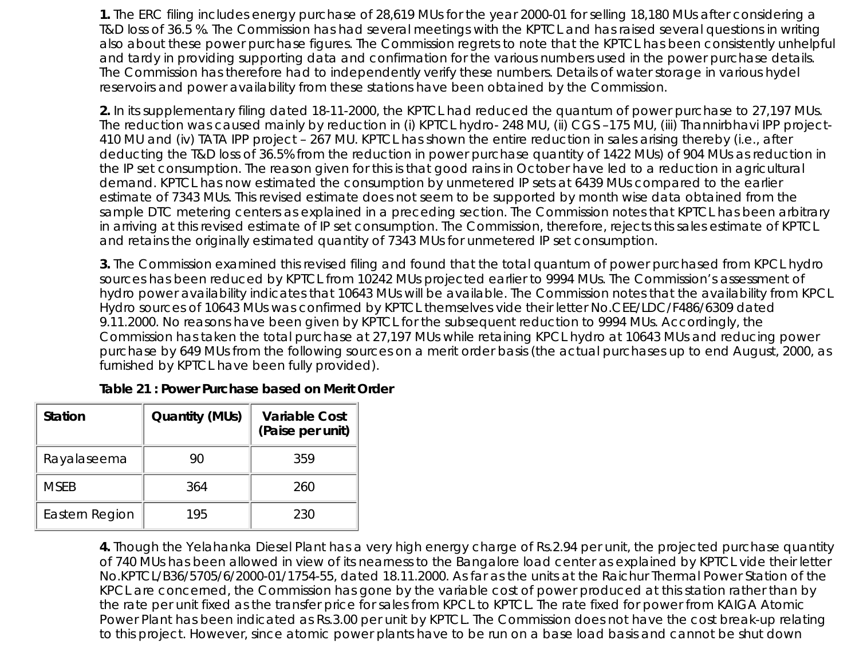**1.** The ERC filing includes energy purchase of 28,619 MUs for the year 2000-01 for selling 18,180 MUs after considering a T&D loss of 36.5 %. The Commission has had several meetings with the KPTCL and has raised several questions in writing also about these power purchase figures. The Commission regrets to note that the KPTCL has been consistently unhelpful and tardy in providing supporting data and confirmation for the various numbers used in the power purchase details. The Commission has therefore had to independently verify these numbers. Details of water storage in various hydel reservoirs and power availability from these stations have been obtained by the Commission.

**2.** In its supplementary filing dated 18-11-2000, the KPTCL had reduced the quantum of power purchase to 27,197 MUs. The reduction was caused mainly by reduction in (i) KPTCL hydro- 248 MU, (ii) CGS –175 MU, (iii) Thannirbhavi IPP project-410 MU and (iv) TATA IPP project – 267 MU. KPTCL has shown the entire reduction in sales arising thereby (i.e., after deducting the T&D loss of 36.5% from the reduction in power purchase quantity of 1422 MUs) of 904 MUs as reduction in the IP set consumption. The reason given for this is that good rains in October have led to a reduction in agricultural demand. KPTCL has now estimated the consumption by unmetered IP sets at 6439 MUs compared to the earlier estimate of 7343 MUs. This revised estimate does not seem to be supported by month wise data obtained from the sample DTC metering centers as explained in a preceding section. The Commission notes that KPTCL has been arbitrary in arriving at this revised estimate of IP set consumption. The Commission, therefore, rejects this sales estimate of KPTCL and retains the originally estimated quantity of 7343 MUs for unmetered IP set consumption.

**3.** The Commission examined this revised filing and found that the total quantum of power purchased from KPCL hydro sources has been reduced by KPTCL from 10242 MUs projected earlier to 9994 MUs. The Commission's assessment of hydro power availability indicates that 10643 MUs will be available. The Commission notes that the availability from KPCL Hydro sources of 10643 MUs was confirmed by KPTCL themselves vide their letter No.CEE/LDC/F486/6309 dated 9.11.2000. No reasons have been given by KPTCL for the subsequent reduction to 9994 MUs. Accordingly, the Commission has taken the total purchase at 27,197 MUs while retaining KPCL hydro at 10643 MUs and reducing power purchase by 649 MUs from the following sources on a merit order basis (the actual purchases up to end August, 2000, as furnished by KPTCL have been fully provided).

| Table 21 : Power Purchase based on Merit Order |  |
|------------------------------------------------|--|
|------------------------------------------------|--|

| <b>Station</b> | <b>Quantity (MUs)</b> | <b>Variable Cost</b><br>(Paise per unit) |
|----------------|-----------------------|------------------------------------------|
| Rayalaseema    | 90                    | 359                                      |
| <b>MSEB</b>    | 364                   | 260                                      |
| Eastern Region | 195                   | 230                                      |

**4.** Though the Yelahanka Diesel Plant has a very high energy charge of Rs.2.94 per unit, the projected purchase quantity of 740 MUs has been allowed in view of its nearness to the Bangalore load center as explained by KPTCL vide their letter No.KPTCL/B36/5705/6/2000-01/1754-55, dated 18.11.2000. As far as the units at the Raichur Thermal Power Station of the KPCL are concerned, the Commission has gone by the variable cost of power produced at this station rather than by the rate per unit fixed as the transfer price for sales from KPCL to KPTCL. The rate fixed for power from KAIGA Atomic Power Plant has been indicated as Rs.3.00 per unit by KPTCL. The Commission does not have the cost break-up relating to this project. However, since atomic power plants have to be run on a base load basis and cannot be shut down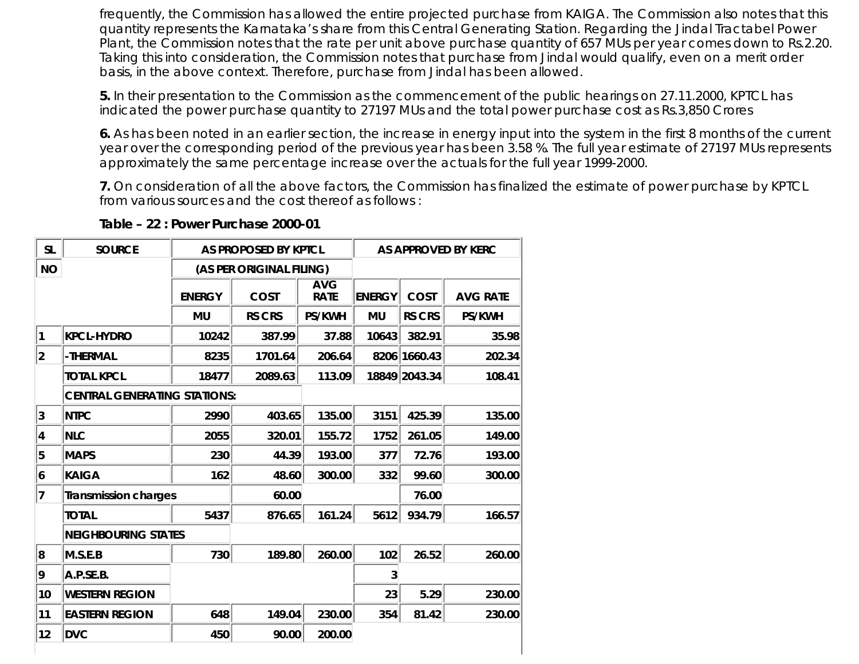frequently, the Commission has allowed the entire projected purchase from KAIGA. The Commission also notes that this quantity represents the Karnataka's share from this Central Generating Station. Regarding the Jindal Tractabel Power Plant, the Commission notes that the rate per unit above purchase quantity of 657 MUs per year comes down to Rs.2.20. Taking this into consideration, the Commission notes that purchase from Jindal would qualify, even on a merit order basis, in the above context. Therefore, purchase from Jindal has been allowed.

**5.** In their presentation to the Commission as the commencement of the public hearings on 27.11.2000, KPTCL has indicated the power purchase quantity to 27197 MUs and the total power purchase cost as Rs.3,850 Crores

**6.** As has been noted in an earlier section, the increase in energy input into the system in the first 8 months of the current year over the corresponding period of the previous year has been 3.58 %. The full year estimate of 27197 MUs represents approximately the same percentage increase over the actuals for the full year 1999-2000.

**7.** On consideration of all the above factors, the Commission has finalized the estimate of power purchase by KPTCL from various sources and the cost thereof as follows :

| <b>SL</b>   | <b>SOURCE</b>                       | AS PROPOSED BY KPTCL     |               |                           |               |               | AS APPROVED BY KERC |
|-------------|-------------------------------------|--------------------------|---------------|---------------------------|---------------|---------------|---------------------|
| <b>NO</b>   |                                     | (AS PER ORIGINAL FILING) |               |                           |               |               |                     |
|             |                                     | <b>ENERGY</b>            | COST          | <b>AVG</b><br><b>RATE</b> | <b>ENERGY</b> | <b>COST</b>   | <b>AVG RATE</b>     |
|             |                                     | <b>MU</b>                | <b>RS CRS</b> | <b>PS/KWH</b>             | <b>MU</b>     | <b>RS CRS</b> | <b>PS/KWH</b>       |
| 1           | <b>KPCL-HYDRO</b>                   | 10242                    | 387.99        | 37.88                     | 10643         | 382.91        | 35.98               |
| $ 2\rangle$ | -THERMAL                            | 8235                     | 1701.64       | 206.64                    |               | 8206 1660.43  | 202.34              |
|             | <b>TOTAL KPCL</b>                   | 18477                    | 2089.63       | 113.09                    |               | 18849 2043.34 | 108.41              |
|             | <b>CENTRAL GENERATING STATIONS:</b> |                          |               |                           |               |               |                     |
| 3           | <b>NTPC</b>                         | 2990                     | 403.65        | 135.00                    | 3151          | 425.39        | 135.00              |
| 4           | <b>NLC</b>                          | 2055                     | 320.01        | 155.72                    | 1752          | 261.05        | 149.00              |
| 5           | <b>MAPS</b>                         | 230                      | 44.39         | 193.00                    | 377           | 72.76         | 193.00              |
| 6           | <b>KAIGA</b>                        | 162                      | 48.60         | 300.00                    | 332           | 99.60         | 300.00              |
| 7           | <b>Transmission charges</b>         |                          | 60.00         |                           |               | 76.00         |                     |
|             | <b>TOTAL</b>                        | 5437                     | 876.65        | 161.24                    | 5612          | 934.79        | 166.57              |
|             | <b>NEIGHBOURING STATES</b>          |                          |               |                           |               |               |                     |
| 8           | M.S.E.B                             | 730                      | 189.80        | 260.00                    | 102           | 26.52         | 260.00              |
| 9           | A.P.SE.B.                           |                          |               |                           | 3             |               |                     |
| 10          | <b>WESTERN REGION</b>               |                          |               |                           | 23            | 5.29          | 230.00              |
| 11          | <b>EASTERN REGION</b>               | 648                      | 149.04        | 230.00                    | 354           | 81.42         | 230.00              |
| 12          | <b>DVC</b>                          | 450                      | 90.00         | 200.00                    |               |               |                     |

**Table – 22 : Power Purchase 2000-01**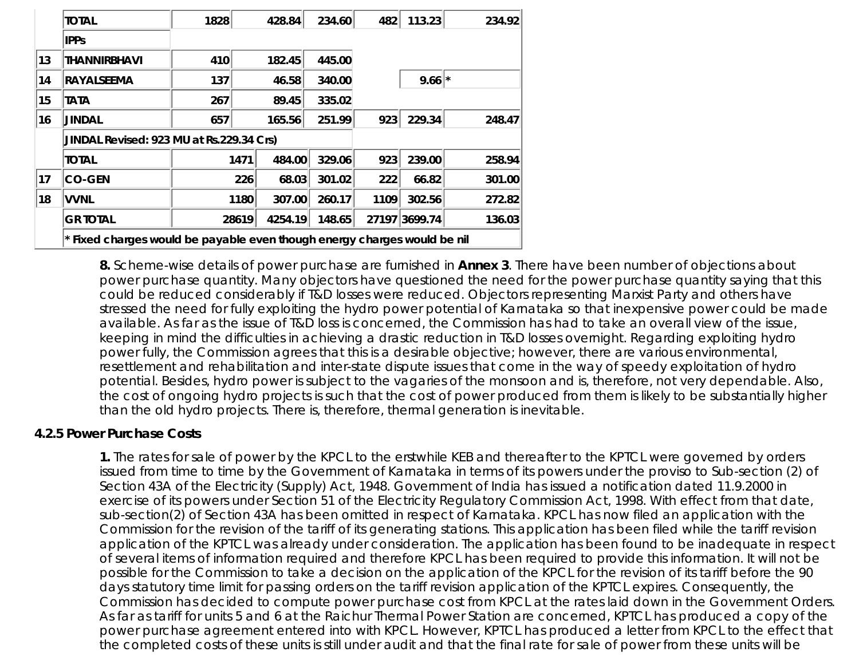|    | <b>TOTAL</b>                                                             | 1828 |       | 428.84  | 234.60 | 482  | 113.23              | 234.92 |
|----|--------------------------------------------------------------------------|------|-------|---------|--------|------|---------------------|--------|
|    | <b>IPPs</b>                                                              |      |       |         |        |      |                     |        |
| 13 | <b>THANNIRBHAVI</b>                                                      | 410  |       | 182.45  | 445.00 |      |                     |        |
| 14 | <b>RAYALSEEMA</b>                                                        | 137  |       | 46.58   | 340.00 |      | $9.66$ <sup>*</sup> |        |
| 15 | TATA                                                                     | 267  |       | 89.45   | 335.02 |      |                     |        |
| 16 | <b>JINDAL</b>                                                            | 657  |       | 165.56  | 251.99 | 923  | 229.34              | 248.47 |
|    | JINDAL Revised: 923 MU at Rs.229.34 Crs)                                 |      |       |         |        |      |                     |        |
|    | TOTAL                                                                    |      | 1471  | 484.00  | 329.06 | 923  | 239.00              | 258.94 |
| 17 | <b>CO-GEN</b>                                                            |      | 226   | 68.03   | 301.02 | 222  | 66.82               | 301.00 |
| 18 | <b>VVNL</b>                                                              |      | 1180  | 307.00  | 260.17 | 1109 | 302.56              | 272.82 |
|    | <b>GR TOTAL</b>                                                          |      | 28619 | 4254.19 | 148.65 |      | 27197 3699.74       | 136.03 |
|    | * Fixed charges would be payable even though energy charges would be nil |      |       |         |        |      |                     |        |

**8.** Scheme-wise details of power purchase are furnished in **Annex 3**. There have been number of objections about power purchase quantity. Many objectors have questioned the need for the power purchase quantity saying that this could be reduced considerably if T&D losses were reduced. Objectors representing Marxist Party and others have stressed the need for fully exploiting the hydro power potential of Karnataka so that inexpensive power could be made available. As far as the issue of T&D loss is concerned, the Commission has had to take an overall view of the issue, keeping in mind the difficulties in achieving a drastic reduction in T&D losses overnight. Regarding exploiting hydro power fully, the Commission agrees that this is a desirable objective; however, there are various environmental, resettlement and rehabilitation and inter-state dispute issues that come in the way of speedy exploitation of hydro potential. Besides, hydro power is subject to the vagaries of the monsoon and is, therefore, not very dependable. Also, the cost of ongoing hydro projects is such that the cost of power produced from them is likely to be substantially higher than the old hydro projects. There is, therefore, thermal generation is inevitable.

#### **4.2.5 Power Purchase Costs**

**1.** The rates for sale of power by the KPCL to the erstwhile KEB and thereafter to the KPTCL were governed by orders issued from time to time by the Government of Karnataka in terms of its powers under the proviso to Sub-section (2) of Section 43A of the Electricity (Supply) Act, 1948. Government of India has issued a notification dated 11.9.2000 in exercise of its powers under Section 51 of the Electricity Regulatory Commission Act, 1998. With effect from that date, sub-section(2) of Section 43A has been omitted in respect of Karnataka. KPCL has now filed an application with the Commission for the revision of the tariff of its generating stations. This application has been filed while the tariff revision application of the KPTCL was already under consideration. The application has been found to be inadequate in respect of several items of information required and therefore KPCL has been required to provide this information. It will not be possible for the Commission to take a decision on the application of the KPCL for the revision of its tariff before the 90 days statutory time limit for passing orders on the tariff revision application of the KPTCL expires. Consequently, the Commission has decided to compute power purchase cost from KPCL at the rates laid down in the Government Orders. As far as tariff for units 5 and 6 at the Raichur Thermal Power Station are concerned, KPTCL has produced a copy of the power purchase agreement entered into with KPCL. However, KPTCL has produced a letter from KPCL to the effect that the completed costs of these units is still under audit and that the final rate for sale of power from these units will be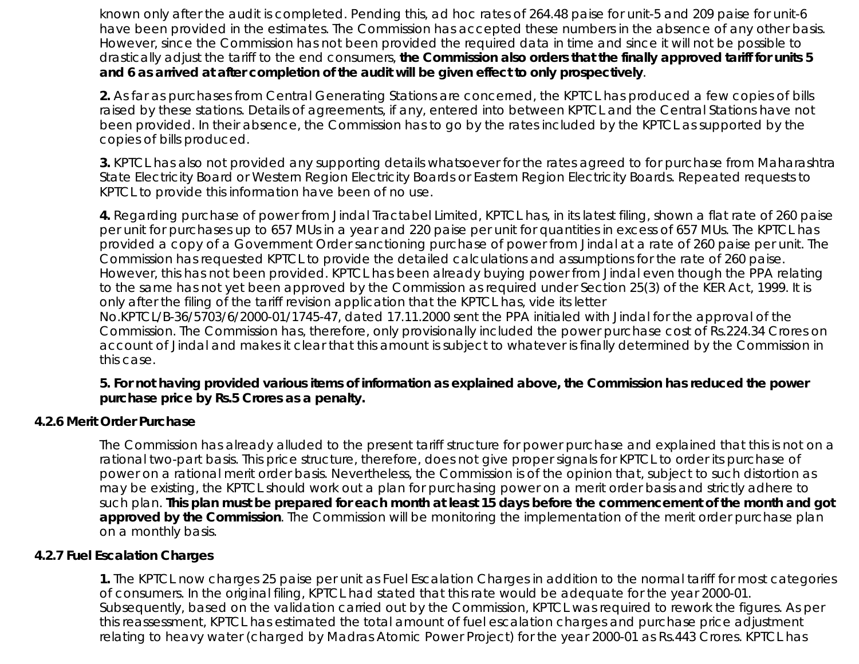known only after the audit is completed. Pending this, ad hoc rates of 264.48 paise for unit-5 and 209 paise for unit-6 have been provided in the estimates. The Commission has accepted these numbers in the absence of any other basis. However, since the Commission has not been provided the required data in time and since it will not be possible to drastically adjust the tariff to the end consumers, **the Commission also orders that the finally approved tariff for units 5 and 6 as arrived at after completion of the audit will be given effect to only prospectively**.

**2.** As far as purchases from Central Generating Stations are concerned, the KPTCL has produced a few copies of bills raised by these stations. Details of agreements, if any, entered into between KPTCL and the Central Stations have not been provided. In their absence, the Commission has to go by the rates included by the KPTCL as supported by the copies of bills produced.

**3.** KPTCL has also not provided any supporting details whatsoever for the rates agreed to for purchase from Maharashtra State Electricity Board or Western Region Electricity Boards or Eastern Region Electricity Boards. Repeated requests to KPTCL to provide this information have been of no use.

**4.** Regarding purchase of power from Jindal Tractabel Limited, KPTCL has, in its latest filing, shown a flat rate of 260 paise per unit for purchases up to 657 MUs in a year and 220 paise per unit for quantities in excess of 657 MUs. The KPTCL has provided a copy of a Government Order sanctioning purchase of power from Jindal at a rate of 260 paise per unit. The Commission has requested KPTCL to provide the detailed calculations and assumptions for the rate of 260 paise. However, this has not been provided. KPTCL has been already buying power from Jindal even though the PPA relating to the same has not yet been approved by the Commission as required under Section 25(3) of the KER Act, 1999. It is only after the filing of the tariff revision application that the KPTCL has, vide its letter No.KPTCL/B-36/5703/6/2000-01/1745-47, dated 17.11.2000 sent the PPA initialed with Jindal for the approval of the Commission. The Commission has, therefore, only provisionally included the power purchase cost of Rs.224.34 Crores on account of Jindal and makes it clear that this amount is subject to whatever is finally determined by the Commission in

#### **5. For not having provided various items of information as explained above, the Commission has reduced the power purchase price by Rs.5 Crores as a penalty.**

#### **4.2.6 Merit Order Purchase**

this case.

The Commission has already alluded to the present tariff structure for power purchase and explained that this is not on a rational two-part basis. This price structure, therefore, does not give proper signals for KPTCL to order its purchase of power on a rational merit order basis. Nevertheless, the Commission is of the opinion that, subject to such distortion as may be existing, the KPTCL should work out a plan for purchasing power on a merit order basis and strictly adhere to such plan. **This plan must be prepared for each month at least 15 days before the commencement of the month and got approved by the Commission**. The Commission will be monitoring the implementation of the merit order purchase plan on a monthly basis.

#### **4.2.7 Fuel Escalation Charges**

**1.** The KPTCL now charges 25 paise per unit as Fuel Escalation Charges in addition to the normal tariff for most categories of consumers. In the original filing, KPTCL had stated that this rate would be adequate for the year 2000-01. Subsequently, based on the validation carried out by the Commission, KPTCL was required to rework the figures. As per this reassessment, KPTCL has estimated the total amount of fuel escalation charges and purchase price adjustment relating to heavy water (charged by Madras Atomic Power Project) for the year 2000-01 as Rs.443 Crores. KPTCL has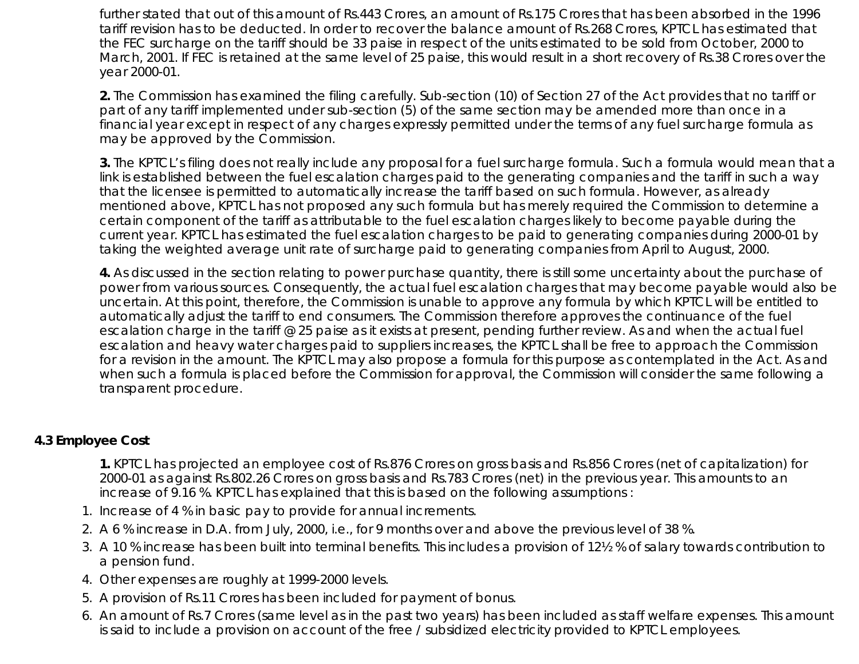further stated that out of this amount of Rs.443 Crores, an amount of Rs.175 Crores that has been absorbed in the 1996 tariff revision has to be deducted. In order to recover the balance amount of Rs.268 Crores, KPTCL has estimated that the FEC surcharge on the tariff should be 33 paise in respect of the units estimated to be sold from October, 2000 to March, 2001. If FEC is retained at the same level of 25 paise, this would result in a short recovery of Rs.38 Crores over the year 2000-01.

**2.** The Commission has examined the filing carefully. Sub-section (10) of Section 27 of the Act provides that no tariff or part of any tariff implemented under sub-section (5) of the same section may be amended more than once in a financial year except in respect of any charges expressly permitted under the terms of any fuel surcharge formula as may be approved by the Commission.

**3.** The KPTCL's filing does not really include any proposal for a fuel surcharge formula. Such a formula would mean that a link is established between the fuel escalation charges paid to the generating companies and the tariff in such a way that the licensee is permitted to automatically increase the tariff based on such formula. However, as already mentioned above, KPTCL has not proposed any such formula but has merely required the Commission to determine a certain component of the tariff as attributable to the fuel escalation charges likely to become payable during the current year. KPTCL has estimated the fuel escalation charges to be paid to generating companies during 2000-01 by taking the weighted average unit rate of surcharge paid to generating companies from April to August, 2000.

**4.** As discussed in the section relating to power purchase quantity, there is still some uncertainty about the purchase of power from various sources. Consequently, the actual fuel escalation charges that may become payable would also be uncertain. At this point, therefore, the Commission is unable to approve any formula by which KPTCL will be entitled to automatically adjust the tariff to end consumers. The Commission therefore approves the continuance of the fuel escalation charge in the tariff @ 25 paise as it exists at present, pending further review. As and when the actual fuel escalation and heavy water charges paid to suppliers increases, the KPTCL shall be free to approach the Commission for a revision in the amount. The KPTCL may also propose a formula for this purpose as contemplated in the Act. As and when such a formula is placed before the Commission for approval, the Commission will consider the same following a transparent procedure.

# **4.3 Employee Cost**

**1.** KPTCL has projected an employee cost of Rs.876 Crores on gross basis and Rs.856 Crores (net of capitalization) for 2000-01 as against Rs.802.26 Crores on gross basis and Rs.783 Crores (net) in the previous year. This amounts to an increase of 9.16 %. KPTCL has explained that this is based on the following assumptions :

- 1. Increase of 4 % in basic pay to provide for annual increments.
- 2. A 6 % increase in D.A. from July, 2000, i.e., for 9 months over and above the previous level of 38 %.
- A 10 % increase has been built into terminal benefits. This includes a provision of 12½ % of salary towards contribution to 3. a pension fund.
- 4. Other expenses are roughly at 1999-2000 levels.
- 5. A provision of Rs.11 Crores has been included for payment of bonus.
- An amount of Rs.7 Crores (same level as in the past two years) has been included as staff welfare expenses. This amount 6. is said to include a provision on account of the free / subsidized electricity provided to KPTCL employees.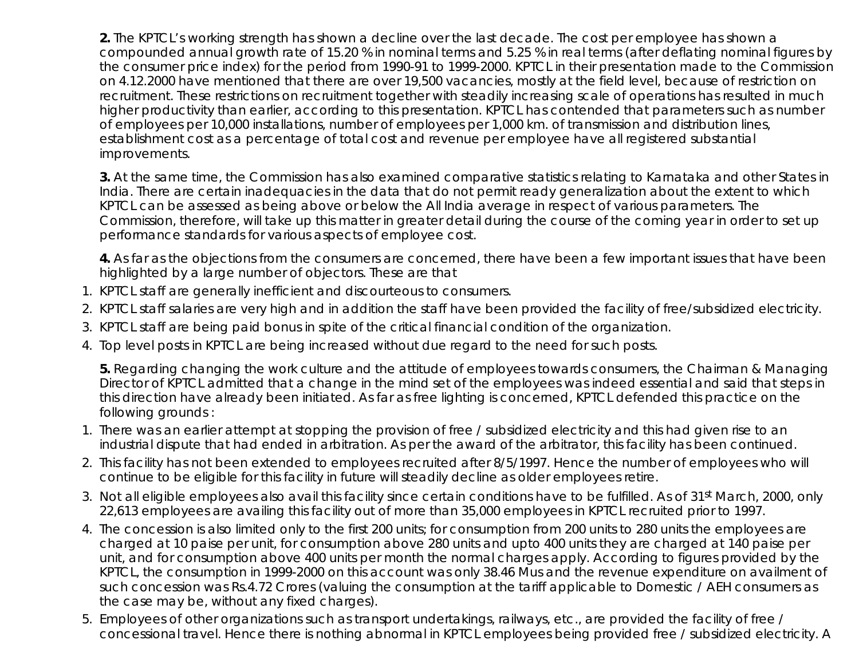**2.** The KPTCL's working strength has shown a decline over the last decade. The cost per employee has shown a compounded annual growth rate of 15.20 % in nominal terms and 5.25 % in real terms (after deflating nominal figures by the consumer price index) for the period from 1990-91 to 1999-2000. KPTCL in their presentation made to the Commission on 4.12.2000 have mentioned that there are over 19,500 vacancies, mostly at the field level, because of restriction on recruitment. These restrictions on recruitment together with steadily increasing scale of operations has resulted in much higher productivity than earlier, according to this presentation. KPTCL has contended that parameters such as number of employees per 10,000 installations, number of employees per 1,000 km. of transmission and distribution lines, establishment cost as a percentage of total cost and revenue per employee have all registered substantial improvements.

**3.** At the same time, the Commission has also examined comparative statistics relating to Karnataka and other States in India. There are certain inadequacies in the data that do not permit ready generalization about the extent to which KPTCL can be assessed as being above or below the All India average in respect of various parameters. The Commission, therefore, will take up this matter in greater detail during the course of the coming year in order to set up performance standards for various aspects of employee cost.

**4.** As far as the objections from the consumers are concerned, there have been a few important issues that have been highlighted by a large number of objectors. These are that

- 1. KPTCL staff are generally inefficient and discourteous to consumers.
- 2. KPTCL staff salaries are very high and in addition the staff have been provided the facility of free/subsidized electricity.
- 3. KPTCL staff are being paid bonus in spite of the critical financial condition of the organization.
- 4. Top level posts in KPTCL are being increased without due regard to the need for such posts.

**5.** Regarding changing the work culture and the attitude of employees towards consumers, the Chairman & Managing Director of KPTCL admitted that a change in the mind set of the employees was indeed essential and said that steps in this direction have already been initiated. As far as free lighting is concerned, KPTCL defended this practice on the following grounds :

- 1. There was an earlier attempt at stopping the provision of free / subsidized electricity and this had given rise to an industrial dispute that had ended in arbitration. As per the award of the arbitrator, this facility has been continued.
- 2. This facility has not been extended to employees recruited after 8/5/1997. Hence the number of employees who will continue to be eligible for this facility in future will steadily decline as older employees retire.
- 3. Not all eligible employees also avail this facility since certain conditions have to be fulfilled. As of 31st March, 2000, only 22,613 employees are availing this facility out of more than 35,000 employees in KPTCL recruited prior to 1997.
- The concession is also limited only to the first 200 units; for consumption from 200 units to 280 units the employees are 4. charged at 10 paise per unit, for consumption above 280 units and upto 400 units they are charged at 140 paise per unit, and for consumption above 400 units per month the normal charges apply. According to figures provided by the KPTCL, the consumption in 1999-2000 on this account was only 38.46 Mus and the revenue expenditure on availment of such concession was Rs.4.72 Crores (valuing the consumption at the tariff applicable to Domestic / AEH consumers as the case may be, without any fixed charges).
- 5. Employees of other organizations such as transport undertakings, railways, etc., are provided the facility of free / concessional travel. Hence there is nothing abnormal in KPTCL employees being provided free / subsidized electricity. A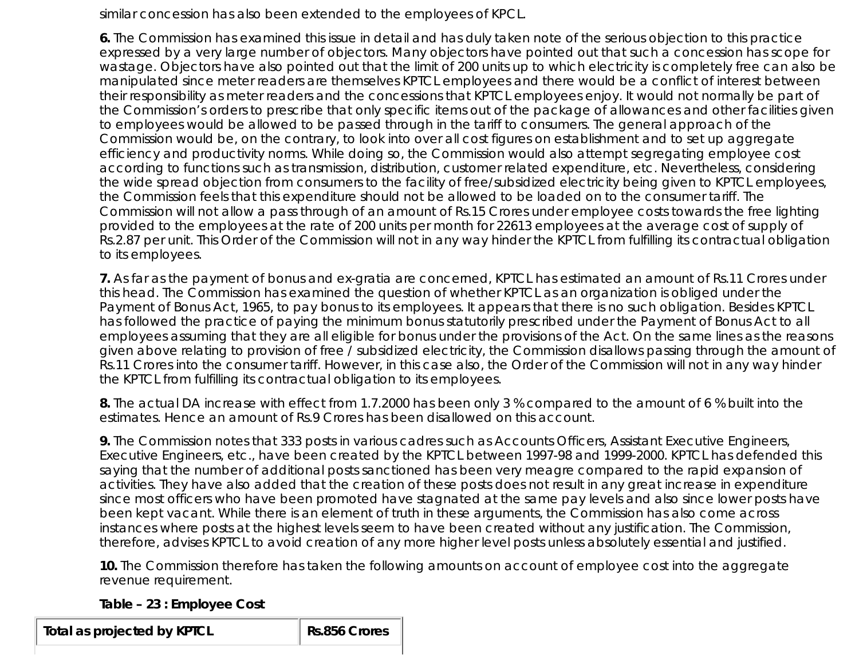similar concession has also been extended to the employees of KPCL.

**6.** The Commission has examined this issue in detail and has duly taken note of the serious objection to this practice expressed by a very large number of objectors. Many objectors have pointed out that such a concession has scope for wastage. Objectors have also pointed out that the limit of 200 units up to which electricity is completely free can also be manipulated since meter readers are themselves KPTCL employees and there would be a conflict of interest between their responsibility as meter readers and the concessions that KPTCL employees enjoy. It would not normally be part of the Commission's orders to prescribe that only specific items out of the package of allowances and other facilities given to employees would be allowed to be passed through in the tariff to consumers. The general approach of the Commission would be, on the contrary, to look into over all cost figures on establishment and to set up aggregate efficiency and productivity norms. While doing so, the Commission would also attempt segregating employee cost according to functions such as transmission, distribution, customer related expenditure, etc. Nevertheless, considering the wide spread objection from consumers to the facility of free/subsidized electricity being given to KPTCL employees, the Commission feels that this expenditure should not be allowed to be loaded on to the consumer tariff. The Commission will not allow a pass through of an amount of Rs.15 Crores under employee costs towards the free lighting provided to the employees at the rate of 200 units per month for 22613 employees at the average cost of supply of Rs.2.87 per unit. This Order of the Commission will not in any way hinder the KPTCL from fulfilling its contractual obligation to its employees.

**7.** As far as the payment of bonus and ex-gratia are concerned, KPTCL has estimated an amount of Rs.11 Crores under this head. The Commission has examined the question of whether KPTCL as an organization is obliged under the Payment of Bonus Act, 1965, to pay bonus to its employees. It appears that there is no such obligation. Besides KPTCL has followed the practice of paying the minimum bonus statutorily prescribed under the Payment of Bonus Act to all employees assuming that they are all eligible for bonus under the provisions of the Act. On the same lines as the reasons given above relating to provision of free / subsidized electricity, the Commission disallows passing through the amount of Rs.11 Crores into the consumer tariff. However, in this case also, the Order of the Commission will not in any way hinder the KPTCL from fulfilling its contractual obligation to its employees.

**8.** The actual DA increase with effect from 1.7.2000 has been only 3 % compared to the amount of 6 % built into the estimates. Hence an amount of Rs.9 Crores has been disallowed on this account.

**9.** The Commission notes that 333 posts in various cadres such as Accounts Officers, Assistant Executive Engineers, Executive Engineers, etc., have been created by the KPTCL between 1997-98 and 1999-2000. KPTCL has defended this saying that the number of additional posts sanctioned has been very meagre compared to the rapid expansion of activities. They have also added that the creation of these posts does not result in any great increase in expenditure since most officers who have been promoted have stagnated at the same pay levels and also since lower posts have been kept vacant. While there is an element of truth in these arguments, the Commission has also come across instances where posts at the highest levels seem to have been created without any justification. The Commission, therefore, advises KPTCL to avoid creation of any more higher level posts unless absolutely essential and justified.

**10.** The Commission therefore has taken the following amounts on account of employee cost into the aggregate revenue requirement.

# **Table – 23 : Employee Cost**

**Total as projected by KPTCL Rs.856 Crores**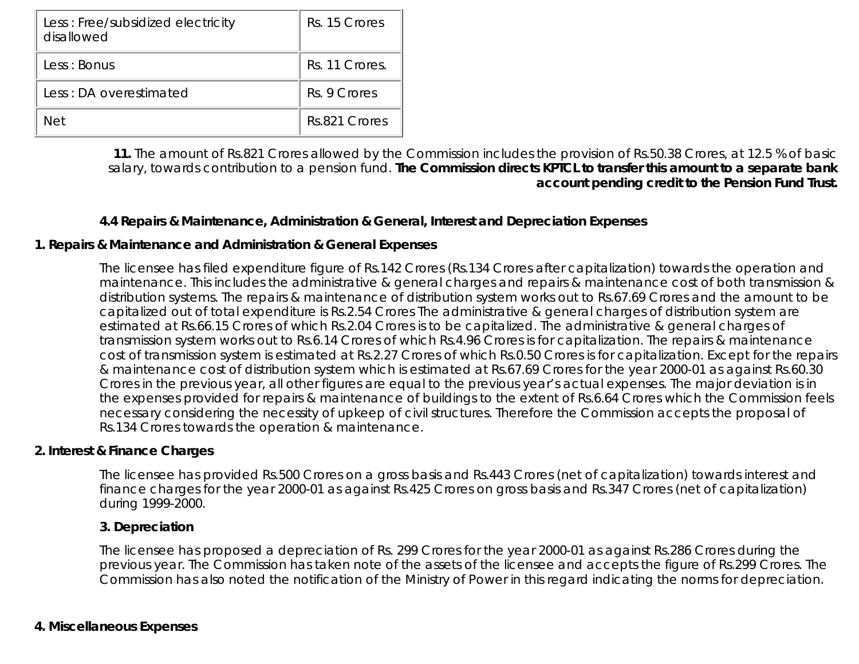| Less: Free/subsidized electricity<br>disallowed | Rs. 15 Crores  |
|-------------------------------------------------|----------------|
| Less: Bonus                                     | Rs. 11 Crores. |
| Less: DA overestimated                          | Rs. 9 Crores   |
| Net                                             | Rs.821 Crores  |

**11.** The amount of Rs.821 Crores allowed by the Commission includes the provision of Rs.50.38 Crores, at 12.5 % of basic salary, towards contribution to a pension fund. **The Commission directs KPTCL to transfer this amount to a separate bank account pending credit to the Pension Fund Trust.**

# **4.4 Repairs & Maintenance, Administration & General, Interest and Depreciation Expenses**

#### **1. Repairs & Maintenance and Administration & General Expenses**

The licensee has filed expenditure figure of Rs.142 Crores (Rs.134 Crores after capitalization) towards the operation and maintenance. This includes the administrative & general charges and repairs & maintenance cost of both transmission & distribution systems. The repairs & maintenance of distribution system works out to Rs.67.69 Crores and the amount to be capitalized out of total expenditure is Rs.2.54 Crores The administrative & general charges of distribution system are estimated at Rs.66.15 Crores of which Rs.2.04 Crores is to be capitalized. The administrative & general charges of transmission system works out to Rs.6.14 Crores of which Rs.4.96 Crores is for capitalization. The repairs & maintenance cost of transmission system is estimated at Rs.2.27 Crores of which Rs.0.50 Crores is for capitalization. Except for the repairs & maintenance cost of distribution system which is estimated at Rs.67.69 Crores for the year 2000-01 as against Rs.60.30 Crores in the previous year, all other figures are equal to the previous year's actual expenses. The major deviation is in the expenses provided for repairs & maintenance of buildings to the extent of Rs.6.64 Crores which the Commission feels necessary considering the necessity of upkeep of civil structures. Therefore the Commission accepts the proposal of Rs.134 Crores towards the operation & maintenance.

#### **2. Interest & Finance Charges**

The licensee has provided Rs.500 Crores on a gross basis and Rs.443 Crores (net of capitalization) towards interest and finance charges for the year 2000-01 as against Rs.425 Crores on gross basis and Rs.347 Crores (net of capitalization) during 1999-2000.

#### **3. Depreciation**

The licensee has proposed a depreciation of Rs. 299 Crores for the year 2000-01 as against Rs.286 Crores during the previous year. The Commission has taken note of the assets of the licensee and accepts the figure of Rs.299 Crores. The Commission has also noted the notification of the Ministry of Power in this regard indicating the norms for depreciation.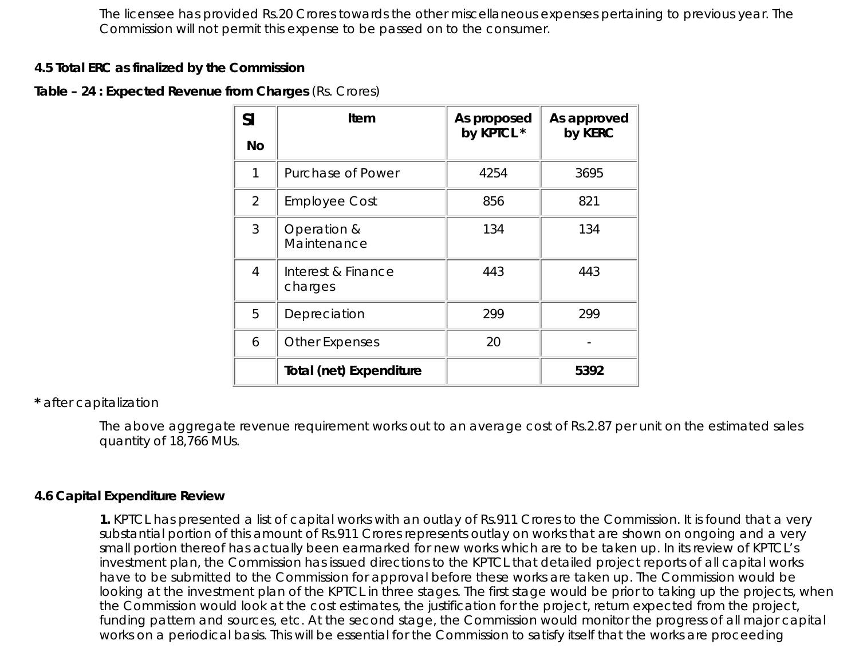The licensee has provided Rs.20 Crores towards the other miscellaneous expenses pertaining to previous year. The Commission will not permit this expense to be passed on to the consumer.

#### **4.5 Total ERC as finalized by the Commission**

# **Table – 24 : Expected Revenue from Charges** (Rs. Crores)

| <b>Sl</b>      | Item                           | As proposed<br>by KPTCL * | As approved<br>by KERC |
|----------------|--------------------------------|---------------------------|------------------------|
| <b>No</b>      |                                |                           |                        |
| 1              | Purchase of Power              | 4254                      | 3695                   |
| $\overline{2}$ | <b>Employee Cost</b>           | 856                       | 821                    |
| 3              | Operation &<br>Maintenance     | 134                       | 134                    |
| $\overline{4}$ | Interest & Finance<br>charges  | 443                       | 443                    |
| 5              | Depreciation                   | 299                       | 299                    |
| 6              | <b>Other Expenses</b>          | 20                        |                        |
|                | <b>Total (net) Expenditure</b> |                           | 5392                   |

# **\*** after capitalization

The above aggregate revenue requirement works out to an average cost of Rs.2.87 per unit on the estimated sales quantity of 18,766 MUs.

#### **4.6 Capital Expenditure Review**

**1.** KPTCL has presented a list of capital works with an outlay of Rs.911 Crores to the Commission. It is found that a very substantial portion of this amount of Rs.911 Crores represents outlay on works that are shown on ongoing and a very small portion thereof has actually been earmarked for new works which are to be taken up. In its review of KPTCL's investment plan, the Commission has issued directions to the KPTCL that detailed project reports of all capital works have to be submitted to the Commission for approval before these works are taken up. The Commission would be looking at the investment plan of the KPTCL in three stages. The first stage would be prior to taking up the projects, when the Commission would look at the cost estimates, the justification for the project, return expected from the project, funding pattern and sources, etc. At the second stage, the Commission would monitor the progress of all major capital works on a periodical basis. This will be essential for the Commission to satisfy itself that the works are proceeding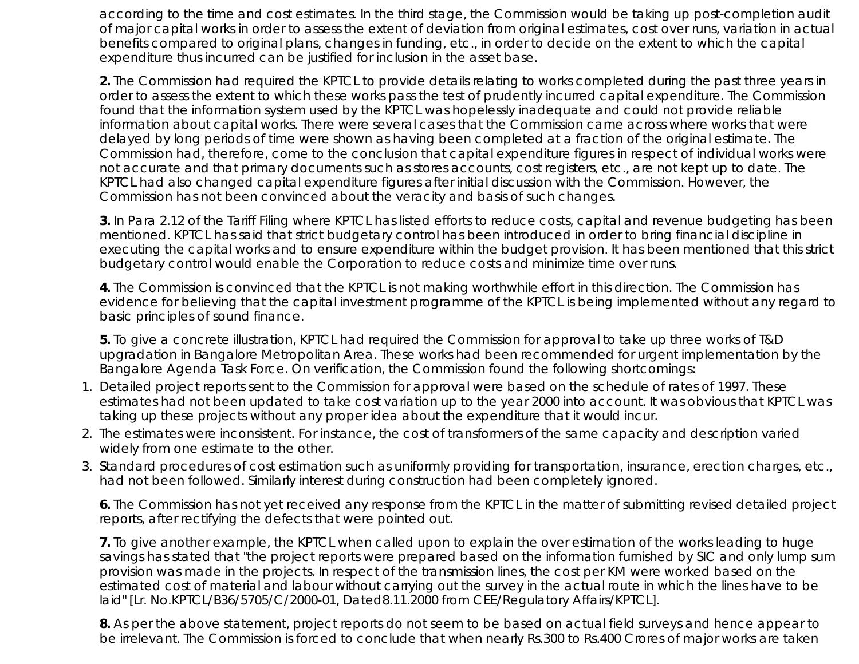according to the time and cost estimates. In the third stage, the Commission would be taking up post-completion audit of major capital works in order to assess the extent of deviation from original estimates, cost over runs, variation in actual benefits compared to original plans, changes in funding, etc., in order to decide on the extent to which the capital expenditure thus incurred can be justified for inclusion in the asset base.

**2.** The Commission had required the KPTCL to provide details relating to works completed during the past three years in order to assess the extent to which these works pass the test of prudently incurred capital expenditure. The Commission found that the information system used by the KPTCL was hopelessly inadequate and could not provide reliable information about capital works. There were several cases that the Commission came across where works that were delayed by long periods of time were shown as having been completed at a fraction of the original estimate. The Commission had, therefore, come to the conclusion that capital expenditure figures in respect of individual works were not accurate and that primary documents such as stores accounts, cost registers, etc., are not kept up to date. The KPTCL had also changed capital expenditure figures after initial discussion with the Commission. However, the Commission has not been convinced about the veracity and basis of such changes.

**3.** In Para 2.12 of the Tariff Filing where KPTCL has listed efforts to reduce costs, capital and revenue budgeting has been mentioned. KPTCL has said that strict budgetary control has been introduced in order to bring financial discipline in executing the capital works and to ensure expenditure within the budget provision. It has been mentioned that this strict budgetary control would enable the Corporation to reduce costs and minimize time over runs.

**4.** The Commission is convinced that the KPTCL is not making worthwhile effort in this direction. The Commission has evidence for believing that the capital investment programme of the KPTCL is being implemented without any regard to basic principles of sound finance.

**5.** To give a concrete illustration, KPTCL had required the Commission for approval to take up three works of T&D upgradation in Bangalore Metropolitan Area. These works had been recommended for urgent implementation by the Bangalore Agenda Task Force. On verification, the Commission found the following shortcomings:

- 1. Detailed project reports sent to the Commission for approval were based on the schedule of rates of 1997. These estimates had not been updated to take cost variation up to the year 2000 into account. It was obvious that KPTCL was taking up these projects without any proper idea about the expenditure that it would incur.
- 2. The estimates were inconsistent. For instance, the cost of transformers of the same capacity and description varied widely from one estimate to the other.
- Standard procedures of cost estimation such as uniformly providing for transportation, insurance, erection charges, etc., 3. had not been followed. Similarly interest during construction had been completely ignored.

**6.** The Commission has not yet received any response from the KPTCL in the matter of submitting revised detailed project reports, after rectifying the defects that were pointed out.

**7.** To give another example, the KPTCL when called upon to explain the over estimation of the works leading to huge savings has stated that "the project reports were prepared based on the information furnished by SIC and only lump sum provision was made in the projects. In respect of the transmission lines, the cost per KM were worked based on the estimated cost of material and labour without carrying out the survey in the actual route in which the lines have to be laid" [Lr. No.KPTCL/B36/5705/C/2000-01, Dated8.11.2000 from CEE/Regulatory Affairs/KPTCL].

**8.** As per the above statement, project reports do not seem to be based on actual field surveys and hence appear to be irrelevant. The Commission is forced to conclude that when nearly Rs.300 to Rs.400 Crores of major works are taken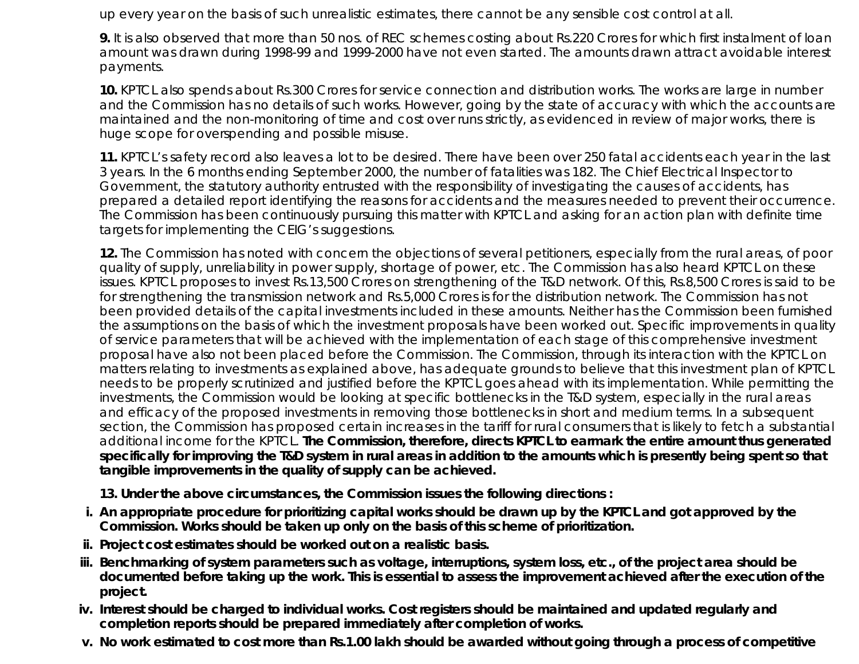up every year on the basis of such unrealistic estimates, there cannot be any sensible cost control at all.

**9.** It is also observed that more than 50 nos. of REC schemes costing about Rs.220 Crores for which first instalment of loan amount was drawn during 1998-99 and 1999-2000 have not even started. The amounts drawn attract avoidable interest payments.

**10.** KPTCL also spends about Rs.300 Crores for service connection and distribution works. The works are large in number and the Commission has no details of such works. However, going by the state of accuracy with which the accounts are maintained and the non-monitoring of time and cost over runs strictly, as evidenced in review of major works, there is huge scope for overspending and possible misuse.

**11.** KPTCL's safety record also leaves a lot to be desired. There have been over 250 fatal accidents each year in the last 3 years. In the 6 months ending September 2000, the number of fatalities was 182. The Chief Electrical Inspector to Government, the statutory authority entrusted with the responsibility of investigating the causes of accidents, has prepared a detailed report identifying the reasons for accidents and the measures needed to prevent their occurrence. The Commission has been continuously pursuing this matter with KPTCL and asking for an action plan with definite time targets for implementing the CEIG's suggestions.

**12.** The Commission has noted with concern the objections of several petitioners, especially from the rural areas, of poor quality of supply, unreliability in power supply, shortage of power, etc. The Commission has also heard KPTCL on these issues. KPTCL proposes to invest Rs.13,500 Crores on strengthening of the T&D network. Of this, Rs.8,500 Crores is said to be for strengthening the transmission network and Rs.5,000 Crores is for the distribution network. The Commission has not been provided details of the capital investments included in these amounts. Neither has the Commission been furnished the assumptions on the basis of which the investment proposals have been worked out. Specific improvements in quality of service parameters that will be achieved with the implementation of each stage of this comprehensive investment proposal have also not been placed before the Commission. The Commission, through its interaction with the KPTCL on matters relating to investments as explained above, has adequate grounds to believe that this investment plan of KPTCL needs to be properly scrutinized and justified before the KPTCL goes ahead with its implementation. While permitting the investments, the Commission would be looking at specific bottlenecks in the T&D system, especially in the rural areas and efficacy of the proposed investments in removing those bottlenecks in short and medium terms. In a subsequent section, the Commission has proposed certain increases in the tariff for rural consumers that is likely to fetch a substantial additional income for the KPTCL. **The Commission, therefore, directs KPTCL to earmark the entire amount thus generated specifically for improving the T&D system in rural areas in addition to the amounts which is presently being spent so that tangible improvements in the quality of supply can be achieved.**

**13. Under the above circumstances, the Commission issues the following directions :**

- **An appropriate procedure for prioritizing capital works should be drawn up by the KPTCL and got approved by the i. Commission. Works should be taken up only on the basis of this scheme of prioritization.**
- **ii. Project cost estimates should be worked out on a realistic basis.**
- iii. Benchmarking of system parameters such as voltage, interruptions, system loss, etc., of the project area should be **documented before taking up the work. This is essential to assess the improvement achieved after the execution of the project.**
- **Interest should be charged to individual works. Cost registers should be maintained and updated regularly and iv. completion reports should be prepared immediately after completion of works.**
- **v. No work estimated to cost more than Rs.1.00 lakh should be awarded without going through a process of competitive**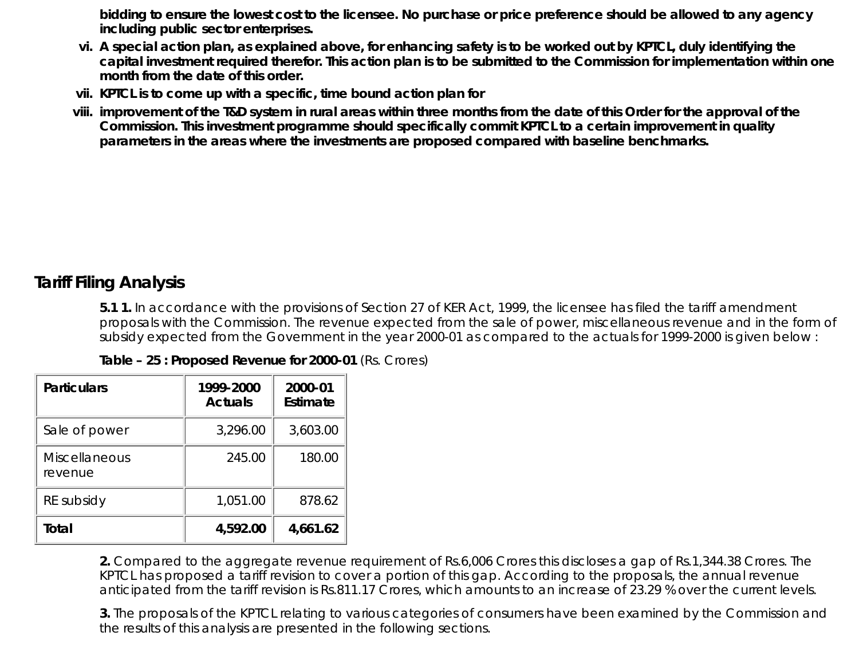**bidding to ensure the lowest cost to the licensee. No purchase or price preference should be allowed to any agency including public sector enterprises.**

- **A special action plan, as explained above, for enhancing safety is to be worked out by KPTCL, duly identifying the vi. capital investment required therefor. This action plan is to be submitted to the Commission for implementation within one month from the date of this order.**
- **vii. KPTCL is to come up with a specific, time bound action plan for**
- **improvement of the T&D system in rural areas within three months from the date of this Order for the approval of the viii. Commission. This investment programme should specifically commit KPTCL to a certain improvement in quality parameters in the areas where the investments are proposed compared with baseline benchmarks.**

# **Tariff Filing Analysis**

**5.1 1.** In accordance with the provisions of Section 27 of KER Act, 1999, the licensee has filed the tariff amendment proposals with the Commission. The revenue expected from the sale of power, miscellaneous revenue and in the form of subsidy expected from the Government in the year 2000-01 as compared to the actuals for 1999-2000 is given below :

|  |  | Table - 25 : Proposed Revenue for 2000-01 (Rs. Crores) |  |  |  |
|--|--|--------------------------------------------------------|--|--|--|
|--|--|--------------------------------------------------------|--|--|--|

| <b>Particulars</b>              | 1999-2000<br><b>Actuals</b> | 2000-01<br>Estimate |
|---------------------------------|-----------------------------|---------------------|
| Sale of power                   | 3,296.00                    | 3,603.00            |
| <b>Miscellaneous</b><br>revenue | 245.00                      | 180.00              |
| RE subsidy                      | 1,051.00                    | 878.62              |
| Total                           | 4,592.00                    | 4,661.62            |

**2.** Compared to the aggregate revenue requirement of Rs.6,006 Crores this discloses a gap of Rs.1,344.38 Crores. The KPTCL has proposed a tariff revision to cover a portion of this gap. According to the proposals, the annual revenue anticipated from the tariff revision is Rs.811.17 Crores, which amounts to an increase of 23.29 % over the current levels.

**3.** The proposals of the KPTCL relating to various categories of consumers have been examined by the Commission and the results of this analysis are presented in the following sections.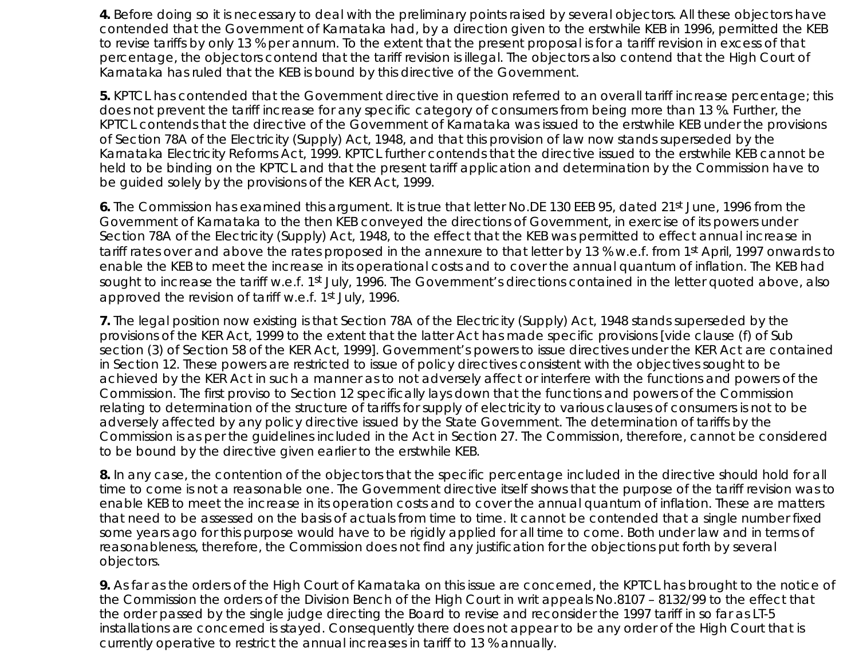**4.** Before doing so it is necessary to deal with the preliminary points raised by several objectors. All these objectors have contended that the Government of Karnataka had, by a direction given to the erstwhile KEB in 1996, permitted the KEB to revise tariffs by only 13 % per annum. To the extent that the present proposal is for a tariff revision in excess of that percentage, the objectors contend that the tariff revision is illegal. The objectors also contend that the High Court of Karnataka has ruled that the KEB is bound by this directive of the Government.

**5.** KPTCL has contended that the Government directive in question referred to an overall tariff increase percentage; this does not prevent the tariff increase for any specific category of consumers from being more than 13 %. Further, the KPTCL contends that the directive of the Government of Karnataka was issued to the erstwhile KEB under the provisions of Section 78A of the Electricity (Supply) Act, 1948, and that this provision of law now stands superseded by the Karnataka Electricity Reforms Act, 1999. KPTCL further contends that the directive issued to the erstwhile KEB cannot be held to be binding on the KPTCL and that the present tariff application and determination by the Commission have to be guided solely by the provisions of the KER Act, 1999.

**6.** The Commission has examined this argument. It is true that letter No.DE 130 EEB 95, dated 21st June, 1996 from the Government of Karnataka to the then KEB conveyed the directions of Government, in exercise of its powers under Section 78A of the Electricity (Supply) Act, 1948, to the effect that the KEB was permitted to effect annual increase in tariff rates over and above the rates proposed in the annexure to that letter by 13 % w.e.f. from 1st April, 1997 onwards to enable the KEB to meet the increase in its operational costs and to cover the annual quantum of inflation. The KEB had sought to increase the tariff w.e.f. 1st July, 1996. The Government's directions contained in the letter quoted above, also approved the revision of tariff w.e.f. 1st July, 1996.

**7.** The legal position now existing is that Section 78A of the Electricity (Supply) Act, 1948 stands superseded by the provisions of the KER Act, 1999 to the extent that the latter Act has made specific provisions [vide clause (f) of Sub section (3) of Section 58 of the KER Act, 1999]. Government's powers to issue directives under the KER Act are contained in Section 12. These powers are restricted to issue of policy directives consistent with the objectives sought to be achieved by the KER Act in such a manner as to not adversely affect or interfere with the functions and powers of the Commission. The first proviso to Section 12 specifically lays down that the functions and powers of the Commission relating to determination of the structure of tariffs for supply of electricity to various clauses of consumers is not to be adversely affected by any policy directive issued by the State Government. The determination of tariffs by the Commission is as per the guidelines included in the Act in Section 27. The Commission, therefore, cannot be considered to be bound by the directive given earlier to the erstwhile KEB.

**8.** In any case, the contention of the objectors that the specific percentage included in the directive should hold for all time to come is not a reasonable one. The Government directive itself shows that the purpose of the tariff revision was to enable KEB to meet the increase in its operation costs and to cover the annual quantum of inflation. These are matters that need to be assessed on the basis of actuals from time to time. It cannot be contended that a single number fixed some years ago for this purpose would have to be rigidly applied for all time to come. Both under law and in terms of reasonableness, therefore, the Commission does not find any justification for the objections put forth by several objectors.

**9.** As far as the orders of the High Court of Karnataka on this issue are concerned, the KPTCL has brought to the notice of the Commission the orders of the Division Bench of the High Court in writ appeals No.8107 – 8132/99 to the effect that the order passed by the single judge directing the Board to revise and reconsider the 1997 tariff in so far as LT-5 installations are concerned is stayed. Consequently there does not appear to be any order of the High Court that is currently operative to restrict the annual increases in tariff to 13 % annually.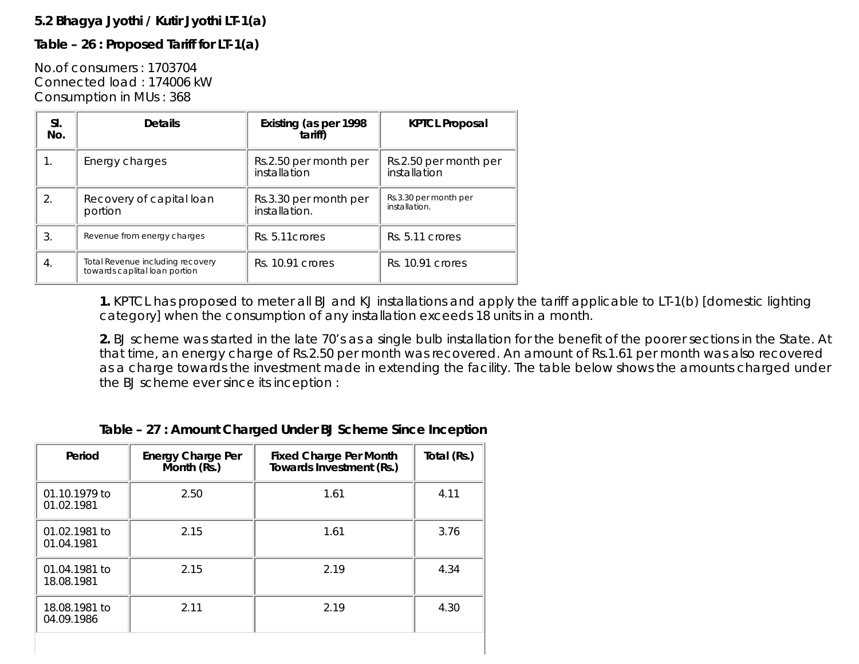# **5.2 Bhagya Jyothi / Kutir Jyothi LT-1(a)**

# **Table – 26 : Proposed Tariff for LT-1(a)**

No.of consumers : 1703704 Connected load : 174006 kW Consumption in MUs : 368

| SI.<br>No.       | <b>Details</b>                                                    | Existing (as per 1998<br>tariff)       | <b>KPTCL Proposal</b>                  |
|------------------|-------------------------------------------------------------------|----------------------------------------|----------------------------------------|
| 1.               | Energy charges                                                    | Rs.2.50 per month per<br>installation  | Rs.2.50 per month per<br>installation  |
| 2.               | Recovery of capital loan<br>portion                               | Rs.3.30 per month per<br>installation. | Rs.3.30 per month per<br>installation. |
| 3.               | Revenue from energy charges                                       | Rs. 5.11 crores                        | Rs. 5.11 crores                        |
| $\overline{4}$ . | Total Revenue including recovery<br>towards caplital loan portion | Rs. 10.91 crores                       | Rs. 10.91 crores                       |

**1.** KPTCL has proposed to meter all BJ and KJ installations and apply the tariff applicable to LT-1(b) [domestic lighting category] when the consumption of any installation exceeds 18 units in a month.

**2.** BJ scheme was started in the late 70's as a single bulb installation for the benefit of the poorer sections in the State. At that time, an energy charge of Rs.2.50 per month was recovered. An amount of Rs.1.61 per month was also recovered as a charge towards the investment made in extending the facility. The table below shows the amounts charged under the BJ scheme ever since its inception :

# **Table – 27 : Amount Charged Under BJ Scheme Since Inception**

| Period                      | <b>Energy Charge Per</b><br>Month (Rs.) | <b>Fixed Charge Per Month</b><br>Towards Investment (Rs.) | Total (Rs.) |
|-----------------------------|-----------------------------------------|-----------------------------------------------------------|-------------|
| 01.10.1979 to<br>01.02.1981 | 2.50                                    | 1.61                                                      | 4.11        |
| 01.02.1981 to<br>01.04.1981 | 2.15                                    | 1.61                                                      | 3.76        |
| 01.04.1981 to<br>18.08.1981 | 2.15                                    | 2.19                                                      | 4.34        |
| 18.08.1981 to<br>04.09.1986 | 2.11                                    | 2.19                                                      | 4.30        |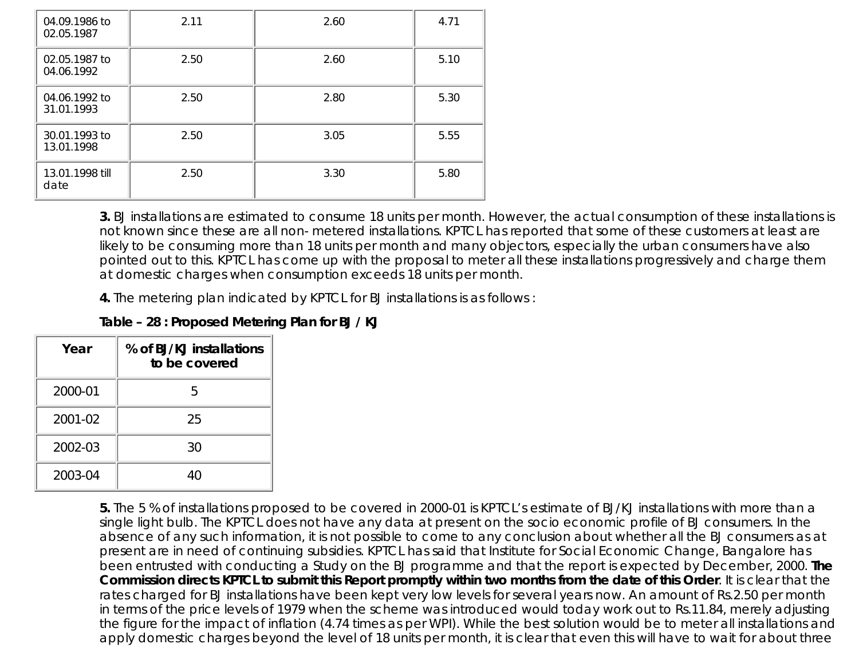| 04.09.1986 to<br>02.05.1987 | 2.11 | 2.60 | 4.71 |
|-----------------------------|------|------|------|
| 02.05.1987 to<br>04.06.1992 | 2.50 | 2.60 | 5.10 |
| 04.06.1992 to<br>31.01.1993 | 2.50 | 2.80 | 5.30 |
| 30.01.1993 to<br>13.01.1998 | 2.50 | 3.05 | 5.55 |
| 13.01.1998 till<br>date     | 2.50 | 3.30 | 5.80 |

**3.** BJ installations are estimated to consume 18 units per month. However, the actual consumption of these installations is not known since these are all non- metered installations. KPTCL has reported that some of these customers at least are likely to be consuming more than 18 units per month and many objectors, especially the urban consumers have also pointed out to this. KPTCL has come up with the proposal to meter all these installations progressively and charge them at domestic charges when consumption exceeds 18 units per month.

**4.** The metering plan indicated by KPTCL for BJ installations is as follows :

| Table - 28 : Proposed Metering Plan for BJ / KJ |  |  |  |  |  |  |  |  |  |
|-------------------------------------------------|--|--|--|--|--|--|--|--|--|
|-------------------------------------------------|--|--|--|--|--|--|--|--|--|

| Year    | % of BJ/KJ installations<br>to be covered |
|---------|-------------------------------------------|
| 2000-01 | 5                                         |
| 2001-02 | 25                                        |
| 2002-03 | 30                                        |
| 2003-04 | Δſ                                        |

**5.** The 5 % of installations proposed to be covered in 2000-01 is KPTCL's estimate of BJ/KJ installations with more than a single light bulb. The KPTCL does not have any data at present on the socio economic profile of BJ consumers. In the absence of any such information, it is not possible to come to any conclusion about whether all the BJ consumers as at present are in need of continuing subsidies. KPTCL has said that Institute for Social Economic Change, Bangalore has been entrusted with conducting a Study on the BJ programme and that the report is expected by December, 2000. **The Commission directs KPTCL to submit this Report promptly within two months from the date of this Order**. It is clear that the rates charged for BJ installations have been kept very low levels for several years now. An amount of Rs.2.50 per month in terms of the price levels of 1979 when the scheme was introduced would today work out to Rs.11.84, merely adjusting the figure for the impact of inflation (4.74 times as per WPI). While the best solution would be to meter all installations and apply domestic charges beyond the level of 18 units per month, it is clear that even this will have to wait for about three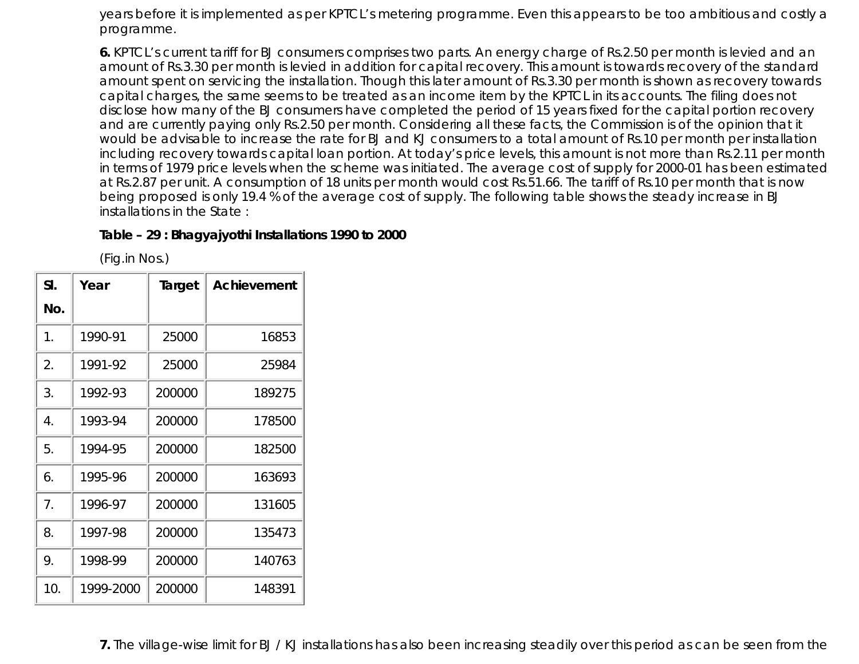years before it is implemented as per KPTCL's metering programme. Even this appears to be too ambitious and costly a programme.

**6.** KPTCL's current tariff for BJ consumers comprises two parts. An energy charge of Rs.2.50 per month is levied and an amount of Rs.3.30 per month is levied in addition for capital recovery. This amount is towards recovery of the standard amount spent on servicing the installation. Though this later amount of Rs.3.30 per month is shown as recovery towards capital charges, the same seems to be treated as an income item by the KPTCL in its accounts. The filing does not disclose how many of the BJ consumers have completed the period of 15 years fixed for the capital portion recovery and are currently paying only Rs.2.50 per month. Considering all these facts, the Commission is of the opinion that it would be advisable to increase the rate for BJ and KJ consumers to a total amount of Rs.10 per month per installation including recovery towards capital loan portion. At today's price levels, this amount is not more than Rs.2.11 per month in terms of 1979 price levels when the scheme was initiated. The average cost of supply for 2000-01 has been estimated at Rs.2.87 per unit. A consumption of 18 units per month would cost Rs.51.66. The tariff of Rs.10 per month that is now being proposed is only 19.4 % of the average cost of supply. The following table shows the steady increase in BJ installations in the State :

### **Table – 29 : Bhagyajyothi Installations 1990 to 2000**

(Fig.in Nos.)

| SI. | Year      | Target | Achievement |
|-----|-----------|--------|-------------|
| No. |           |        |             |
| 1.  | 1990-91   | 25000  | 16853       |
| 2.  | 1991-92   | 25000  | 25984       |
| 3.  | 1992-93   | 200000 | 189275      |
| 4.  | 1993-94   | 200000 | 178500      |
| 5.  | 1994-95   | 200000 | 182500      |
| 6.  | 1995-96   | 200000 | 163693      |
| 7.  | 1996-97   | 200000 | 131605      |
| 8.  | 1997-98   | 200000 | 135473      |
| 9.  | 1998-99   | 200000 | 140763      |
| 10. | 1999-2000 | 200000 | 148391      |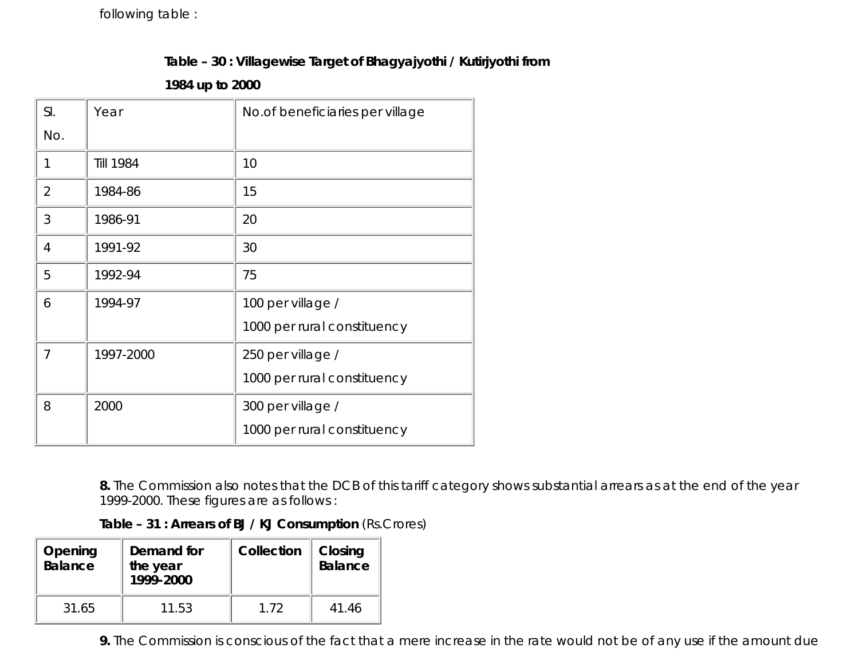following table :

# **Table – 30 : Villagewise Target of Bhagyajyothi / Kutirjyothi from**

**1984 up to 2000**

| SI.            | Year             | No.of beneficiaries per village |
|----------------|------------------|---------------------------------|
| No.            |                  |                                 |
| 1              | <b>Till 1984</b> | 10                              |
| $\overline{2}$ | 1984-86          | 15                              |
| 3              | 1986-91          | 20                              |
| 4              | 1991-92          | 30                              |
| 5              | 1992-94          | 75                              |
| 6              | 1994-97          | 100 per village /               |
|                |                  | 1000 per rural constituency     |
| 7              | 1997-2000        | 250 per village /               |
|                |                  | 1000 per rural constituency     |
| 8              | 2000             | 300 per village /               |
|                |                  | 1000 per rural constituency     |

**8.** The Commission also notes that the DCB of this tariff category shows substantial arrears as at the end of the year 1999-2000. These figures are as follows :

| Table - 31 : Arrears of BJ / KJ Consumption (Rs.Crores) |  |
|---------------------------------------------------------|--|
|---------------------------------------------------------|--|

| Opening<br>Balance | Demand for<br>the year<br>1999-2000 | Collection | Closing<br><b>Balance</b> |
|--------------------|-------------------------------------|------------|---------------------------|
| 31.65              | 11.53                               | 1.72       | 41.46                     |

**9.** The Commission is conscious of the fact that a mere increase in the rate would not be of any use if the amount due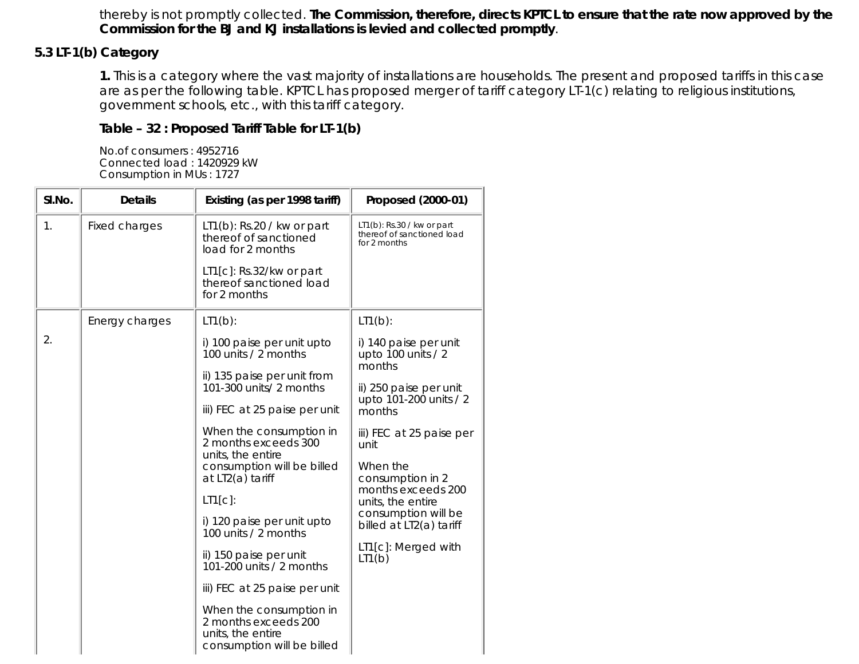thereby is not promptly collected. **The Commission, therefore, directs KPTCL to ensure that the rate now approved by the Commission for the BJ and KJ installations is levied and collected promptly**.

# **5.3 LT-1(b) Category**

**1.** This is a category where the vast majority of installations are households. The present and proposed tariffs in this case are as per the following table. KPTCL has proposed merger of tariff category LT-1(c) relating to religious institutions, government schools, etc., with this tariff category.

### **Table – 32 : Proposed Tariff Table for LT-1(b)**

No.of consumers : 4952716 Connected load : 1420929 kW Consumption in MUs : 1727

| SI.No. | <b>Details</b>       | Existing (as per 1998 tariff)                                                                      | Proposed (2000-01)                                                          |
|--------|----------------------|----------------------------------------------------------------------------------------------------|-----------------------------------------------------------------------------|
| 1.     | <b>Fixed charges</b> | $LT1(b)$ : Rs.20 / kw or part<br>thereof of sanctioned<br>load for 2 months                        | $LT1(b)$ : Rs.30 / kw or part<br>thereof of sanctioned load<br>for 2 months |
|        |                      | $LT1[c]$ : Rs.32/kw or part<br>thereof sanctioned load<br>for 2 months                             |                                                                             |
|        | Energy charges       | $LT1(b)$ :                                                                                         | $LT1(b)$ :                                                                  |
| 2.     |                      | i) 100 paise per unit upto<br>100 units / 2 months                                                 | i) 140 paise per unit<br>upto 100 units / 2<br>months                       |
|        |                      | ii) 135 paise per unit from<br>101-300 units/ 2 months                                             | ii) 250 paise per unit                                                      |
|        |                      | iii) FEC at 25 paise per unit                                                                      | upto 101-200 units / 2<br>months                                            |
|        |                      | When the consumption in<br>2 months exceeds 300<br>units, the entire                               | iii) FEC at 25 paise per<br>unit                                            |
|        |                      | consumption will be billed<br>at LT2(a) tariff                                                     | When the<br>consumption in 2                                                |
|        |                      | $LT1[c]$ :                                                                                         | months exceeds 200<br>units, the entire                                     |
|        |                      | i) 120 paise per unit upto<br>100 units / 2 months                                                 | consumption will be<br>billed at LT2(a) tariff                              |
|        |                      | ii) 150 paise per unit<br>101-200 units / 2 months                                                 | LT1[c]: Merged with<br>LT1(b)                                               |
|        |                      | iii) FEC at 25 paise per unit                                                                      |                                                                             |
|        |                      | When the consumption in<br>2 months exceeds 200<br>units, the entire<br>consumption will be billed |                                                                             |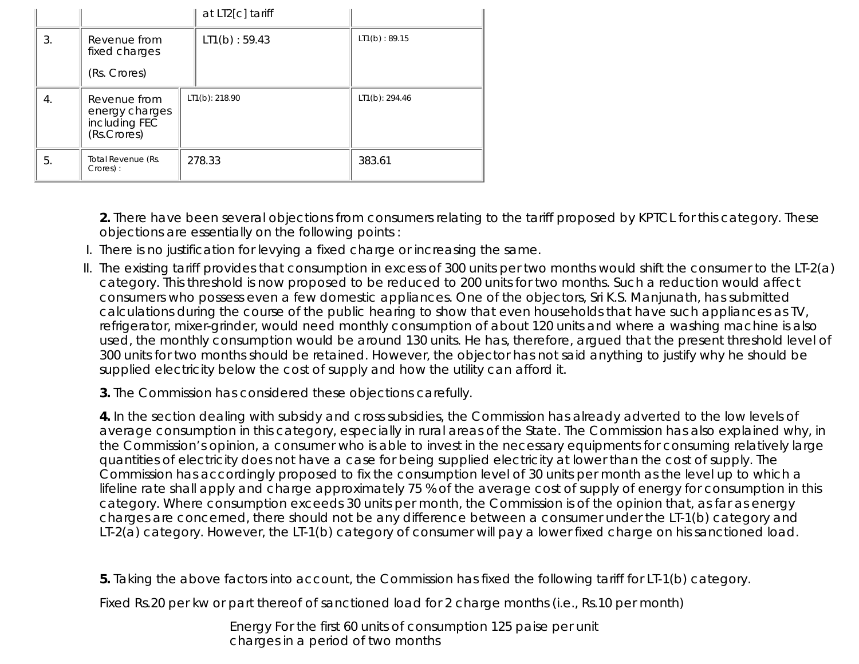|    |                                                                | at LT2[c] tariff |                |
|----|----------------------------------------------------------------|------------------|----------------|
| 3. | Revenue from<br>fixed charges                                  | LT1(b) : 59.43   | LT1(b) : 89.15 |
|    | (Rs. Crores)                                                   |                  |                |
| 4. | Revenue from<br>energy charges<br>including FEC<br>(Rs.Crores) | LT1(b): 218.90   | LT1(b): 294.46 |
| 5. | Total Revenue (Rs.<br>Crores):                                 | 278.33           | 383.61         |

**2.** There have been several objections from consumers relating to the tariff proposed by KPTCL for this category. These objections are essentially on the following points :

- I. There is no justification for levying a fixed charge or increasing the same.
- II. The existing tariff provides that consumption in excess of 300 units per two months would shift the consumer to the LT-2(a) category. This threshold is now proposed to be reduced to 200 units for two months. Such a reduction would affect consumers who possess even a few domestic appliances. One of the objectors, Sri K.S. Manjunath, has submitted calculations during the course of the public hearing to show that even households that have such appliances as TV, refrigerator, mixer-grinder, would need monthly consumption of about 120 units and where a washing machine is also used, the monthly consumption would be around 130 units. He has, therefore, argued that the present threshold level of 300 units for two months should be retained. However, the objector has not said anything to justify why he should be supplied electricity below the cost of supply and how the utility can afford it.
	- **3.** The Commission has considered these objections carefully.

**4.** In the section dealing with subsidy and cross subsidies, the Commission has already adverted to the low levels of average consumption in this category, especially in rural areas of the State. The Commission has also explained why, in the Commission's opinion, a consumer who is able to invest in the necessary equipments for consuming relatively large quantities of electricity does not have a case for being supplied electricity at lower than the cost of supply. The Commission has accordingly proposed to fix the consumption level of 30 units per month as the level up to which a lifeline rate shall apply and charge approximately 75 % of the average cost of supply of energy for consumption in this category. Where consumption exceeds 30 units per month, the Commission is of the opinion that, as far as energy charges are concerned, there should not be any difference between a consumer under the LT-1(b) category and LT-2(a) category. However, the LT-1(b) category of consumer will pay a lower fixed charge on his sanctioned load.

**5.** Taking the above factors into account, the Commission has fixed the following tariff for LT-1(b) category.

Fixed Rs.20 per kw or part thereof of sanctioned load for 2 charge months (i.e., Rs.10 per month)

Energy For the first 60 units of consumption 125 paise per unit charges in a period of two months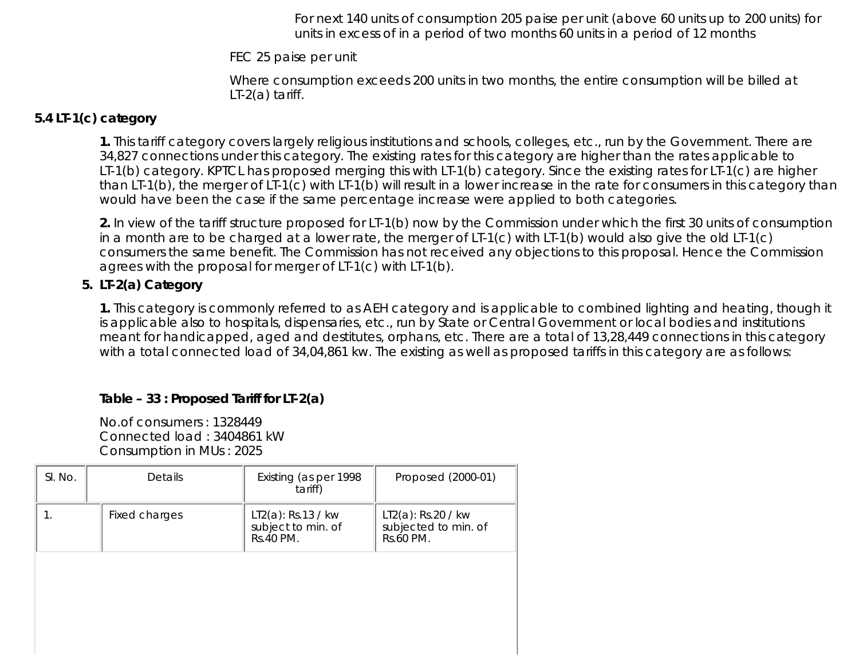For next 140 units of consumption 205 paise per unit (above 60 units up to 200 units) for units in excess of in a period of two months 60 units in a period of 12 months

FEC 25 paise per unit

Where consumption exceeds 200 units in two months, the entire consumption will be billed at LT-2(a) tariff.

# **5.4 LT-1(c) category**

**1.** This tariff category covers largely religious institutions and schools, colleges, etc., run by the Government. There are 34,827 connections under this category. The existing rates for this category are higher than the rates applicable to LT-1(b) category. KPTCL has proposed merging this with LT-1(b) category. Since the existing rates for LT-1(c) are higher than LT-1(b), the merger of LT-1(c) with LT-1(b) will result in a lower increase in the rate for consumers in this category than would have been the case if the same percentage increase were applied to both categories.

**2.** In view of the tariff structure proposed for LT-1(b) now by the Commission under which the first 30 units of consumption in a month are to be charged at a lower rate, the merger of LT-1(c) with LT-1(b) would also give the old LT-1(c) consumers the same benefit. The Commission has not received any objections to this proposal. Hence the Commission agrees with the proposal for merger of LT-1(c) with LT-1(b).

# **5. LT-2(a) Category**

**1.** This category is commonly referred to as AEH category and is applicable to combined lighting and heating, though it is applicable also to hospitals, dispensaries, etc., run by State or Central Government or local bodies and institutions meant for handicapped, aged and destitutes, orphans, etc. There are a total of 13,28,449 connections in this category with a total connected load of 34,04,861 kw. The existing as well as proposed tariffs in this category are as follows:

# **Table – 33 : Proposed Tariff for LT-2(a)**

No.of consumers : 1328449 Connected load : 3404861 kW Consumption in MUs : 2025

| SI. No. | <b>Details</b> | Existing (as per 1998)<br>tariff)                        | Proposed (2000-01)                                         |
|---------|----------------|----------------------------------------------------------|------------------------------------------------------------|
|         | Fixed charges  | $LT2(a)$ : Rs.13 / kw<br>subject to min. of<br>Rs.40 PM. | $LT2(a)$ : Rs.20 / kw<br>subjected to min. of<br>Rs.60 PM. |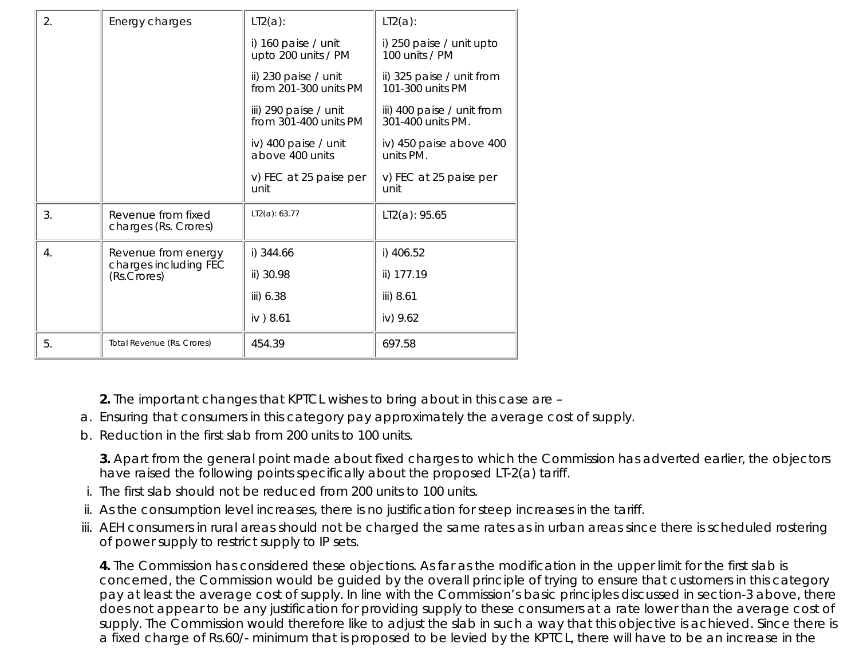| 2.               | Energy charges                             | LT2(a):                                        | $LT2(a)$ :                                      |
|------------------|--------------------------------------------|------------------------------------------------|-------------------------------------------------|
|                  |                                            | i) 160 paise / unit<br>upto 200 units / PM     | i) 250 paise / unit upto<br>100 units / PM      |
|                  |                                            | ii) 230 paise / unit<br>from 201-300 units PM  | ii) 325 paise / unit from<br>101-300 units PM   |
|                  |                                            | iii) 290 paise / unit<br>from 301-400 units PM | iii) 400 paise / unit from<br>301-400 units PM. |
|                  |                                            | iv) 400 paise / unit<br>above 400 units        | iv) 450 paise above 400<br>units PM.            |
|                  |                                            | v) FEC at 25 paise per<br>unit                 | v) FEC at 25 paise per<br>unit                  |
| 3.               | Revenue from fixed<br>charges (Rs. Crores) | LT2(a): 63.77                                  | LT2(a): 95.65                                   |
| $\overline{4}$ . | Revenue from energy                        | i) 344.66                                      | i) 406.52                                       |
|                  | charges including FEC<br>(Rs.Crores)       | ii) 30.98                                      | ii) 177.19                                      |
|                  |                                            | iii) 6.38                                      | iii) 8.61                                       |
|                  |                                            | iv) 8.61                                       | iv) 9.62                                        |
| 5.               | Total Revenue (Rs. Crores)                 | 454.39                                         | 697.58                                          |
|                  |                                            |                                                |                                                 |

**2.** The important changes that KPTCL wishes to bring about in this case are –

- a. Ensuring that consumers in this category pay approximately the average cost of supply.
- b. Reduction in the first slab from 200 units to 100 units.

**3.** Apart from the general point made about fixed charges to which the Commission has adverted earlier, the objectors have raised the following points specifically about the proposed LT-2(a) tariff.

- i. The first slab should not be reduced from 200 units to 100 units.
- ii. As the consumption level increases, there is no justification for steep increases in the tariff.
- AEH consumers in rural areas should not be charged the same rates as in urban areas since there is scheduled rostering iii. of power supply to restrict supply to IP sets.

**4.** The Commission has considered these objections. As far as the modification in the upper limit for the first slab is concerned, the Commission would be guided by the overall principle of trying to ensure that customers in this category pay at least the average cost of supply. In line with the Commission's basic principles discussed in section-3 above, there does not appear to be any justification for providing supply to these consumers at a rate lower than the average cost of supply. The Commission would therefore like to adjust the slab in such a way that this objective is achieved. Since there is a fixed charge of Rs.60/- minimum that is proposed to be levied by the KPTCL, there will have to be an increase in the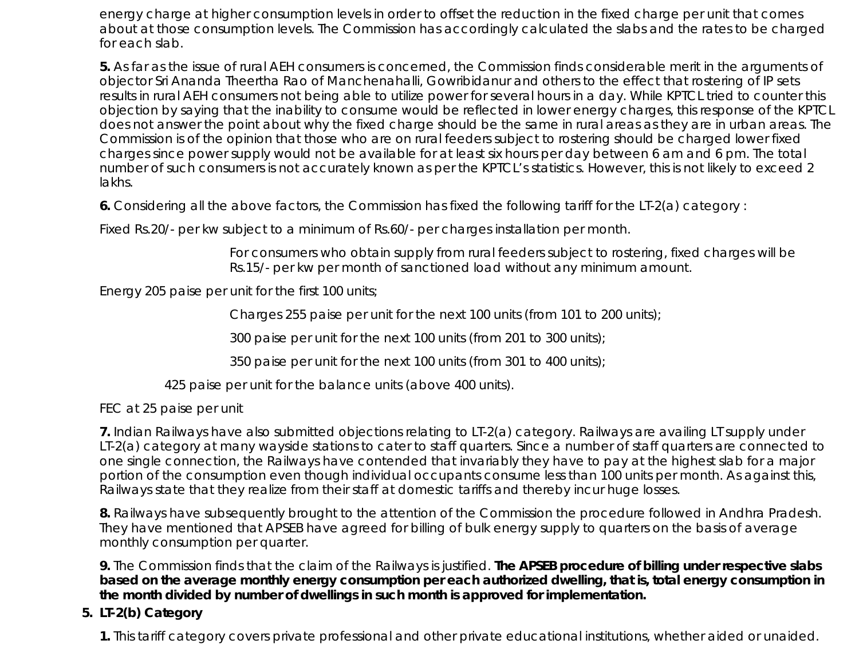energy charge at higher consumption levels in order to offset the reduction in the fixed charge per unit that comes about at those consumption levels. The Commission has accordingly calculated the slabs and the rates to be charged for each slab.

**5.** As far as the issue of rural AEH consumers is concerned, the Commission finds considerable merit in the arguments of objector Sri Ananda Theertha Rao of Manchenahalli, Gowribidanur and others to the effect that rostering of IP sets results in rural AEH consumers not being able to utilize power for several hours in a day. While KPTCL tried to counter this objection by saying that the inability to consume would be reflected in lower energy charges, this response of the KPTCL does not answer the point about why the fixed charge should be the same in rural areas as they are in urban areas. The Commission is of the opinion that those who are on rural feeders subject to rostering should be charged lower fixed charges since power supply would not be available for at least six hours per day between 6 am and 6 pm. The total number of such consumers is not accurately known as per the KPTCL's statistics. However, this is not likely to exceed 2 lakhs.

**6.** Considering all the above factors, the Commission has fixed the following tariff for the LT-2(a) category :

Fixed Rs.20/- per kw subject to a minimum of Rs.60/- per charges installation per month.

For consumers who obtain supply from rural feeders subject to rostering, fixed charges will be Rs.15/- per kw per month of sanctioned load without any minimum amount.

Energy 205 paise per unit for the first 100 units;

Charges 255 paise per unit for the next 100 units (from 101 to 200 units);

300 paise per unit for the next 100 units (from 201 to 300 units);

350 paise per unit for the next 100 units (from 301 to 400 units);

425 paise per unit for the balance units (above 400 units).

FEC at 25 paise per unit

**7.** Indian Railways have also submitted objections relating to LT-2(a) category. Railways are availing LT supply under LT-2(a) category at many wayside stations to cater to staff quarters. Since a number of staff quarters are connected to one single connection, the Railways have contended that invariably they have to pay at the highest slab for a major portion of the consumption even though individual occupants consume less than 100 units per month. As against this, Railways state that they realize from their staff at domestic tariffs and thereby incur huge losses.

**8.** Railways have subsequently brought to the attention of the Commission the procedure followed in Andhra Pradesh. They have mentioned that APSEB have agreed for billing of bulk energy supply to quarters on the basis of average monthly consumption per quarter.

**9.** The Commission finds that the claim of the Railways is justified. **The APSEB procedure of billing under respective slabs based on the average monthly energy consumption per each authorized dwelling, that is, total energy consumption in the month divided by number of dwellings in such month is approved for implementation.**

# **LT-2(b) Category 5.**

**1.** This tariff category covers private professional and other private educational institutions, whether aided or unaided.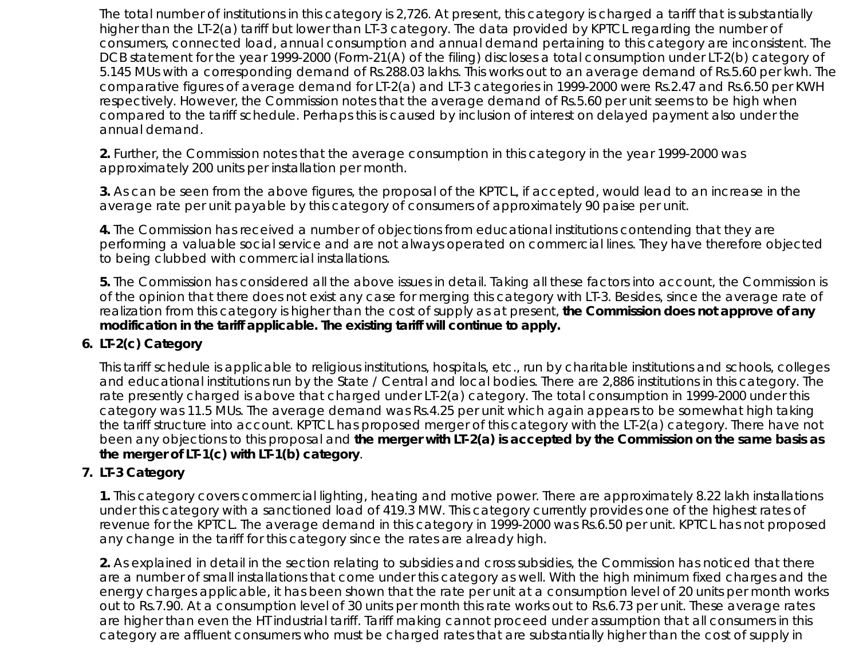The total number of institutions in this category is 2,726. At present, this category is charged a tariff that is substantially higher than the LT-2(a) tariff but lower than LT-3 category. The data provided by KPTCL regarding the number of consumers, connected load, annual consumption and annual demand pertaining to this category are inconsistent. The DCB statement for the year 1999-2000 (Form-21(A) of the filing) discloses a total consumption under LT-2(b) category of 5.145 MUs with a corresponding demand of Rs.288.03 lakhs. This works out to an average demand of Rs.5.60 per kwh. The comparative figures of average demand for LT-2(a) and LT-3 categories in 1999-2000 were Rs.2.47 and Rs.6.50 per KWH respectively. However, the Commission notes that the average demand of Rs.5.60 per unit seems to be high when compared to the tariff schedule. Perhaps this is caused by inclusion of interest on delayed payment also under the annual demand.

**2.** Further, the Commission notes that the average consumption in this category in the year 1999-2000 was approximately 200 units per installation per month.

**3.** As can be seen from the above figures, the proposal of the KPTCL, if accepted, would lead to an increase in the average rate per unit payable by this category of consumers of approximately 90 paise per unit.

**4.** The Commission has received a number of objections from educational institutions contending that they are performing a valuable social service and are not always operated on commercial lines. They have therefore objected to being clubbed with commercial installations.

**5.** The Commission has considered all the above issues in detail. Taking all these factors into account, the Commission is of the opinion that there does not exist any case for merging this category with LT-3. Besides, since the average rate of realization from this category is higher than the cost of supply as at present, **the Commission does not approve of any modification in the tariff applicable. The existing tariff will continue to apply.**

# **LT-2(c) Category 6.**

This tariff schedule is applicable to religious institutions, hospitals, etc., run by charitable institutions and schools, colleges and educational institutions run by the State / Central and local bodies. There are 2,886 institutions in this category. The rate presently charged is above that charged under LT-2(a) category. The total consumption in 1999-2000 under this category was 11.5 MUs. The average demand was Rs.4.25 per unit which again appears to be somewhat high taking the tariff structure into account. KPTCL has proposed merger of this category with the LT-2(a) category. There have not been any objections to this proposal and **the merger with LT-2(a) is accepted by the Commission on the same basis as the merger of LT-1(c) with LT-1(b) category**.

# **LT-3 Category 7.**

**1.** This category covers commercial lighting, heating and motive power. There are approximately 8.22 lakh installations under this category with a sanctioned load of 419.3 MW. This category currently provides one of the highest rates of revenue for the KPTCL. The average demand in this category in 1999-2000 was Rs.6.50 per unit. KPTCL has not proposed any change in the tariff for this category since the rates are already high.

**2.** As explained in detail in the section relating to subsidies and cross subsidies, the Commission has noticed that there are a number of small installations that come under this category as well. With the high minimum fixed charges and the energy charges applicable, it has been shown that the rate per unit at a consumption level of 20 units per month works out to Rs.7.90. At a consumption level of 30 units per month this rate works out to Rs.6.73 per unit. These average rates are higher than even the HT industrial tariff. Tariff making cannot proceed under assumption that all consumers in this category are affluent consumers who must be charged rates that are substantially higher than the cost of supply in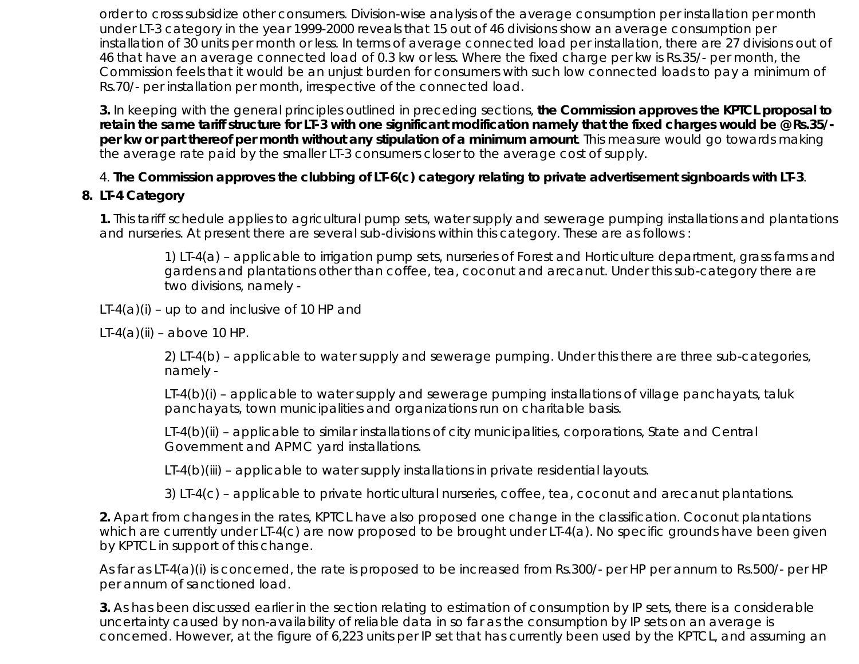order to cross subsidize other consumers. Division-wise analysis of the average consumption per installation per month under LT-3 category in the year 1999-2000 reveals that 15 out of 46 divisions show an average consumption per installation of 30 units per month or less. In terms of average connected load per installation, there are 27 divisions out of 46 that have an average connected load of 0.3 kw or less. Where the fixed charge per kw is Rs.35/- per month, the Commission feels that it would be an unjust burden for consumers with such low connected loads to pay a minimum of Rs.70/- per installation per month, irrespective of the connected load.

**3.** In keeping with the general principles outlined in preceding sections, **the Commission approves the KPTCL proposal to retain the same tariff structure for LT-3 with one significant modification namely that the fixed charges would be @ Rs.35/ per kw or part thereof per month without any stipulation of a minimum amount**. This measure would go towards making the average rate paid by the smaller LT-3 consumers closer to the average cost of supply.

# 4. **The Commission approves the clubbing of LT-6(c) category relating to private advertisement signboards with LT-3**.

# **8. LT-4 Category**

**1.** This tariff schedule applies to agricultural pump sets, water supply and sewerage pumping installations and plantations and nurseries. At present there are several sub-divisions within this category. These are as follows :

1) LT-4(a) – applicable to irrigation pump sets, nurseries of Forest and Horticulture department, grass farms and gardens and plantations other than coffee, tea, coconut and arecanut. Under this sub-category there are two divisions, namely -

 $LT-4(a)(i)$  – up to and inclusive of 10 HP and

LT-4 $(a)$ (ii) – above 10 HP.

2) LT-4(b) – applicable to water supply and sewerage pumping. Under this there are three sub-categories, namely -

LT-4(b)(i) – applicable to water supply and sewerage pumping installations of village panchayats, taluk panchayats, town municipalities and organizations run on charitable basis.

LT-4(b)(ii) – applicable to similar installations of city municipalities, corporations, State and Central Government and APMC yard installations.

LT-4(b)(iii) - applicable to water supply installations in private residential layouts.

3) LT-4(c) – applicable to private horticultural nurseries, coffee, tea, coconut and arecanut plantations.

**2.** Apart from changes in the rates, KPTCL have also proposed one change in the classification. Coconut plantations which are currently under LT-4(c) are now proposed to be brought under LT-4(a). No specific grounds have been given by KPTCL in support of this change.

As far as LT-4(a)(i) is concerned, the rate is proposed to be increased from Rs.300/- per HP per annum to Rs.500/- per HP per annum of sanctioned load.

**3.** As has been discussed earlier in the section relating to estimation of consumption by IP sets, there is a considerable uncertainty caused by non-availability of reliable data in so far as the consumption by IP sets on an average is concerned. However, at the figure of 6,223 units per IP set that has currently been used by the KPTCL, and assuming an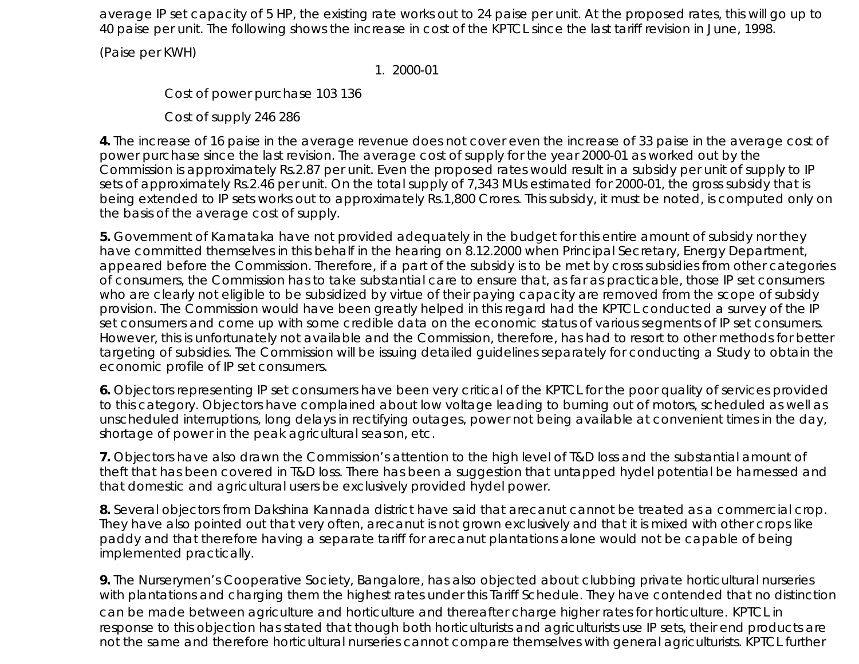average IP set capacity of 5 HP, the existing rate works out to 24 paise per unit. At the proposed rates, this will go up to 40 paise per unit. The following shows the increase in cost of the KPTCL since the last tariff revision in June, 1998.

(Paise per KWH)

1. 2000-01

Cost of power purchase 103 136

Cost of supply 246 286

**4.** The increase of 16 paise in the average revenue does not cover even the increase of 33 paise in the average cost of power purchase since the last revision. The average cost of supply for the year 2000-01 as worked out by the Commission is approximately Rs.2.87 per unit. Even the proposed rates would result in a subsidy per unit of supply to IP sets of approximately Rs.2.46 per unit. On the total supply of 7,343 MUs estimated for 2000-01, the gross subsidy that is being extended to IP sets works out to approximately Rs.1,800 Crores. This subsidy, it must be noted, is computed only on the basis of the average cost of supply.

**5.** Government of Karnataka have not provided adequately in the budget for this entire amount of subsidy nor they have committed themselves in this behalf in the hearing on 8.12.2000 when Principal Secretary, Energy Department, appeared before the Commission. Therefore, if a part of the subsidy is to be met by cross subsidies from other categories of consumers, the Commission has to take substantial care to ensure that, as far as practicable, those IP set consumers who are clearly not eligible to be subsidized by virtue of their paying capacity are removed from the scope of subsidy provision. The Commission would have been greatly helped in this regard had the KPTCL conducted a survey of the IP set consumers and come up with some credible data on the economic status of various segments of IP set consumers. However, this is unfortunately not available and the Commission, therefore, has had to resort to other methods for better targeting of subsidies. The Commission will be issuing detailed guidelines separately for conducting a Study to obtain the economic profile of IP set consumers.

**6.** Objectors representing IP set consumers have been very critical of the KPTCL for the poor quality of services provided to this category. Objectors have complained about low voltage leading to burning out of motors, scheduled as well as unscheduled interruptions, long delays in rectifying outages, power not being available at convenient times in the day, shortage of power in the peak agricultural season, etc.

**7.** Objectors have also drawn the Commission's attention to the high level of T&D loss and the substantial amount of theft that has been covered in T&D loss. There has been a suggestion that untapped hydel potential be harnessed and that domestic and agricultural users be exclusively provided hydel power.

**8.** Several objectors from Dakshina Kannada district have said that arecanut cannot be treated as a commercial crop. They have also pointed out that very often, arecanut is not grown exclusively and that it is mixed with other crops like paddy and that therefore having a separate tariff for arecanut plantations alone would not be capable of being implemented practically.

**9.** The Nurserymen's Cooperative Society, Bangalore, has also objected about clubbing private horticultural nurseries with plantations and charging them the highest rates under this Tariff Schedule. They have contended that no distinction can be made between agriculture and horticulture and thereafter charge higher rates for horticulture. KPTCL in response to this objection has stated that though both horticulturists and agriculturists use IP sets, their end products are not the same and therefore horticultural nurseries cannot compare themselves with general agriculturists. KPTCL further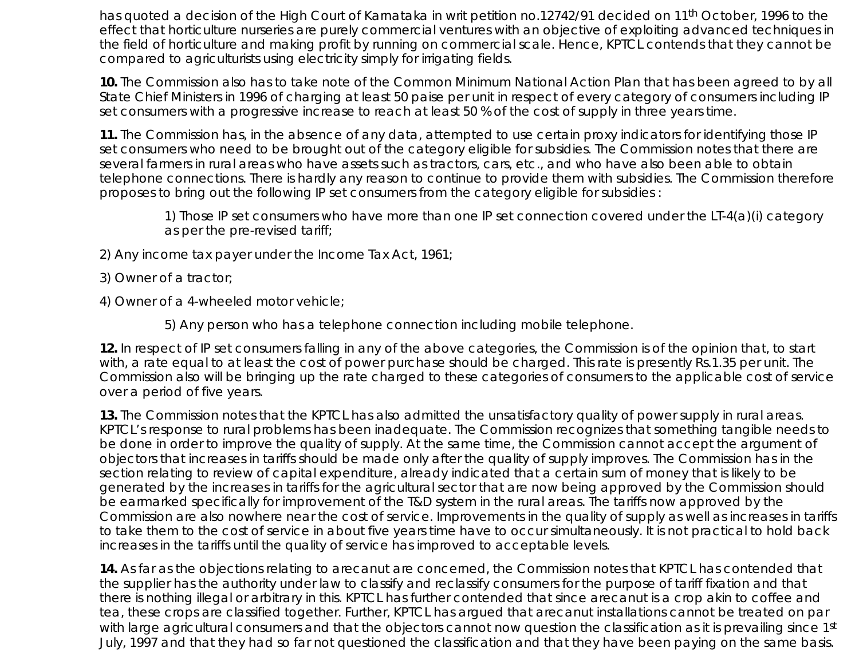has quoted a decision of the High Court of Karnataka in writ petition no.12742/91 decided on 11th October, 1996 to the effect that horticulture nurseries are purely commercial ventures with an objective of exploiting advanced techniques in the field of horticulture and making profit by running on commercial scale. Hence, KPTCL contends that they cannot be compared to agriculturists using electricity simply for irrigating fields.

**10.** The Commission also has to take note of the Common Minimum National Action Plan that has been agreed to by all State Chief Ministers in 1996 of charging at least 50 paise per unit in respect of every category of consumers including IP set consumers with a progressive increase to reach at least 50 % of the cost of supply in three years time.

**11.** The Commission has, in the absence of any data, attempted to use certain proxy indicators for identifying those IP set consumers who need to be brought out of the category eligible for subsidies. The Commission notes that there are several farmers in rural areas who have assets such as tractors, cars, etc., and who have also been able to obtain telephone connections. There is hardly any reason to continue to provide them with subsidies. The Commission therefore proposes to bring out the following IP set consumers from the category eligible for subsidies :

1) Those IP set consumers who have more than one IP set connection covered under the LT-4(a)(i) category as per the pre-revised tariff;

2) Any income tax payer under the Income Tax Act, 1961;

3) Owner of a tractor;

4) Owner of a 4-wheeled motor vehicle;

5) Any person who has a telephone connection including mobile telephone.

**12.** In respect of IP set consumers falling in any of the above categories, the Commission is of the opinion that, to start with, a rate equal to at least the cost of power purchase should be charged. This rate is presently Rs.1.35 per unit. The Commission also will be bringing up the rate charged to these categories of consumers to the applicable cost of service over a period of five years.

**13.** The Commission notes that the KPTCL has also admitted the unsatisfactory quality of power supply in rural areas. KPTCL's response to rural problems has been inadequate. The Commission recognizes that something tangible needs to be done in order to improve the quality of supply. At the same time, the Commission cannot accept the argument of objectors that increases in tariffs should be made only after the quality of supply improves. The Commission has in the section relating to review of capital expenditure, already indicated that a certain sum of money that is likely to be generated by the increases in tariffs for the agricultural sector that are now being approved by the Commission should be earmarked specifically for improvement of the T&D system in the rural areas. The tariffs now approved by the Commission are also nowhere near the cost of service. Improvements in the quality of supply as well as increases in tariffs to take them to the cost of service in about five years time have to occur simultaneously. It is not practical to hold back increases in the tariffs until the quality of service has improved to acceptable levels.

**14.** As far as the objections relating to arecanut are concerned, the Commission notes that KPTCL has contended that the supplier has the authority under law to classify and reclassify consumers for the purpose of tariff fixation and that there is nothing illegal or arbitrary in this. KPTCL has further contended that since arecanut is a crop akin to coffee and tea, these crops are classified together. Further, KPTCL has argued that arecanut installations cannot be treated on par with large agricultural consumers and that the objectors cannot now question the classification as it is prevailing since 1st July, 1997 and that they had so far not questioned the classification and that they have been paying on the same basis.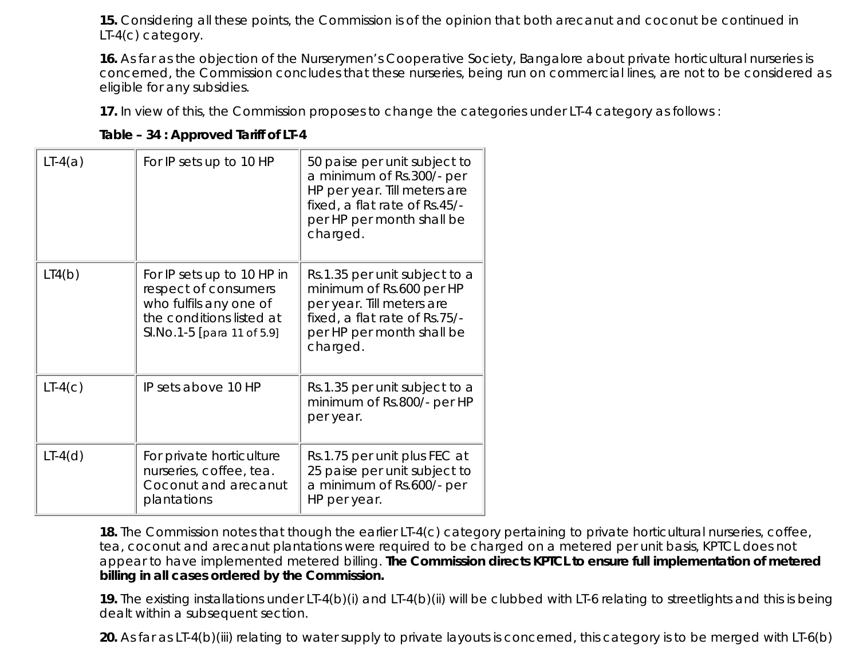**15.** Considering all these points, the Commission is of the opinion that both arecanut and coconut be continued in LT-4(c) category.

**16.** As far as the objection of the Nurserymen's Cooperative Society, Bangalore about private horticultural nurseries is concerned, the Commission concludes that these nurseries, being run on commercial lines, are not to be considered as eligible for any subsidies.

**17.** In view of this, the Commission proposes to change the categories under LT-4 category as follows :

| Table - 34 : Approved Tariff of LT-4 |  |
|--------------------------------------|--|
|--------------------------------------|--|

| $LT-4(a)$ | For IP sets up to 10 HP                                                                                                                | 50 paise per unit subject to<br>a minimum of Rs.300/- per<br>HP per year. Till meters are<br>fixed, a flat rate of Rs.45/-<br>per HP per month shall be<br>charged. |
|-----------|----------------------------------------------------------------------------------------------------------------------------------------|---------------------------------------------------------------------------------------------------------------------------------------------------------------------|
| LI(6)     | For IP sets up to 10 HP in<br>respect of consumers<br>who fulfils any one of<br>the conditions listed at<br>SI.No.1-5 [para 11 of 5.9] | Rs.1.35 per unit subject to a<br>minimum of Rs.600 per HP<br>per year. Till meters are<br>fixed, a flat rate of Rs.75/-<br>per HP per month shall be<br>charged.    |
| $LT-4(c)$ | IP sets above 10 HP                                                                                                                    | Rs.1.35 per unit subject to a<br>minimum of Rs.800/- per HP<br>per year.                                                                                            |
| $LT-4(d)$ | For private horticulture<br>nurseries, coffee, tea.<br>Coconut and arecanut<br>plantations                                             | Rs.1.75 per unit plus FEC at<br>25 paise per unit subject to<br>a minimum of Rs.600/- per<br>HP per year.                                                           |

**18.** The Commission notes that though the earlier LT-4(c) category pertaining to private horticultural nurseries, coffee, tea, coconut and arecanut plantations were required to be charged on a metered per unit basis, KPTCL does not appear to have implemented metered billing. **The Commission directs KPTCL to ensure full implementation of metered billing in all cases ordered by the Commission.**

**19.** The existing installations under LT-4(b)(i) and LT-4(b)(ii) will be clubbed with LT-6 relating to streetlights and this is being dealt within a subsequent section.

**20.** As far as LT-4(b)(iii) relating to water supply to private layouts is concerned, this category is to be merged with LT-6(b)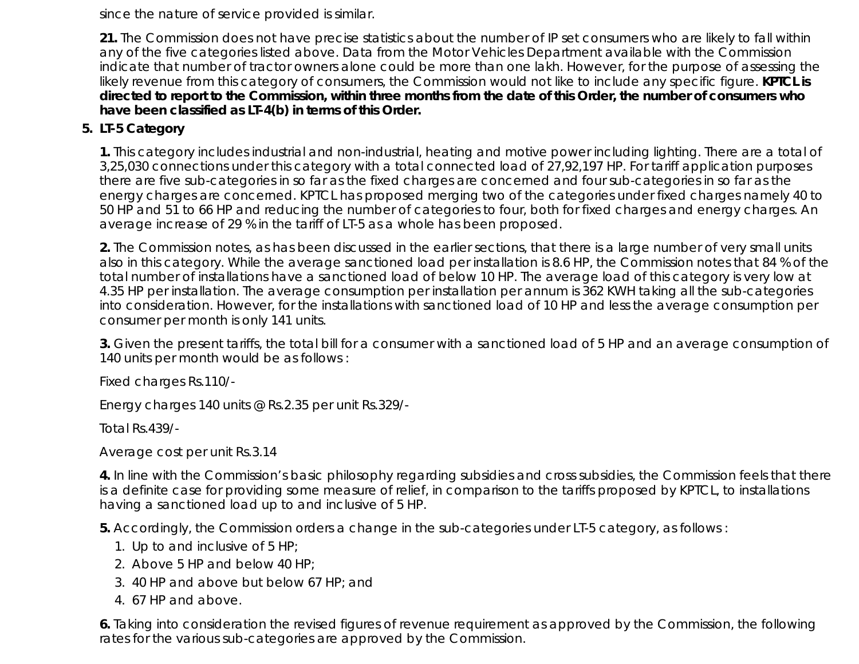since the nature of service provided is similar.

**21.** The Commission does not have precise statistics about the number of IP set consumers who are likely to fall within any of the five categories listed above. Data from the Motor Vehicles Department available with the Commission indicate that number of tractor owners alone could be more than one lakh. However, for the purpose of assessing the likely revenue from this category of consumers, the Commission would not like to include any specific figure. **KPTCL is directed to report to the Commission, within three months from the date of this Order, the number of consumers who have been classified as LT-4(b) in terms of this Order.**

# **5. LT-5 Category**

**1.** This category includes industrial and non-industrial, heating and motive power including lighting. There are a total of 3,25,030 connections under this category with a total connected load of 27,92,197 HP. For tariff application purposes there are five sub-categories in so far as the fixed charges are concerned and four sub-categories in so far as the energy charges are concerned. KPTCL has proposed merging two of the categories under fixed charges namely 40 to 50 HP and 51 to 66 HP and reducing the number of categories to four, both for fixed charges and energy charges. An average increase of 29 % in the tariff of LT-5 as a whole has been proposed.

**2.** The Commission notes, as has been discussed in the earlier sections, that there is a large number of very small units also in this category. While the average sanctioned load per installation is 8.6 HP, the Commission notes that 84 % of the total number of installations have a sanctioned load of below 10 HP. The average load of this category is very low at 4.35 HP per installation. The average consumption per installation per annum is 362 KWH taking all the sub-categories into consideration. However, for the installations with sanctioned load of 10 HP and less the average consumption per consumer per month is only 141 units.

**3.** Given the present tariffs, the total bill for a consumer with a sanctioned load of 5 HP and an average consumption of 140 units per month would be as follows :

Fixed charges Rs.110/-

Energy charges 140 units @ Rs.2.35 per unit Rs.329/-

Total Rs.439/-

Average cost per unit Rs.3.14

**4.** In line with the Commission's basic philosophy regarding subsidies and cross subsidies, the Commission feels that there is a definite case for providing some measure of relief, in comparison to the tariffs proposed by KPTCL, to installations having a sanctioned load up to and inclusive of 5 HP.

**5.** Accordingly, the Commission orders a change in the sub-categories under LT-5 category, as follows :

- 1. Up to and inclusive of 5 HP;
- 2. Above 5 HP and below 40 HP;
- 3. 40 HP and above but below 67 HP; and
- 4. 67 HP and above.

**6.** Taking into consideration the revised figures of revenue requirement as approved by the Commission, the following rates for the various sub-categories are approved by the Commission.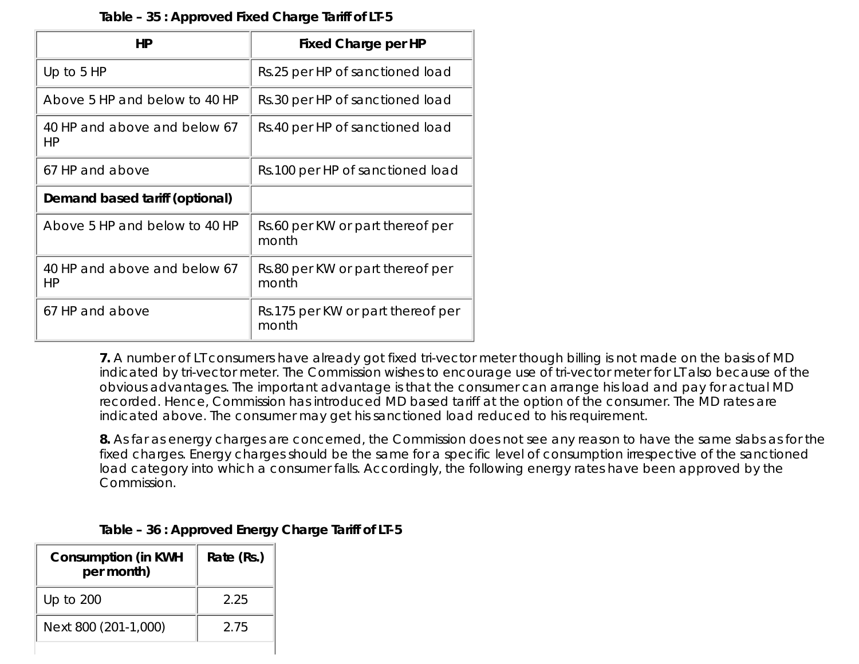| Table - 35 : Approved Fixed Charge Tariff of LT-5 |  |
|---------------------------------------------------|--|
|---------------------------------------------------|--|

| HP                                 | <b>Fixed Charge per HP</b>                 |
|------------------------------------|--------------------------------------------|
| Up to $5$ HP                       | Rs.25 per HP of sanctioned load            |
| Above 5 HP and below to 40 HP      | Rs.30 per HP of sanctioned load            |
| 40 HP and above and below 67<br>HР | Rs.40 per HP of sanctioned load            |
| 67 HP and above                    | Rs.100 per HP of sanctioned load           |
| Demand based tariff (optional)     |                                            |
| Above 5 HP and below to 40 HP      | Rs.60 per KW or part thereof per<br>month  |
| 40 HP and above and below 67<br>HР | Rs.80 per KW or part thereof per<br>month  |
| 67 HP and above                    | Rs.175 per KW or part thereof per<br>month |

**7.** A number of LT consumers have already got fixed tri-vector meter though billing is not made on the basis of MD indicated by tri-vector meter. The Commission wishes to encourage use of tri-vector meter for LT also because of the obvious advantages. The important advantage is that the consumer can arrange his load and pay for actual MD recorded. Hence, Commission has introduced MD based tariff at the option of the consumer. The MD rates are indicated above. The consumer may get his sanctioned load reduced to his requirement.

**8.** As far as energy charges are concerned, the Commission does not see any reason to have the same slabs as for the fixed charges. Energy charges should be the same for a specific level of consumption irrespective of the sanctioned load category into which a consumer falls. Accordingly, the following energy rates have been approved by the Commission.

| <b>Consumption (in KWH</b><br>per month) | Rate (Rs.) |
|------------------------------------------|------------|
| Up to 200                                | 2.25       |
| Next 800 (201-1,000)                     | 2.75       |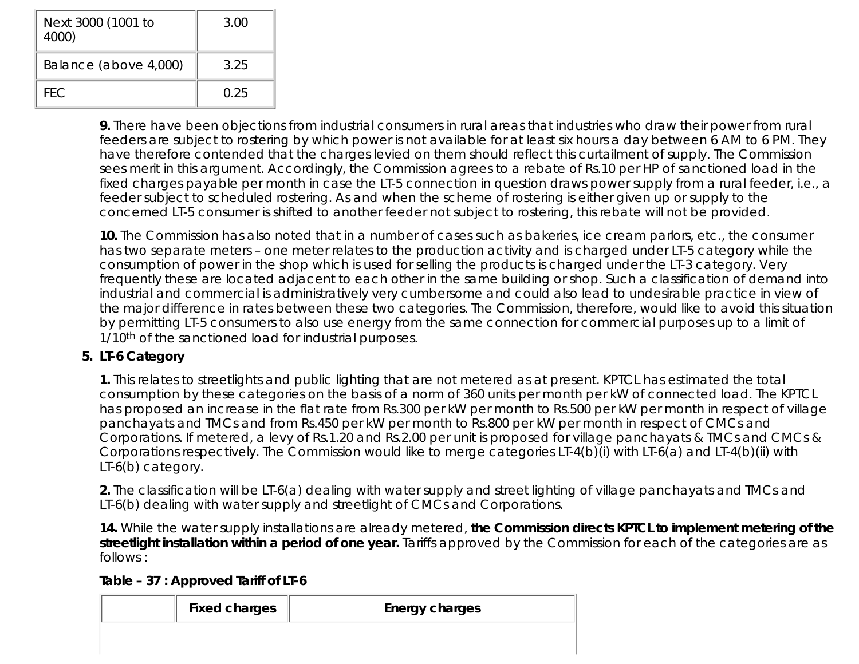| Next 3000 (1001 to<br>4000) | 3.00 |
|-----------------------------|------|
| Balance (above 4,000)       | 3.25 |
| FFC.                        | O 25 |

**9.** There have been objections from industrial consumers in rural areas that industries who draw their power from rural feeders are subject to rostering by which power is not available for at least six hours a day between 6 AM to 6 PM. They have therefore contended that the charges levied on them should reflect this curtailment of supply. The Commission sees merit in this argument. Accordingly, the Commission agrees to a rebate of Rs.10 per HP of sanctioned load in the fixed charges payable per month in case the LT-5 connection in question draws power supply from a rural feeder, i.e., a feeder subject to scheduled rostering. As and when the scheme of rostering is either given up or supply to the concerned LT-5 consumer is shifted to another feeder not subject to rostering, this rebate will not be provided.

**10.** The Commission has also noted that in a number of cases such as bakeries, ice cream parlors, etc., the consumer has two separate meters – one meter relates to the production activity and is charged under LT-5 category while the consumption of power in the shop which is used for selling the products is charged under the LT-3 category. Very frequently these are located adjacent to each other in the same building or shop. Such a classification of demand into industrial and commercial is administratively very cumbersome and could also lead to undesirable practice in view of the major difference in rates between these two categories. The Commission, therefore, would like to avoid this situation by permitting LT-5 consumers to also use energy from the same connection for commercial purposes up to a limit of 1/10<sup>th</sup> of the sanctioned load for industrial purposes.

# **LT-6 Category 5.**

**1.** This relates to streetlights and public lighting that are not metered as at present. KPTCL has estimated the total consumption by these categories on the basis of a norm of 360 units per month per kW of connected load. The KPTCL has proposed an increase in the flat rate from Rs.300 per kW per month to Rs.500 per kW per month in respect of village panchayats and TMCs and from Rs.450 per kW per month to Rs.800 per kW per month in respect of CMCs and Corporations. If metered, a levy of Rs.1.20 and Rs.2.00 per unit is proposed for village panchayats & TMCs and CMCs & Corporations respectively. The Commission would like to merge categories LT-4(b)(i) with LT-6(a) and LT-4(b)(ii) with LT-6(b) category.

**2.** The classification will be LT-6(a) dealing with water supply and street lighting of village panchayats and TMCs and LT-6(b) dealing with water supply and streetlight of CMCs and Corporations.

**14.** While the water supply installations are already metered, **the Commission directs KPTCL to implement metering of the streetlight installation within a period of one year.** Tariffs approved by the Commission for each of the categories are as follows :

|  | Table - 37 : Approved Tariff of LT-6 |  |
|--|--------------------------------------|--|
|--|--------------------------------------|--|

| <b>Fixed charges</b> | <b>Energy charges</b> |
|----------------------|-----------------------|
|                      |                       |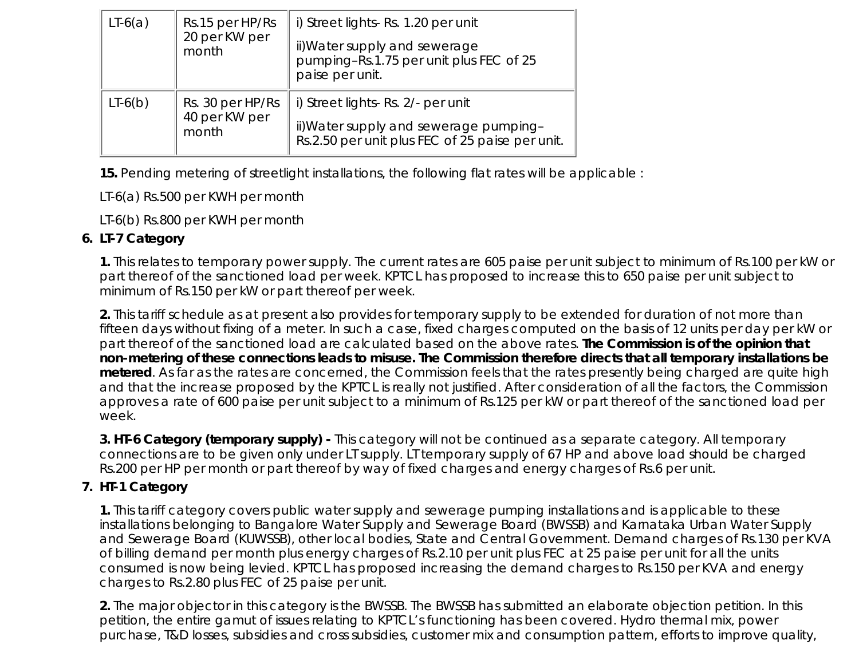| $LT-6(a)$ | Rs.15 per HP/Rs<br>20 per KW per<br>month  | i) Street lights- Rs. 1.20 per unit<br>ii) Water supply and sewerage<br>pumping-Rs.1.75 per unit plus FEC of 25<br>paise per unit. |
|-----------|--------------------------------------------|------------------------------------------------------------------------------------------------------------------------------------|
| $LT-6(b)$ | Rs. 30 per HP/Rs<br>40 per KW per<br>month | i) Street lights- Rs. 2/- per unit<br>ii) Water supply and sewerage pumping-<br>Rs.2.50 per unit plus FEC of 25 paise per unit.    |

**15.** Pending metering of streetlight installations, the following flat rates will be applicable :

LT-6(a) Rs.500 per KWH per month

LT-6(b) Rs.800 per KWH per month

# **LT-7 Category 6.**

**1.** This relates to temporary power supply. The current rates are 605 paise per unit subject to minimum of Rs.100 per kW or part thereof of the sanctioned load per week. KPTCL has proposed to increase this to 650 paise per unit subject to minimum of Rs.150 per kW or part thereof per week.

**2.** This tariff schedule as at present also provides for temporary supply to be extended for duration of not more than fifteen days without fixing of a meter. In such a case, fixed charges computed on the basis of 12 units per day per kW or part thereof of the sanctioned load are calculated based on the above rates. **The Commission is of the opinion that non-metering of these connections leads to misuse. The Commission therefore directs that all temporary installations be metered**. As far as the rates are concerned, the Commission feels that the rates presently being charged are quite high and that the increase proposed by the KPTCL is really not justified. After consideration of all the factors, the Commission approves a rate of 600 paise per unit subject to a minimum of Rs.125 per kW or part thereof of the sanctioned load per week.

**3. HT-6 Category (temporary supply) -** This category will not be continued as a separate category. All temporary connections are to be given only under LT supply. LT temporary supply of 67 HP and above load should be charged Rs.200 per HP per month or part thereof by way of fixed charges and energy charges of Rs.6 per unit.

# **7. HT-1 Category**

**1.** This tariff category covers public water supply and sewerage pumping installations and is applicable to these installations belonging to Bangalore Water Supply and Sewerage Board (BWSSB) and Karnataka Urban Water Supply and Sewerage Board (KUWSSB), other local bodies, State and Central Government. Demand charges of Rs.130 per KVA of billing demand per month plus energy charges of Rs.2.10 per unit plus FEC at 25 paise per unit for all the units consumed is now being levied. KPTCL has proposed increasing the demand charges to Rs.150 per KVA and energy charges to Rs.2.80 plus FEC of 25 paise per unit.

**2.** The major objector in this category is the BWSSB. The BWSSB has submitted an elaborate objection petition. In this petition, the entire gamut of issues relating to KPTCL's functioning has been covered. Hydro thermal mix, power purchase, T&D losses, subsidies and cross subsidies, customer mix and consumption pattern, efforts to improve quality,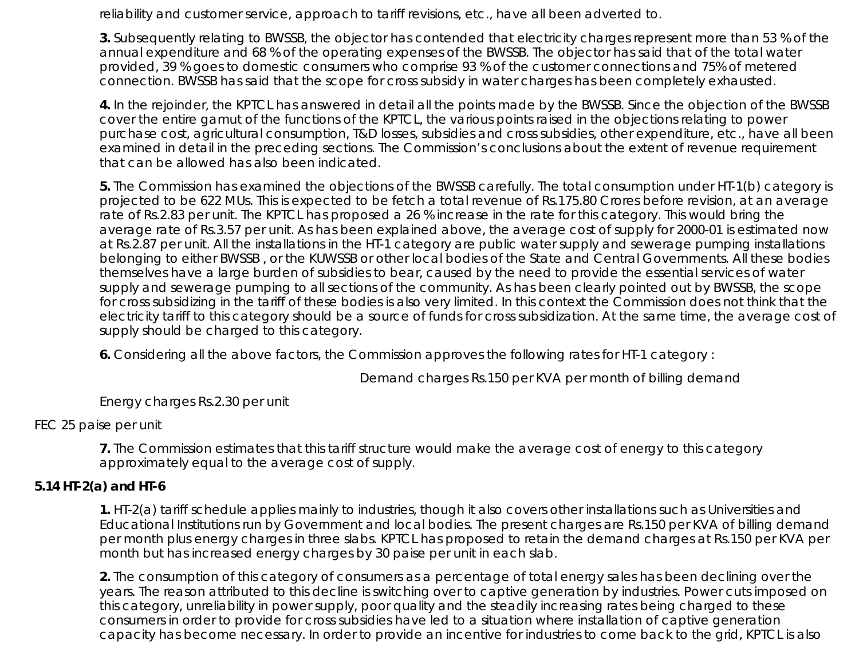reliability and customer service, approach to tariff revisions, etc., have all been adverted to.

**3.** Subsequently relating to BWSSB, the objector has contended that electricity charges represent more than 53 % of the annual expenditure and 68 % of the operating expenses of the BWSSB. The objector has said that of the total water provided, 39 % goes to domestic consumers who comprise 93 % of the customer connections and 75% of metered connection. BWSSB has said that the scope for cross subsidy in water charges has been completely exhausted.

**4.** In the rejoinder, the KPTCL has answered in detail all the points made by the BWSSB. Since the objection of the BWSSB cover the entire gamut of the functions of the KPTCL, the various points raised in the objections relating to power purchase cost, agricultural consumption, T&D losses, subsidies and cross subsidies, other expenditure, etc., have all been examined in detail in the preceding sections. The Commission's conclusions about the extent of revenue requirement that can be allowed has also been indicated.

**5.** The Commission has examined the objections of the BWSSB carefully. The total consumption under HT-1(b) category is projected to be 622 MUs. This is expected to be fetch a total revenue of Rs.175.80 Crores before revision, at an average rate of Rs.2.83 per unit. The KPTCL has proposed a 26 % increase in the rate for this category. This would bring the average rate of Rs.3.57 per unit. As has been explained above, the average cost of supply for 2000-01 is estimated now at Rs.2.87 per unit. All the installations in the HT-1 category are public water supply and sewerage pumping installations belonging to either BWSSB , or the KUWSSB or other local bodies of the State and Central Governments. All these bodies themselves have a large burden of subsidies to bear, caused by the need to provide the essential services of water supply and sewerage pumping to all sections of the community. As has been clearly pointed out by BWSSB, the scope for cross subsidizing in the tariff of these bodies is also very limited. In this context the Commission does not think that the electricity tariff to this category should be a source of funds for cross subsidization. At the same time, the average cost of supply should be charged to this category.

**6.** Considering all the above factors, the Commission approves the following rates for HT-1 category :

Demand charges Rs.150 per KVA per month of billing demand

Energy charges Rs.2.30 per unit

# FEC 25 paise per unit

**7.** The Commission estimates that this tariff structure would make the average cost of energy to this category approximately equal to the average cost of supply.

# **5.14 HT-2(a) and HT-6**

**1.** HT-2(a) tariff schedule applies mainly to industries, though it also covers other installations such as Universities and Educational Institutions run by Government and local bodies. The present charges are Rs.150 per KVA of billing demand per month plus energy charges in three slabs. KPTCL has proposed to retain the demand charges at Rs.150 per KVA per month but has increased energy charges by 30 paise per unit in each slab.

**2.** The consumption of this category of consumers as a percentage of total energy sales has been declining over the years. The reason attributed to this decline is switching over to captive generation by industries. Power cuts imposed on this category, unreliability in power supply, poor quality and the steadily increasing rates being charged to these consumers in order to provide for cross subsidies have led to a situation where installation of captive generation capacity has become necessary. In order to provide an incentive for industries to come back to the grid, KPTCL is also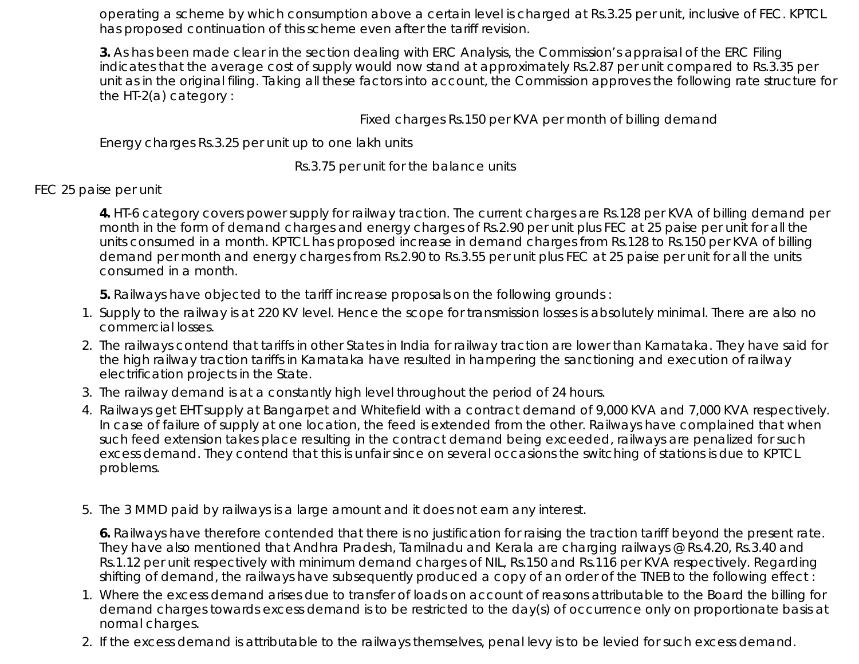operating a scheme by which consumption above a certain level is charged at Rs.3.25 per unit, inclusive of FEC. KPTCL has proposed continuation of this scheme even after the tariff revision.

**3.** As has been made clear in the section dealing with ERC Analysis, the Commission's appraisal of the ERC Filing indicates that the average cost of supply would now stand at approximately Rs.2.87 per unit compared to Rs.3.35 per unit as in the original filing. Taking all these factors into account, the Commission approves the following rate structure for the HT-2(a) category :

Fixed charges Rs.150 per KVA per month of billing demand

Energy charges Rs.3.25 per unit up to one lakh units

Rs.3.75 per unit for the balance units

### FEC 25 paise per unit

**4.** HT-6 category covers power supply for railway traction. The current charges are Rs.128 per KVA of billing demand per month in the form of demand charges and energy charges of Rs.2.90 per unit plus FEC at 25 paise per unit for all the units consumed in a month. KPTCL has proposed increase in demand charges from Rs.128 to Rs.150 per KVA of billing demand per month and energy charges from Rs.2.90 to Rs.3.55 per unit plus FEC at 25 paise per unit for all the units consumed in a month.

**5.** Railways have objected to the tariff increase proposals on the following grounds :

- 1. Supply to the railway is at 220 KV level. Hence the scope for transmission losses is absolutely minimal. There are also no commercial losses.
- 2. The railways contend that tariffs in other States in India for railway traction are lower than Karnataka. They have said for the high railway traction tariffs in Karnataka have resulted in hampering the sanctioning and execution of railway electrification projects in the State.
- 3. The railway demand is at a constantly high level throughout the period of 24 hours.
- 4. Railways get EHT supply at Bangarpet and Whitefield with a contract demand of 9,000 KVA and 7,000 KVA respectively. In case of failure of supply at one location, the feed is extended from the other. Railways have complained that when such feed extension takes place resulting in the contract demand being exceeded, railways are penalized for such excess demand. They contend that this is unfair since on several occasions the switching of stations is due to KPTCL problems.
- 5. The 3 MMD paid by railways is a large amount and it does not earn any interest.

**6.** Railways have therefore contended that there is no justification for raising the traction tariff beyond the present rate. They have also mentioned that Andhra Pradesh, Tamilnadu and Kerala are charging railways @ Rs.4.20, Rs.3.40 and Rs.1.12 per unit respectively with minimum demand charges of NIL, Rs.150 and Rs.116 per KVA respectively. Regarding shifting of demand, the railways have subsequently produced a copy of an order of the TNEB to the following effect :

- Where the excess demand arises due to transfer of loads on account of reasons attributable to the Board the billing for 1. demand charges towards excess demand is to be restricted to the day(s) of occurrence only on proportionate basis at normal charges.
- 2. If the excess demand is attributable to the railways themselves, penal levy is to be levied for such excess demand.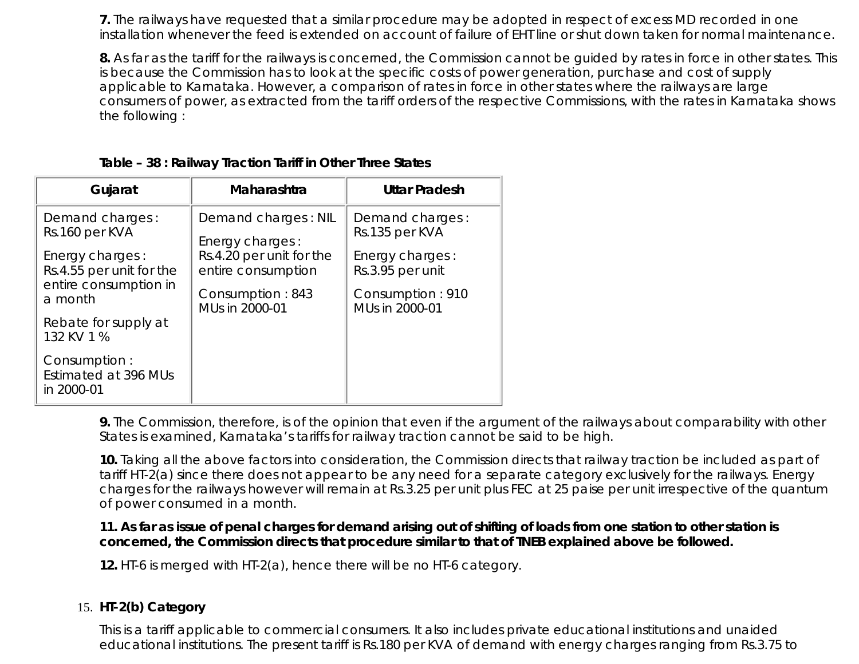**7.** The railways have requested that a similar procedure may be adopted in respect of excess MD recorded in one installation whenever the feed is extended on account of failure of EHT line or shut down taken for normal maintenance.

**8.** As far as the tariff for the railways is concerned, the Commission cannot be guided by rates in force in other states. This is because the Commission has to look at the specific costs of power generation, purchase and cost of supply applicable to Karnataka. However, a comparison of rates in force in other states where the railways are large consumers of power, as extracted from the tariff orders of the respective Commissions, with the rates in Karnataka shows the following :

| Gujarat                                                                                                              | Maharashtra                                                                                                                    | <b>Uttar Pradesh</b>                                                                                           |
|----------------------------------------------------------------------------------------------------------------------|--------------------------------------------------------------------------------------------------------------------------------|----------------------------------------------------------------------------------------------------------------|
| Demand charges:<br>Rs.160 per KVA<br>Energy charges:<br>Rs.4.55 per unit for the<br>entire consumption in<br>a month | Demand charges: NIL<br>Energy charges:<br>Rs.4.20 per unit for the<br>entire consumption<br>Consumption: 843<br>MUs in 2000-01 | Demand charges:<br>Rs.135 per KVA<br>Energy charges:<br>Rs.3.95 per unit<br>Consumption: 910<br>MUs in 2000-01 |
| Rebate for supply at<br>132 KV 1 %                                                                                   |                                                                                                                                |                                                                                                                |
| Consumption:<br>Estimated at 396 MUs<br>in 2000-01                                                                   |                                                                                                                                |                                                                                                                |

**9.** The Commission, therefore, is of the opinion that even if the argument of the railways about comparability with other States is examined, Karnataka's tariffs for railway traction cannot be said to be high.

**10.** Taking all the above factors into consideration, the Commission directs that railway traction be included as part of tariff HT-2(a) since there does not appear to be any need for a separate category exclusively for the railways. Energy charges for the railways however will remain at Rs.3.25 per unit plus FEC at 25 paise per unit irrespective of the quantum of power consumed in a month.

**11. As far as issue of penal charges for demand arising out of shifting of loads from one station to other station is concerned, the Commission directs that procedure similar to that of TNEB explained above be followed.**

**12.** HT-6 is merged with HT-2(a), hence there will be no HT-6 category.

#### **HT-2(b) Category** 15.

This is a tariff applicable to commercial consumers. It also includes private educational institutions and unaided educational institutions. The present tariff is Rs.180 per KVA of demand with energy charges ranging from Rs.3.75 to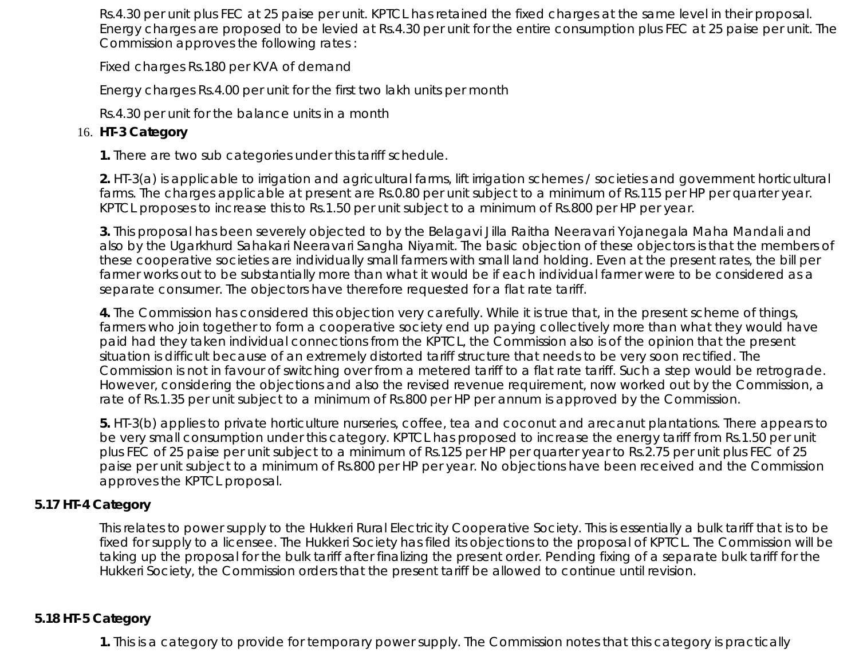Rs.4.30 per unit plus FEC at 25 paise per unit. KPTCL has retained the fixed charges at the same level in their proposal. Energy charges are proposed to be levied at Rs.4.30 per unit for the entire consumption plus FEC at 25 paise per unit. The Commission approves the following rates :

Fixed charges Rs.180 per KVA of demand

Energy charges Rs.4.00 per unit for the first two lakh units per month

Rs.4.30 per unit for the balance units in a month

## 16. **HT-3 Category**

**1.** There are two sub categories under this tariff schedule.

**2.** HT-3(a) is applicable to irrigation and agricultural farms, lift irrigation schemes / societies and government horticultural farms. The charges applicable at present are Rs.0.80 per unit subject to a minimum of Rs.115 per HP per quarter year. KPTCL proposes to increase this to Rs.1.50 per unit subject to a minimum of Rs.800 per HP per year.

**3.** This proposal has been severely objected to by the Belagavi Jilla Raitha Neeravari Yojanegala Maha Mandali and also by the Ugarkhurd Sahakari Neeravari Sangha Niyamit. The basic objection of these objectors is that the members of these cooperative societies are individually small farmers with small land holding. Even at the present rates, the bill per farmer works out to be substantially more than what it would be if each individual farmer were to be considered as a separate consumer. The objectors have therefore requested for a flat rate tariff.

**4.** The Commission has considered this objection very carefully. While it is true that, in the present scheme of things, farmers who join together to form a cooperative society end up paying collectively more than what they would have paid had they taken individual connections from the KPTCL, the Commission also is of the opinion that the present situation is difficult because of an extremely distorted tariff structure that needs to be very soon rectified. The Commission is not in favour of switching over from a metered tariff to a flat rate tariff. Such a step would be retrograde. However, considering the objections and also the revised revenue requirement, now worked out by the Commission, a rate of Rs.1.35 per unit subject to a minimum of Rs.800 per HP per annum is approved by the Commission.

**5.** HT-3(b) applies to private horticulture nurseries, coffee, tea and coconut and arecanut plantations. There appears to be very small consumption under this category. KPTCL has proposed to increase the energy tariff from Rs.1.50 per unit plus FEC of 25 paise per unit subject to a minimum of Rs.125 per HP per quarter year to Rs.2.75 per unit plus FEC of 25 paise per unit subject to a minimum of Rs.800 per HP per year. No objections have been received and the Commission approves the KPTCL proposal.

## **5.17 HT-4 Category**

This relates to power supply to the Hukkeri Rural Electricity Cooperative Society. This is essentially a bulk tariff that is to be fixed for supply to a licensee. The Hukkeri Society has filed its objections to the proposal of KPTCL. The Commission will be taking up the proposal for the bulk tariff after finalizing the present order. Pending fixing of a separate bulk tariff for the Hukkeri Society, the Commission orders that the present tariff be allowed to continue until revision.

## **5.18 HT-5 Category**

**1.** This is a category to provide for temporary power supply. The Commission notes that this category is practically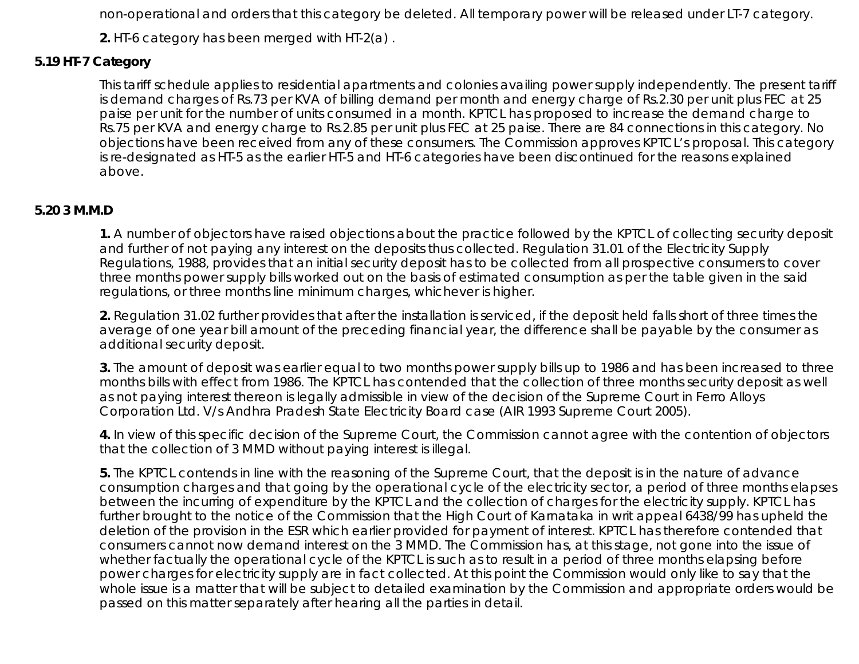non-operational and orders that this category be deleted. All temporary power will be released under LT-7 category.

**2.** HT-6 category has been merged with HT-2(a) .

## **5.19 HT-7 Category**

This tariff schedule applies to residential apartments and colonies availing power supply independently. The present tariff is demand charges of Rs.73 per KVA of billing demand per month and energy charge of Rs.2.30 per unit plus FEC at 25 paise per unit for the number of units consumed in a month. KPTCL has proposed to increase the demand charge to Rs.75 per KVA and energy charge to Rs.2.85 per unit plus FEC at 25 paise. There are 84 connections in this category. No objections have been received from any of these consumers. The Commission approves KPTCL's proposal. This category is re-designated as HT-5 as the earlier HT-5 and HT-6 categories have been discontinued for the reasons explained above.

## **5.20 3 M.M.D**

**1.** A number of objectors have raised objections about the practice followed by the KPTCL of collecting security deposit and further of not paying any interest on the deposits thus collected. Regulation 31.01 of the Electricity Supply Regulations, 1988, provides that an initial security deposit has to be collected from all prospective consumers to cover three months power supply bills worked out on the basis of estimated consumption as per the table given in the said regulations, or three months line minimum charges, whichever is higher.

**2.** Regulation 31.02 further provides that after the installation is serviced, if the deposit held falls short of three times the average of one year bill amount of the preceding financial year, the difference shall be payable by the consumer as additional security deposit.

**3.** The amount of deposit was earlier equal to two months power supply bills up to 1986 and has been increased to three months bills with effect from 1986. The KPTCL has contended that the collection of three months security deposit as well as not paying interest thereon is legally admissible in view of the decision of the Supreme Court in Ferro Alloys Corporation Ltd. V/s Andhra Pradesh State Electricity Board case (AIR 1993 Supreme Court 2005).

**4.** In view of this specific decision of the Supreme Court, the Commission cannot agree with the contention of objectors that the collection of 3 MMD without paying interest is illegal.

**5.** The KPTCL contends in line with the reasoning of the Supreme Court, that the deposit is in the nature of advance consumption charges and that going by the operational cycle of the electricity sector, a period of three months elapses between the incurring of expenditure by the KPTCL and the collection of charges for the electricity supply. KPTCL has further brought to the notice of the Commission that the High Court of Karnataka in writ appeal 6438/99 has upheld the deletion of the provision in the ESR which earlier provided for payment of interest. KPTCL has therefore contended that consumers cannot now demand interest on the 3 MMD. The Commission has, at this stage, not gone into the issue of whether factually the operational cycle of the KPTCL is such as to result in a period of three months elapsing before power charges for electricity supply are in fact collected. At this point the Commission would only like to say that the whole issue is a matter that will be subject to detailed examination by the Commission and appropriate orders would be passed on this matter separately after hearing all the parties in detail.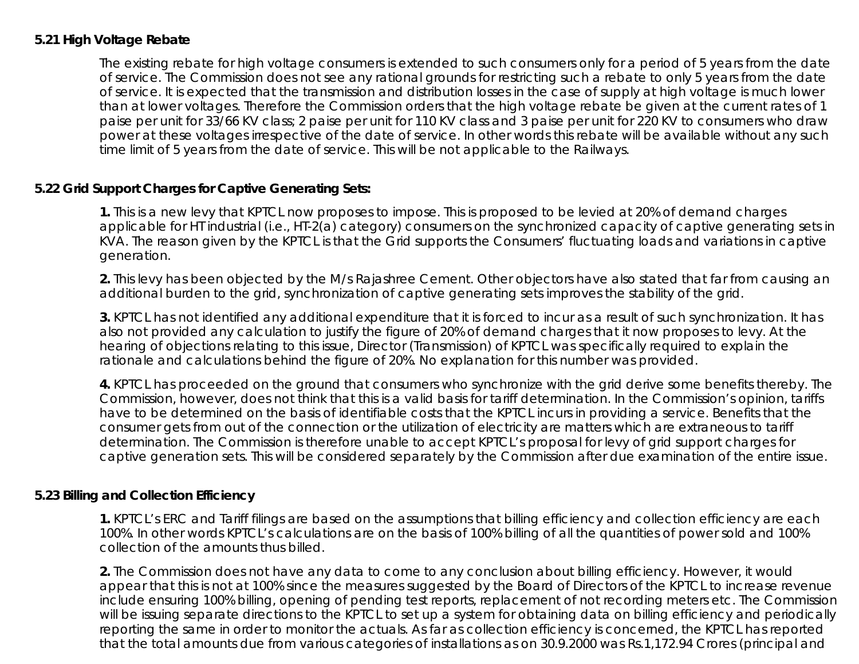## **5.21 High Voltage Rebate**

The existing rebate for high voltage consumers is extended to such consumers only for a period of 5 years from the date of service. The Commission does not see any rational grounds for restricting such a rebate to only 5 years from the date of service. It is expected that the transmission and distribution losses in the case of supply at high voltage is much lower than at lower voltages. Therefore the Commission orders that the high voltage rebate be given at the current rates of 1 paise per unit for 33/66 KV class; 2 paise per unit for 110 KV class and 3 paise per unit for 220 KV to consumers who draw power at these voltages irrespective of the date of service. In other words this rebate will be available without any such time limit of 5 years from the date of service. This will be not applicable to the Railways.

#### **5.22 Grid Support Charges for Captive Generating Sets:**

**1.** This is a new levy that KPTCL now proposes to impose. This is proposed to be levied at 20% of demand charges applicable for HT industrial (i.e., HT-2(a) category) consumers on the synchronized capacity of captive generating sets in KVA. The reason given by the KPTCL is that the Grid supports the Consumers' fluctuating loads and variations in captive generation.

**2.** This levy has been objected by the M/s Rajashree Cement. Other objectors have also stated that far from causing an additional burden to the grid, synchronization of captive generating sets improves the stability of the grid.

**3.** KPTCL has not identified any additional expenditure that it is forced to incur as a result of such synchronization. It has also not provided any calculation to justify the figure of 20% of demand charges that it now proposes to levy. At the hearing of objections relating to this issue, Director (Transmission) of KPTCL was specifically required to explain the rationale and calculations behind the figure of 20%. No explanation for this number was provided.

**4.** KPTCL has proceeded on the ground that consumers who synchronize with the grid derive some benefits thereby. The Commission, however, does not think that this is a valid basis for tariff determination. In the Commission's opinion, tariffs have to be determined on the basis of identifiable costs that the KPTCL incurs in providing a service. Benefits that the consumer gets from out of the connection or the utilization of electricity are matters which are extraneous to tariff determination. The Commission is therefore unable to accept KPTCL's proposal for levy of grid support charges for captive generation sets. This will be considered separately by the Commission after due examination of the entire issue.

#### **5.23 Billing and Collection Efficiency**

**1.** KPTCL's ERC and Tariff filings are based on the assumptions that billing efficiency and collection efficiency are each 100%. In other words KPTCL's calculations are on the basis of 100% billing of all the quantities of power sold and 100% collection of the amounts thus billed.

**2.** The Commission does not have any data to come to any conclusion about billing efficiency. However, it would appear that this is not at 100% since the measures suggested by the Board of Directors of the KPTCL to increase revenue include ensuring 100% billing, opening of pending test reports, replacement of not recording meters etc. The Commission will be issuing separate directions to the KPTCL to set up a system for obtaining data on billing efficiency and periodically reporting the same in order to monitor the actuals. As far as collection efficiency is concerned, the KPTCL has reported that the total amounts due from various categories of installations as on 30.9.2000 was Rs.1,172.94 Crores (principal and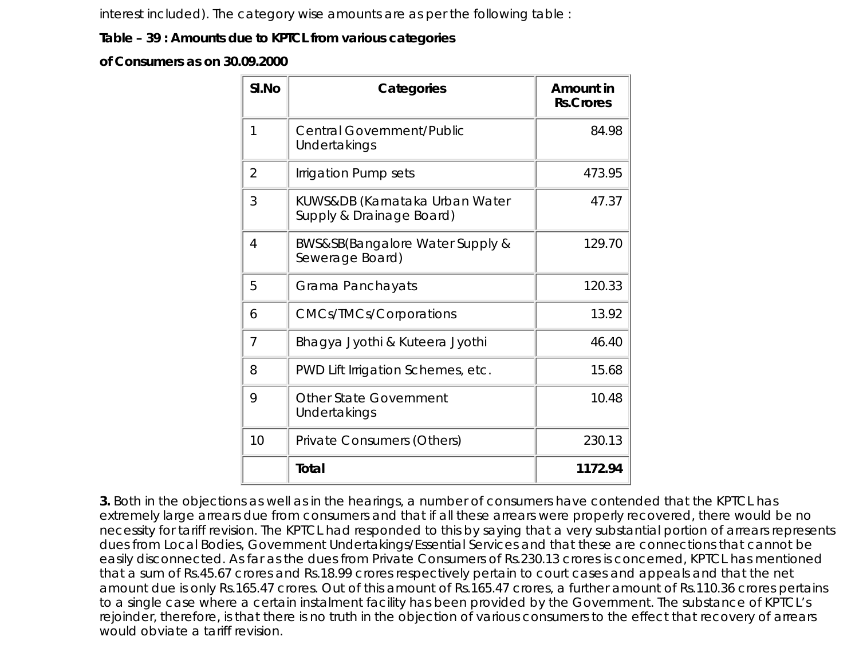interest included). The category wise amounts are as per the following table :

## **Table – 39 : Amounts due to KPTCL from various categories**

**of Consumers as on 30.09.2000**

| SI.No          | Categories                                                 | Amount in<br><b>Rs.Crores</b> |
|----------------|------------------------------------------------------------|-------------------------------|
| 1              | <b>Central Government/Public</b><br>Undertakings           | 84.98                         |
| $\overline{2}$ | Irrigation Pump sets                                       | 473.95                        |
| 3              | KUWS&DB (Karnataka Urban Water<br>Supply & Drainage Board) | 47.37                         |
| 4              | BWS&SB(Bangalore Water Supply &<br>Sewerage Board)         | 129.70                        |
| 5              | Grama Panchayats                                           | 120.33                        |
| 6              | <b>CMCs/TMCs/Corporations</b>                              | 13.92                         |
| 7              | Bhagya Jyothi & Kuteera Jyothi                             | 46.40                         |
| 8              | PWD Lift Irrigation Schemes, etc.                          | 15.68                         |
| 9              | <b>Other State Government</b><br>Undertakings              | 10.48                         |
| 10             | Private Consumers (Others)                                 | 230.13                        |
|                | Total                                                      | 1172.94                       |

**3.** Both in the objections as well as in the hearings, a number of consumers have contended that the KPTCL has extremely large arrears due from consumers and that if all these arrears were properly recovered, there would be no necessity for tariff revision. The KPTCL had responded to this by saying that a very substantial portion of arrears represents dues from Local Bodies, Government Undertakings/Essential Services and that these are connections that cannot be easily disconnected. As far as the dues from Private Consumers of Rs.230.13 crores is concerned, KPTCL has mentioned that a sum of Rs.45.67 crores and Rs.18.99 crores respectively pertain to court cases and appeals and that the net amount due is only Rs.165.47 crores. Out of this amount of Rs.165.47 crores, a further amount of Rs.110.36 crores pertains to a single case where a certain instalment facility has been provided by the Government. The substance of KPTCL's rejoinder, therefore, is that there is no truth in the objection of various consumers to the effect that recovery of arrears would obviate a tariff revision.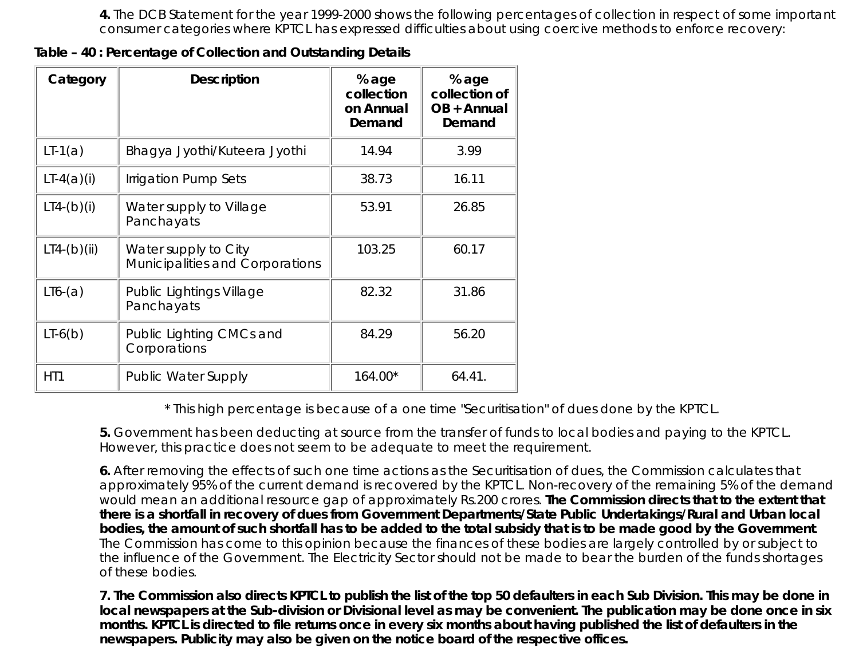**4.** The DCB Statement for the year 1999-2000 shows the following percentages of collection in respect of some important consumer categories where KPTCL has expressed difficulties about using coercive methods to enforce recovery:

**Table – 40 : Percentage of Collection and Outstanding Details**

| Category      | <b>Description</b>                                      | % age<br>collection<br>on Annual<br>Demand | % age<br>collection of<br>OB + Annual<br>Demand |
|---------------|---------------------------------------------------------|--------------------------------------------|-------------------------------------------------|
| $LT-1(a)$     | Bhagya Jyothi/Kuteera Jyothi                            | 14.94                                      | 3.99                                            |
| $LT-4(a)(i)$  | Irrigation Pump Sets                                    | 38.73                                      | 16.11                                           |
| $LT4-(b)(i)$  | Water supply to Village<br>Panchayats                   | 53.91                                      | 26.85                                           |
| $LT4-(b)(ii)$ | Water supply to City<br>Municipalities and Corporations | 103.25                                     | 60.17                                           |
| $LI6-(a)$     | Public Lightings Village<br>Panchayats                  | 82.32                                      | 31.86                                           |
| $LI-6(b)$     | Public Lighting CMCs and<br>Corporations                | 84.29                                      | 56.20                                           |
| HT1           | <b>Public Water Supply</b>                              | 164.00*                                    | 64.41.                                          |

\* This high percentage is because of a one time "Securitisation" of dues done by the KPTCL.

**5.** Government has been deducting at source from the transfer of funds to local bodies and paying to the KPTCL. However, this practice does not seem to be adequate to meet the requirement.

**6.** After removing the effects of such one time actions as the Securitisation of dues, the Commission calculates that approximately 95% of the current demand is recovered by the KPTCL. Non-recovery of the remaining 5% of the demand would mean an additional resource gap of approximately Rs.200 crores. **The Commission directs that to the extent that there is a shortfall in recovery of dues from Government Departments/State Public Undertakings/Rural and Urban local bodies, the amount of such shortfall has to be added to the total subsidy that is to be made good by the Government**. The Commission has come to this opinion because the finances of these bodies are largely controlled by or subject to the influence of the Government. The Electricity Sector should not be made to bear the burden of the funds shortages of these bodies.

**7. The Commission also directs KPTCL to publish the list of the top 50 defaulters in each Sub Division. This may be done in local newspapers at the Sub-division or Divisional level as may be convenient. The publication may be done once in six months. KPTCL is directed to file returns once in every six months about having published the list of defaulters in the newspapers. Publicity may also be given on the notice board of the respective offices.**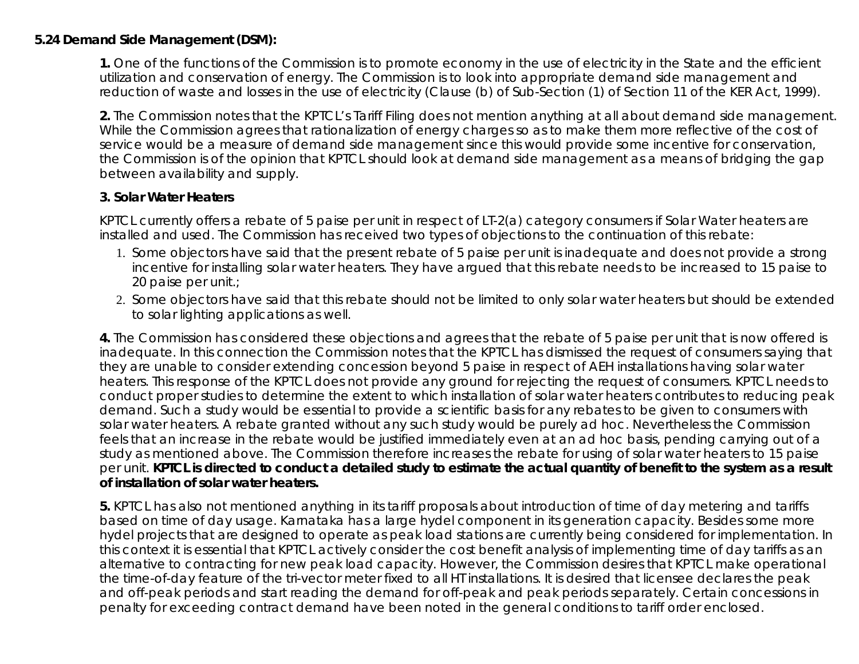## **5.24 Demand Side Management (DSM):**

**1.** One of the functions of the Commission is to promote economy in the use of electricity in the State and the efficient utilization and conservation of energy. The Commission is to look into appropriate demand side management and reduction of waste and losses in the use of electricity (Clause (b) of Sub-Section (1) of Section 11 of the KER Act, 1999).

**2.** The Commission notes that the KPTCL's Tariff Filing does not mention anything at all about demand side management. While the Commission agrees that rationalization of energy charges so as to make them more reflective of the cost of service would be a measure of demand side management since this would provide some incentive for conservation, the Commission is of the opinion that KPTCL should look at demand side management as a means of bridging the gap between availability and supply.

#### **3. Solar Water Heaters**

KPTCL currently offers a rebate of 5 paise per unit in respect of LT-2(a) category consumers if Solar Water heaters are installed and used. The Commission has received two types of objections to the continuation of this rebate:

- 1. Some objectors have said that the present rebate of 5 paise per unit is inadequate and does not provide a strong incentive for installing solar water heaters. They have argued that this rebate needs to be increased to 15 paise to 20 paise per unit.;
- 2. Some objectors have said that this rebate should not be limited to only solar water heaters but should be extended to solar lighting applications as well.

**4.** The Commission has considered these objections and agrees that the rebate of 5 paise per unit that is now offered is inadequate. In this connection the Commission notes that the KPTCL has dismissed the request of consumers saying that they are unable to consider extending concession beyond 5 paise in respect of AEH installations having solar water heaters. This response of the KPTCL does not provide any ground for rejecting the request of consumers. KPTCL needs to conduct proper studies to determine the extent to which installation of solar water heaters contributes to reducing peak demand. Such a study would be essential to provide a scientific basis for any rebates to be given to consumers with solar water heaters. A rebate granted without any such study would be purely ad hoc. Nevertheless the Commission feels that an increase in the rebate would be justified immediately even at an ad hoc basis, pending carrying out of a study as mentioned above. The Commission therefore increases the rebate for using of solar water heaters to 15 paise per unit. **KPTCL is directed to conduct a detailed study to estimate the actual quantity of benefit to the system as a result of installation of solar water heaters.**

**5.** KPTCL has also not mentioned anything in its tariff proposals about introduction of time of day metering and tariffs based on time of day usage. Karnataka has a large hydel component in its generation capacity. Besides some more hydel projects that are designed to operate as peak load stations are currently being considered for implementation. In this context it is essential that KPTCL actively consider the cost benefit analysis of implementing time of day tariffs as an alternative to contracting for new peak load capacity. However, the Commission desires that KPTCL make operational the time-of-day feature of the tri-vector meter fixed to all HT installations. It is desired that licensee declares the peak and off-peak periods and start reading the demand for off-peak and peak periods separately. Certain concessions in penalty for exceeding contract demand have been noted in the general conditions to tariff order enclosed.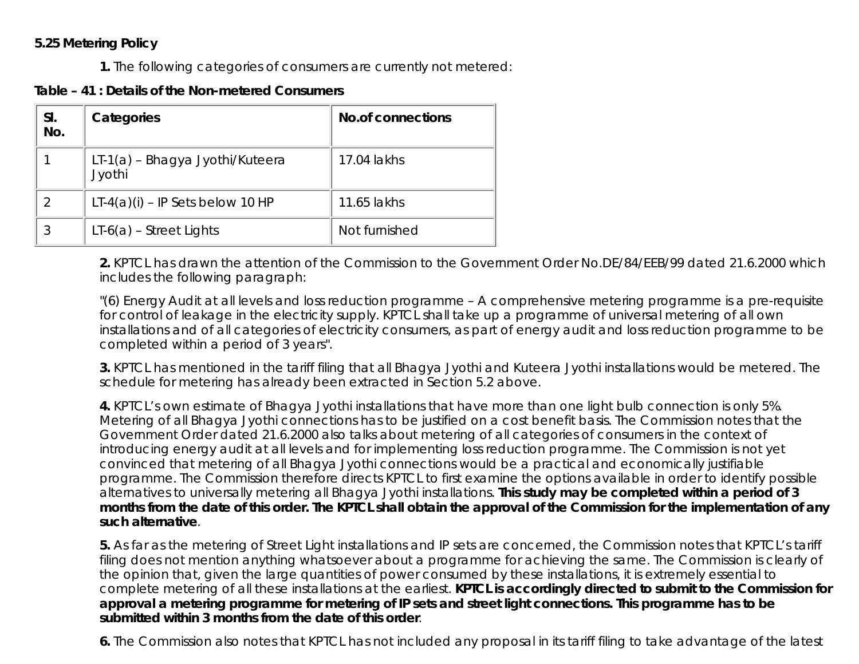## **5.25 Metering Policy**

**1.** The following categories of consumers are currently not metered:

**Table – 41 : Details of the Non-metered Consumers**

| SI.<br>No. | Categories                                | <b>No.of connections</b> |
|------------|-------------------------------------------|--------------------------|
|            | LT-1(a) - Bhagya Jyothi/Kuteera<br>Jyothi | 17.04 lakhs              |
|            | $LT-4(a)(i) - IP$ Sets below 10 HP        | 11.65 lakhs              |
| 3          | $LT-6(a)$ – Street Lights                 | Not furnished            |

**2.** KPTCL has drawn the attention of the Commission to the Government Order No.DE/84/EEB/99 dated 21.6.2000 which includes the following paragraph:

"(6) Energy Audit at all levels and loss reduction programme – A comprehensive metering programme is a pre-requisite for control of leakage in the electricity supply. KPTCL shall take up a programme of universal metering of all own installations and of all categories of electricity consumers, as part of energy audit and loss reduction programme to be completed within a period of 3 years".

**3.** KPTCL has mentioned in the tariff filing that all Bhagya Jyothi and Kuteera Jyothi installations would be metered. The schedule for metering has already been extracted in Section 5.2 above.

**4.** KPTCL's own estimate of Bhagya Jyothi installations that have more than one light bulb connection is only 5%. Metering of all Bhagya Jyothi connections has to be justified on a cost benefit basis. The Commission notes that the Government Order dated 21.6.2000 also talks about metering of all categories of consumers in the context of introducing energy audit at all levels and for implementing loss reduction programme. The Commission is not yet convinced that metering of all Bhagya Jyothi connections would be a practical and economically justifiable programme. The Commission therefore directs KPTCL to first examine the options available in order to identify possible alternatives to universally metering all Bhagya Jyothi installations. **This study may be completed within a period of 3 months from the date of this order. The KPTCL shall obtain the approval of the Commission for the implementation of any such alternative**.

**5.** As far as the metering of Street Light installations and IP sets are concerned, the Commission notes that KPTCL's tariff filing does not mention anything whatsoever about a programme for achieving the same. The Commission is clearly of the opinion that, given the large quantities of power consumed by these installations, it is extremely essential to complete metering of all these installations at the earliest. **KPTCL is accordingly directed to submit to the Commission for approval a metering programme for metering of IP sets and street light connections. This programme has to be submitted within 3 months from the date of this order**.

**6.** The Commission also notes that KPTCL has not included any proposal in its tariff filing to take advantage of the latest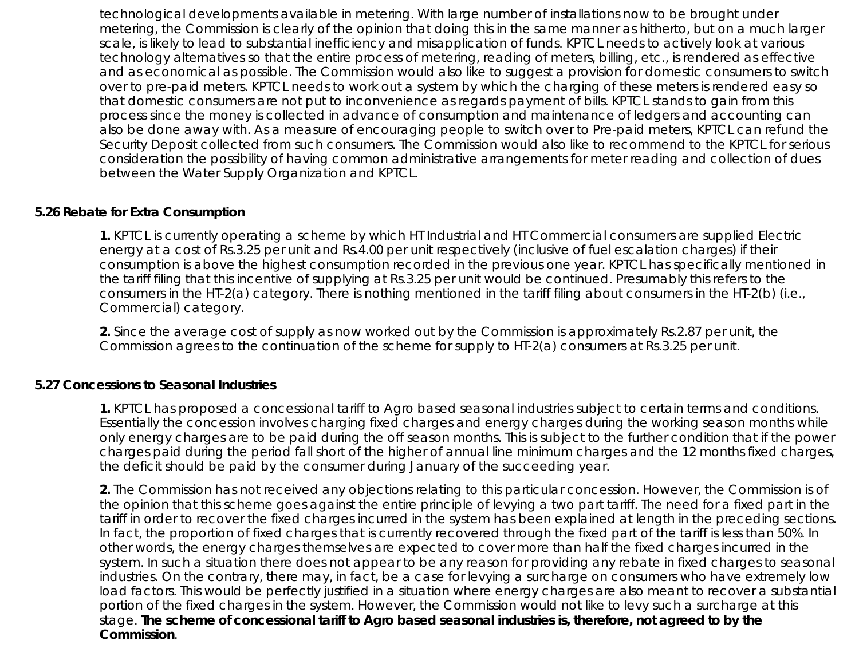technological developments available in metering. With large number of installations now to be brought under metering, the Commission is clearly of the opinion that doing this in the same manner as hitherto, but on a much larger scale, is likely to lead to substantial inefficiency and misapplication of funds. KPTCL needs to actively look at various technology alternatives so that the entire process of metering, reading of meters, billing, etc., is rendered as effective and as economical as possible. The Commission would also like to suggest a provision for domestic consumers to switch over to pre-paid meters. KPTCL needs to work out a system by which the charging of these meters is rendered easy so that domestic consumers are not put to inconvenience as regards payment of bills. KPTCL stands to gain from this process since the money is collected in advance of consumption and maintenance of ledgers and accounting can also be done away with. As a measure of encouraging people to switch over to Pre-paid meters, KPTCL can refund the Security Deposit collected from such consumers. The Commission would also like to recommend to the KPTCL for serious consideration the possibility of having common administrative arrangements for meter reading and collection of dues between the Water Supply Organization and KPTCL.

#### **5.26 Rebate for Extra Consumption**

**1.** KPTCL is currently operating a scheme by which HT Industrial and HT Commercial consumers are supplied Electric energy at a cost of Rs.3.25 per unit and Rs.4.00 per unit respectively (inclusive of fuel escalation charges) if their consumption is above the highest consumption recorded in the previous one year. KPTCL has specifically mentioned in the tariff filing that this incentive of supplying at Rs.3.25 per unit would be continued. Presumably this refers to the consumers in the HT-2(a) category. There is nothing mentioned in the tariff filing about consumers in the HT-2(b) (i.e., Commercial) category.

**2.** Since the average cost of supply as now worked out by the Commission is approximately Rs.2.87 per unit, the Commission agrees to the continuation of the scheme for supply to HT-2(a) consumers at Rs.3.25 per unit.

#### **5.27 Concessions to Seasonal Industries**

**1.** KPTCL has proposed a concessional tariff to Agro based seasonal industries subject to certain terms and conditions. Essentially the concession involves charging fixed charges and energy charges during the working season months while only energy charges are to be paid during the off season months. This is subject to the further condition that if the power charges paid during the period fall short of the higher of annual line minimum charges and the 12 months fixed charges, the deficit should be paid by the consumer during January of the succeeding year.

**2.** The Commission has not received any objections relating to this particular concession. However, the Commission is of the opinion that this scheme goes against the entire principle of levying a two part tariff. The need for a fixed part in the tariff in order to recover the fixed charges incurred in the system has been explained at length in the preceding sections. In fact, the proportion of fixed charges that is currently recovered through the fixed part of the tariff is less than 50%. In other words, the energy charges themselves are expected to cover more than half the fixed charges incurred in the system. In such a situation there does not appear to be any reason for providing any rebate in fixed charges to seasonal industries. On the contrary, there may, in fact, be a case for levying a surcharge on consumers who have extremely low load factors. This would be perfectly justified in a situation where energy charges are also meant to recover a substantial portion of the fixed charges in the system. However, the Commission would not like to levy such a surcharge at this stage. **The scheme of concessional tariff to Agro based seasonal industries is, therefore, not agreed to by the Commission**.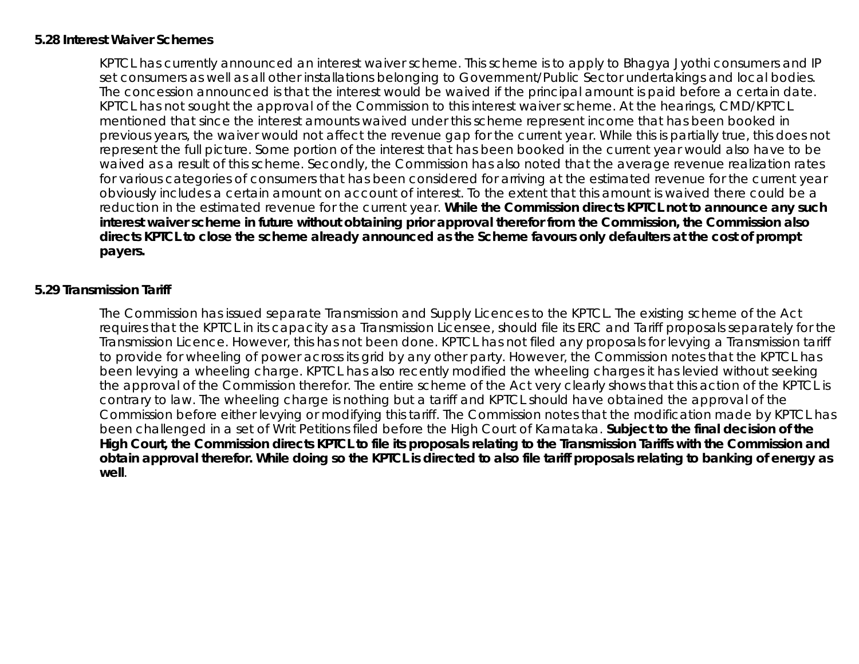### **5.28 Interest Waiver Schemes**

KPTCL has currently announced an interest waiver scheme. This scheme is to apply to Bhagya Jyothi consumers and IP set consumers as well as all other installations belonging to Government/Public Sector undertakings and local bodies. The concession announced is that the interest would be waived if the principal amount is paid before a certain date. KPTCL has not sought the approval of the Commission to this interest waiver scheme. At the hearings, CMD/KPTCL mentioned that since the interest amounts waived under this scheme represent income that has been booked in previous years, the waiver would not affect the revenue gap for the current year. While this is partially true, this does not represent the full picture. Some portion of the interest that has been booked in the current year would also have to be waived as a result of this scheme. Secondly, the Commission has also noted that the average revenue realization rates for various categories of consumers that has been considered for arriving at the estimated revenue for the current year obviously includes a certain amount on account of interest. To the extent that this amount is waived there could be a reduction in the estimated revenue for the current year. **While the Commission directs KPTCL not to announce any such interest waiver scheme in future without obtaining prior approval therefor from the Commission, the Commission also directs KPTCL to close the scheme already announced as the Scheme favours only defaulters at the cost of prompt payers.**

## **5.29 Transmission Tariff**

The Commission has issued separate Transmission and Supply Licences to the KPTCL. The existing scheme of the Act requires that the KPTCL in its capacity as a Transmission Licensee, should file its ERC and Tariff proposals separately for the Transmission Licence. However, this has not been done. KPTCL has not filed any proposals for levying a Transmission tariff to provide for wheeling of power across its grid by any other party. However, the Commission notes that the KPTCL has been levying a wheeling charge. KPTCL has also recently modified the wheeling charges it has levied without seeking the approval of the Commission therefor. The entire scheme of the Act very clearly shows that this action of the KPTCL is contrary to law. The wheeling charge is nothing but a tariff and KPTCL should have obtained the approval of the Commission before either levying or modifying this tariff. The Commission notes that the modification made by KPTCL has been challenged in a set of Writ Petitions filed before the High Court of Karnataka. **Subject to the final decision of the High Court, the Commission directs KPTCL to file its proposals relating to the Transmission Tariffs with the Commission and obtain approval therefor. While doing so the KPTCL is directed to also file tariff proposals relating to banking of energy as well**.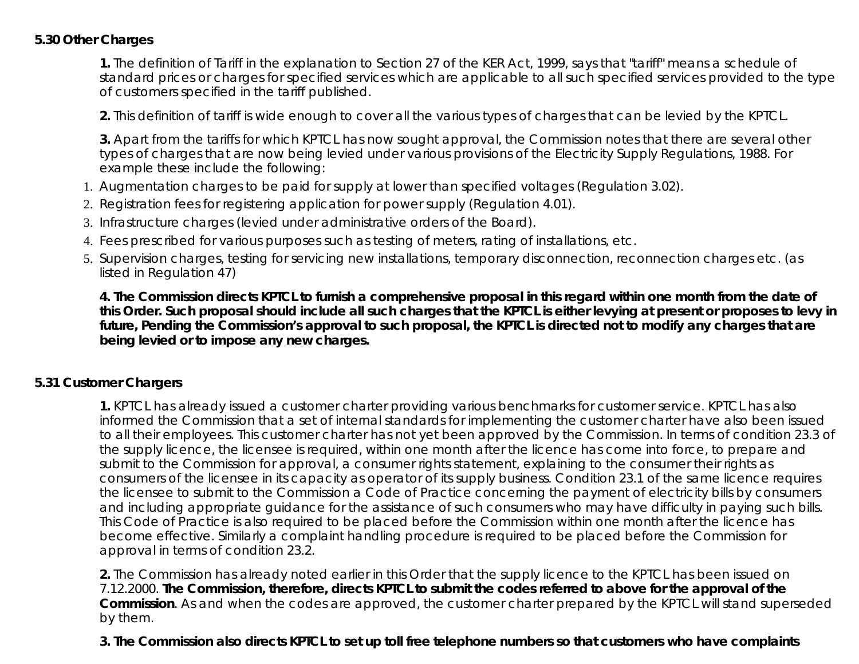## **5.30 Other Charges**

**1.** The definition of Tariff in the explanation to Section 27 of the KER Act, 1999, says that "tariff" means a schedule of standard prices or charges for specified services which are applicable to all such specified services provided to the type of customers specified in the tariff published.

**2.** This definition of tariff is wide enough to cover all the various types of charges that can be levied by the KPTCL.

**3.** Apart from the tariffs for which KPTCL has now sought approval, the Commission notes that there are several other types of charges that are now being levied under various provisions of the Electricity Supply Regulations, 1988. For example these include the following:

- 1. Augmentation charges to be paid for supply at lower than specified voltages (Regulation 3.02).
- 2. Registration fees for registering application for power supply (Regulation 4.01).
- 3. Infrastructure charges (levied under administrative orders of the Board).
- 4. Fees prescribed for various purposes such as testing of meters, rating of installations, etc.
- 5. Supervision charges, testing for servicing new installations, temporary disconnection, reconnection charges etc. (as listed in Regulation 47)

**4. The Commission directs KPTCL to furnish a comprehensive proposal in this regard within one month from the date of this Order. Such proposal should include all such charges that the KPTCL is either levying at present or proposes to levy in future, Pending the Commission's approval to such proposal, the KPTCL is directed not to modify any charges that are being levied or to impose any new charges.**

## **5.31 Customer Chargers**

**1.** KPTCL has already issued a customer charter providing various benchmarks for customer service. KPTCL has also informed the Commission that a set of internal standards for implementing the customer charter have also been issued to all their employees. This customer charter has not yet been approved by the Commission. In terms of condition 23.3 of the supply licence, the licensee is required, within one month after the licence has come into force, to prepare and submit to the Commission for approval, a consumer rights statement, explaining to the consumer their rights as consumers of the licensee in its capacity as operator of its supply business. Condition 23.1 of the same licence requires the licensee to submit to the Commission a Code of Practice concerning the payment of electricity bills by consumers and including appropriate guidance for the assistance of such consumers who may have difficulty in paying such bills. This Code of Practice is also required to be placed before the Commission within one month after the licence has become effective. Similarly a complaint handling procedure is required to be placed before the Commission for approval in terms of condition 23.2.

**2.** The Commission has already noted earlier in this Order that the supply licence to the KPTCL has been issued on 7.12.2000. **The Commission, therefore, directs KPTCL to submit the codes referred to above for the approval of the Commission**. As and when the codes are approved, the customer charter prepared by the KPTCL will stand superseded by them.

**3. The Commission also directs KPTCL to set up toll free telephone numbers so that customers who have complaints**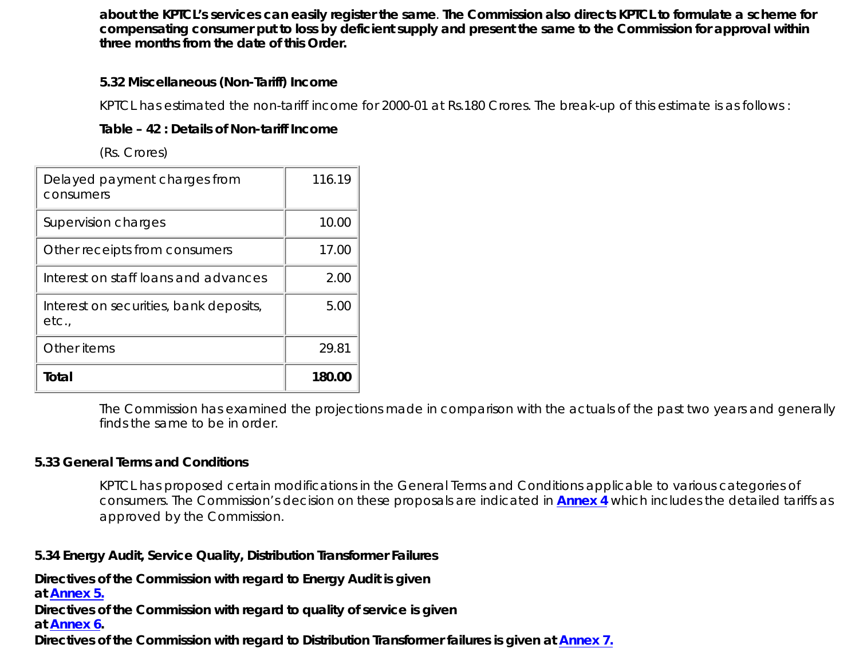**about the KPTCL's services can easily register the same**. **The Commission also directs KPTCL to formulate a scheme for compensating consumer put to loss by deficient supply and present the same to the Commission for approval within three months from the date of this Order.**

## **5.32 Miscellaneous (Non-Tariff) Income**

KPTCL has estimated the non-tariff income for 2000-01 at Rs.180 Crores. The break-up of this estimate is as follows :

## **Table – 42 : Details of Non-tariff Income**

(Rs. Crores)

| Delayed payment charges from<br>consumers       | 116.19 |
|-------------------------------------------------|--------|
| Supervision charges                             | 10.00  |
| Other receipts from consumers                   | 17.00  |
| Interest on staff loans and advances            | 2.00   |
| Interest on securities, bank deposits,<br>etc., | 5.00   |
| Other items                                     | 29.81  |
| Total                                           | 180.00 |

The Commission has examined the projections made in comparison with the actuals of the past two years and generally finds the same to be in order.

## **5.33 General Terms and Conditions**

KPTCL has proposed certain modifications in the General Terms and Conditions applicable to various categories of consumers. The Commission's decision on these proposals are indicated in **[Annex 4](file:///E|/kerc/TOA4.htm)** which includes the detailed tariffs as approved by the Commission.

## **5.34 Energy Audit, Service Quality, Distribution Transformer Failures**

**Directives of the Commission with regard to Energy Audit is given**

**at [Annex 5.](file:///E|/kerc/TOA5.htm)**

**Directives of the Commission with regard to quality of service is given**

**at [Annex 6.](file:///E|/kerc/TOA6.htm)**

**Directives of the Commission with regard to Distribution Transformer failures is given at [Annex 7.](file:///E|/kerc/TOA7.htm)**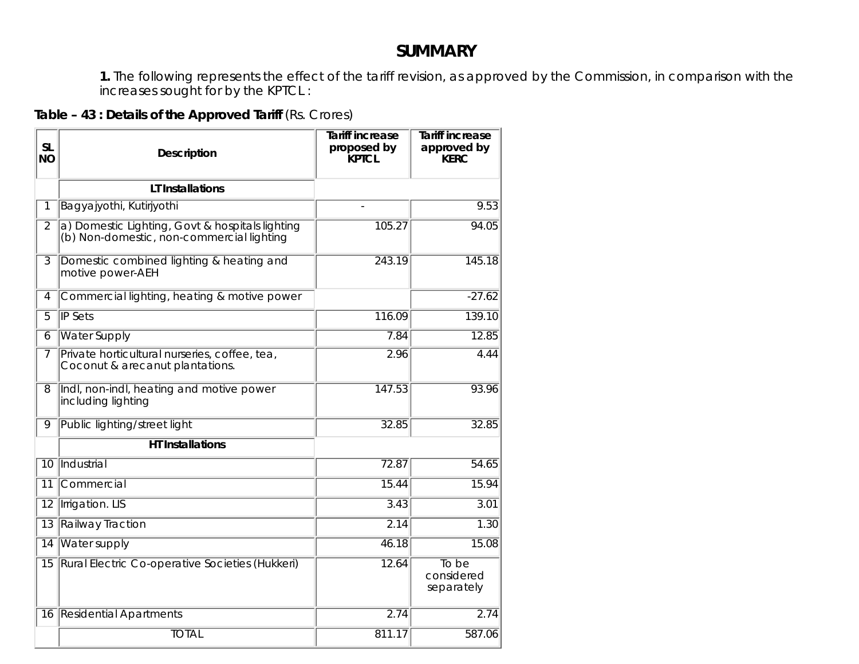# **SUMMARY**

**1.** The following represents the effect of the tariff revision, as approved by the Commission, in comparison with the increases sought for by the KPTCL :

# **Table – 43 : Details of the Approved Tariff** (Rs. Crores)

| <b>SL</b><br><b>NO</b> | Description                                                                                  | <b>Tariff increase</b><br>proposed by<br><b>KPTCL</b> | <b>Tariff increase</b><br>approved by<br><b>KERC</b> |
|------------------------|----------------------------------------------------------------------------------------------|-------------------------------------------------------|------------------------------------------------------|
|                        | <b>LT</b> Installations                                                                      |                                                       |                                                      |
| 1                      | Bagyajyothi, Kutirjyothi                                                                     | $\overline{a}$                                        | 9.53                                                 |
| $\overline{2}$         | a) Domestic Lighting, Govt & hospitals lighting<br>(b) Non-domestic, non-commercial lighting | 105.27                                                | 94.05                                                |
| $\overline{3}$         | Domestic combined lighting & heating and<br>motive power-AEH                                 | 243.19                                                | 145.18                                               |
| $\overline{4}$         | Commercial lighting, heating & motive power                                                  |                                                       | $-27.62$                                             |
| $\overline{5}$         | <b>IP Sets</b>                                                                               | 116.09                                                | 139.10                                               |
| 6                      | <b>Water Supply</b>                                                                          | 7.84                                                  | 12.85                                                |
| 7                      | Private horticultural nurseries, coffee, tea,<br>Coconut & arecanut plantations.             | 2.96                                                  | 4.44                                                 |
| 8                      | Indl, non-indl, heating and motive power<br>including lighting                               | 147.53                                                | 93.96                                                |
| 9                      | Public lighting/street light                                                                 | 32.85                                                 | 32.85                                                |
|                        | <b>HT</b> Installations                                                                      |                                                       |                                                      |
| 10                     | Industrial                                                                                   | 72.87                                                 | 54.65                                                |
| 11                     | Commercial                                                                                   | 15.44                                                 | 15.94                                                |
| $\overline{12}$        | <b>Irrigation. LIS</b>                                                                       | 3.43                                                  | 3.01                                                 |
| $\overline{13}$        | <b>Railway Traction</b>                                                                      | 2.14                                                  | 1.30                                                 |
| 14                     | <b>Water supply</b>                                                                          | 46.18                                                 | 15.08                                                |
| 15                     | Rural Electric Co-operative Societies (Hukkeri)                                              | 12.64                                                 | To be<br>considered<br>separately                    |
| 16                     | <b>Residential Apartments</b>                                                                | 2.74                                                  | 2.74                                                 |
|                        | <b>TOTAL</b>                                                                                 | 811.17                                                | 587.06                                               |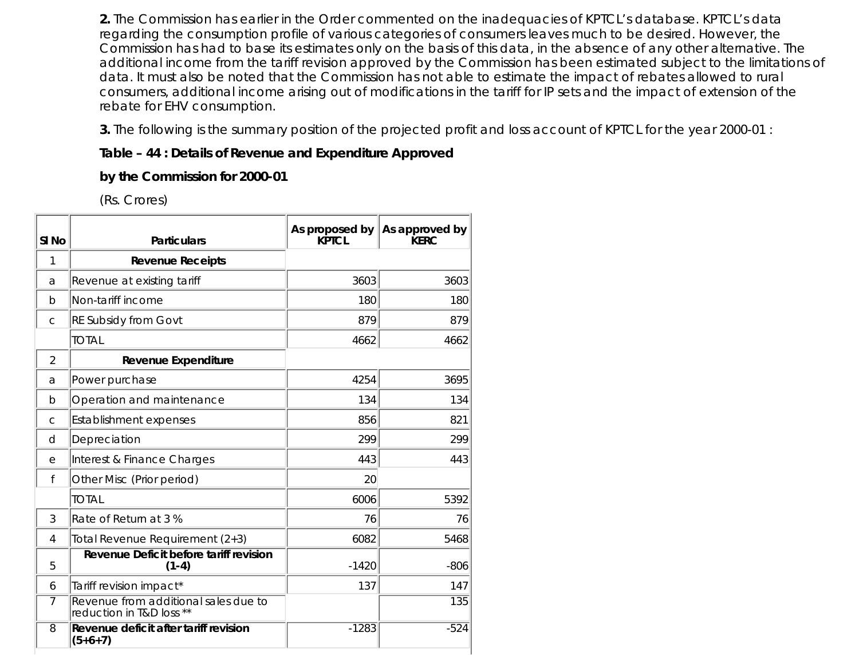**2.** The Commission has earlier in the Order commented on the inadequacies of KPTCL's database. KPTCL's data regarding the consumption profile of various categories of consumers leaves much to be desired. However, the Commission has had to base its estimates only on the basis of this data, in the absence of any other alternative. The additional income from the tariff revision approved by the Commission has been estimated subject to the limitations of data. It must also be noted that the Commission has not able to estimate the impact of rebates allowed to rural consumers, additional income arising out of modifications in the tariff for IP sets and the impact of extension of the rebate for EHV consumption.

**3.** The following is the summary position of the projected profit and loss account of KPTCL for the year 2000-01 :

## **Table – 44 : Details of Revenue and Expenditure Approved**

**by the Commission for 2000-01**

(Rs. Crores)

| SI <sub>No</sub> | <b>Particulars</b>                                               | As proposed by<br><b>KPTCL</b> | As approved by<br><b>KFRC</b> |
|------------------|------------------------------------------------------------------|--------------------------------|-------------------------------|
| 1                | <b>Revenue Receipts</b>                                          |                                |                               |
| а                | Revenue at existing tariff                                       | 3603                           | 3603                          |
| $\mathsf{b}$     | Non-tariff income                                                | 180                            | 180                           |
| $\mathsf{C}$     | <b>RE Subsidy from Govt</b>                                      | 879                            | 879                           |
|                  | <b>TOTAL</b>                                                     | 4662                           | 4662                          |
| 2                | <b>Revenue Expenditure</b>                                       |                                |                               |
| а                | Power purchase                                                   | 4254                           | 3695                          |
| b                | Operation and maintenance                                        | 134                            | 134                           |
| $\mathsf{C}$     | <b>Establishment expenses</b>                                    | 856                            | 821                           |
| d                | Depreciation                                                     | 299                            | 299                           |
| е                | Interest & Finance Charges                                       | 443                            | 443                           |
| f                | Other Misc (Prior period)                                        | 20                             |                               |
|                  | <b>TOTAL</b>                                                     | 6006                           | 5392                          |
| 3                | Rate of Return at 3 %                                            | 76                             | 76                            |
| 4                | Total Revenue Requirement (2+3)                                  | 6082                           | 5468                          |
| 5                | <b>Revenue Deficit before tariff revision</b><br>$(1-4)$         | $-1420$                        | $-806$                        |
| 6                | Tariff revision impact*                                          | 137                            | 147                           |
| 7                | Revenue from additional sales due to<br>reduction in T&D loss ** |                                | 135                           |
| 8                | Revenue deficit after tariff revision<br>$(5+6+7)$               | $-1283$                        | $-524$                        |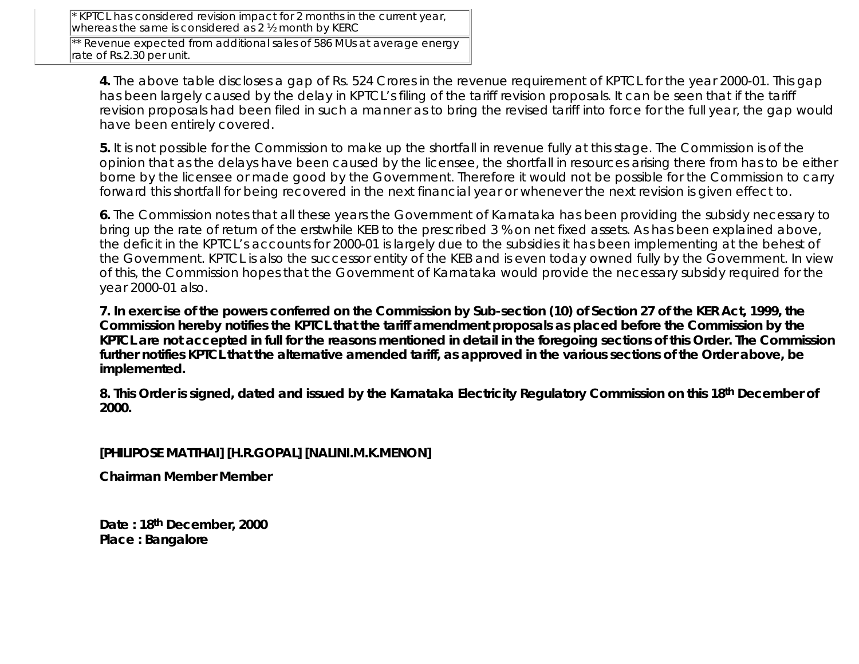KPTCL has considered revision impact for 2 months in the current year, whereas the same is considered as 2 1/2 month by KERC

\*\* Revenue expected from additional sales of 586 MUs at average energy rate of Rs.2.30 per unit.

**4.** The above table discloses a gap of Rs. 524 Crores in the revenue requirement of KPTCL for the year 2000-01. This gap has been largely caused by the delay in KPTCL's filing of the tariff revision proposals. It can be seen that if the tariff revision proposals had been filed in such a manner as to bring the revised tariff into force for the full year, the gap would have been entirely covered.

**5.** It is not possible for the Commission to make up the shortfall in revenue fully at this stage. The Commission is of the opinion that as the delays have been caused by the licensee, the shortfall in resources arising there from has to be either borne by the licensee or made good by the Government. Therefore it would not be possible for the Commission to carry forward this shortfall for being recovered in the next financial year or whenever the next revision is given effect to.

**6.** The Commission notes that all these years the Government of Karnataka has been providing the subsidy necessary to bring up the rate of return of the erstwhile KEB to the prescribed 3 % on net fixed assets. As has been explained above, the deficit in the KPTCL's accounts for 2000-01 is largely due to the subsidies it has been implementing at the behest of the Government. KPTCL is also the successor entity of the KEB and is even today owned fully by the Government. In view of this, the Commission hopes that the Government of Karnataka would provide the necessary subsidy required for the year 2000-01 also.

**7. In exercise of the powers conferred on the Commission by Sub-section (10) of Section 27 of the KER Act, 1999, the Commission hereby notifies the KPTCL that the tariff amendment proposals as placed before the Commission by the KPTCL are not accepted in full for the reasons mentioned in detail in the foregoing sections of this Order. The Commission further notifies KPTCL that the alternative amended tariff, as approved in the various sections of the Order above, be implemented.**

**8. This Order is signed, dated and issued by the Karnataka Electricity Regulatory Commission on this 18th December of 2000.**

#### **[PHILIPOSE MATTHAI] [H.R.GOPAL] [NALINI.M.K.MENON]**

**Chairman Member Member**

**Date : 18th December, 2000 Place : Bangalore**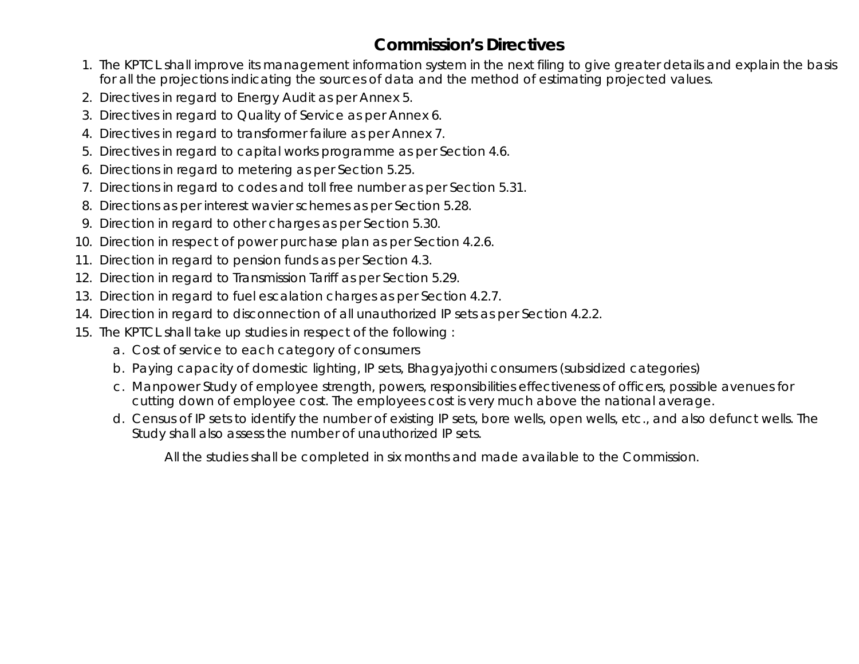# **Commission's Directives**

- 1. The KPTCL shall improve its management information system in the next filing to give greater details and explain the basis for all the projections indicating the sources of data and the method of estimating projected values.
- 2. Directives in regard to Energy Audit as per Annex 5.
- 3. Directives in regard to Quality of Service as per Annex 6.
- 4. Directives in regard to transformer failure as per Annex 7.
- 5. Directives in regard to capital works programme as per Section 4.6.
- 6. Directions in regard to metering as per Section 5.25.
- 7. Directions in regard to codes and toll free number as per Section 5.31.
- 8. Directions as per interest wavier schemes as per Section 5.28.
- 9. Direction in regard to other charges as per Section 5.30.
- 10. Direction in respect of power purchase plan as per Section 4.2.6.
- 11. Direction in regard to pension funds as per Section 4.3.
- 12. Direction in regard to Transmission Tariff as per Section 5.29.
- 13. Direction in regard to fuel escalation charges as per Section 4.2.7.
- 14. Direction in regard to disconnection of all unauthorized IP sets as per Section 4.2.2.
- 15. The KPTCL shall take up studies in respect of the following:
	- a. Cost of service to each category of consumers
	- b. Paying capacity of domestic lighting, IP sets, Bhagyajyothi consumers (subsidized categories)
	- Manpower Study of employee strength, powers, responsibilities effectiveness of officers, possible avenues for c. cutting down of employee cost. The employees cost is very much above the national average.
	- Census of IP sets to identify the number of existing IP sets, bore wells, open wells, etc., and also defunct wells. The d. Study shall also assess the number of unauthorized IP sets.

All the studies shall be completed in six months and made available to the Commission.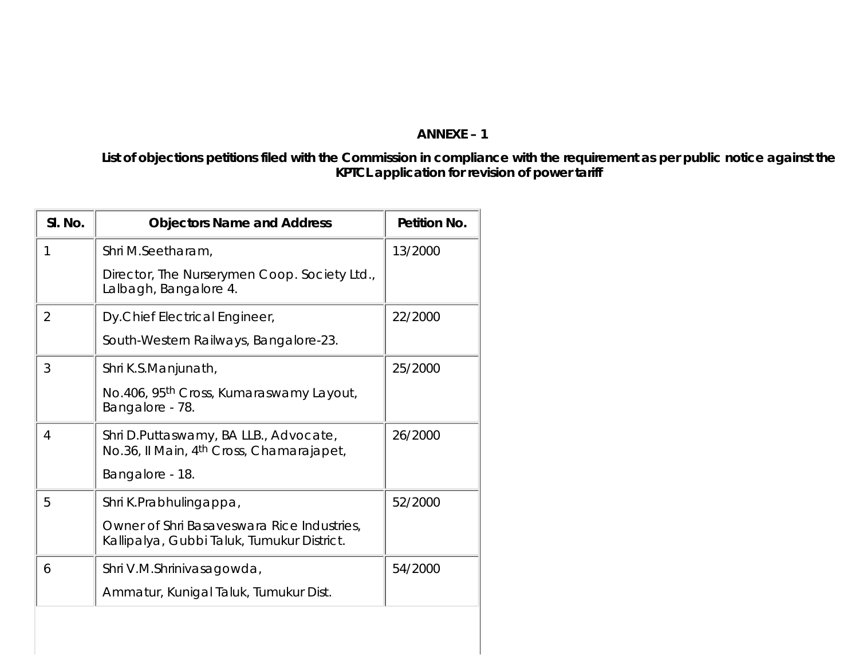## **ANNEXE – 1**

**List of objections petitions filed with the Commission in compliance with the requirement as per public notice against the KPTCL application for revision of power tariff**

| SI. No.        | <b>Objectors Name and Address</b>                                                             | Petition No. |
|----------------|-----------------------------------------------------------------------------------------------|--------------|
| 1              | Shri M.Seetharam,                                                                             | 13/2000      |
|                | Director, The Nurserymen Coop. Society Ltd.,<br>Lalbagh, Bangalore 4.                         |              |
| $\overline{2}$ | Dy.Chief Electrical Engineer,                                                                 | 22/2000      |
|                | South-Western Railways, Bangalore-23.                                                         |              |
| 3              | Shri K.S.Manjunath,                                                                           | 25/2000      |
|                | No.406, 95 <sup>th</sup> Cross, Kumaraswamy Layout,<br>Bangalore - 78.                        |              |
| 4              | Shri D.Puttaswamy, BA LLB., Advocate,<br>No.36, Il Main, 4 <sup>th</sup> Cross, Chamarajapet, | 26/2000      |
|                | Bangalore - 18.                                                                               |              |
| 5              | Shri K.Prabhulingappa,                                                                        | 52/2000      |
|                | Owner of Shri Basaveswara Rice Industries,<br>Kallipalya, Gubbi Taluk, Tumukur District.      |              |
| 6              | Shri V.M.Shrinivasagowda,                                                                     | 54/2000      |
|                | Ammatur, Kunigal Taluk, Tumukur Dist.                                                         |              |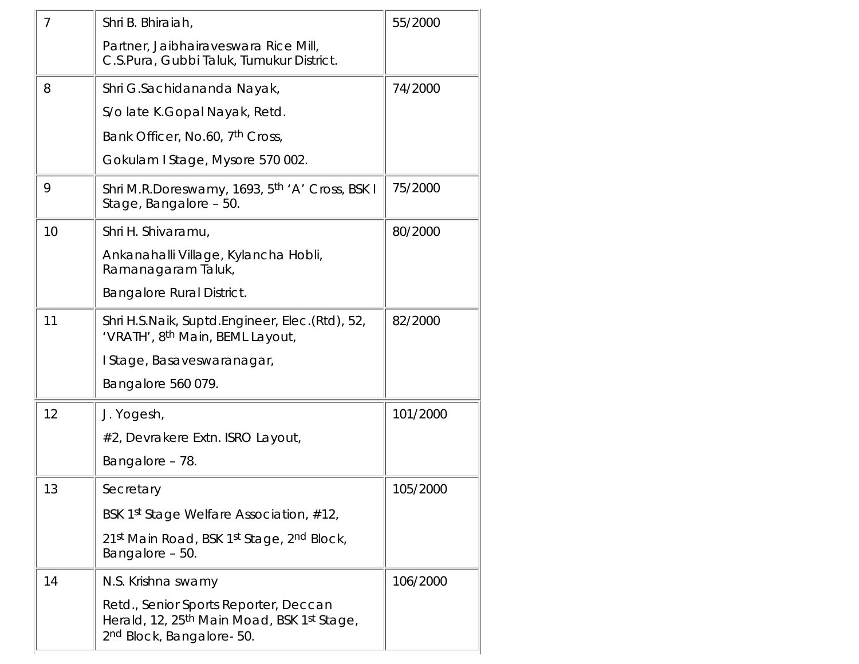| 7  | Shri B. Bhiraiah,                                                                                                            | 55/2000  |
|----|------------------------------------------------------------------------------------------------------------------------------|----------|
|    | Partner, Jaibhairaveswara Rice Mill,<br>C.S.Pura, Gubbi Taluk, Tumukur District.                                             |          |
| 8  | Shri G.Sachidananda Nayak,                                                                                                   | 74/2000  |
|    | S/o late K.Gopal Nayak, Retd.                                                                                                |          |
|    | Bank Officer, No.60, 7 <sup>th</sup> Cross,                                                                                  |          |
|    | Gokulam I Stage, Mysore 570 002.                                                                                             |          |
| 9  | Shri M.R.Doreswamy, 1693, 5 <sup>th</sup> 'A' Cross, BSK I<br>Stage, Bangalore - 50.                                         | 75/2000  |
| 10 | Shri H. Shivaramu,                                                                                                           | 80/2000  |
|    | Ankanahalli Village, Kylancha Hobli,<br>Ramanagaram Taluk,                                                                   |          |
|    | <b>Bangalore Rural District.</b>                                                                                             |          |
| 11 | Shri H.S.Naik, Suptd.Engineer, Elec.(Rtd), 52,<br>'VRATH', 8th Main, BEML Layout,                                            | 82/2000  |
|    | I Stage, Basaveswaranagar,                                                                                                   |          |
|    | Bangalore 560 079.                                                                                                           |          |
| 12 | J. Yogesh,                                                                                                                   | 101/2000 |
|    | #2, Devrakere Extn. ISRO Layout,                                                                                             |          |
|    | Bangalore - 78.                                                                                                              |          |
| 13 | Secretary                                                                                                                    | 105/2000 |
|    | BSK 1st Stage Welfare Association, #12,                                                                                      |          |
|    | 21st Main Road, BSK 1st Stage, 2nd Block,<br>Bangalore - 50.                                                                 |          |
| 14 | N.S. Krishna swamy                                                                                                           | 106/2000 |
|    | Retd., Senior Sports Reporter, Deccan<br>Herald, 12, 25 <sup>th</sup> Main Moad, BSK 1st Stage,<br>2nd Block, Bangalore- 50. |          |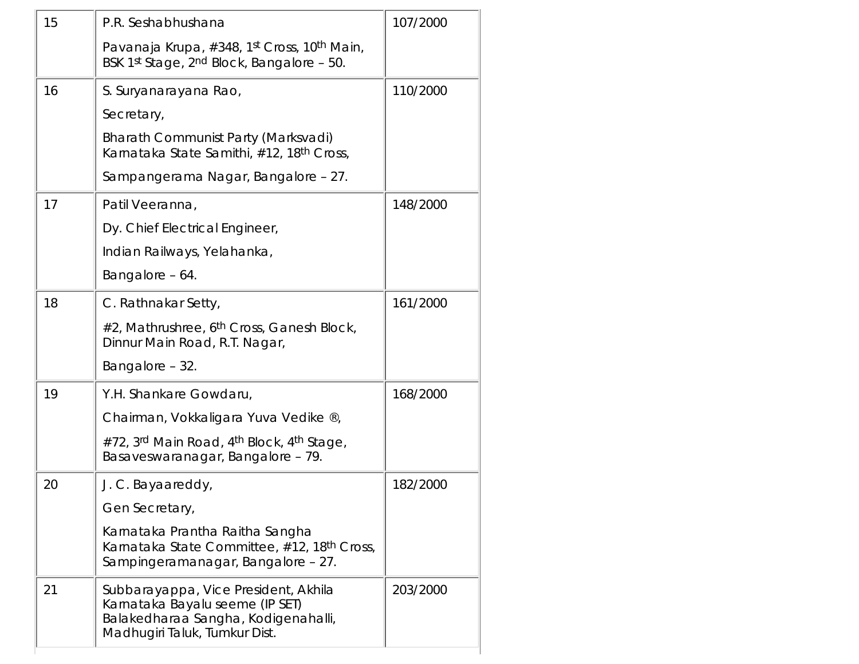| 15 | P.R. Seshabhushana                                                                                                                              | 107/2000 |
|----|-------------------------------------------------------------------------------------------------------------------------------------------------|----------|
|    | Pavanaja Krupa, #348, 1st Cross, 10th Main,<br>BSK 1st Stage, 2nd Block, Bangalore - 50.                                                        |          |
| 16 | S. Suryanarayana Rao,                                                                                                                           | 110/2000 |
|    | Secretary,                                                                                                                                      |          |
|    | Bharath Communist Party (Marksvadi)<br>Karnataka State Samithi, #12, 18 <sup>th</sup> Cross,                                                    |          |
|    | Sampangerama Nagar, Bangalore - 27.                                                                                                             |          |
| 17 | Patil Veeranna,                                                                                                                                 | 148/2000 |
|    | Dy. Chief Electrical Engineer,                                                                                                                  |          |
|    | Indian Railways, Yelahanka,                                                                                                                     |          |
|    | Bangalore - 64.                                                                                                                                 |          |
| 18 | C. Rathnakar Setty,                                                                                                                             | 161/2000 |
|    | #2, Mathrushree, 6 <sup>th</sup> Cross, Ganesh Block,<br>Dinnur Main Road, R.T. Nagar,                                                          |          |
|    | Bangalore - 32.                                                                                                                                 |          |
| 19 | Y.H. Shankare Gowdaru,                                                                                                                          | 168/2000 |
|    | Chairman, Vokkaligara Yuva Vedike ®,                                                                                                            |          |
|    | #72, 3rd Main Road, 4th Block, 4th Stage,<br>Basaveswaranagar, Bangalore - 79.                                                                  |          |
| 20 | J. C. Bayaareddy,                                                                                                                               | 182/2000 |
|    | Gen Secretary,                                                                                                                                  |          |
|    | Karnataka Prantha Raitha Sangha<br>Karnataka State Committee, #12, 18 <sup>th</sup> Cross,<br>Sampingeramanagar, Bangalore - 27.                |          |
| 21 | Subbarayappa, Vice President, Akhila<br>Karnataka Bayalu seeme (IP SET)<br>Balakedharaa Sangha, Kodigenahalli,<br>Madhugiri Taluk, Tumkur Dist. | 203/2000 |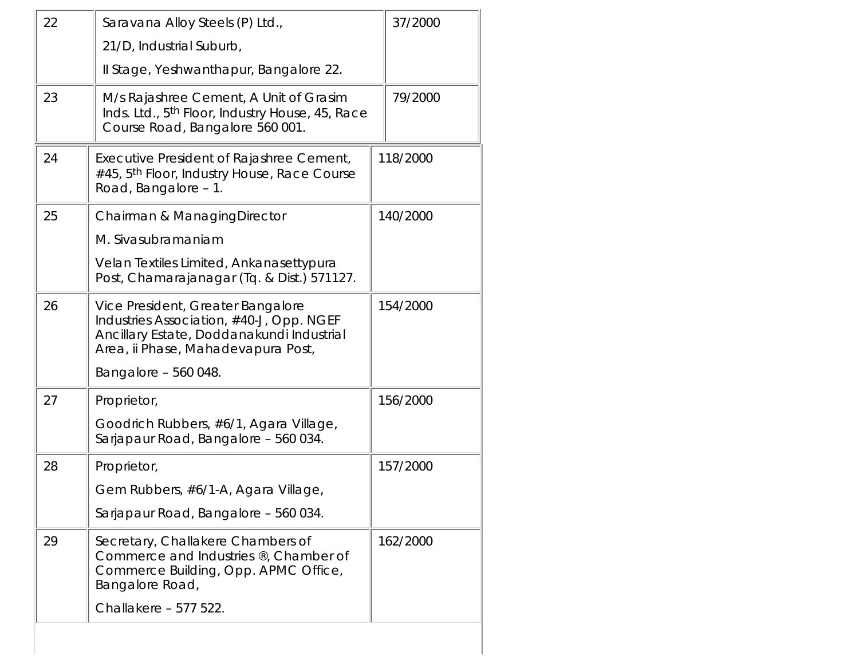| 22                                     | Saravana Alloy Steels (P) Ltd.,                                                                                                                                  | 37/2000  |
|----------------------------------------|------------------------------------------------------------------------------------------------------------------------------------------------------------------|----------|
|                                        | 21/D, Industrial Suburb,                                                                                                                                         |          |
| Il Stage, Yeshwanthapur, Bangalore 22. |                                                                                                                                                                  |          |
| 23                                     | M/s Rajashree Cement, A Unit of Grasim<br>Inds. Ltd., 5 <sup>th</sup> Floor, Industry House, 45, Race<br>Course Road, Bangalore 560 001.                         | 79/2000  |
| 24                                     | Executive President of Rajashree Cement,<br>#45, 5th Floor, Industry House, Race Course<br>Road, Bangalore - 1.                                                  | 118/2000 |
| 25                                     | Chairman & ManagingDirector                                                                                                                                      | 140/2000 |
|                                        | M. Sivasubramaniam                                                                                                                                               |          |
|                                        | Velan Textiles Limited, Ankanasettypura<br>Post, Chamarajanagar (Tq. & Dist.) 571127.                                                                            |          |
| 26                                     | Vice President, Greater Bangalore<br>Industries Association, #40-J, Opp. NGEF<br>Ancillary Estate, Doddanakundi Industrial<br>Area, ii Phase, Mahadevapura Post, | 154/2000 |
|                                        | Bangalore - 560 048.                                                                                                                                             |          |
| 27                                     | Proprietor,                                                                                                                                                      | 156/2000 |
|                                        | Goodrich Rubbers, #6/1, Agara Village,<br>Sarjapaur Road, Bangalore - 560 034.                                                                                   |          |
| 28                                     | Proprietor,                                                                                                                                                      | 157/2000 |
|                                        | Gem Rubbers, #6/1-A, Agara Village,                                                                                                                              |          |
|                                        | Sarjapaur Road, Bangalore - 560 034.                                                                                                                             |          |
| 29                                     | Secretary, Challakere Chambers of<br>162/2000<br>Commerce and Industries ®, Chamber of<br>Commerce Building, Opp. APMC Office,<br>Bangalore Road,                |          |
|                                        | Challakere - 577 522.                                                                                                                                            |          |
|                                        |                                                                                                                                                                  |          |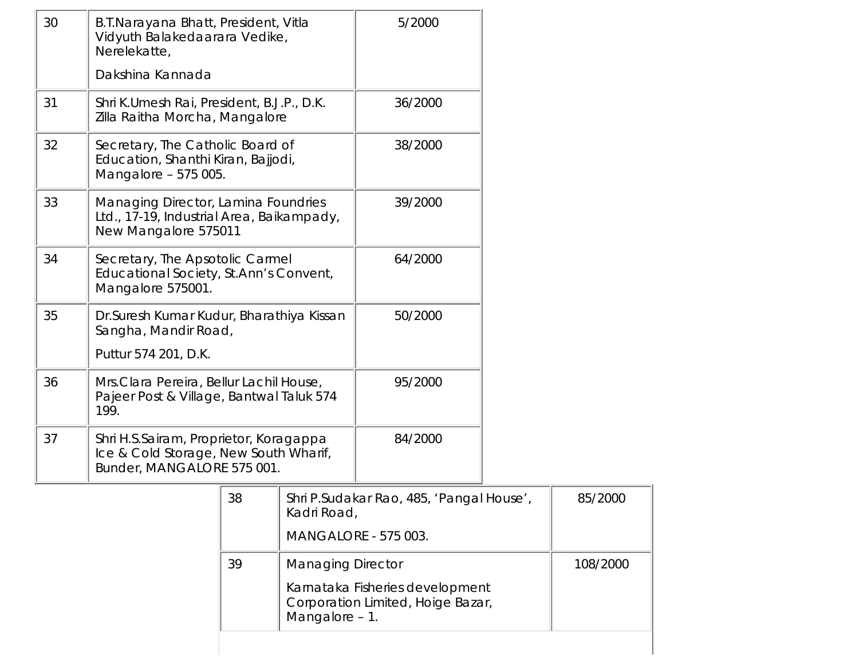| 30 | B.T.Narayana Bhatt, President, Vitla<br>Vidyuth Balakedaarara Vedike,<br>Nerelekatte,                         |                                                                                      |                             | 5/2000                                   |  |
|----|---------------------------------------------------------------------------------------------------------------|--------------------------------------------------------------------------------------|-----------------------------|------------------------------------------|--|
|    | Dakshina Kannada                                                                                              |                                                                                      |                             |                                          |  |
| 31 | Shri K.Umesh Rai, President, B.J.P., D.K.<br>Zilla Raitha Morcha, Mangalore                                   |                                                                                      | 36/2000                     |                                          |  |
| 32 | Secretary, The Catholic Board of<br>Education, Shanthi Kiran, Bajjodi,<br>Mangalore - 575 005.                |                                                                                      |                             | 38/2000                                  |  |
| 33 | Managing Director, Lamina Foundries<br>Ltd., 17-19, Industrial Area, Baikampady,<br>New Mangalore 575011      |                                                                                      |                             | 39/2000                                  |  |
| 34 | Secretary, The Apsotolic Carmel<br>Educational Society, St.Ann's Convent,<br>Mangalore 575001.                |                                                                                      |                             | 64/2000                                  |  |
| 35 | Sangha, Mandir Road,<br>Puttur 574 201, D.K.                                                                  | Dr. Suresh Kumar Kudur, Bharathiya Kissan                                            |                             | 50/2000                                  |  |
| 36 | 199.                                                                                                          | Mrs. Clara Pereira, Bellur Lachil House,<br>Pajeer Post & Village, Bantwal Taluk 574 |                             | 95/2000                                  |  |
| 37 | Shri H.S.Sairam, Proprietor, Koragappa<br>Ice & Cold Storage, New South Wharif,<br>Bunder, MANGALORE 575 001. |                                                                                      |                             | 84/2000                                  |  |
|    |                                                                                                               | 38                                                                                   | Kadri Road,                 | Shri P.Sudakar Rao, 485, 'Pangal House', |  |
|    |                                                                                                               |                                                                                      | <b>MANGALORE - 575 003.</b> |                                          |  |
|    |                                                                                                               | 39                                                                                   | <b>Managing Director</b>    |                                          |  |
|    | Karnataka Fisheries development<br>Corporation Limited, Hoige Bazar,<br>Mangalore - 1.                        |                                                                                      |                             |                                          |  |

85/2000

108/2000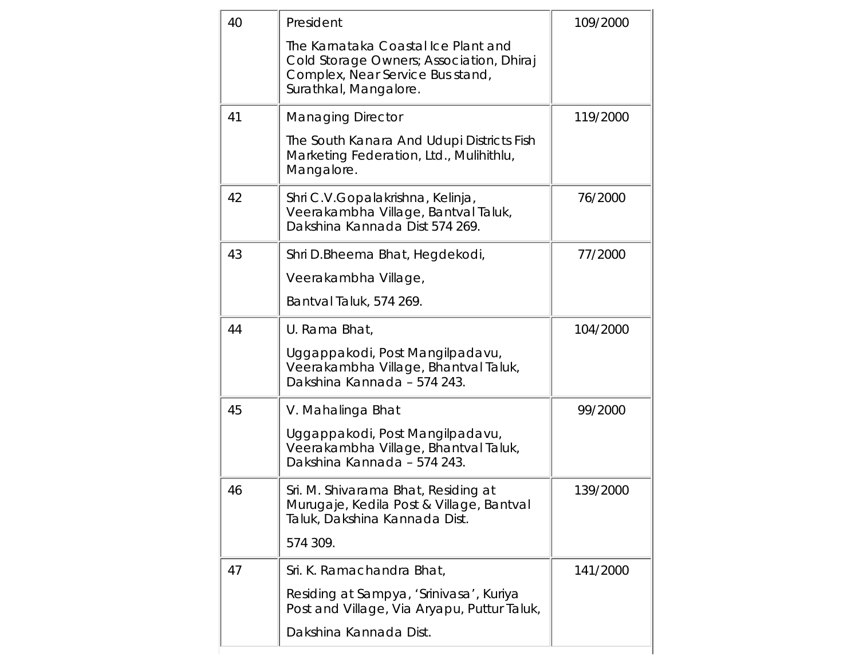| 40 | President                                                                                                                                    | 109/2000 |
|----|----------------------------------------------------------------------------------------------------------------------------------------------|----------|
|    | The Karnataka Coastal Ice Plant and<br>Cold Storage Owners; Association, Dhiraj<br>Complex, Near Service Bus stand,<br>Surathkal, Mangalore. |          |
| 41 | <b>Managing Director</b>                                                                                                                     | 119/2000 |
|    | The South Kanara And Udupi Districts Fish<br>Marketing Federation, Ltd., Mulihithlu,<br>Mangalore.                                           |          |
| 42 | Shri C.V.Gopalakrishna, Kelinja,<br>Veerakambha Village, Bantval Taluk,<br>Dakshina Kannada Dist 574 269.                                    | 76/2000  |
| 43 | Shri D.Bheema Bhat, Hegdekodi,                                                                                                               | 77/2000  |
|    | Veerakambha Village,                                                                                                                         |          |
|    | Bantval Taluk, 574 269.                                                                                                                      |          |
| 44 | U. Rama Bhat,                                                                                                                                | 104/2000 |
|    | Uggappakodi, Post Mangilpadavu,<br>Veerakambha Village, Bhantval Taluk,<br>Dakshina Kannada - 574 243.                                       |          |
| 45 | V. Mahalinga Bhat                                                                                                                            | 99/2000  |
|    | Uggappakodi, Post Mangilpadavu,<br>Veerakambha Village, Bhantval Taluk,<br>Dakshina Kannada - 574 243.                                       |          |
| 46 | Sri. M. Shivarama Bhat, Residing at<br>Murugaje, Kedila Post & Village, Bantval<br>Taluk, Dakshina Kannada Dist.                             | 139/2000 |
|    | 574 309.                                                                                                                                     |          |
| 47 | Sri. K. Ramachandra Bhat,                                                                                                                    | 141/2000 |
|    | Residing at Sampya, 'Srinivasa', Kuriya<br>Post and Village, Via Aryapu, Puttur Taluk,                                                       |          |
|    | Dakshina Kannada Dist.                                                                                                                       |          |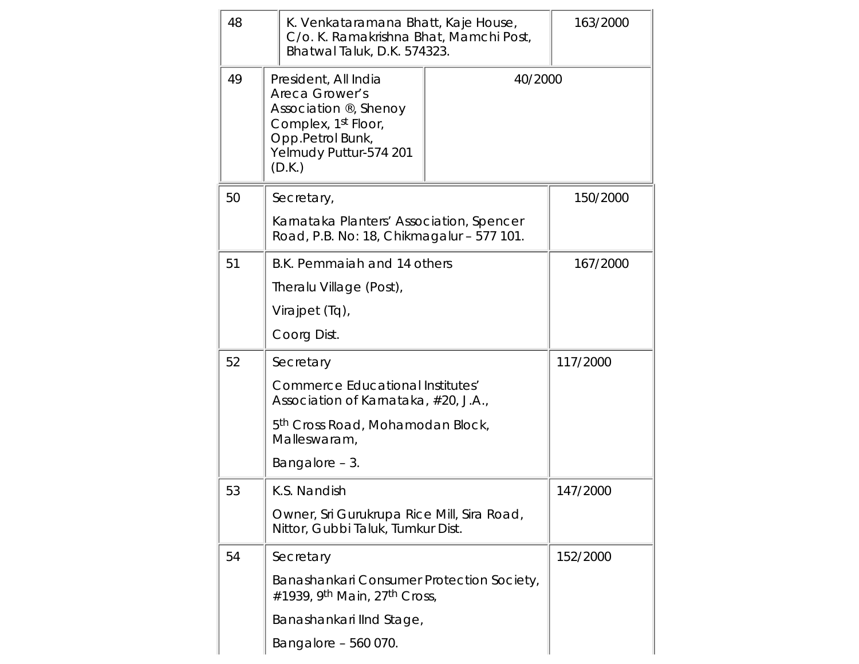| 48 |                                                                                                                                                                       | K. Venkataramana Bhatt, Kaje House,<br>C/o. K. Ramakrishna Bhat, Mamchi Post,<br>Bhatwal Taluk, D.K. 574323. |          | 163/2000 |
|----|-----------------------------------------------------------------------------------------------------------------------------------------------------------------------|--------------------------------------------------------------------------------------------------------------|----------|----------|
| 49 | President, All India<br>40/2000<br>Areca Grower's<br>Association ®, Shenoy<br>Complex, 1 <sup>st</sup> Floor,<br>Opp.Petrol Bunk,<br>Yelmudy Puttur-574 201<br>(D.K.) |                                                                                                              |          |          |
| 50 |                                                                                                                                                                       | Secretary,                                                                                                   |          | 150/2000 |
|    |                                                                                                                                                                       | Karnataka Planters' Association, Spencer<br>Road, P.B. No: 18, Chikmagalur - 577 101.                        |          |          |
| 51 |                                                                                                                                                                       | B.K. Pemmaiah and 14 others                                                                                  |          | 167/2000 |
|    |                                                                                                                                                                       | Theralu Village (Post),                                                                                      |          |          |
|    |                                                                                                                                                                       | Virajpet (Tq),                                                                                               |          |          |
|    |                                                                                                                                                                       | Coorg Dist.                                                                                                  |          |          |
| 52 | Secretary                                                                                                                                                             |                                                                                                              |          | 117/2000 |
|    |                                                                                                                                                                       | <b>Commerce Educational Institutes'</b><br>Association of Karnataka, #20, J.A.,                              |          |          |
|    |                                                                                                                                                                       | 5 <sup>th</sup> Cross Road, Mohamodan Block,<br>Malleswaram,                                                 |          |          |
|    |                                                                                                                                                                       | Bangalore - 3.                                                                                               |          |          |
| 53 |                                                                                                                                                                       | K.S. Nandish                                                                                                 |          | 147/2000 |
|    | Owner, Sri Gurukrupa Rice Mill, Sira Road,<br>Nittor, Gubbi Taluk, Tumkur Dist.                                                                                       |                                                                                                              |          |          |
| 54 |                                                                                                                                                                       | Secretary                                                                                                    | 152/2000 |          |
|    |                                                                                                                                                                       | Banashankari Consumer Protection Society,<br>#1939, 9 <sup>th</sup> Main, 27 <sup>th</sup> Cross,            |          |          |
|    |                                                                                                                                                                       | Banashankari IInd Stage,                                                                                     |          |          |
|    |                                                                                                                                                                       | Bangalore - 560 070.                                                                                         |          |          |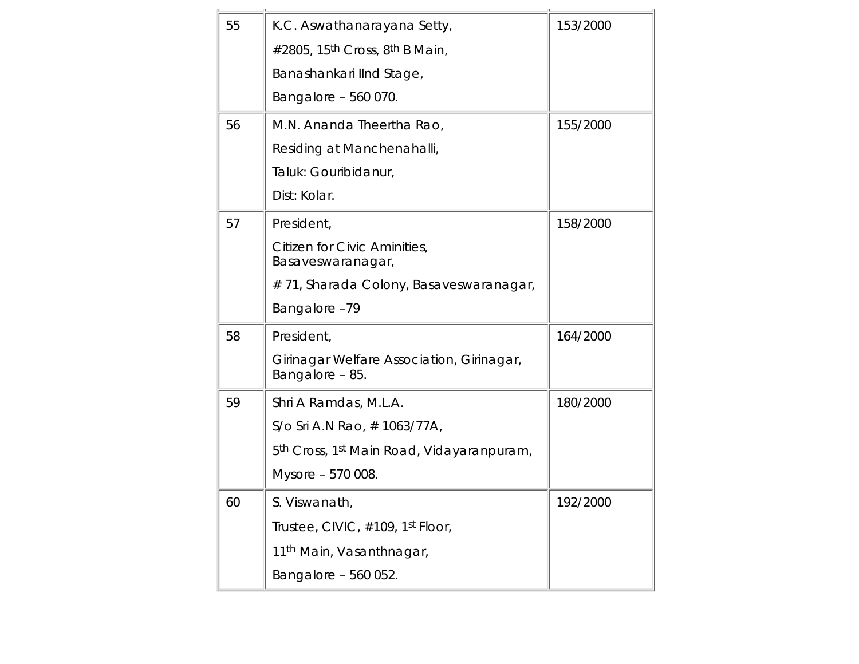| 55 | K.C. Aswathanarayana Setty,                                       | 153/2000 |
|----|-------------------------------------------------------------------|----------|
|    | #2805, 15 <sup>th</sup> Cross, 8 <sup>th</sup> B Main,            |          |
|    | Banashankari IInd Stage,                                          |          |
|    | Bangalore - 560 070.                                              |          |
| 56 | M.N. Ananda Theertha Rao,                                         | 155/2000 |
|    | Residing at Manchenahalli,                                        |          |
|    | Taluk: Gouribidanur,                                              |          |
|    | Dist: Kolar.                                                      |          |
| 57 | President,                                                        | 158/2000 |
|    | Citizen for Civic Aminities,<br>Basaveswaranagar,                 |          |
|    | #71, Sharada Colony, Basaveswaranagar,                            |          |
|    | Bangalore-79                                                      |          |
| 58 | President,                                                        | 164/2000 |
|    | Girinagar Welfare Association, Girinagar,<br>Bangalore - 85.      |          |
| 59 | Shri A Ramdas, M.L.A.                                             | 180/2000 |
|    | S/o Sri A.N Rao, $\#$ 1063/77A,                                   |          |
|    | 5 <sup>th</sup> Cross, 1 <sup>st</sup> Main Road, Vidayaranpuram, |          |
|    | Mysore - 570 008.                                                 |          |
| 60 | S. Viswanath,                                                     | 192/2000 |
|    | Trustee, CIVIC, #109, 1st Floor,                                  |          |
|    | 11 <sup>th</sup> Main, Vasanthnagar,                              |          |
|    | Bangalore - 560 052.                                              |          |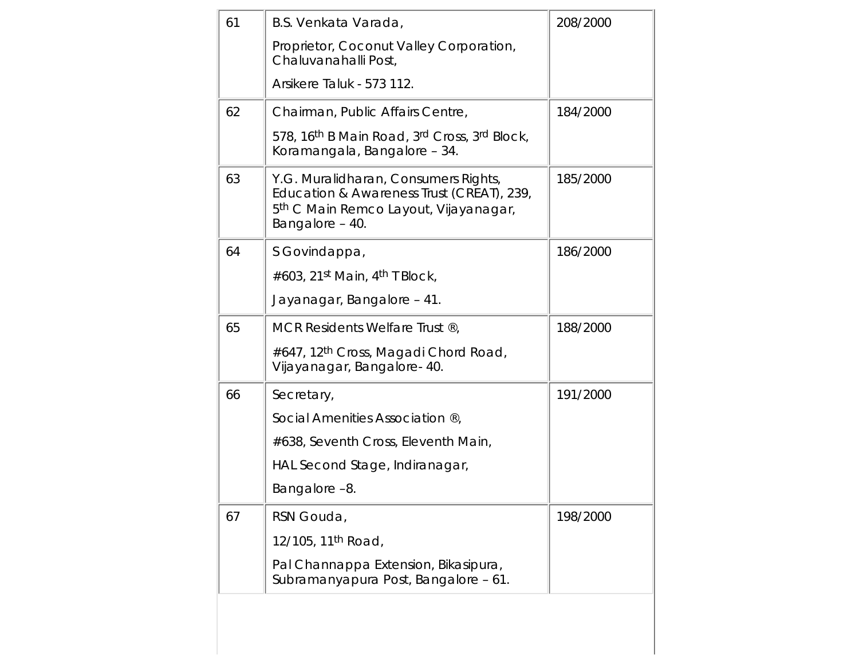| 61 | B.S. Venkata Varada,                                                                                                                                      | 208/2000 |
|----|-----------------------------------------------------------------------------------------------------------------------------------------------------------|----------|
|    | Proprietor, Coconut Valley Corporation,<br>Chaluvanahalli Post,                                                                                           |          |
|    | Arsikere Taluk - 573 112.                                                                                                                                 |          |
| 62 | Chairman, Public Affairs Centre,                                                                                                                          | 184/2000 |
|    | 578, 16 <sup>th</sup> B Main Road, 3 <sup>rd</sup> Cross, 3rd Block,<br>Koramangala, Bangalore - 34.                                                      |          |
| 63 | Y.G. Muralidharan, Consumers Rights,<br>Education & Awareness Trust (CREAT), 239,<br>5 <sup>th</sup> C Main Remco Layout, Vijayanagar,<br>Bangalore - 40. | 185/2000 |
| 64 | S Govindappa,                                                                                                                                             | 186/2000 |
|    | #603, 21 <sup>st</sup> Main, 4 <sup>th</sup> T Block,                                                                                                     |          |
|    | Jayanagar, Bangalore - 41.                                                                                                                                |          |
| 65 | MCR Residents Welfare Trust ®,                                                                                                                            | 188/2000 |
|    | #647, 12 <sup>th</sup> Cross, Magadi Chord Road,<br>Vijayanagar, Bangalore- 40.                                                                           |          |
| 66 | Secretary,                                                                                                                                                | 191/2000 |
|    | Social Amenities Association ®,                                                                                                                           |          |
|    | #638, Seventh Cross, Eleventh Main,                                                                                                                       |          |
|    | HAL Second Stage, Indiranagar,                                                                                                                            |          |
|    | Bangalore-8.                                                                                                                                              |          |
| 67 | RSN Gouda,                                                                                                                                                | 198/2000 |
|    | 12/105, 11 <sup>th</sup> Road,                                                                                                                            |          |
|    | Pal Channappa Extension, Bikasipura,<br>Subramanyapura Post, Bangalore - 61.                                                                              |          |
|    |                                                                                                                                                           |          |
|    |                                                                                                                                                           |          |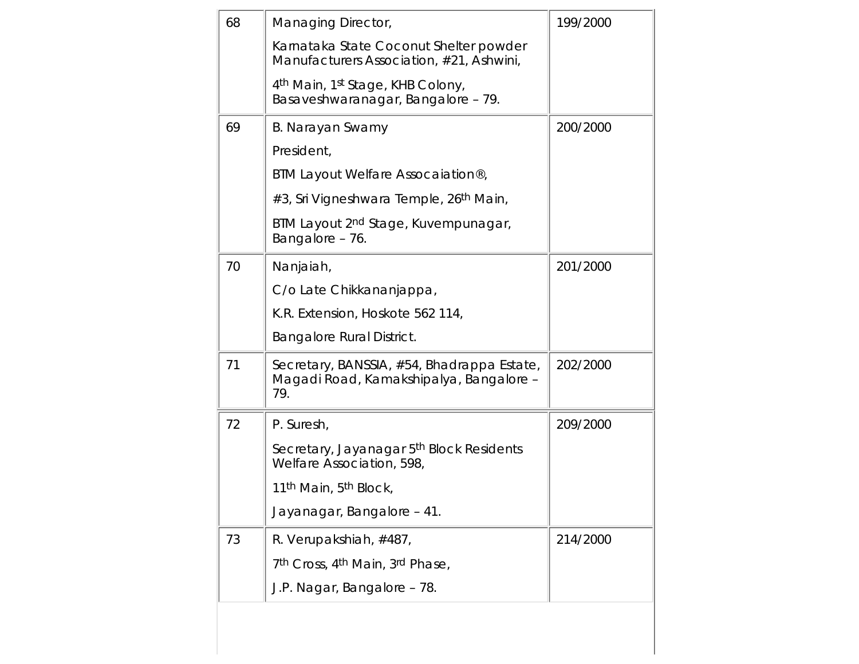| 68 | Managing Director,                                                                             | 199/2000 |
|----|------------------------------------------------------------------------------------------------|----------|
|    | Karnataka State Coconut Shelter powder<br>Manufacturers Association, #21, Ashwini,             |          |
|    | 4 <sup>th</sup> Main, 1 <sup>st</sup> Stage, KHB Colony,<br>Basaveshwaranagar, Bangalore - 79. |          |
| 69 | B. Narayan Swamy                                                                               | 200/2000 |
|    | President,                                                                                     |          |
|    | BTM Layout Welfare Assocaiation®,                                                              |          |
|    | #3, Sri Vigneshwara Temple, 26 <sup>th</sup> Main,                                             |          |
|    | BTM Layout 2 <sup>nd</sup> Stage, Kuvempunagar,<br>Bangalore - 76.                             |          |
| 70 | Nanjaiah,                                                                                      | 201/2000 |
|    | C/o Late Chikkananjappa,                                                                       |          |
|    | K.R. Extension, Hoskote 562 114,                                                               |          |
|    | Bangalore Rural District.                                                                      |          |
| 71 | Secretary, BANSSIA, #54, Bhadrappa Estate,<br>Magadi Road, Kamakshipalya, Bangalore -<br>79.   | 202/2000 |
| 72 | P. Suresh,                                                                                     | 209/2000 |
|    | Secretary, Jayanagar 5 <sup>th</sup> Block Residents<br>Welfare Association, 598,              |          |
|    | 11 <sup>th</sup> Main, 5 <sup>th</sup> Block,                                                  |          |
|    | Jayanagar, Bangalore - 41.                                                                     |          |
| 73 | R. Verupakshiah, #487,                                                                         | 214/2000 |
|    | 7th Cross, 4th Main, 3rd Phase,                                                                |          |
|    | J.P. Nagar, Bangalore - 78.                                                                    |          |
|    |                                                                                                |          |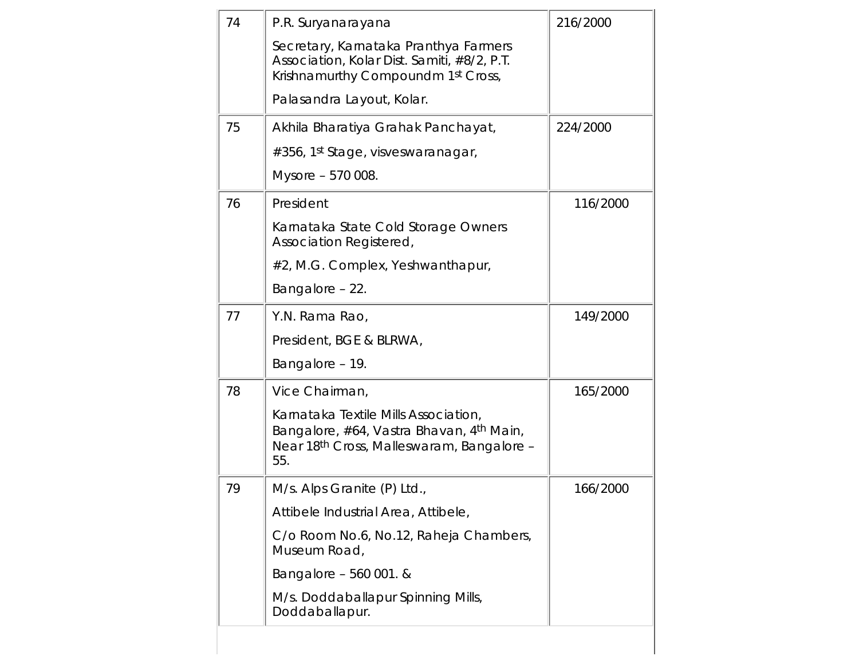| 74 | P.R. Suryanarayana                                                                                                                                           | 216/2000 |
|----|--------------------------------------------------------------------------------------------------------------------------------------------------------------|----------|
|    | Secretary, Karnataka Pranthya Farmers<br>Association, Kolar Dist. Samiti, #8/2, P.T.<br>Krishnamurthy Compoundm 1st Cross,                                   |          |
|    | Palasandra Layout, Kolar.                                                                                                                                    |          |
| 75 | Akhila Bharatiya Grahak Panchayat,                                                                                                                           | 224/2000 |
|    | #356, 1st Stage, visveswaranagar,                                                                                                                            |          |
|    | Mysore - 570 008.                                                                                                                                            |          |
| 76 | President                                                                                                                                                    | 116/2000 |
|    | Karnataka State Cold Storage Owners<br>Association Registered,                                                                                               |          |
|    | #2, M.G. Complex, Yeshwanthapur,                                                                                                                             |          |
|    | Bangalore - 22.                                                                                                                                              |          |
| 77 | Y.N. Rama Rao,                                                                                                                                               | 149/2000 |
|    | President, BGE & BLRWA,                                                                                                                                      |          |
|    | Bangalore - 19.                                                                                                                                              |          |
| 78 | Vice Chairman,                                                                                                                                               | 165/2000 |
|    | Karnataka Textile Mills Association,<br>Bangalore, #64, Vastra Bhavan, 4 <sup>th</sup> Main,<br>Near 18 <sup>th</sup> Cross, Malleswaram, Bangalore -<br>55. |          |
| 79 | M/s. Alps Granite (P) Ltd.                                                                                                                                   | 166/2000 |
|    | Attibele Industrial Area, Attibele,                                                                                                                          |          |
|    | C/o Room No.6, No.12, Raheja Chambers,<br>Museum Road,                                                                                                       |          |
|    | Bangalore - 560 001. &                                                                                                                                       |          |
|    | M/s. Doddaballapur Spinning Mills,<br>Doddaballapur.                                                                                                         |          |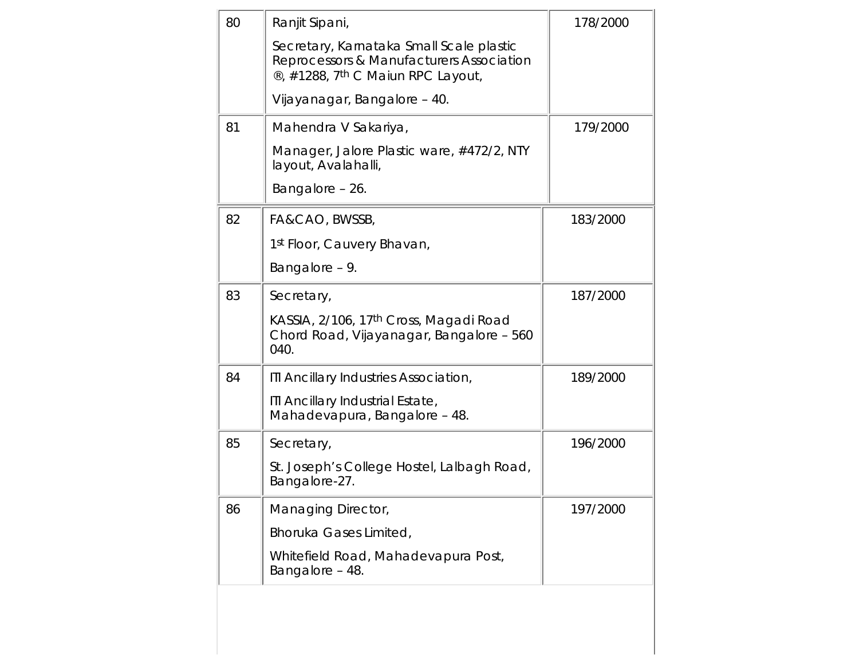| 80 | Ranjit Sipani,                                                                                                                        | 178/2000 |
|----|---------------------------------------------------------------------------------------------------------------------------------------|----------|
|    | Secretary, Karnataka Small Scale plastic<br>Reprocessors & Manufacturers Association<br>®, #1288, 7 <sup>th</sup> C Maiun RPC Layout, |          |
|    | Vijayanagar, Bangalore - 40.                                                                                                          |          |
| 81 | Mahendra V Sakariya,                                                                                                                  | 179/2000 |
|    | Manager, Jalore Plastic ware, #472/2, NTY<br>layout, Avalahalli,                                                                      |          |
|    | Bangalore - 26.                                                                                                                       |          |
| 82 | FA&CAO, BWSSB,                                                                                                                        | 183/2000 |
|    | 1 <sup>st</sup> Floor, Cauvery Bhavan,                                                                                                |          |
|    | Bangalore - 9.                                                                                                                        |          |
| 83 | Secretary,                                                                                                                            | 187/2000 |
|    | KASSIA, 2/106, 17 <sup>th</sup> Cross, Magadi Road<br>Chord Road, Vijayanagar, Bangalore - 560<br>040.                                |          |
| 84 | ITI Ancillary Industries Association,                                                                                                 | 189/2000 |
|    | ITI Ancillary Industrial Estate,<br>Mahadevapura, Bangalore - 48.                                                                     |          |
| 85 | Secretary,                                                                                                                            | 196/2000 |
|    | St. Joseph's College Hostel, Lalbagh Road,<br>Bangalore-27.                                                                           |          |
| 86 | Managing Director,                                                                                                                    | 197/2000 |
|    | Bhoruka Gases Limited,                                                                                                                |          |
|    | Whitefield Road, Mahadevapura Post,<br>Bangalore - 48.                                                                                |          |
|    |                                                                                                                                       |          |
|    |                                                                                                                                       |          |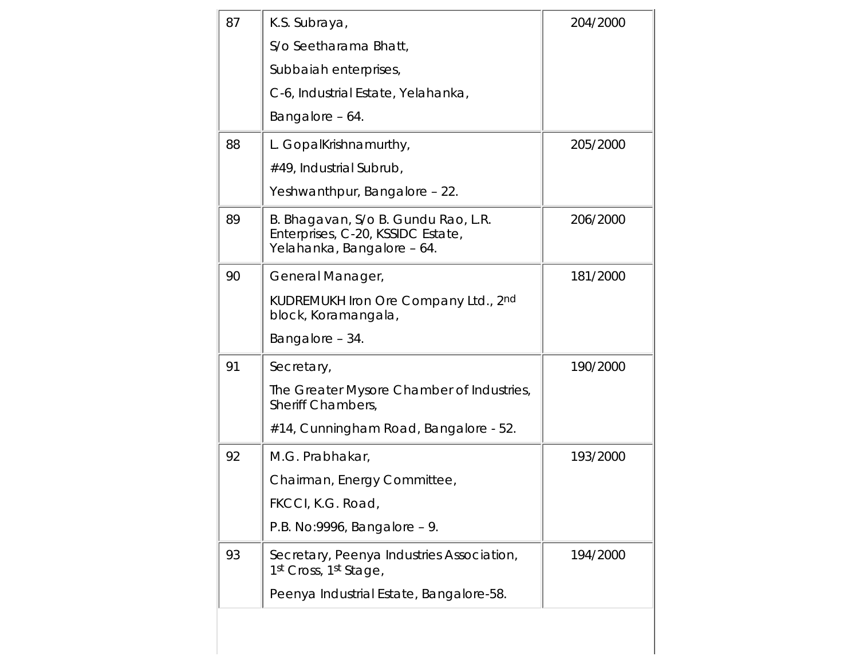| 87 | K.S. Subraya,                                                                                          | 204/2000 |
|----|--------------------------------------------------------------------------------------------------------|----------|
|    | S/o Seetharama Bhatt,                                                                                  |          |
|    | Subbaiah enterprises,                                                                                  |          |
|    | C-6, Industrial Estate, Yelahanka,                                                                     |          |
|    | Bangalore - 64.                                                                                        |          |
| 88 | L. GopalKrishnamurthy,                                                                                 | 205/2000 |
|    | #49, Industrial Subrub,                                                                                |          |
|    | Yeshwanthpur, Bangalore - 22.                                                                          |          |
| 89 | B. Bhagavan, S/o B. Gundu Rao, L.R.<br>Enterprises, C-20, KSSIDC Estate,<br>Yelahanka, Bangalore - 64. | 206/2000 |
| 90 | General Manager,                                                                                       | 181/2000 |
|    | KUDREMUKH Iron Ore Company Ltd., 2nd<br>block, Koramangala,                                            |          |
|    | Bangalore - 34.                                                                                        |          |
| 91 | Secretary,                                                                                             | 190/2000 |
|    | The Greater Mysore Chamber of Industries,<br>Sheriff Chambers,                                         |          |
|    | #14, Cunningham Road, Bangalore - 52.                                                                  |          |
| 92 | M.G. Prabhakar,                                                                                        | 193/2000 |
|    | Chairman, Energy Committee,                                                                            |          |
|    | FKCCI, K.G. Road,                                                                                      |          |
|    | P.B. No:9996, Bangalore - 9.                                                                           |          |
| 93 | Secretary, Peenya Industries Association,<br>1st Cross, 1st Stage,                                     | 194/2000 |
|    | Peenya Industrial Estate, Bangalore-58.                                                                |          |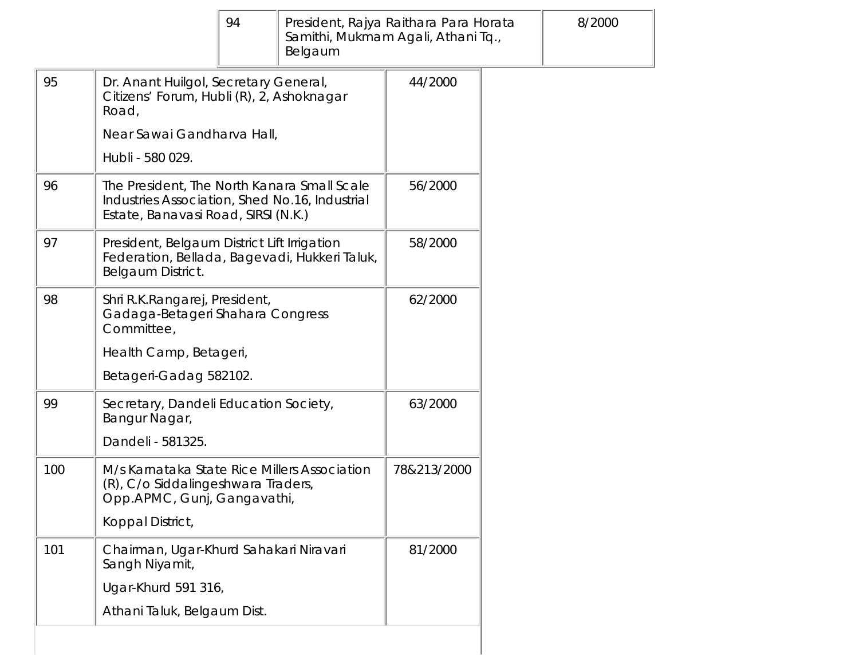|     |                                                                                                                                      | 94                                     | President, Rajya Raithara Para Horata<br>Samithi, Mukmam Agali, Athani Tq.,<br>Belgaum |             |  | 8/2000 |
|-----|--------------------------------------------------------------------------------------------------------------------------------------|----------------------------------------|----------------------------------------------------------------------------------------|-------------|--|--------|
| 95  | Dr. Anant Huilgol, Secretary General,<br>Citizens' Forum, Hubli (R), 2, Ashoknagar<br>Road,                                          |                                        |                                                                                        | 44/2000     |  |        |
|     | Near Sawai Gandharva Hall,                                                                                                           |                                        |                                                                                        |             |  |        |
|     | Hubli - 580 029.                                                                                                                     |                                        |                                                                                        |             |  |        |
| 96  | The President, The North Kanara Small Scale<br>Industries Association, Shed No.16, Industrial<br>Estate, Banavasi Road, SIRSI (N.K.) |                                        |                                                                                        | 56/2000     |  |        |
| 97  | President, Belgaum District Lift Irrigation<br>Federation, Bellada, Bagevadi, Hukkeri Taluk,<br>Belgaum District.                    |                                        |                                                                                        | 58/2000     |  |        |
| 98  | Shri R.K.Rangarej, President,<br>Gadaga-Betageri Shahara Congress<br>Committee,                                                      |                                        |                                                                                        | 62/2000     |  |        |
|     | Health Camp, Betageri,                                                                                                               |                                        |                                                                                        |             |  |        |
|     | Betageri-Gadag 582102.                                                                                                               |                                        |                                                                                        |             |  |        |
| 99  | Secretary, Dandeli Education Society,<br>Bangur Nagar,                                                                               |                                        |                                                                                        | 63/2000     |  |        |
|     | Dandeli - 581325.                                                                                                                    |                                        |                                                                                        |             |  |        |
| 100 | M/s Karnataka State Rice Millers Association<br>(R), C/o Siddalingeshwara Traders,<br>Opp.APMC, Gunj, Gangavathi,                    |                                        |                                                                                        | 78&213/2000 |  |        |
|     | Koppal District,                                                                                                                     |                                        |                                                                                        |             |  |        |
| 101 | Sangh Niyamit,                                                                                                                       | Chairman, Ugar-Khurd Sahakari Niravari |                                                                                        | 81/2000     |  |        |
|     | Ugar-Khurd 591 316,                                                                                                                  |                                        |                                                                                        |             |  |        |
|     | Athani Taluk, Belgaum Dist.                                                                                                          |                                        |                                                                                        |             |  |        |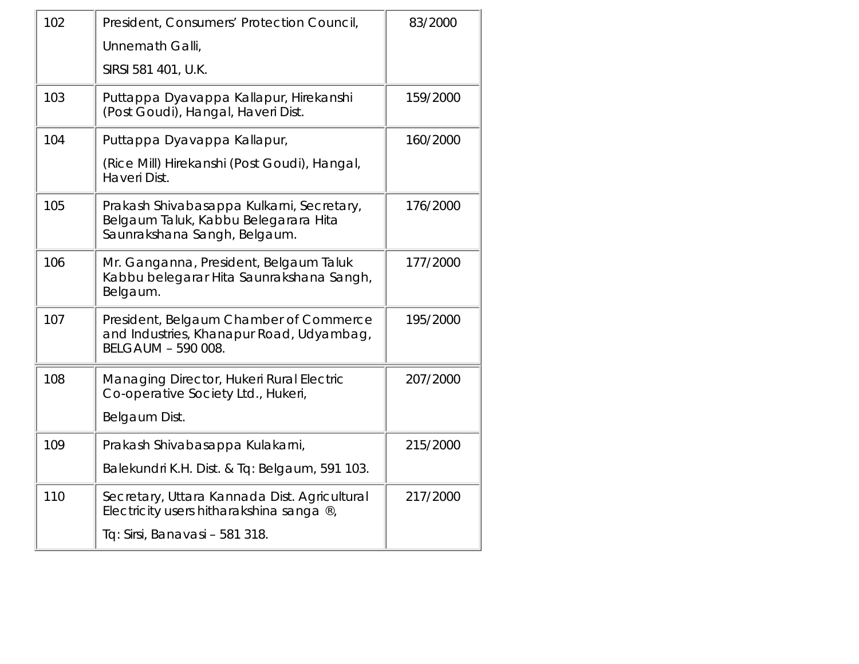| 102 | President, Consumers' Protection Council,                                                                         | 83/2000  |
|-----|-------------------------------------------------------------------------------------------------------------------|----------|
|     | Unnemath Galli,                                                                                                   |          |
|     | SIRSI 581 401, U.K.                                                                                               |          |
| 103 | Puttappa Dyavappa Kallapur, Hirekanshi<br>(Post Goudi), Hangal, Haveri Dist.                                      | 159/2000 |
| 104 | Puttappa Dyavappa Kallapur,                                                                                       | 160/2000 |
|     | (Rice Mill) Hirekanshi (Post Goudi), Hangal,<br>Haveri Dist.                                                      |          |
| 105 | Prakash Shivabasappa Kulkarni, Secretary,<br>Belgaum Taluk, Kabbu Belegarara Hita<br>Saunrakshana Sangh, Belgaum. | 176/2000 |
| 106 | Mr. Ganganna, President, Belgaum Taluk<br>Kabbu belegarar Hita Saunrakshana Sangh,<br>Belgaum.                    | 177/2000 |
| 107 | President, Belgaum Chamber of Commerce<br>and Industries, Khanapur Road, Udyambag,<br>BELGAUM - 590 008.          | 195/2000 |
| 108 | Managing Director, Hukeri Rural Electric<br>Co-operative Society Ltd., Hukeri,<br>Belgaum Dist.                   | 207/2000 |
| 109 | Prakash Shivabasappa Kulakarni,                                                                                   | 215/2000 |
|     | Balekundri K.H. Dist. & Tq: Belgaum, 591 103.                                                                     |          |
| 110 | Secretary, Uttara Kannada Dist. Agricultural<br>Electricity users hitharakshina sanga ®,                          | 217/2000 |
|     | Tq: Sirsi, Banavasi - 581 318.                                                                                    |          |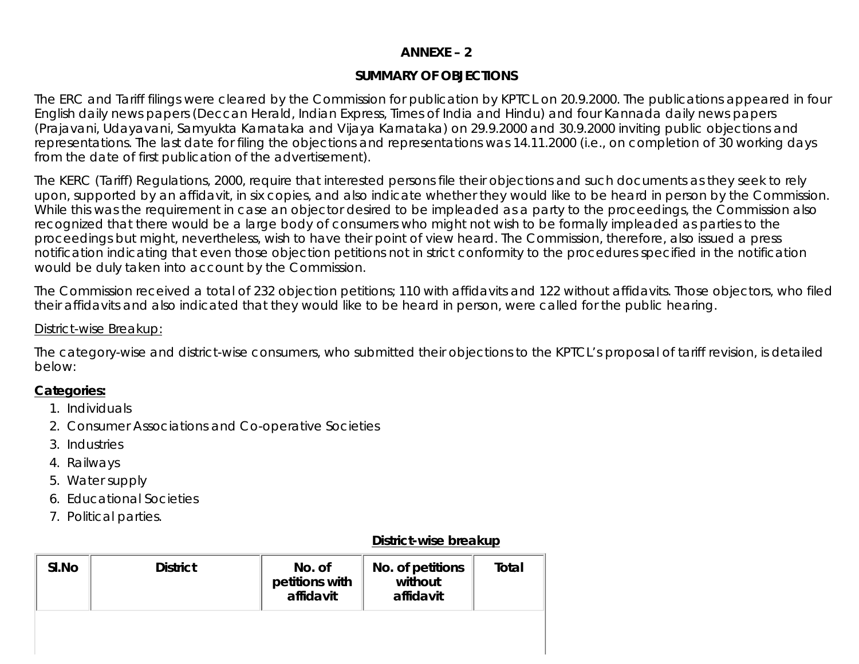## **ANNEXE – 2**

## **SUMMARY OF OBJECTIONS**

The ERC and Tariff filings were cleared by the Commission for publication by KPTCL on 20.9.2000. The publications appeared in four English daily news papers (Deccan Herald, Indian Express, Times of India and Hindu) and four Kannada daily news papers (Prajavani, Udayavani, Samyukta Karnataka and Vijaya Karnataka) on 29.9.2000 and 30.9.2000 inviting public objections and representations. The last date for filing the objections and representations was 14.11.2000 (i.e., on completion of 30 working days from the date of first publication of the advertisement).

The KERC (Tariff) Regulations, 2000, require that interested persons file their objections and such documents as they seek to rely upon, supported by an affidavit, in six copies, and also indicate whether they would like to be heard in person by the Commission. While this was the requirement in case an objector desired to be impleaded as a party to the proceedings, the Commission also recognized that there would be a large body of consumers who might not wish to be formally impleaded as parties to the proceedings but might, nevertheless, wish to have their point of view heard. The Commission, therefore, also issued a press notification indicating that even those objection petitions not in strict conformity to the procedures specified in the notification would be duly taken into account by the Commission.

The Commission received a total of 232 objection petitions; 110 with affidavits and 122 without affidavits. Those objectors, who filed their affidavits and also indicated that they would like to be heard in person, were called for the public hearing.

#### District-wise Breakup:

The category-wise and district-wise consumers, who submitted their objections to the KPTCL's proposal of tariff revision, is detailed below:

#### **Categories:**

- 1. Individuals
- 2. Consumer Associations and Co-operative Societies
- 3. Industries
- 4. Railways
- 5. Water supply
- 6. Educational Societies
- 7. Political parties.

#### **District-wise breakup**

| SI.No | <b>District</b> | No. of<br>petitions with<br>affidavit | No. of petitions<br>without<br>affidavit | Total |
|-------|-----------------|---------------------------------------|------------------------------------------|-------|
|       |                 |                                       |                                          |       |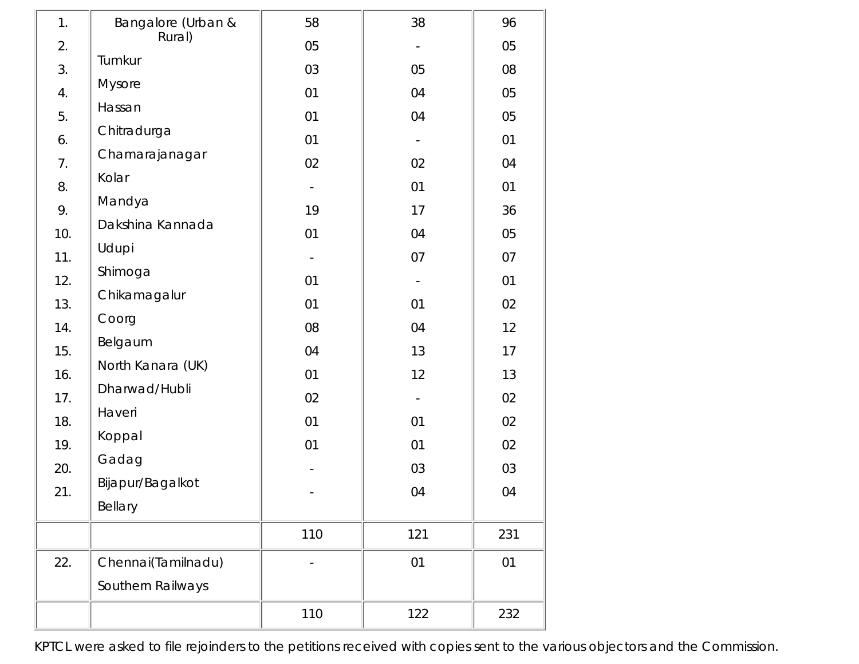| 1.  | Bangalore (Urban & | 58  | 38  | 96  |
|-----|--------------------|-----|-----|-----|
| 2.  | Rural)             | 05  |     | 05  |
| 3.  | Tumkur             | 03  | 05  | 08  |
| 4.  | Mysore             | 01  | 04  | 05  |
| 5.  | Hassan             | 01  | 04  | 05  |
| 6.  | Chitradurga        | 01  |     | 01  |
| 7.  | Chamarajanagar     | 02  | 02  | 04  |
| 8.  | Kolar              |     | 01  | 01  |
| 9.  | Mandya             | 19  | 17  | 36  |
| 10. | Dakshina Kannada   | 01  | 04  | 05  |
| 11. | Udupi              |     | 07  | 07  |
| 12. | Shimoga            | 01  |     | 01  |
| 13. | Chikamagalur       | 01  | 01  | 02  |
| 14. | Coorg              | 08  | 04  | 12  |
| 15. | Belgaum            | 04  | 13  | 17  |
| 16. | North Kanara (UK)  | 01  | 12  | 13  |
| 17. | Dharwad/Hubli      | 02  |     | 02  |
| 18. | Haveri             | 01  | 01  | 02  |
| 19. | Koppal             | 01  | 01  | 02  |
| 20. | Gadag              |     | 03  | 03  |
| 21. | Bijapur/Bagalkot   |     | 04  | 04  |
|     | Bellary            |     |     |     |
|     |                    | 110 | 121 | 231 |
| 22. | Chennai(Tamilnadu) |     | 01  | 01  |
|     | Southern Railways  |     |     |     |
|     |                    | 110 | 122 | 232 |

KPTCL were asked to file rejoinders to the petitions received with copies sent to the various objectors and the Commission.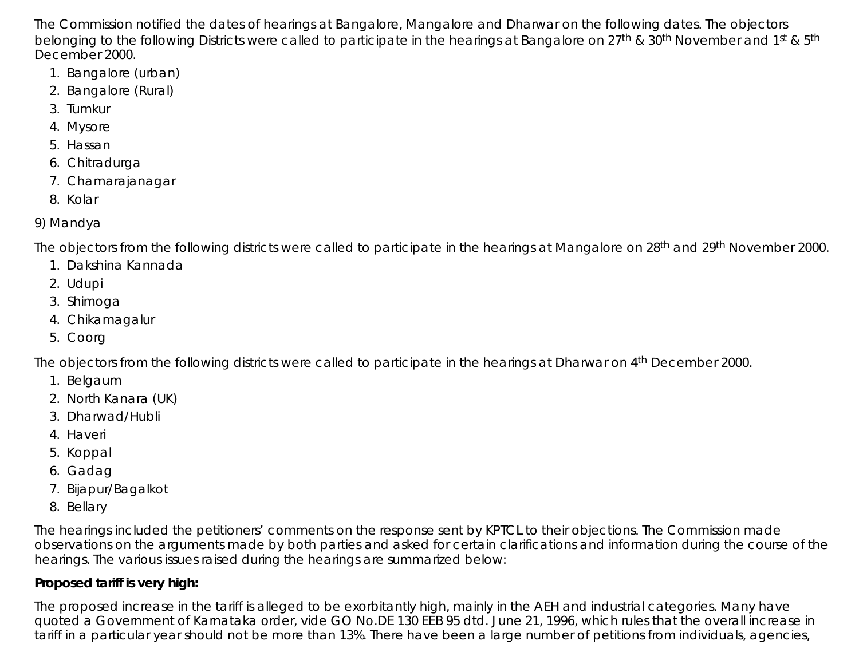The Commission notified the dates of hearings at Bangalore, Mangalore and Dharwar on the following dates. The objectors belonging to the following Districts were called to participate in the hearings at Bangalore on 27<sup>th</sup> & 30<sup>th</sup> November and 1<sup>st</sup> & 5<sup>th</sup> December 2000.

- 1. Bangalore (urban)
- 2. Bangalore (Rural)
- 3. Tumkur
- 4. Mysore
- 5. Hassan
- 6. Chitradurga
- 7. Chamarajanagar
- 8. Kolar

# 9) Mandya

The objectors from the following districts were called to participate in the hearings at Mangalore on 28<sup>th</sup> and 29<sup>th</sup> November 2000.

- 1. Dakshina Kannada
- 2. Udupi
- 3. Shimoga
- 4. Chikamagalur
- 5. Coorg

The objectors from the following districts were called to participate in the hearings at Dharwar on 4th December 2000.

- 1. Belgaum
- 2. North Kanara (UK)
- 3. Dharwad/Hubli
- 4. Haveri
- 5. Koppal
- 6. Gadag
- 7. Bijapur/Bagalkot
- 8. Bellary

The hearings included the petitioners' comments on the response sent by KPTCL to their objections. The Commission made observations on the arguments made by both parties and asked for certain clarifications and information during the course of the hearings. The various issues raised during the hearings are summarized below:

# **Proposed tariff is very high:**

The proposed increase in the tariff is alleged to be exorbitantly high, mainly in the AEH and industrial categories. Many have quoted a Government of Karnataka order, vide GO No.DE 130 EEB 95 dtd. June 21, 1996, which rules that the overall increase in tariff in a particular year should not be more than 13%. There have been a large number of petitions from individuals, agencies,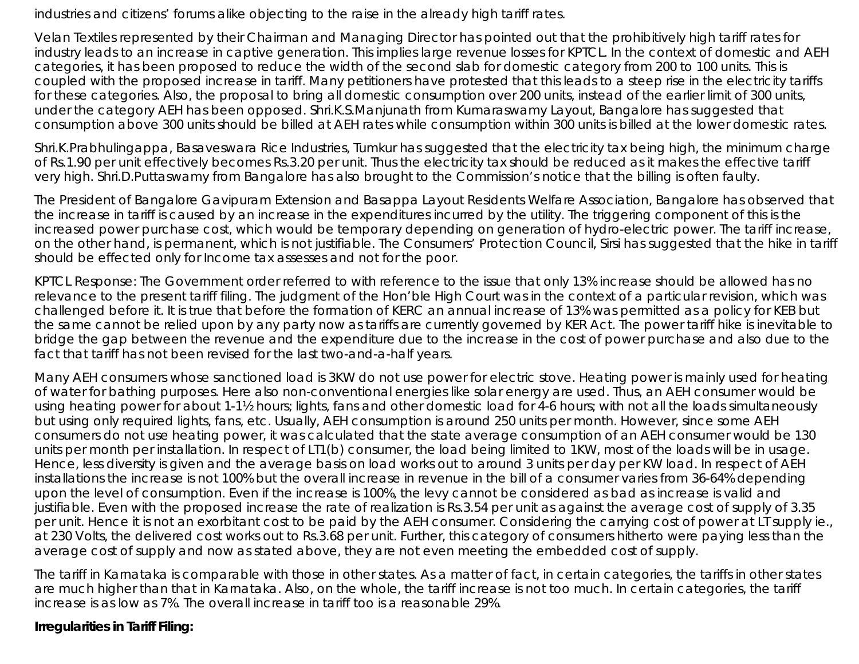industries and citizens' forums alike objecting to the raise in the already high tariff rates.

Velan Textiles represented by their Chairman and Managing Director has pointed out that the prohibitively high tariff rates for industry leads to an increase in captive generation. This implies large revenue losses for KPTCL. In the context of domestic and AEH categories, it has been proposed to reduce the width of the second slab for domestic category from 200 to 100 units. This is coupled with the proposed increase in tariff. Many petitioners have protested that this leads to a steep rise in the electricity tariffs for these categories. Also, the proposal to bring all domestic consumption over 200 units, instead of the earlier limit of 300 units, under the category AEH has been opposed. Shri.K.S.Manjunath from Kumaraswamy Layout, Bangalore has suggested that consumption above 300 units should be billed at AEH rates while consumption within 300 units is billed at the lower domestic rates.

Shri.K.Prabhulingappa, Basaveswara Rice Industries, Tumkur has suggested that the electricity tax being high, the minimum charge of Rs.1.90 per unit effectively becomes Rs.3.20 per unit. Thus the electricity tax should be reduced as it makes the effective tariff very high. Shri.D.Puttaswamy from Bangalore has also brought to the Commission's notice that the billing is often faulty.

The President of Bangalore Gavipuram Extension and Basappa Layout Residents Welfare Association, Bangalore has observed that the increase in tariff is caused by an increase in the expenditures incurred by the utility. The triggering component of this is the increased power purchase cost, which would be temporary depending on generation of hydro-electric power. The tariff increase, on the other hand, is permanent, which is not justifiable. The Consumers' Protection Council, Sirsi has suggested that the hike in tariff should be effected only for Income tax assesses and not for the poor.

*KPTCL Response:* The Government order referred to with reference to the issue that only 13% increase should be allowed has no relevance to the present tariff filing. The judgment of the Hon'ble High Court was in the context of a particular revision, which was challenged before it. It is true that before the formation of KERC an annual increase of 13% was permitted as a policy for KEB but the same cannot be relied upon by any party now as tariffs are currently governed by KER Act. The power tariff hike is inevitable to bridge the gap between the revenue and the expenditure due to the increase in the cost of power purchase and also due to the fact that tariff has not been revised for the last two-and-a-half years.

Many AEH consumers whose sanctioned load is 3KW do not use power for electric stove. Heating power is mainly used for heating of water for bathing purposes. Here also non-conventional energies like solar energy are used. Thus, an AEH consumer would be using heating power for about 1-1½ hours; lights, fans and other domestic load for 4-6 hours; with not all the loads simultaneously but using only required lights, fans, etc. Usually, AEH consumption is around 250 units per month. However, since some AEH consumers do not use heating power, it was calculated that the state average consumption of an AEH consumer would be 130 units per month per installation. In respect of LT1(b) consumer, the load being limited to 1KW, most of the loads will be in usage. Hence, less diversity is given and the average basis on load works out to around 3 units per day per KW load. In respect of AEH installations the increase is not 100% but the overall increase in revenue in the bill of a consumer varies from 36-64% depending upon the level of consumption. Even if the increase is 100%, the levy cannot be considered as bad as increase is valid and justifiable. Even with the proposed increase the rate of realization is Rs.3.54 per unit as against the average cost of supply of 3.35 per unit. Hence it is not an exorbitant cost to be paid by the AEH consumer. Considering the carrying cost of power at LT supply ie., at 230 Volts, the delivered cost works out to Rs.3.68 per unit. Further, this category of consumers hitherto were paying less than the average cost of supply and now as stated above, they are not even meeting the embedded cost of supply.

The tariff in Karnataka is comparable with those in other states. As a matter of fact, in certain categories, the tariffs in other states are much higher than that in Karnataka. Also, on the whole, the tariff increase is not too much. In certain categories, the tariff increase is as low as 7%. The overall increase in tariff too is a reasonable 29%.

## **Irregularities in Tariff Filing:**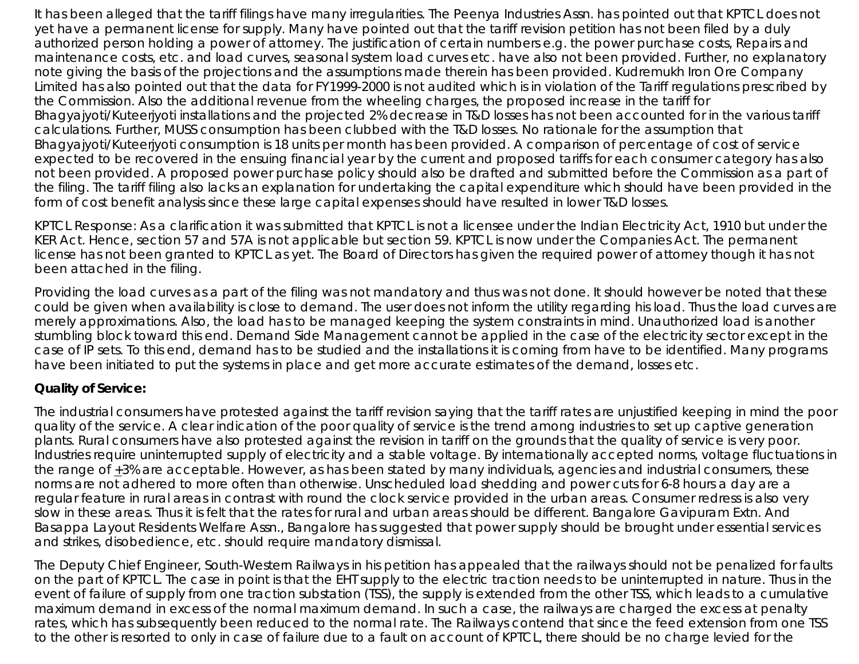It has been alleged that the tariff filings have many irregularities. The Peenya Industries Assn. has pointed out that KPTCL does not yet have a permanent license for supply. Many have pointed out that the tariff revision petition has not been filed by a duly authorized person holding a power of attorney. The justification of certain numbers e.g. the power purchase costs, Repairs and maintenance costs, etc. and load curves, seasonal system load curves etc. have also not been provided. Further, no explanatory note giving the basis of the projections and the assumptions made therein has been provided. Kudremukh Iron Ore Company Limited has also pointed out that the data for FY1999-2000 is not audited which is in violation of the Tariff regulations prescribed by the Commission. Also the additional revenue from the wheeling charges, the proposed increase in the tariff for Bhagyajyoti/Kuteerjyoti installations and the projected 2% decrease in T&D losses has not been accounted for in the various tariff calculations. Further, MUSS consumption has been clubbed with the T&D losses. No rationale for the assumption that Bhagyajyoti/Kuteerjyoti consumption is 18 units per month has been provided. A comparison of percentage of cost of service expected to be recovered in the ensuing financial year by the current and proposed tariffs for each consumer category has also not been provided. A proposed power purchase policy should also be drafted and submitted before the Commission as a part of the filing. The tariff filing also lacks an explanation for undertaking the capital expenditure which should have been provided in the form of cost benefit analysis since these large capital expenses should have resulted in lower T&D losses.

*KPTCL Response:* As a clarification it was submitted that KPTCL is not a licensee under the Indian Electricity Act, 1910 but under the KER Act. Hence, section 57 and 57A is not applicable but section 59. KPTCL is now under the Companies Act. The permanent license has not been granted to KPTCL as yet. The Board of Directors has given the required power of attorney though it has not been attached in the filing.

Providing the load curves as a part of the filing was not mandatory and thus was not done. It should however be noted that these could be given when availability is close to demand. The user does not inform the utility regarding his load. Thus the load curves are merely approximations. Also, the load has to be managed keeping the system constraints in mind. Unauthorized load is another stumbling block toward this end. Demand Side Management cannot be applied in the case of the electricity sector except in the case of IP sets. To this end, demand has to be studied and the installations it is coming from have to be identified. Many programs have been initiated to put the systems in place and get more accurate estimates of the demand, losses etc.

## **Quality of Service:**

The industrial consumers have protested against the tariff revision saying that the tariff rates are unjustified keeping in mind the poor quality of the service. A clear indication of the poor quality of service is the trend among industries to set up captive generation plants. Rural consumers have also protested against the revision in tariff on the grounds that the quality of service is very poor. Industries require uninterrupted supply of electricity and a stable voltage. By internationally accepted norms, voltage fluctuations in the range of +3% are acceptable. However, as has been stated by many individuals, agencies and industrial consumers, these norms are not adhered to more often than otherwise. Unscheduled load shedding and power cuts for 6-8 hours a day are a regular feature in rural areas in contrast with round the clock service provided in the urban areas. Consumer redress is also very slow in these areas. Thus it is felt that the rates for rural and urban areas should be different. Bangalore Gavipuram Extn. And Basappa Layout Residents Welfare Assn., Bangalore has suggested that power supply should be brought under essential services and strikes, disobedience, etc. should require mandatory dismissal.

The Deputy Chief Engineer, South-Western Railways in his petition has appealed that the railways should not be penalized for faults on the part of KPTCL. The case in point is that the EHT supply to the electric traction needs to be uninterrupted in nature. Thus in the event of failure of supply from one traction substation (TSS), the supply is extended from the other TSS, which leads to a cumulative maximum demand in excess of the normal maximum demand. In such a case, the railways are charged the excess at penalty rates, which has subsequently been reduced to the normal rate. The Railways contend that since the feed extension from one TSS to the other is resorted to only in case of failure due to a fault on account of KPTCL, there should be no charge levied for the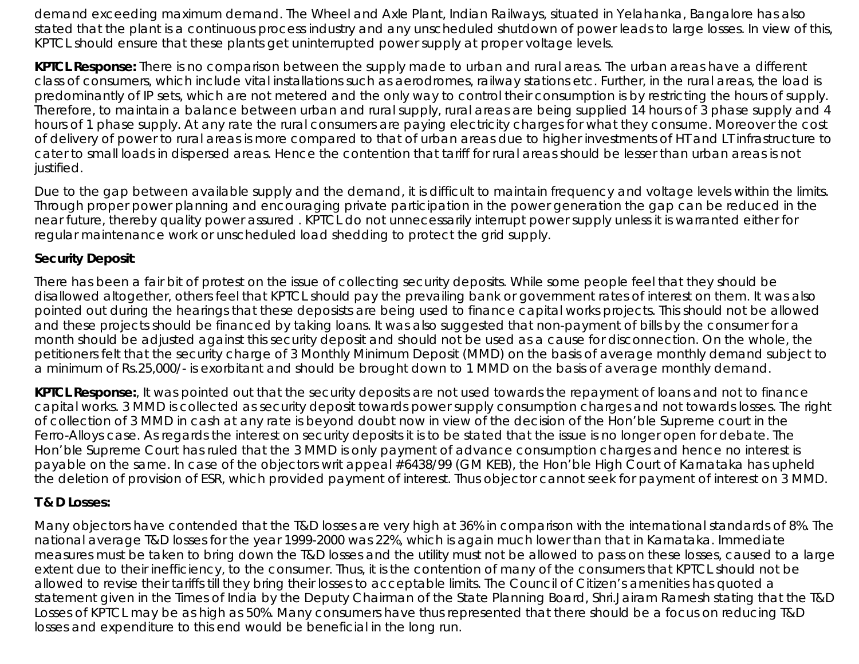demand exceeding maximum demand. The Wheel and Axle Plant, Indian Railways, situated in Yelahanka, Bangalore has also stated that the plant is a continuous process industry and any unscheduled shutdown of power leads to large losses. In view of this, KPTCL should ensure that these plants get uninterrupted power supply at proper voltage levels.

*KPTCL Response:* There is no comparison between the supply made to urban and rural areas. The urban areas have a different class of consumers, which include vital installations such as aerodromes, railway stations etc. Further, in the rural areas, the load is predominantly of IP sets, which are not metered and the only way to control their consumption is by restricting the hours of supply. Therefore, to maintain a balance between urban and rural supply, rural areas are being supplied 14 hours of 3 phase supply and 4 hours of 1 phase supply. At any rate the rural consumers are paying electricity charges for what they consume. Moreover the cost of delivery of power to rural areas is more compared to that of urban areas due to higher investments of HT and LT infrastructure to cater to small loads in dispersed areas. Hence the contention that tariff for rural areas should be lesser than urban areas is not justified.

Due to the gap between available supply and the demand, it is difficult to maintain frequency and voltage levels within the limits. Through proper power planning and encouraging private participation in the power generation the gap can be reduced in the near future, thereby quality power assured . KPTCL do not unnecessarily interrupt power supply unless it is warranted either for regular maintenance work or unscheduled load shedding to protect the grid supply.

## **Security Deposit**:

There has been a fair bit of protest on the issue of collecting security deposits. While some people feel that they should be disallowed altogether, others feel that KPTCL should pay the prevailing bank or government rates of interest on them. It was also pointed out during the hearings that these deposists are being used to finance capital works projects. This should not be allowed and these projects should be financed by taking loans. It was also suggested that non-payment of bills by the consumer for a month should be adjusted against this security deposit and should not be used as a cause for disconnection. On the whole, the petitioners felt that the security charge of 3 Monthly Minimum Deposit (MMD) on the basis of average monthly demand subject to a minimum of Rs.25,000/- is exorbitant and should be brought down to 1 MMD on the basis of average monthly demand.

*KPTCL Response:*, It was pointed out that the security deposits are not used towards the repayment of loans and not to finance capital works. 3 MMD is collected as security deposit towards power supply consumption charges and not towards losses. The right of collection of 3 MMD in cash at any rate is beyond doubt now in view of the decision of the Hon'ble Supreme court in the Ferro-Alloys case. As regards the interest on security deposits it is to be stated that the issue is no longer open for debate. The Hon'ble Supreme Court has ruled that the 3 MMD is only payment of advance consumption charges and hence no interest is payable on the same. In case of the objectors writ appeal #6438/99 (GM KEB), the Hon'ble High Court of Karnataka has upheld the deletion of provision of ESR, which provided payment of interest. Thus objector cannot seek for payment of interest on 3 MMD.

## **T & D Losses:**

Many objectors have contended that the T&D losses are very high at 36% in comparison with the international standards of 8%. The national average T&D losses for the year 1999-2000 was 22%, which is again much lower than that in Karnataka. Immediate measures must be taken to bring down the T&D losses and the utility must not be allowed to pass on these losses, caused to a large extent due to their inefficiency, to the consumer. Thus, it is the contention of many of the consumers that KPTCL should not be allowed to revise their tariffs till they bring their losses to acceptable limits. The Council of Citizen's amenities has quoted a statement given in the Times of India by the Deputy Chairman of the State Planning Board, Shri.Jairam Ramesh stating that the T&D Losses of KPTCL may be as high as 50%. Many consumers have thus represented that there should be a focus on reducing T&D losses and expenditure to this end would be beneficial in the long run.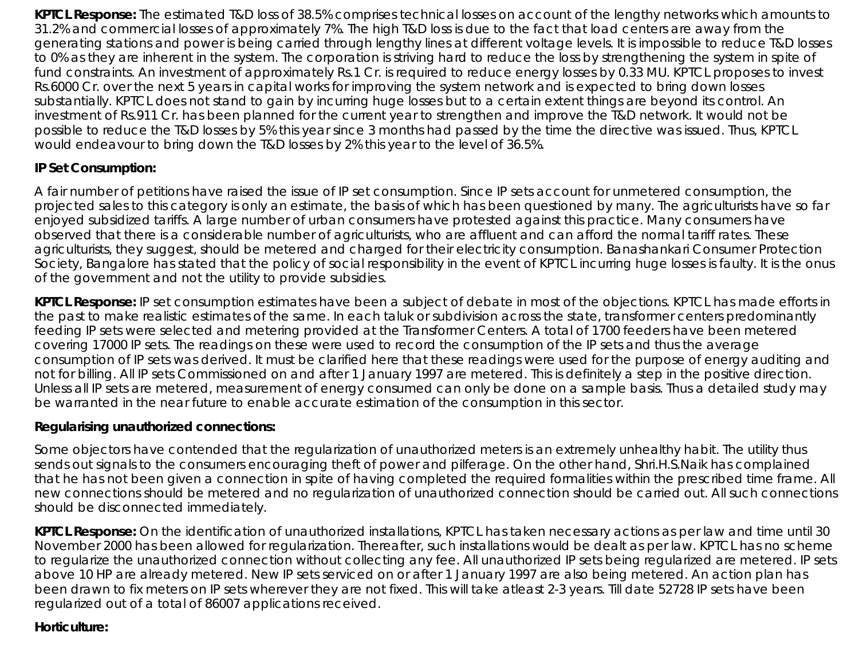*KPTCL Response:* The estimated T&D loss of 38.5% comprises technical losses on account of the lengthy networks which amounts to 31.2% and commercial losses of approximately 7%. The high T&D loss is due to the fact that load centers are away from the generating stations and power is being carried through lengthy lines at different voltage levels. It is impossible to reduce T&D losses to 0% as they are inherent in the system. The corporation is striving hard to reduce the loss by strengthening the system in spite of fund constraints. An investment of approximately Rs.1 Cr. is required to reduce energy losses by 0.33 MU. KPTCL proposes to invest Rs.6000 Cr. over the next 5 years in capital works for improving the system network and is expected to bring down losses substantially. KPTCL does not stand to gain by incurring huge losses but to a certain extent things are beyond its control. An investment of Rs.911 Cr. has been planned for the current year to strengthen and improve the T&D network. It would not be possible to reduce the T&D losses by 5% this year since 3 months had passed by the time the directive was issued. Thus, KPTCL would endeavour to bring down the T&D losses by 2% this year to the level of 36.5%.

# **IP Set Consumption:**

A fair number of petitions have raised the issue of IP set consumption. Since IP sets account for unmetered consumption, the projected sales to this category is only an estimate, the basis of which has been questioned by many. The agriculturists have so far enjoyed subsidized tariffs. A large number of urban consumers have protested against this practice. Many consumers have observed that there is a considerable number of agriculturists, who are affluent and can afford the normal tariff rates. These agriculturists, they suggest, should be metered and charged for their electricity consumption. Banashankari Consumer Protection Society, Bangalore has stated that the policy of social responsibility in the event of KPTCL incurring huge losses is faulty. It is the onus of the government and not the utility to provide subsidies.

*KPTCL Response:* IP set consumption estimates have been a subject of debate in most of the objections. KPTCL has made efforts in the past to make realistic estimates of the same. In each taluk or subdivision across the state, transformer centers predominantly feeding IP sets were selected and metering provided at the Transformer Centers. A total of 1700 feeders have been metered covering 17000 IP sets. The readings on these were used to record the consumption of the IP sets and thus the average consumption of IP sets was derived. It must be clarified here that these readings were used for the purpose of energy auditing and not for billing. All IP sets Commissioned on and after 1 January 1997 are metered. This is definitely a step in the positive direction. Unless all IP sets are metered, measurement of energy consumed can only be done on a sample basis. Thus a detailed study may be warranted in the near future to enable accurate estimation of the consumption in this sector.

#### **Regularising unauthorized connections***:*

Some objectors have contended that the regularization of unauthorized meters is an extremely unhealthy habit. The utility thus sends out signals to the consumers encouraging theft of power and pilferage. On the other hand, Shri.H.S.Naik has complained that he has not been given a connection in spite of having completed the required formalities within the prescribed time frame. All new connections should be metered and no regularization of unauthorized connection should be carried out. All such connections should be disconnected immediately.

*KPTCL Response:* On the identification of unauthorized installations, KPTCL has taken necessary actions as per law and time until 30 November 2000 has been allowed for regularization. Thereafter, such installations would be dealt as per law. KPTCL has no scheme to regularize the unauthorized connection without collecting any fee. All unauthorized IP sets being regularized are metered. IP sets above 10 HP are already metered. New IP sets serviced on or after 1 January 1997 are also being metered. An action plan has been drawn to fix meters on IP sets wherever they are not fixed. This will take atleast 2-3 years. Till date 52728 IP sets have been regularized out of a total of 86007 applications received.

#### **Horticulture:**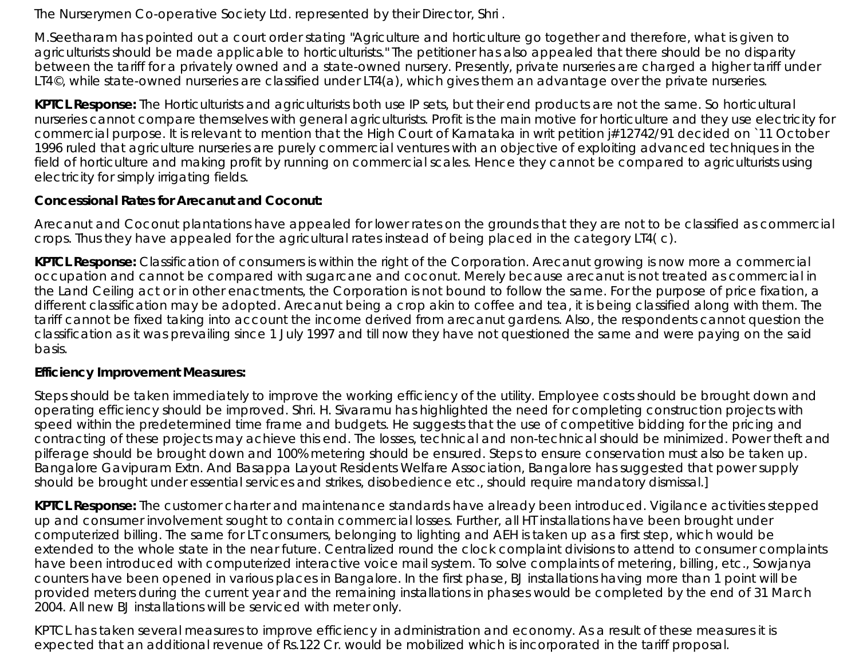The Nurserymen Co-operative Society Ltd. represented by their Director, Shri .

M.Seetharam has pointed out a court order stating "Agriculture and horticulture go together and therefore, what is given to agriculturists should be made applicable to horticulturists." The petitioner has also appealed that there should be no disparity between the tariff for a privately owned and a state-owned nursery. Presently, private nurseries are charged a higher tariff under LT4©, while state-owned nurseries are classified under LT4(a), which gives them an advantage over the private nurseries.

*KPTCL Response:* The Horticulturists and agriculturists both use IP sets, but their end products are not the same. So horticultural nurseries cannot compare themselves with general agriculturists. Profit is the main motive for horticulture and they use electricity for commercial purpose. It is relevant to mention that the High Court of Karnataka in writ petition j#12742/91 decided on `11 October 1996 ruled that agriculture nurseries are purely commercial ventures with an objective of exploiting advanced techniques in the field of horticulture and making profit by running on commercial scales. Hence they cannot be compared to agriculturists using electricity for simply irrigating fields.

## **Concessional Rates for Arecanut and Coconut:**

Arecanut and Coconut plantations have appealed for lower rates on the grounds that they are not to be classified as commercial crops. Thus they have appealed for the agricultural rates instead of being placed in the category LT4( c).

*KPTCL Response:* Classification of consumers is within the right of the Corporation. Arecanut growing is now more a commercial occupation and cannot be compared with sugarcane and coconut. Merely because arecanut is not treated as commercial in the Land Ceiling act or in other enactments, the Corporation is not bound to follow the same. For the purpose of price fixation, a different classification may be adopted. Arecanut being a crop akin to coffee and tea, it is being classified along with them. The tariff cannot be fixed taking into account the income derived from arecanut gardens. Also, the respondents cannot question the classification as it was prevailing since 1 July 1997 and till now they have not questioned the same and were paying on the said basis.

## **Efficiency Improvement Measures:**

Steps should be taken immediately to improve the working efficiency of the utility. Employee costs should be brought down and operating efficiency should be improved. Shri. H. Sivaramu has highlighted the need for completing construction projects with speed within the predetermined time frame and budgets. He suggests that the use of competitive bidding for the pricing and contracting of these projects may achieve this end. The losses, technical and non-technical should be minimized. Power theft and pilferage should be brought down and 100% metering should be ensured. Steps to ensure conservation must also be taken up. Bangalore Gavipuram Extn. And Basappa Layout Residents Welfare Association, Bangalore has suggested that power supply should be brought under essential services and strikes, disobedience etc., should require mandatory dismissal.]

*KPTCL Response:* The customer charter and maintenance standards have already been introduced. Vigilance activities stepped up and consumer involvement sought to contain commercial losses. Further, all HT installations have been brought under computerized billing. The same for LT consumers, belonging to lighting and AEH is taken up as a first step, which would be extended to the whole state in the near future. Centralized round the clock complaint divisions to attend to consumer complaints have been introduced with computerized interactive voice mail system. To solve complaints of metering, billing, etc., Sowjanya counters have been opened in various places in Bangalore. In the first phase, BJ installations having more than 1 point will be provided meters during the current year and the remaining installations in phases would be completed by the end of 31 March 2004. All new BJ installations will be serviced with meter only.

KPTCL has taken several measures to improve efficiency in administration and economy. As a result of these measures it is expected that an additional revenue of Rs.122 Cr. would be mobilized which is incorporated in the tariff proposal.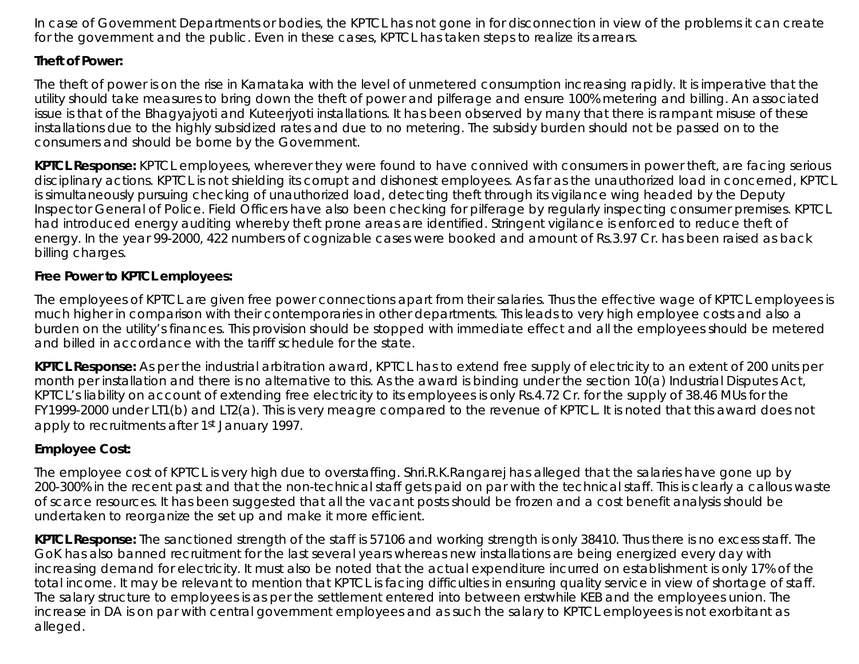In case of Government Departments or bodies, the KPTCL has not gone in for disconnection in view of the problems it can create for the government and the public. Even in these cases, KPTCL has taken steps to realize its arrears.

## **Theft of Power:**

The theft of power is on the rise in Karnataka with the level of unmetered consumption increasing rapidly. It is imperative that the utility should take measures to bring down the theft of power and pilferage and ensure 100% metering and billing. An associated issue is that of the Bhagyajyoti and Kuteerjyoti installations. It has been observed by many that there is rampant misuse of these installations due to the highly subsidized rates and due to no metering. The subsidy burden should not be passed on to the consumers and should be borne by the Government.

*KPTCL Response:* KPTCL employees, wherever they were found to have connived with consumers in power theft, are facing serious disciplinary actions. KPTCL is not shielding its corrupt and dishonest employees. As far as the unauthorized load in concerned, KPTCL is simultaneously pursuing checking of unauthorized load, detecting theft through its vigilance wing headed by the Deputy Inspector General of Police. Field Officers have also been checking for pilferage by regularly inspecting consumer premises. KPTCL had introduced energy auditing whereby theft prone areas are identified. Stringent vigilance is enforced to reduce theft of energy. In the year 99-2000, 422 numbers of cognizable cases were booked and amount of Rs.3.97 Cr. has been raised as back billing charges.

## **Free Power to KPTCL employees:**

The employees of KPTCL are given free power connections apart from their salaries. Thus the effective wage of KPTCL employees is much higher in comparison with their contemporaries in other departments. This leads to very high employee costs and also a burden on the utility's finances. This provision should be stopped with immediate effect and all the employees should be metered and billed in accordance with the tariff schedule for the state.

*KPTCL Response:* As per the industrial arbitration award, KPTCL has to extend free supply of electricity to an extent of 200 units per month per installation and there is no alternative to this. As the award is binding under the section 10(a) Industrial Disputes Act, KPTCL's liability on account of extending free electricity to its employees is only Rs.4.72 Cr. for the supply of 38.46 MUs for the FY1999-2000 under LT1(b) and LT2(a). This is very meagre compared to the revenue of KPTCL. It is noted that this award does not apply to recruitments after 1st January 1997.

# **Employee Cost:**

The employee cost of KPTCL is very high due to overstaffing. Shri.R.K.Rangarej has alleged that the salaries have gone up by 200-300% in the recent past and that the non-technical staff gets paid on par with the technical staff. This is clearly a callous waste of scarce resources. It has been suggested that all the vacant posts should be frozen and a cost benefit analysis should be undertaken to reorganize the set up and make it more efficient.

*KPTCL Response***:** The sanctioned strength of the staff is 57106 and working strength is only 38410. Thus there is no excess staff. The GoK has also banned recruitment for the last several years whereas new installations are being energized every day with increasing demand for electricity. It must also be noted that the actual expenditure incurred on establishment is only 17% of the total income. It may be relevant to mention that KPTCL is facing difficulties in ensuring quality service in view of shortage of staff. The salary structure to employees is as per the settlement entered into between erstwhile KEB and the employees union. The increase in DA is on par with central government employees and as such the salary to KPTCL employees is not exorbitant as alleged.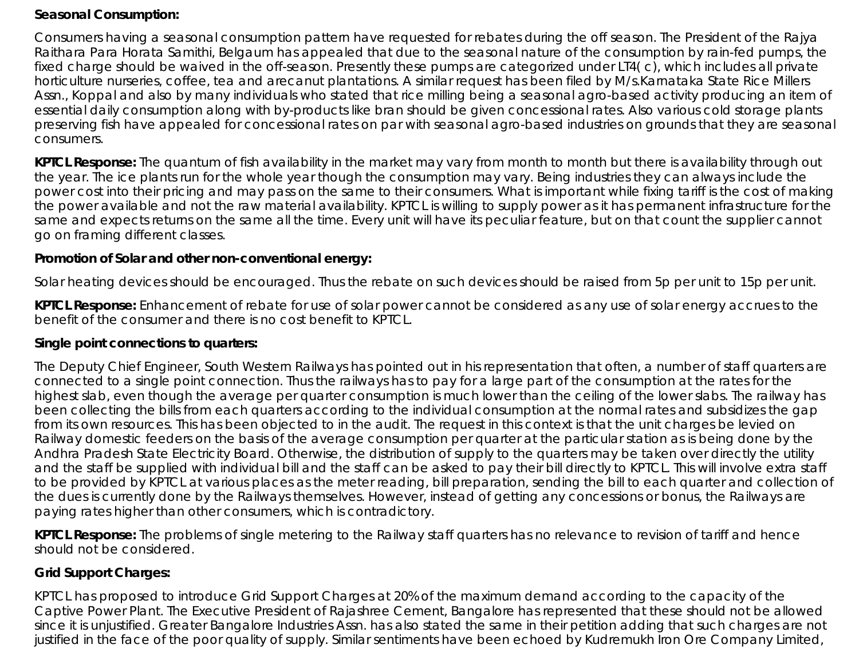#### **Seasonal Consumption:**

Consumers having a seasonal consumption pattern have requested for rebates during the off season. The President of the Rajya Raithara Para Horata Samithi, Belgaum has appealed that due to the seasonal nature of the consumption by rain-fed pumps, the fixed charge should be waived in the off-season. Presently these pumps are categorized under LT4( c), which includes all private horticulture nurseries, coffee, tea and arecanut plantations. A similar request has been filed by M/s.Karnataka State Rice Millers Assn., Koppal and also by many individuals who stated that rice milling being a seasonal agro-based activity producing an item of essential daily consumption along with by-products like bran should be given concessional rates. Also various cold storage plants preserving fish have appealed for concessional rates on par with seasonal agro-based industries on grounds that they are seasonal consumers.

**KPTCL Response:** The quantum of fish availability in the market may vary from month to month but there is availability through out the year. The ice plants run for the whole year though the consumption may vary. Being industries they can always include the power cost into their pricing and may pass on the same to their consumers. What is important while fixing tariff is the cost of making the power available and not the raw material availability. KPTCL is willing to supply power as it has permanent infrastructure for the same and expects returns on the same all the time. Every unit will have its peculiar feature, but on that count the supplier cannot go on framing different classes.

#### **Promotion of Solar and other non-conventional energy:**

Solar heating devices should be encouraged. Thus the rebate on such devices should be raised from 5p per unit to 15p per unit.

*KPTCL Response***:** Enhancement of rebate for use of solar power cannot be considered as any use of solar energy accrues to the benefit of the consumer and there is no cost benefit to KPTCL.

#### **Single point connections to quarters:**

The Deputy Chief Engineer, South Western Railways has pointed out in his representation that often, a number of staff quarters are connected to a single point connection. Thus the railways has to pay for a large part of the consumption at the rates for the highest slab, even though the average per quarter consumption is much lower than the ceiling of the lower slabs. The railway has been collecting the bills from each quarters according to the individual consumption at the normal rates and subsidizes the gap from its own resources. This has been objected to in the audit. The request in this context is that the unit charges be levied on Railway domestic feeders on the basis of the average consumption per quarter at the particular station as is being done by the Andhra Pradesh State Electricity Board. Otherwise, the distribution of supply to the quarters may be taken over directly the utility and the staff be supplied with individual bill and the staff can be asked to pay their bill directly to KPTCL. This will involve extra staff to be provided by KPTCL at various places as the meter reading, bill preparation, sending the bill to each quarter and collection of the dues is currently done by the Railways themselves. However, instead of getting any concessions or bonus, the Railways are paying rates higher than other consumers, which is contradictory.

*KPTCL Response***:** The problems of single metering to the Railway staff quarters has no relevance to revision of tariff and hence should not be considered.

## **Grid Support Charges:**

KPTCL has proposed to introduce Grid Support Charges at 20% of the maximum demand according to the capacity of the Captive Power Plant. The Executive President of Rajashree Cement, Bangalore has represented that these should not be allowed since it is unjustified. Greater Bangalore Industries Assn. has also stated the same in their petition adding that such charges are not justified in the face of the poor quality of supply. Similar sentiments have been echoed by Kudremukh Iron Ore Company Limited,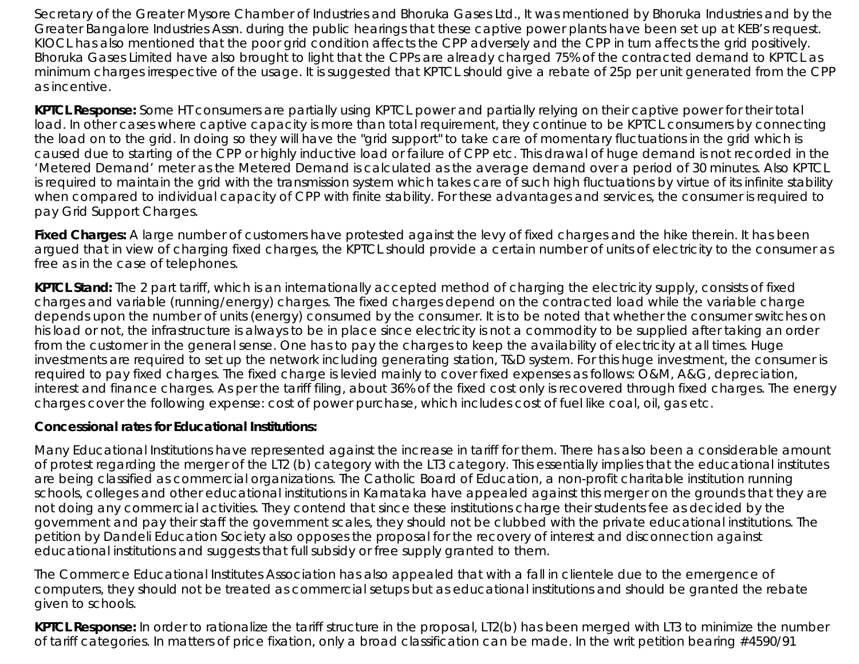Secretary of the Greater Mysore Chamber of Industries and Bhoruka Gases Ltd., It was mentioned by Bhoruka Industries and by the Greater Bangalore Industries Assn. during the public hearings that these captive power plants have been set up at KEB's request. KIOCL has also mentioned that the poor grid condition affects the CPP adversely and the CPP in turn affects the grid positively. Bhoruka Gases Limited have also brought to light that the CPPs are already charged 75% of the contracted demand to KPTCL as minimum charges irrespective of the usage. It is suggested that KPTCL should give a rebate of 25p per unit generated from the CPP as incentive.

*KPTCL Response***:** Some HT consumers are partially using KPTCL power and partially relying on their captive power for their total load. In other cases where captive capacity is more than total requirement, they continue to be KPTCL consumers by connecting the load on to the grid. In doing so they will have the "grid support" to take care of momentary fluctuations in the grid which is caused due to starting of the CPP or highly inductive load or failure of CPP etc. This drawal of huge demand is not recorded in the 'Metered Demand' meter as the Metered Demand is calculated as the average demand over a period of 30 minutes. Also KPTCL is required to maintain the grid with the transmission system which takes care of such high fluctuations by virtue of its infinite stability when compared to individual capacity of CPP with finite stability. For these advantages and services, the consumer is required to pay Grid Support Charges.

**Fixed Charges:** A large number of customers have protested against the levy of fixed charges and the hike therein. It has been argued that in view of charging fixed charges, the KPTCL should provide a certain number of units of electricity to the consumer as free as in the case of telephones.

*KPTCL Stand***:** The 2 part tariff, which is an internationally accepted method of charging the electricity supply, consists of fixed charges and variable (running/energy) charges. The fixed charges depend on the contracted load while the variable charge depends upon the number of units (energy) consumed by the consumer. It is to be noted that whether the consumer switches on his load or not, the infrastructure is always to be in place since electricity is not a commodity to be supplied after taking an order from the customer in the general sense. One has to pay the charges to keep the availability of electricity at all times. Huge investments are required to set up the network including generating station, T&D system. For this huge investment, the consumer is required to pay fixed charges. The fixed charge is levied mainly to cover fixed expenses as follows: O&M, A&G, depreciation, interest and finance charges. As per the tariff filing, about 36% of the fixed cost only is recovered through fixed charges. The energy charges cover the following expense: cost of power purchase, which includes cost of fuel like coal, oil, gas etc.

## **Concessional rates for Educational Institutions:**

Many Educational Institutions have represented against the increase in tariff for them. There has also been a considerable amount of protest regarding the merger of the LT2 (b) category with the LT3 category. This essentially implies that the educational institutes are being classified as commercial organizations. The Catholic Board of Education, a non-profit charitable institution running schools, colleges and other educational institutions in Karnataka have appealed against this merger on the grounds that they are not doing any commercial activities. They contend that since these institutions charge their students fee as decided by the government and pay their staff the government scales, they should not be clubbed with the private educational institutions. The petition by Dandeli Education Society also opposes the proposal for the recovery of interest and disconnection against educational institutions and suggests that full subsidy or free supply granted to them.

The Commerce Educational Institutes Association has also appealed that with a fall in clientele due to the emergence of computers, they should not be treated as commercial setups but as educational institutions and should be granted the rebate given to schools.

*KPTCL Response***:** In order to rationalize the tariff structure in the proposal, LT2(b) has been merged with LT3 to minimize the number of tariff categories. In matters of price fixation, only a broad classification can be made. In the writ petition bearing #4590/91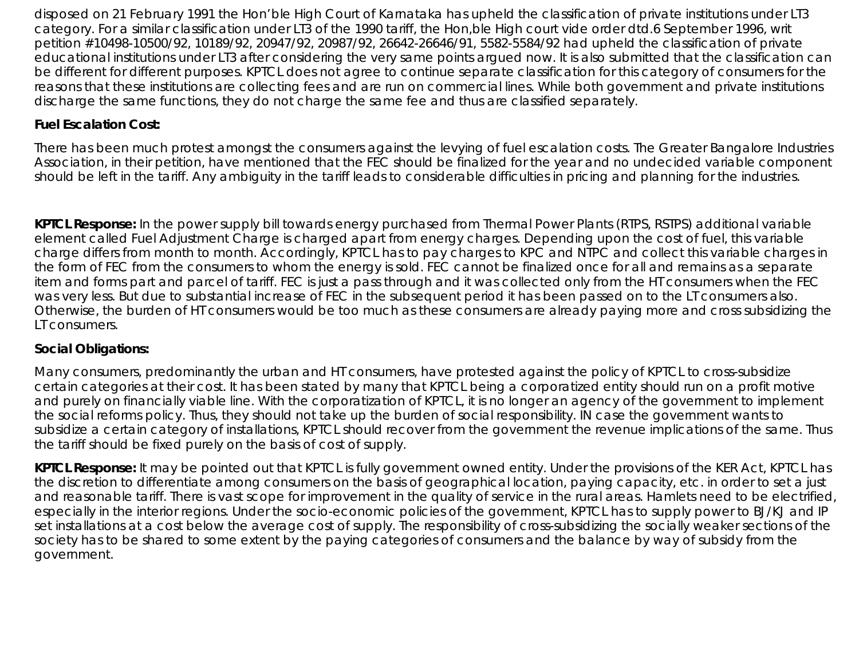disposed on 21 February 1991 the Hon'ble High Court of Karnataka has upheld the classification of private institutions under LT3 category. For a similar classification under LT3 of the 1990 tariff, the Hon,ble High court vide order dtd.6 September 1996, writ petition #10498-10500/92, 10189/92, 20947/92, 20987/92, 26642-26646/91, 5582-5584/92 had upheld the classification of private educational institutions under LT3 after considering the very same points argued now. It is also submitted that the classification can be different for different purposes. KPTCL does not agree to continue separate classification for this category of consumers for the reasons that these institutions are collecting fees and are run on commercial lines. While both government and private institutions discharge the same functions, they do not charge the same fee and thus are classified separately.

## **Fuel Escalation Cost:**

There has been much protest amongst the consumers against the levying of fuel escalation costs. The Greater Bangalore Industries Association, in their petition, have mentioned that the FEC should be finalized for the year and no undecided variable component should be left in the tariff. Any ambiguity in the tariff leads to considerable difficulties in pricing and planning for the industries.

*KPTCL Response***:** In the power supply bill towards energy purchased from Thermal Power Plants (RTPS, RSTPS) additional variable element called Fuel Adjustment Charge is charged apart from energy charges. Depending upon the cost of fuel, this variable charge differs from month to month. Accordingly, KPTCL has to pay charges to KPC and NTPC and collect this variable charges in the form of FEC from the consumers to whom the energy is sold. FEC cannot be finalized once for all and remains as a separate item and forms part and parcel of tariff. FEC is just a pass through and it was collected only from the HT consumers when the FEC was very less. But due to substantial increase of FEC in the subsequent period it has been passed on to the LT consumers also. Otherwise, the burden of HT consumers would be too much as these consumers are already paying more and cross subsidizing the LT consumers.

## **Social Obligations:**

Many consumers, predominantly the urban and HT consumers, have protested against the policy of KPTCL to cross-subsidize certain categories at their cost. It has been stated by many that KPTCL being a corporatized entity should run on a profit motive and purely on financially viable line. With the corporatization of KPTCL, it is no longer an agency of the government to implement the social reforms policy. Thus, they should not take up the burden of social responsibility. IN case the government wants to subsidize a certain category of installations, KPTCL should recover from the government the revenue implications of the same. Thus the tariff should be fixed purely on the basis of cost of supply.

*KPTCL Response***:** It may be pointed out that KPTCL is fully government owned entity. Under the provisions of the KER Act, KPTCL has the discretion to differentiate among consumers on the basis of geographical location, paying capacity, etc. in order to set a just and reasonable tariff. There is vast scope for improvement in the quality of service in the rural areas. Hamlets need to be electrified, especially in the interior regions. Under the socio-economic policies of the government, KPTCL has to supply power to BJ/KJ and IP set installations at a cost below the average cost of supply. The responsibility of cross-subsidizing the socially weaker sections of the society has to be shared to some extent by the paying categories of consumers and the balance by way of subsidy from the government.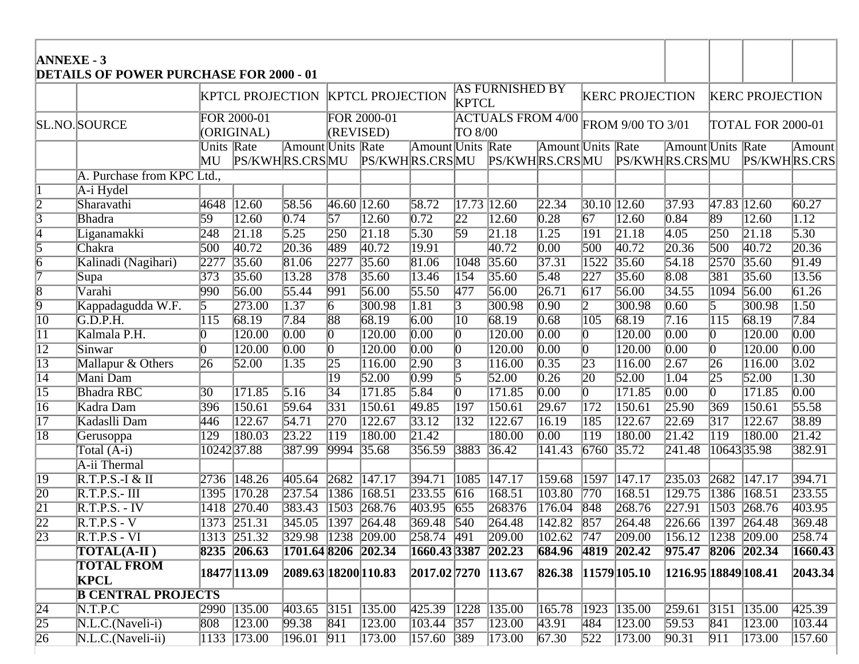| <b>ANNEXE - 3</b> | <b>DETAILS OF POWER PURCHASE FOR 2000 - 01</b> |                           |                                                                                                                        |                          |                  |                 |                          |                                     |                               |                                  |                   |                        |                                                           |                   |                     |                                    |
|-------------------|------------------------------------------------|---------------------------|------------------------------------------------------------------------------------------------------------------------|--------------------------|------------------|-----------------|--------------------------|-------------------------------------|-------------------------------|----------------------------------|-------------------|------------------------|-----------------------------------------------------------|-------------------|---------------------|------------------------------------|
|                   |                                                |                           | <b>AS FURNISHED BY</b><br><b>KPTCL PROJECTION</b><br><b>KERC PROJECTION</b><br><b>KPTCL PROJECTION</b><br><b>KPTCL</b> |                          |                  |                 |                          |                                     |                               |                                  |                   | <b>KERC PROJECTION</b> |                                                           |                   |                     |                                    |
|                   | <b>SL.NO.SOURCE</b>                            | FOR 2000-01<br>(ORIGINAL) |                                                                                                                        |                          | (REVISED)        | FOR 2000-01     |                          | <b>ACTUALS FROM 4/00</b><br>TO 8/00 |                               |                                  | FROM 9/00 TO 3/01 |                        |                                                           | TOTAL FOR 2000-01 |                     |                                    |
|                   |                                                | Units Rate<br>MU          | PS/KWHRS.CRSMU                                                                                                         | <b>Amount</b> Units Rate |                  | PS/KWHRS.CRSMU  | <b>Amount Units Rate</b> |                                     | PS/KWHRS.CRSMU                | <b>Amount</b> Units Rate         |                   | PS/KWHRS.CRSMU         | <b>Amount</b> Units Rate                                  |                   | PS/KWHRS.CRS        | $\overline{\text{Amount}}$         |
|                   | A. Purchase from KPC Ltd.,                     |                           |                                                                                                                        |                          |                  |                 |                          |                                     |                               |                                  |                   |                        |                                                           |                   |                     |                                    |
|                   | A-i Hydel                                      |                           |                                                                                                                        |                          |                  |                 |                          |                                     |                               |                                  |                   |                        |                                                           |                   |                     |                                    |
| $\overline{2}$    | Sharavathi                                     | 4648                      | 12.60                                                                                                                  | 58.56                    | $46.60$ 12.60    |                 | $\sqrt{58.72}$           | $\sqrt{17.73}$ $\sqrt{12.60}$       |                               | 22.34                            | $30.10$ 12.60     |                        | 37.93                                                     | $47.83$ 12.60     |                     | 60.27                              |
| $\overline{3}$    | <b>Bhadra</b>                                  | 59                        | $\overline{12.60}$                                                                                                     | $\sqrt{0.74}$            | $\overline{57}$  | $\sqrt{12.60}$  | $\overline{0.72}$        | $\sqrt{22}$                         | $\sqrt{12.60}$                | $\overline{0.28}$                | $\overline{67}$   | $\sqrt{12.60}$         | $\overline{0.84}$                                         | 89                | $\overline{12.60}$  | $\sqrt{1.12}$                      |
| $\overline{4}$    | Liganamakki                                    | $\sqrt{248}$              | $\sqrt{21.18}$                                                                                                         | 5.25                     | $\overline{250}$ | $\sqrt{21.18}$  | 5.30                     | $\overline{59}$                     | $\sqrt{21.18}$                | $\overline{1.25}$                | $\overline{191}$  | $\sqrt{21.18}$         | 4.05                                                      | $\sqrt{250}$      | $\sqrt{21.18}$      | 5.30                               |
| $\overline{5}$    | Chakra                                         | 500                       | 40.72                                                                                                                  | $\sqrt{20.36}$           | 489              | $\sqrt{40.72}$  | $\sqrt{19.91}$           |                                     | $\sqrt{40.72}$                | $\overline{0.00}$                | $\overline{500}$  | 40.72                  | $\sqrt{20.36}$                                            | $\sqrt{500}$      | $\sqrt{40.72}$      | $\sqrt{20.36}$                     |
| $\overline{6}$    | Kalinadi (Nagihari)                            | 2277                      | 35.60                                                                                                                  | 81.06                    | $\sqrt{2277}$    | 35.60           | 81.06                    | $\sqrt{1048}$                       | 35.60                         | 37.31                            | 1522              | 35.60                  | 54.18                                                     | 2570              | 35.60               | 91.49                              |
| 7                 | Supa                                           | $\overline{373}$          | 35.60                                                                                                                  | 13.28                    | $\sqrt{378}$     | 35.60           | $\sqrt{13.46}$           | $\overline{154}$                    | 35.60                         | $\overline{5.48}$                | $\sqrt{227}$      | 35.60                  | $\overline{8.08}$                                         | $\overline{381}$  | 35.60               | $\sqrt{13.56}$                     |
| $\overline{8}$    | Varahi                                         | $\overline{990}$          | 56.00                                                                                                                  | 55.44                    | $\sqrt{991}$     | 56.00           | 55.50                    | $\sqrt{477}$                        | 56.00                         | $\sqrt{26.71}$                   | $\overline{617}$  | 56.00                  | 34.55                                                     | 1094              | 56.00               | 61.26                              |
| $\overline{9}$    | Kappadagudda W.F.                              | $\overline{5}$            | [273.00]                                                                                                               | $\overline{1.37}$        | $\overline{6}$   | 300.98          | $\overline{1.81}$        | $\overline{3}$                      | 300.98                        | $\overline{0.90}$                | $\overline{2}$    | 300.98                 | $\overline{0.60}$                                         | $\overline{5}$    | 300.98              | $\overline{1.50}$                  |
| $\overline{10}$   | G.D.P.H.                                       | $\overline{115}$          | 68.19                                                                                                                  | $\overline{7.84}$        | $\overline{88}$  | 68.19           | 6.00                     | $\overline{10}$                     | 68.19                         | $\overline{0.68}$                | $\overline{105}$  | 68.19                  | $\sqrt{7.16}$                                             | $\overline{115}$  | 68.19               | $\sqrt{7.84}$                      |
| $\overline{11}$   | Kalmala P.H.                                   | $\overline{0}$            | 120.00                                                                                                                 | $\overline{0.00}$        | $\overline{0}$   | 120.00          | $\overline{0.00}$        | $\overline{0}$                      | 120.00                        | $\overline{0.00}$                | $\overline{0}$    | 120.00                 | $\overline{0.00}$                                         | $\overline{0}$    | 120.00              | $\overline{0.00}$                  |
| $\overline{12}$   | Sinwar                                         | $\overline{0}$            | 120.00                                                                                                                 | $\overline{0.00}$        | $\overline{0}$   | 120.00          | $\overline{0.00}$        | $\overline{0}$                      | $\overline{120.00}$           | $\overline{0.00}$                | $\overline{0}$    | 120.00                 | $\overline{0.00}$                                         | $\overline{0}$    | $\overline{120.00}$ | $\overline{0.00}$                  |
| $\overline{13}$   | Mallapur & Others                              | $\overline{26}$           | 52.00                                                                                                                  | $\sqrt{1.35}$            | $\sqrt{25}$      | $\sqrt{116.00}$ | 2.90                     | $\sqrt{3}$                          | $\sqrt{116.00}$               | $\sqrt{0.35}$                    | $\overline{23}$   | 116.00                 | 2.67                                                      | $\overline{26}$   | 116.00              | 3.02                               |
| $\overline{14}$   | Mani Dam                                       |                           |                                                                                                                        |                          | $\overline{19}$  | 52.00           | $\overline{0.99}$        | 5                                   | 52.00                         | $\overline{0.26}$                | $\overline{20}$   | 52.00                  | $\overline{1.04}$                                         | $\overline{25}$   | 52.00               | $\overline{1.30}$                  |
| $\overline{15}$   | <b>Bhadra RBC</b>                              | $\overline{30}$           | 171.85                                                                                                                 | 5.16                     | $\overline{34}$  | 171.85          | 5.84                     | $\overline{0}$                      | $\sqrt{171.85}$               | $\overline{0.00}$                | 0                 | 171.85                 | $\overline{0.00}$                                         | $\overline{0}$    | $\overline{171.85}$ | $\overline{0.00}$                  |
| $\overline{16}$   | Kadra Dam                                      | 396                       | 150.61                                                                                                                 | 59.64                    | $\sqrt{331}$     | 150.61          | 49.85                    | $\overline{197}$                    | $\sqrt{150.61}$               | $\sqrt{29.67}$                   | $\overline{172}$  | 150.61                 | $\sqrt{25.90}$                                            | $\overline{369}$  | 150.61              | 55.58                              |
| $\overline{17}$   | Kadaslli Dam                                   | 446                       | 122.67                                                                                                                 | 54.71                    | $\sqrt{270}$     | 122.67          | $\sqrt{33.12}$           | $\overline{132}$                    | $\sqrt{122.67}$               | $\sqrt{16.19}$                   | $\overline{185}$  | 122.67                 | $\sqrt{22.69}$                                            | $\overline{317}$  | $\sqrt{122.67}$     | 38.89                              |
| $\overline{18}$   | Gerusoppa                                      | $\overline{129}$          | 180.03                                                                                                                 | $\sqrt{23.22}$           | $\overline{119}$ | 180.00          | $\sqrt{21.42}$           |                                     | 180.00                        | $\overline{0.00}$                | $\overline{119}$  | 180.00                 | $\sqrt{21.42}$                                            | $\overline{119}$  | 180.00              | $\sqrt{21.42}$                     |
|                   | Total $(A-i)$                                  |                           | 1024237.88                                                                                                             | 387.99                   | 9994             | 35.68           | 356.59                   | 3883                                | 36.42                         | 141.43                           | 6760              | 35.72                  | [241.48]                                                  | 1064335.98        |                     | 382.91                             |
|                   | A-ii Thermal                                   |                           |                                                                                                                        |                          |                  |                 |                          |                                     |                               |                                  |                   |                        |                                                           |                   |                     |                                    |
| $\overline{19}$   | $R.T.P.S.-I & II$                              | 2736                      | $\sqrt{148.26}$                                                                                                        | 405.64                   | $\sqrt{2682}$    | $\sqrt{147.17}$ | 394.71                   | $\sqrt{1085}$                       | $\sqrt{147.17}$               | 159.68                           | $\overline{1597}$ | $\sqrt{147.17}$        | 235.03                                                    | 2682              | $\sqrt{147.17}$     | 394.71                             |
| $\overline{20}$   | $R.T.P.S.-III$                                 | 1395                      | $\sqrt{170.28}$                                                                                                        | $\sqrt{237.54}$          | $\sqrt{1386}$    | 168.51          | 233.55                   | $\sqrt{616}$                        | 168.51                        | 103.80                           | $\sqrt{770}$      | 168.51                 | 129.75                                                    | 1386              | $\sqrt{168.51}$     | 233.55                             |
| $\overline{21}$   | $R.T.P.S. - IV$                                | 1418                      | 270.40                                                                                                                 | 383.43                   | $\sqrt{1503}$    | 268.76          | 403.95                   | $\sqrt{655}$                        | 268376                        | 176.04                           | $\sqrt{848}$      | 268.76                 | $\sqrt{227.91}$                                           | $\sqrt{1503}$     | 268.76              | 403.95                             |
| $\overline{22}$   | $R.T.P.S - V$                                  |                           | 1373 251.31                                                                                                            | 345.05 1397 264.48       |                  |                 | 369.48 540               |                                     | 264.48                        | $\sqrt{142.82}$ 857              |                   | 264.48                 | $\sqrt{226.66}$ $\sqrt{1397}$ $\sqrt{264.48}$             |                   |                     | $\left  \overline{369.48} \right $ |
| $\overline{23}$   | $R.T.P.S - VI$                                 |                           | 1313 251.32                                                                                                            | $329.98$ $1238$ $209.00$ |                  |                 | $258.74$ 491             |                                     | 209.00                        | $\overline{102.62}$ 747          |                   | 209.00                 | $\overline{156.12}$ $\overline{1238}$ $\overline{209.00}$ |                   |                     | $\boxed{258.74}$                   |
|                   | <b>TOTAL(A-II)</b>                             |                           | 8235 206.63                                                                                                            | 1701.64 8206 202.34      |                  |                 | 1660.43 3387 202.23      |                                     |                               | 684.96 4819 202.42               |                   |                        | 975.47 8206 202.34                                        |                   |                     | 1660.43                            |
|                   | <b>TOTAL FROM</b><br>KPCL                      |                           | 18477 113.09                                                                                                           | 2089.63 18200 110.83     |                  |                 | 2017.02 7270 113.67      |                                     |                               | $ 826.38 \t  11579   105.10 \t $ |                   |                        | 1216.95  18849  108.41                                    |                   |                     | 2043.34                            |
|                   | <b>B CENTRAL PROJECTS</b>                      |                           |                                                                                                                        |                          |                  |                 |                          |                                     |                               |                                  |                   |                        |                                                           |                   |                     |                                    |
| $\overline{24}$   | N.T.P.C                                        |                           | 2990 135.00                                                                                                            | $403.65$ 3151 135.00     |                  |                 | 425.39                   |                                     | $\sqrt{1228}$ $\sqrt{135.00}$ | 165.78                           | $\sqrt{1923}$     | 135.00                 | 259.61                                                    |                   | $3151$ 135.00       | 425.39                             |
| $\sqrt{25}$       | $N.L.C.(Naveli-i)$                             | $\sqrt{808}$              | $\sqrt{123.00}$                                                                                                        | 99.38                    | 841              | $\sqrt{123.00}$ | $\sqrt{103.44}$ 357      |                                     | $\sqrt{123.00}$               | 43.91                            | 484               | 123.00                 | 59.53                                                     | $\sqrt{841}$      | $\sqrt{123.00}$     | 103.44                             |
| $\sqrt{26}$       | $N.L.C. (Naveli-ii)$                           |                           | $\vert 1133 \vert 173.00 \vert$                                                                                        | $ 196.01 $ 911           |                  | 173.00          | 157.60 389               |                                     | 173.00                        | 67.30                            | 522               | 173.00                 | 90.31                                                     | $ 911\rangle$     | $\sqrt{173.00}$     | 157.60                             |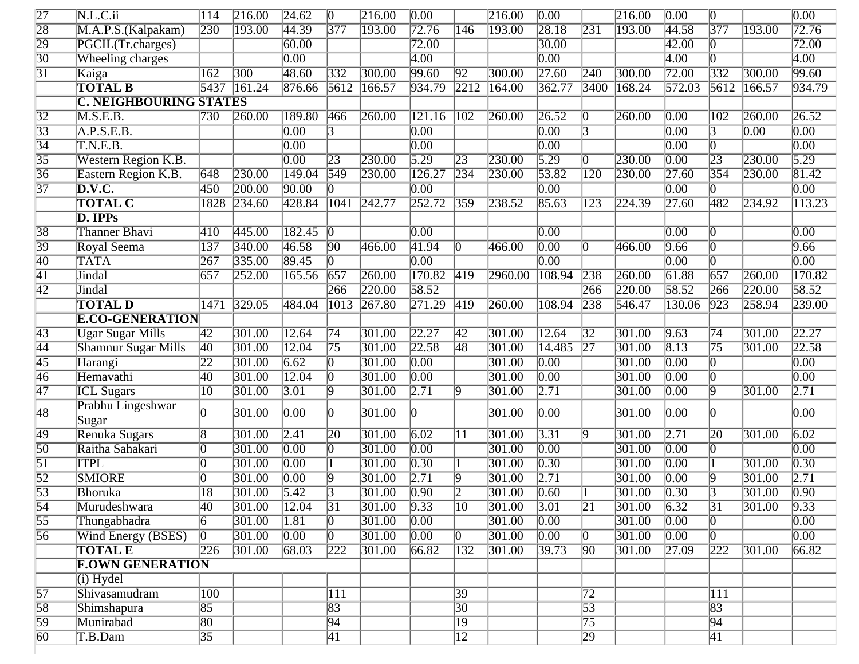| $\overline{27}$ | N.L.C.ii                      | $\overline{114}$ | 216.00           | 24.62             | $\overline{0}$   | 216.00          | $\overline{0.00}$   |                 | 216.00          | $\overline{0.00}$ |                  | 216.00 | $\overline{0.00}$ | $\vert 0 \vert$  |        | $\overline{0.00}$  |
|-----------------|-------------------------------|------------------|------------------|-------------------|------------------|-----------------|---------------------|-----------------|-----------------|-------------------|------------------|--------|-------------------|------------------|--------|--------------------|
| $\overline{28}$ | M.A.P.S.(Kalpakam)            | 230              | $\sqrt{193.00}$  | 44.39             | $\overline{377}$ | 193.00          | 72.76               | 146             | 193.00          | [28.18]           | 231              | 193.00 | 44.58             | $\overline{377}$ | 193.00 | 72.76              |
| $\overline{29}$ | PGCIL(Tr.charges)             |                  |                  | 60.00             |                  |                 | 72.00               |                 |                 | 30.00             |                  |        | 42.00             | $\overline{0}$   |        | 72.00              |
| $\overline{30}$ | <b>Wheeling charges</b>       |                  |                  | $\overline{0.00}$ |                  |                 | $\overline{4.00}$   |                 |                 | $\overline{0.00}$ |                  |        | $\overline{4.00}$ | Ю                |        | $\overline{4.00}$  |
| $\overline{31}$ | Kaiga                         | 162              | $\overline{300}$ | 48.60             | $\sqrt{332}$     | 300.00          | 99.60               | $\sqrt{92}$     | 300.00          | $\sqrt{27.60}$    | 240              | 300.00 | $\sqrt{72.00}$    | $\overline{332}$ | 300.00 | 99.60              |
|                 | <b>TOTAL B</b>                | 5437             | $\sqrt{161.24}$  | 876.66            | 5612             | 166.57          | 934.79              | $\sqrt{2212}$   | 164.00          | 362.77            | 3400             | 168.24 | 572.03            | 5612             | 166.57 | 934.79             |
|                 | <b>C. NEIGHBOURING STATES</b> |                  |                  |                   |                  |                 |                     |                 |                 |                   |                  |        |                   |                  |        |                    |
| $\overline{32}$ | M.S.E.B.                      | 730              | 260.00           | 189.80            | 466              | 260.00          | $\overline{121.16}$ | $\sqrt{102}$    | 260.00          | $\sqrt{26.52}$    | 0                | 260.00 | $\overline{0.00}$ | $\overline{102}$ | 260.00 | $\overline{26.52}$ |
| $\overline{33}$ | A.P.S.E.B.                    |                  |                  | $\overline{0.00}$ | $\overline{3}$   |                 | $\overline{0.00}$   |                 |                 | $\overline{0.00}$ | 3                |        | $\overline{0.00}$ | $\overline{3}$   | 0.00   | $\overline{0.00}$  |
| $\overline{34}$ | T.N.E.B.                      |                  |                  | $\overline{0.00}$ |                  |                 | $\overline{0.00}$   |                 |                 | $\overline{0.00}$ |                  |        | $\overline{0.00}$ | $ 0\rangle$      |        | $\overline{0.00}$  |
| $\overline{35}$ | <b>Western Region K.B.</b>    |                  |                  | $\overline{0.00}$ | $\overline{23}$  | 230.00          | $\overline{5.29}$   | $\sqrt{23}$     | 230.00          | 5.29              | 0                | 230.00 | $\overline{0.00}$ | $\sqrt{23}$      | 230.00 | $\overline{5.29}$  |
| $\overline{36}$ | Eastern Region K.B.           | 648              | 230.00           | 149.04            | $\overline{549}$ | 230.00          | 126.27              | $\sqrt{234}$    | 230.00          | 53.82             | 120              | 230.00 | $\sqrt{27.60}$    | $\overline{354}$ | 230.00 | 81.42              |
| $\overline{37}$ | $\overline{\mathbf{D.V.C.}}$  | $\overline{450}$ | [200.00]         | 90.00             | Ю                |                 | $\overline{0.00}$   |                 |                 | $\overline{0.00}$ |                  |        | $\overline{0.00}$ |                  |        | $\overline{0.00}$  |
|                 | <b>TOTAL C</b>                | 1828             | 234.60           | 428.84            | 1041             | $\sqrt{242.77}$ | 252.72              | $\sqrt{359}$    | 238.52          | 85.63             | 123              | 224.39 | $\sqrt{27.60}$    | 482              | 234.92 | 113.23             |
|                 | D. IPPs                       |                  |                  |                   |                  |                 |                     |                 |                 |                   |                  |        |                   |                  |        |                    |
| $\overline{38}$ | <b>Thanner Bhavi</b>          | 410              | 445.00           | 182.45            | Ю                |                 | $\overline{0.00}$   |                 |                 | $\overline{0.00}$ |                  |        | $\overline{0.00}$ | 0                |        | $\overline{0.00}$  |
| $\overline{39}$ | Royal Seema                   | 137              | 340.00           | 46.58             | $\overline{90}$  | 466.00          | 41.94               | Ю.              | 466.00          | $\overline{0.00}$ | 0                | 466.00 | 9.66              | $\vert 0 \vert$  |        | 9.66               |
| $\overline{40}$ | <b>TATA</b>                   | $\overline{267}$ | 335.00           | 89.45             | $\overline{0}$   |                 | $\overline{0.00}$   |                 |                 | $\overline{0.00}$ |                  |        | $\overline{0.00}$ | Ю                |        | $\overline{0.00}$  |
| $\overline{41}$ | Jindal                        | 657              | 252.00           | 165.56            | $\sqrt{657}$     | 260.00          | $\sqrt{170.82}$     | $\sqrt{419}$    | 2960.00         | 108.94            | $\sqrt{238}$     | 260.00 | 61.88             | $\overline{657}$ | 260.00 | 170.82             |
| $\overline{42}$ | <b>Jindal</b>                 |                  |                  |                   | 266              | 220.00          | 58.52               |                 |                 |                   | 266              | 220.00 | 58.52             | 266              | 220.00 | 58.52              |
|                 | <b>TOTAL D</b>                | 1471             | 329.05           | 484.04            | 1013             | $\sqrt{267.80}$ | $\sqrt{271.29}$     | $\sqrt{419}$    | 260.00          | 108.94            | $\overline{238}$ | 546.47 | 130.06            | $\sqrt{923}$     | 258.94 | 239.00             |
|                 | <b>E.CO-GENERATION</b>        |                  |                  |                   |                  |                 |                     |                 |                 |                   |                  |        |                   |                  |        |                    |
| $\sqrt{43}$     | <b>Ugar Sugar Mills</b>       | 42               | 301.00           | 12.64             | $\overline{74}$  | 301.00          | $\sqrt{22.27}$      | $\sqrt{42}$     | 301.00          | 12.64             | $\overline{32}$  | 301.00 | 9.63              | $\overline{74}$  | 301.00 | 22.27              |
| $\overline{44}$ | <b>Shamnur Sugar Mills</b>    | $\overline{40}$  | 301.00           | 12.04             | $\overline{75}$  | 301.00          | 22.58               | $\overline{48}$ | 301.00          | 14.485            | $\overline{27}$  | 301.00 | 8.13              | $\overline{75}$  | 301.00 | $\sqrt{22.58}$     |
| $\overline{45}$ | Harangi                       | $\overline{22}$  | 301.00           | 6.62              | 0                | 301.00          | $\overline{0.00}$   |                 | 301.00          | $\overline{0.00}$ |                  | 301.00 | $\overline{0.00}$ | IO.              |        | $\overline{0.00}$  |
| $\overline{46}$ | Hemavathi                     | 40               | 301.00           | 12.04             | 0                | 301.00          | $\overline{0.00}$   |                 | 301.00          | $\overline{0.00}$ |                  | 301.00 | $\overline{0.00}$ | Ю                |        | $\overline{0.00}$  |
| 47              | <b>ICL Sugars</b>             | $ 10\rangle$     | 301.00           | $\overline{3.01}$ | 19               | 301.00          | $\sqrt{2.71}$       | $ 9\rangle$     | 301.00          | $\sqrt{2.71}$     |                  | 301.00 | $\overline{0.00}$ | $\overline{9}$   | 301.00 | $\overline{2.71}$  |
| 48              | Prabhu Lingeshwar<br>Sugar    | n                | 301.00           | 0.00              | n.               | 301.00          | O.                  |                 | 301.00          | 0.00              |                  | 301.00 | 0.00              |                  |        | $0.00\,$           |
| 49              | Renuka Sugars                 | 8                | 301.00           | $\sqrt{2.41}$     | 20               | 301.00          | 6.02                | 11              | 301.00          | 3.31              | 19               | 301.00 | $\sqrt{2.71}$     | $\overline{20}$  | 301.00 | $\overline{6.02}$  |
| $\overline{50}$ | Raitha Sahakari               | 0                | 301.00           | $\overline{0.00}$ | $\overline{0}$   | 301.00          | $\overline{0.00}$   |                 | 301.00          | $\overline{0.00}$ |                  | 301.00 | $\overline{0.00}$ | $\vert 0 \vert$  |        | $\overline{0.00}$  |
| $\overline{51}$ | <b>ITPL</b>                   | O                | 301.00           | $\overline{0.00}$ |                  | 301.00          | $\overline{0.30}$   |                 | 301.00          | $\overline{0.30}$ |                  | 301.00 | $\overline{0.00}$ |                  | 301.00 | $\overline{0.30}$  |
| $\overline{52}$ | <b>SMIORE</b>                 | 0                | 301.00           | $\overline{0.00}$ | 19               | 301.00          | $\sqrt{2.71}$       | 19              | 301.00          | $\sqrt{2.71}$     |                  | 301.00 | $\overline{0.00}$ | $ 9\rangle$      | 301.00 | $\overline{2.71}$  |
| $\frac{53}{54}$ | Bhoruka                       | $\overline{18}$  | 301.00           | $\sqrt{5.42}$     | 13               | 301.00          | $\boxed{0.90}$      | $\overline{D}$  | 301.00          | $\overline{0.60}$ |                  | 301.00 | $\boxed{0.30}$    | 13               | 301.00 | $\boxed{0.90}$     |
|                 | Murudeshwara                  | 40               | 301.00           | $\sqrt{12.04}$    | $\sqrt{31}$      | 301.00          | 9.33                | $ 10\rangle$    | 301.00          | 3.01              | $\overline{21}$  | 301.00 | 6.32              | $\overline{31}$  | 301.00 | 9.33               |
| $\overline{55}$ | Thungabhadra                  | $\overline{6}$   | 301.00           | $\overline{1.81}$ | $ 0\rangle$      | 301.00          | $\boxed{0.00}$      |                 | $\sqrt{301.00}$ | $\boxed{0.00}$    |                  | 301.00 | $\boxed{0.00}$    | $\sqrt{0}$       |        | $\overline{0.00}$  |
| $\overline{56}$ | <b>Wind Energy (BSES)</b>     | $\sqrt{0}$       | 301.00           | $\boxed{0.00}$    | $\sqrt{0}$       | 301.00          | $\boxed{0.00}$      | $ 0\rangle$     | 301.00          | $\boxed{0.00}$    | 10               | 301.00 | $\boxed{0.00}$    | $\boxed{0}$      |        | $\overline{0.00}$  |
|                 | <b>TOTAL E</b>                | 226              | 301.00           | 68.03             | 222              | 301.00          | 66.82               | 132             | 301.00          | 39.73             | $\overline{90}$  | 301.00 | $\sqrt{27.09}$    | $\sqrt{222}$     | 301.00 | 66.82              |
|                 | <b>F.OWN GENERATION</b>       |                  |                  |                   |                  |                 |                     |                 |                 |                   |                  |        |                   |                  |        |                    |
|                 | $(i)$ Hydel                   |                  |                  |                   |                  |                 |                     |                 |                 |                   |                  |        |                   |                  |        |                    |
| $\overline{57}$ | Shivasamudram                 | $\overline{100}$ |                  |                   | 111              |                 |                     | $\overline{39}$ |                 |                   | 72               |        |                   | 111              |        |                    |
| $\overline{58}$ | Shimshapura                   | $\overline{85}$  |                  |                   | $\overline{83}$  |                 |                     | $\overline{30}$ |                 |                   | $\overline{53}$  |        |                   | $\sqrt{83}$      |        |                    |
| $\overline{59}$ | Munirabad                     | $\overline{80}$  |                  |                   | 94               |                 |                     | $\overline{19}$ |                 |                   | $\overline{75}$  |        |                   | $\sqrt{94}$      |        |                    |
| $\overline{60}$ | T.B.Dam                       | $\overline{35}$  |                  |                   | $\overline{41}$  |                 |                     | $\overline{12}$ |                 |                   | 29               |        |                   | $\boxed{41}$     |        |                    |
|                 |                               |                  |                  |                   |                  |                 |                     |                 |                 |                   |                  |        |                   |                  |        |                    |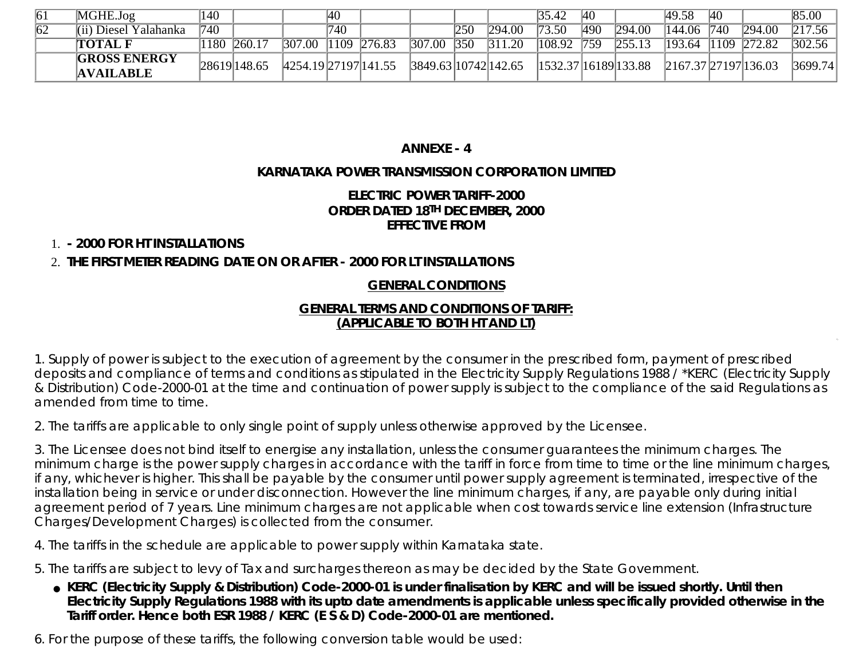| $\overline{61}$ | MGHE.Jog                                | $\overline{140}$ |              |                      | 40  |             |                      |     |        | 35.42                | <sup>40</sup> |        | 49.58                        | <sup>40</sup> |             | 85.00   |
|-----------------|-----------------------------------------|------------------|--------------|----------------------|-----|-------------|----------------------|-----|--------|----------------------|---------------|--------|------------------------------|---------------|-------------|---------|
| $\overline{62}$ | (ii) Diesel Yalahanka                   | 740              |              |                      | 740 |             |                      | 250 | 294.00 | 73.50                | 490           | 294.00 | $\sqrt{144.06}$ 740          |               | 294.00      | 217.56  |
|                 | <b>TOTAL F</b>                          | <b>180</b>       | 260.17       | 307.00               |     | 1109 276.83 | 307.00               | 350 | 311.20 | 108.92               | 759           | 255.13 | 193.64                       |               | 1109 272.82 | 302.56  |
|                 | <b>GROSS ENERGY</b><br><b>AVAILABLE</b> |                  | 28619 148.65 | 4254.19 27197 141.55 |     |             | 3849.63 10742 142.65 |     |        | 1532.37 16189 133.88 |               |        | $2167.37 \, 27197 \, 136.03$ |               |             | 3699.74 |

## **ANNEXE - 4**

## **KARNATAKA POWER TRANSMISSION CORPORATION LIMITED**

## **ELECTRIC POWER TARIFF-2000 ORDER DATED 18TH DECEMBER, 2000 EFFECTIVE FROM**

1. **- 2000 FOR HT INSTALLATIONS**

# 2. **THE FIRST METER READING DATE ON OR AFTER - 2000 FOR LT INSTALLATIONS**

## **GENERAL CONDITIONS**

#### **GENERAL TERMS AND CONDITIONS OF TARIFF: (APPLICABLE TO BOTH HT AND LT)**

1. Supply of power is subject to the execution of agreement by the consumer in the prescribed form, payment of prescribed deposits and compliance of terms and conditions as stipulated in the Electricity Supply Regulations 1988 / \*KERC (Electricity Supply & Distribution) Code-2000-01 at the time and continuation of power supply is subject to the compliance of the said Regulations as amended from time to time.

2. The tariffs are applicable to only single point of supply unless otherwise approved by the Licensee.

3. The Licensee does not bind itself to energise any installation, unless the consumer guarantees the minimum charges. The minimum charge is the power supply charges in accordance with the tariff in force from time to time or the line minimum charges, if any, whichever is higher. This shall be payable by the consumer until power supply agreement is terminated, irrespective of the installation being in service or under disconnection. However the line minimum charges, if any, are payable only during initial agreement period of 7 years. Line minimum charges are not applicable when cost towards service line extension (Infrastructure Charges/Development Charges) is collected from the consumer.

4. The tariffs in the schedule are applicable to power supply within Karnataka state.

5. The tariffs are subject to levy of Tax and surcharges thereon as may be decided by the State Government.

**KERC (Electricity Supply & Distribution) Code-2000-01 is under finalisation by KERC and will be issued shortly. Until then** ● **Electricity Supply Regulations 1988 with its upto date amendments is applicable unless specifically provided otherwise in the Tariff order. Hence both ESR 1988 / KERC (E S & D) Code-2000-01 are mentioned.**

6. For the purpose of these tariffs, the following conversion table would be used: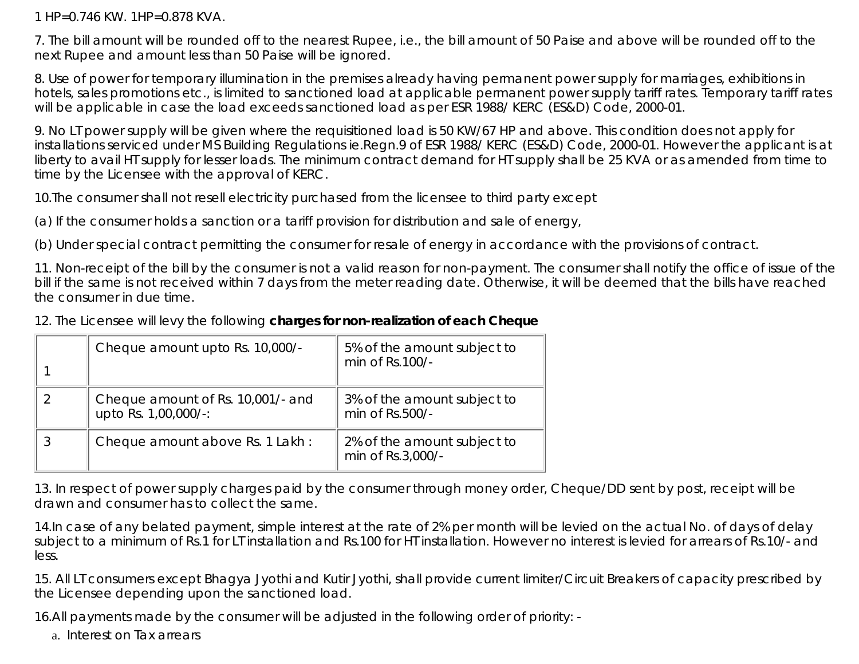1 HP=0.746 KW. 1HP=0.878 KVA.

7. The bill amount will be rounded off to the nearest Rupee, i.e., the bill amount of 50 Paise and above will be rounded off to the next Rupee and amount less than 50 Paise will be ignored.

8. Use of power for temporary illumination in the premises already having permanent power supply for marriages, exhibitions in hotels, sales promotions etc., is limited to sanctioned load at applicable permanent power supply tariff rates. Temporary tariff rates will be applicable in case the load exceeds sanctioned load as per ESR 1988/ KERC (ES&D) Code, 2000-01.

9. No LT power supply will be given where the requisitioned load is 50 KW/67 HP and above. This condition does not apply for installations serviced under MS Building Regulations ie.Regn.9 of ESR 1988/ KERC (ES&D) Code, 2000-01. However the applicant is at liberty to avail HT supply for lesser loads. The minimum contract demand for HT supply shall be 25 KVA or as amended from time to time by the Licensee with the approval of KERC.

10.The consumer shall not resell electricity purchased from the licensee to third party except

(a) If the consumer holds a sanction or a tariff provision for distribution and sale of energy,

(b) Under special contract permitting the consumer for resale of energy in accordance with the provisions of contract.

11. Non-receipt of the bill by the consumer is not a valid reason for non-payment. The consumer shall notify the office of issue of the bill if the same is not received within 7 days from the meter reading date. Otherwise, it will be deemed that the bills have reached the consumer in due time.

12. The Licensee will levy the following **charges for non-realization of each Cheque**

| Cheque amount upto Rs. 10,000/-                           | 5% of the amount subject to<br>min of Rs.100/-   |
|-----------------------------------------------------------|--------------------------------------------------|
| Cheque amount of Rs. 10,001/- and<br>upto Rs. 1,00,000/-: | 3% of the amount subject to<br>min of Rs.500/-   |
| Cheque amount above Rs. 1 Lakh:                           | 2% of the amount subject to<br>min of Rs.3,000/- |

13. In respect of power supply charges paid by the consumer through money order, Cheque/DD sent by post, receipt will be drawn and consumer has to collect the same.

14.In case of any belated payment, simple interest at the rate of 2% per month will be levied on the actual No. of days of delay subject to a minimum of Rs.1 for LT installation and Rs.100 for HT installation. However no interest is levied for arrears of Rs.10/- and less.

15. All LT consumers except Bhagya Jyothi and Kutir Jyothi, shall provide current limiter/Circuit Breakers of capacity prescribed by the Licensee depending upon the sanctioned load.

16.All payments made by the consumer will be adjusted in the following order of priority: -

a. Interest on Tax arrears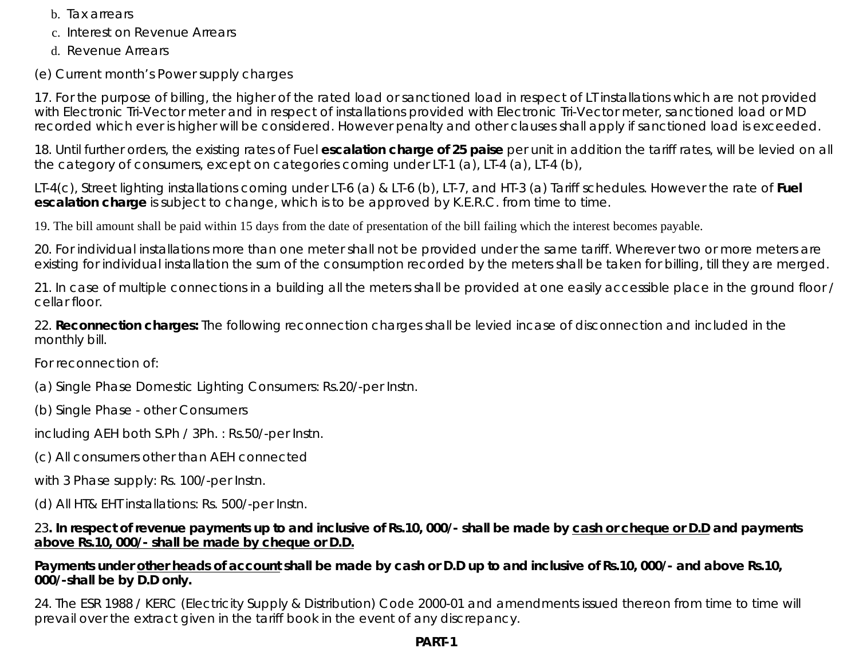- b. Tax arrears
- c. Interest on Revenue Arrears
- d. Revenue Arrears
- (e) Current month's Power supply charges

17. For the purpose of billing, the higher of the rated load or sanctioned load in respect of LT installations which are not provided with Electronic Tri-Vector meter and in respect of installations provided with Electronic Tri-Vector meter, sanctioned load or MD recorded which ever is higher will be considered. However penalty and other clauses shall apply if sanctioned load is exceeded.

18. Until further orders, the existing rates of Fuel **escalation charge of 25 paise** per unit in addition the tariff rates, will be levied on all the category of consumers, except on categories coming under LT-1 (a), LT-4 (a), LT-4 (b),

LT-4(c), Street lighting installations coming under LT-6 (a) & LT-6 (b), LT-7, and HT-3 (a) Tariff schedules. However the rate of **Fuel escalation charge** is subject to change, which is to be approved by K.E.R.C. from time to time.

19. The bill amount shall be paid within 15 days from the date of presentation of the bill failing which the interest becomes payable.

20. For individual installations more than one meter shall not be provided under the same tariff. Wherever two or more meters are existing for individual installation the sum of the consumption recorded by the meters shall be taken for billing, till they are merged.

21. In case of multiple connections in a building all the meters shall be provided at one easily accessible place in the ground floor / cellar floor.

22. **Reconnection charges:** The following reconnection charges shall be levied incase of disconnection and included in the monthly bill.

For reconnection of:

(a) Single Phase Domestic Lighting Consumers: Rs.20/-per Instn.

(b) Single Phase - other Consumers

including AEH both S.Ph / 3Ph. : Rs.50/-per Instn.

(c) All consumers other than AEH connected

with 3 Phase supply: Rs. 100/-per Instn.

(d) All HT& EHT installations: Rs. 500/-per Instn.

## 23**. In respect of revenue payments up to and inclusive of Rs.10, 000/- shall be made by cash or cheque or D.D and payments above Rs.10, 000/- shall be made by cheque or D.D.**

## **Payments under other heads of account shall be made by cash or D.D up to and inclusive of Rs.10, 000/- and above Rs.10, 000/-shall be by D.D only.**

24. The ESR 1988 / KERC (Electricity Supply & Distribution) Code 2000-01 and amendments issued thereon from time to time will prevail over the extract given in the tariff book in the event of any discrepancy.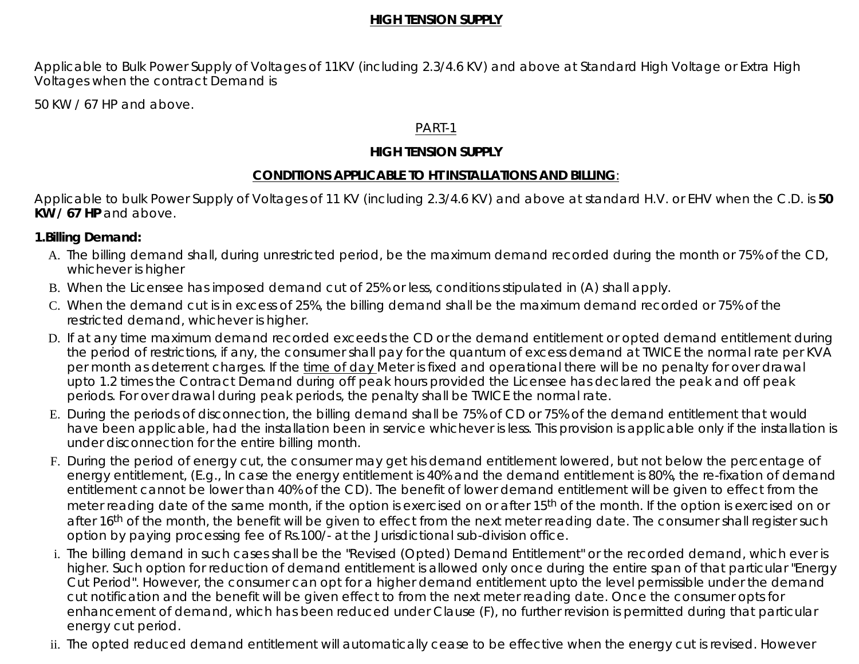#### **HIGH TENSION SUPPLY**

Applicable to Bulk Power Supply of Voltages of 11KV (including 2.3/4.6 KV) and above at Standard High Voltage or Extra High Voltages when the contract Demand is

50 KW / 67 HP and above.

#### PART-1

## **HIGH TENSION SUPPLY**

## **CONDITIONS APPLICABLE TO HT INSTALLATIONS AND BILLING**:

Applicable to bulk Power Supply of Voltages of 11 KV (including 2.3/4.6 KV) and above at standard H.V. or EHV when the C.D. is **50 KW / 67 HP** and above.

## **1.Billing Demand:**

- A. The billing demand shall, during unrestricted period, be the maximum demand recorded during the month or 75% of the CD, whichever is higher
- B. When the Licensee has imposed demand cut of 25% or less, conditions stipulated in (A) shall apply.
- C. When the demand cut is in excess of 25%, the billing demand shall be the maximum demand recorded or 75% of the restricted demand, whichever is higher.
- D. If at any time maximum demand recorded exceeds the CD or the demand entitlement or opted demand entitlement during the period of restrictions, if any, the consumer shall pay for the quantum of excess demand at TWICE the normal rate per KVA per month as deterrent charges. If the time of day Meter is fixed and operational there will be no penalty for over drawal upto 1.2 times the Contract Demand during off peak hours provided the Licensee has declared the peak and off peak periods. For over drawal during peak periods, the penalty shall be TWICE the normal rate.
- E. During the periods of disconnection, the billing demand shall be 75% of CD or 75% of the demand entitlement that would have been applicable, had the installation been in service whichever is less. This provision is applicable only if the installation is under disconnection for the entire billing month.
- F. During the period of energy cut, the consumer may get his demand entitlement lowered, but not below the percentage of energy entitlement, (E.g., In case the energy entitlement is 40% and the demand entitlement is 80%, the re-fixation of demand entitlement cannot be lower than 40% of the CD). The benefit of lower demand entitlement will be given to effect from the meter reading date of the same month, if the option is exercised on or after 15<sup>th</sup> of the month. If the option is exercised on or after 16<sup>th</sup> of the month, the benefit will be given to effect from the next meter reading date. The consumer shall register such option by paying processing fee of Rs.100/- at the Jurisdictional sub-division office.
- i. The billing demand in such cases shall be the "Revised (Opted) Demand Entitlement" or the recorded demand, which ever is higher. Such option for reduction of demand entitlement is allowed only once during the entire span of that particular "Energy Cut Period". However, the consumer can opt for a higher demand entitlement upto the level permissible under the demand cut notification and the benefit will be given effect to from the next meter reading date. Once the consumer opts for enhancement of demand, which has been reduced under Clause (F), no further revision is permitted during that particular energy cut period.
- ii. The opted reduced demand entitlement will automatically cease to be effective when the energy cut is revised. However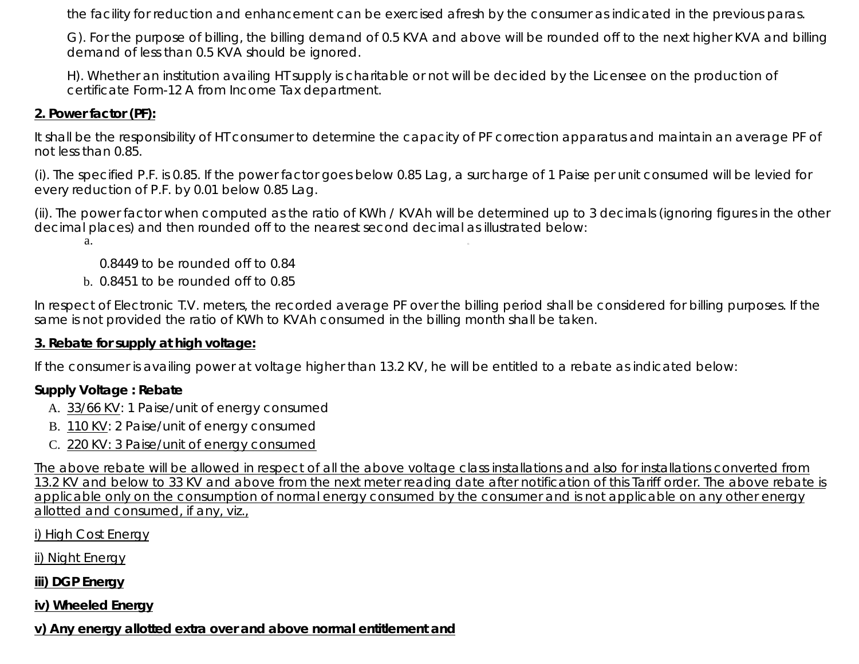the facility for reduction and enhancement can be exercised afresh by the consumer as indicated in the previous paras.

G). For the purpose of billing, the billing demand of 0.5 KVA and above will be rounded off to the next higher KVA and billing demand of less than 0.5 KVA should be ignored.

H). Whether an institution availing HT supply is charitable or not will be decided by the Licensee on the production of certificate Form-12 A from Income Tax department.

## **2. Power factor (PF):**

It shall be the responsibility of HT consumer to determine the capacity of PF correction apparatus and maintain an average PF of not less than 0.85.

(i). The specified P.F. is 0.85. If the power factor goes below 0.85 Lag, a surcharge of 1 Paise per unit consumed will be levied for every reduction of P.F. by 0.01 below 0.85 Lag.

(ii). The power factor when computed as the ratio of KWh / KVAh will be determined up to 3 decimals (ignoring figures in the other decimal places) and then rounded off to the nearest second decimal as illustrated below:

a.

0.8449 to be rounded off to 0.84

b. 0.8451 to be rounded off to 0.85

In respect of Electronic T.V. meters, the recorded average PF over the billing period shall be considered for billing purposes. If the same is not provided the ratio of KWh to KVAh consumed in the billing month shall be taken.

## **3. Rebate for supply at high voltage:**

If the consumer is availing power at voltage higher than 13.2 KV, he will be entitled to a rebate as indicated below:

# **Supply Voltage : Rebate**

- A. 33/66 KV: 1 Paise/unit of energy consumed
- B. 110 KV: 2 Paise/unit of energy consumed
- C. 220 KV: 3 Paise/unit of energy consumed

The above rebate will be allowed in respect of all the above voltage class installations and also for installations converted from 13.2 KV and below to 33 KV and above from the next meter reading date after notification of this Tariff order. The above rebate is applicable only on the consumption of normal energy consumed by the consumer and is not applicable on any other energy allotted and consumed, if any, viz.,

i) High Cost Energy

ii) Night Energy

**iii) DGP Energy**

**iv) Wheeled Energy**

**v) Any energy allotted extra over and above normal entitlement and**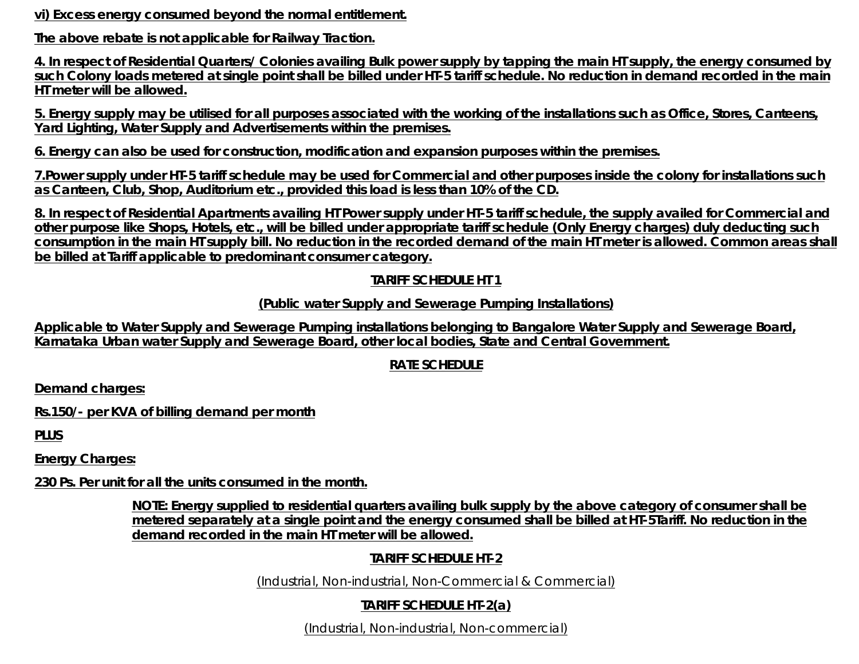**vi) Excess energy consumed beyond the normal entitlement.**

**The above rebate is not applicable for Railway Traction.**

**4. In respect of Residential Quarters/ Colonies availing Bulk power supply by tapping the main HT supply, the energy consumed by such Colony loads metered at single point shall be billed under HT-5 tariff schedule. No reduction in demand recorded in the main HT meter will be allowed.**

**5. Energy supply may be utilised for all purposes associated with the working of the installations such as Office, Stores, Canteens, Yard Lighting, Water Supply and Advertisements within the premises.**

**6. Energy can also be used for construction, modification and expansion purposes within the premises.**

**7.Power supply under HT-5 tariff schedule may be used for Commercial and other purposes inside the colony for installations such as Canteen, Club, Shop, Auditorium etc., provided this load is less than 10% of the CD.**

**8. In respect of Residential Apartments availing HT Power supply under HT-5 tariff schedule, the supply availed for Commercial and other purpose like Shops, Hotels, etc., will be billed under appropriate tariff schedule (Only Energy charges) duly deducting such consumption in the main HT supply bill. No reduction in the recorded demand of the main HT meter is allowed. Common areas shall be billed at Tariff applicable to predominant consumer category.**

## **TARIFF SCHEDULE HT 1**

## **(Public water Supply and Sewerage Pumping Installations)**

**Applicable to Water Supply and Sewerage Pumping installations belonging to Bangalore Water Supply and Sewerage Board, Karnataka Urban water Supply and Sewerage Board, other local bodies, State and Central Government.**

# **RATE SCHEDULE**

**Demand charges:**

**Rs.150/- per KVA of billing demand per month**

**PLUS**

**Energy Charges:**

**230 Ps. Per unit for all the units consumed in the month.**

**NOTE: Energy supplied to residential quarters availing bulk supply by the above category of consumer shall be metered separately at a single point and the energy consumed shall be billed at HT-5Tariff. No reduction in the demand recorded in the main HT meter will be allowed.**

# **TARIFF SCHEDULE HT-2**

(Industrial, Non-industrial, Non-Commercial & Commercial)

# **TARIFF SCHEDULE HT-2(a)**

(Industrial, Non-industrial, Non-commercial)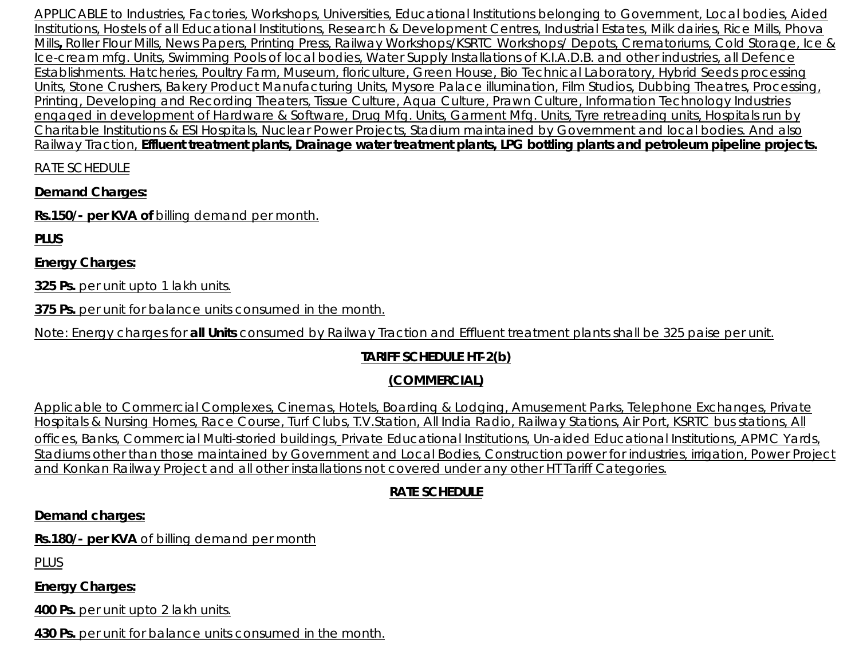APPLICABLE to Industries, Factories, Workshops, Universities, Educational Institutions belonging to Government, Local bodies, Aided Institutions, Hostels of all Educational Institutions, Research & Development Centres, Industrial Estates, Milk dairies, Rice Mills, Phova Mills**,** Roller Flour Mills, News Papers, Printing Press, Railway Workshops/KSRTC Workshops/ Depots, Crematoriums, Cold Storage, Ice & Ice-cream mfg. Units, Swimming Pools of local bodies, Water Supply Installations of K.I.A.D.B. and other industries, all Defence Establishments. Hatcheries, Poultry Farm, Museum, floriculture, Green House, Bio Technical Laboratory, Hybrid Seeds processing Units, Stone Crushers, Bakery Product Manufacturing Units, Mysore Palace illumination, Film Studios, Dubbing Theatres, Processing, Printing, Developing and Recording Theaters, Tissue Culture, Aqua Culture, Prawn Culture, Information Technology Industries engaged in development of Hardware & Software, Drug Mfg. Units, Garment Mfg. Units, Tyre retreading units, Hospitals run by Charitable Institutions & ESI Hospitals, Nuclear Power Projects, Stadium maintained by Government and local bodies. And also Railway Traction, **Effluent treatment plants, Drainage water treatment plants, LPG bottling plants and petroleum pipeline projects.**

RATE SCHEDULE

**Demand Charges:**

**Rs.150/- per KVA of** billing demand per month.

**PLUS**

**Energy Charges:**

**325 Ps.** per unit upto 1 lakh units.

**375 Ps.** per unit for balance units consumed in the month.

Note: Energy charges for **all Units** consumed by Railway Traction and Effluent treatment plants shall be 325 paise per unit.

# **TARIFF SCHEDULE HT-2(b)**

# **(COMMERCIAL)**

Applicable to Commercial Complexes, Cinemas, Hotels, Boarding & Lodging, Amusement Parks, Telephone Exchanges, Private Hospitals & Nursing Homes, Race Course, Turf Clubs, T.V.Station, All India Radio, Railway Stations, Air Port, KSRTC bus stations, All offices, Banks, Commercial Multi-storied buildings, Private Educational Institutions, Un-aided Educational Institutions, APMC Yards, Stadiums other than those maintained by Government and Local Bodies, Construction power for industries, irrigation, Power Project and Konkan Railway Project and all other installations not covered under any other HT Tariff Categories.

# **RATE SCHEDULE**

# **Demand charges:**

**Rs.180/- per KVA** of billing demand per month

PLUS

**Energy Charges:**

**400 Ps.** per unit upto 2 lakh units.

**430 Ps.** per unit for balance units consumed in the month.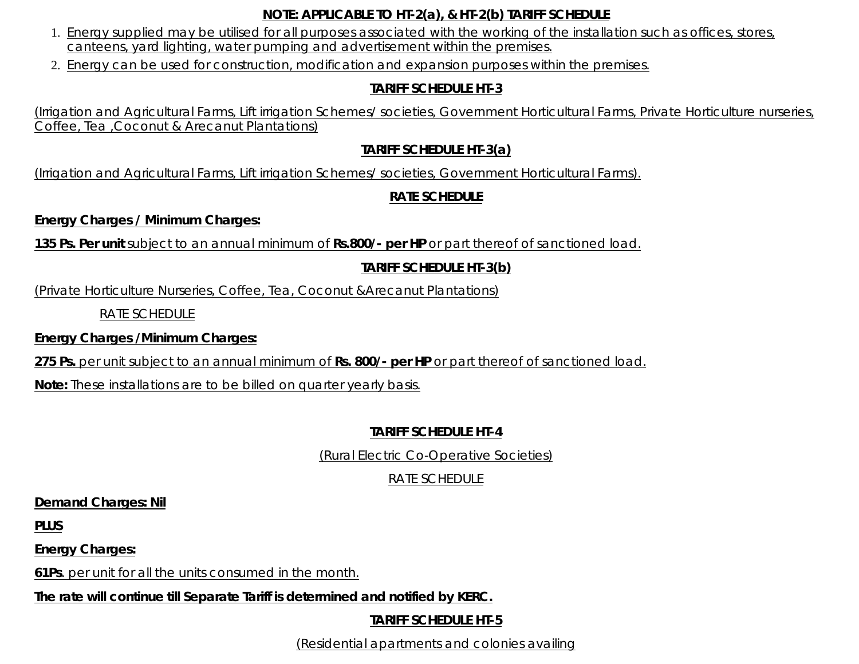#### **NOTE: APPLICABLE TO HT-2(a), & HT-2(b) TARIFF SCHEDULE**

- 1. Energy supplied may be utilised for all purposes associated with the working of the installation such as offices, stores, canteens, yard lighting, water pumping and advertisement within the premises.
- 2. Energy can be used for construction, modification and expansion purposes within the premises.

#### **TARIFF SCHEDULE HT-3**

(Irrigation and Agricultural Farms, Lift irrigation Schemes/ societies, Government Horticultural Farms, Private Horticulture nurseries, Coffee, Tea ,Coconut & Arecanut Plantations)

## **TARIFF SCHEDULE HT-3(a)**

(Irrigation and Agricultural Farms, Lift irrigation Schemes/ societies, Government Horticultural Farms).

# **RATE SCHEDULE**

**Energy Charges / Minimum Charges:**

**135 Ps. Per unit** subject to an annual minimum of **Rs.800/- per HP** or part thereof of sanctioned load.

# **TARIFF SCHEDULE HT-3(b)**

(Private Horticulture Nurseries, Coffee, Tea, Coconut &Arecanut Plantations)

RATE SCHEDULE

**Energy Charges /Minimum Charges:**

**275 Ps.** per unit subject to an annual minimum of **Rs. 800/- per HP** or part thereof of sanctioned load.

**Note:** These installations are to be billed on quarter yearly basis.

# **TARIFF SCHEDULE HT-4**

(Rural Electric Co-Operative Societies)

# *RATE SCHEDULE*

**Demand Charges: Nil**

**PLUS**

**Energy Charges:**

**61Ps**. per unit for all the units consumed in the month.

**The rate will continue till Separate Tariff is determined and notified by KERC.**

**TARIFF SCHEDULE HT-5**

(Residential apartments and colonies availing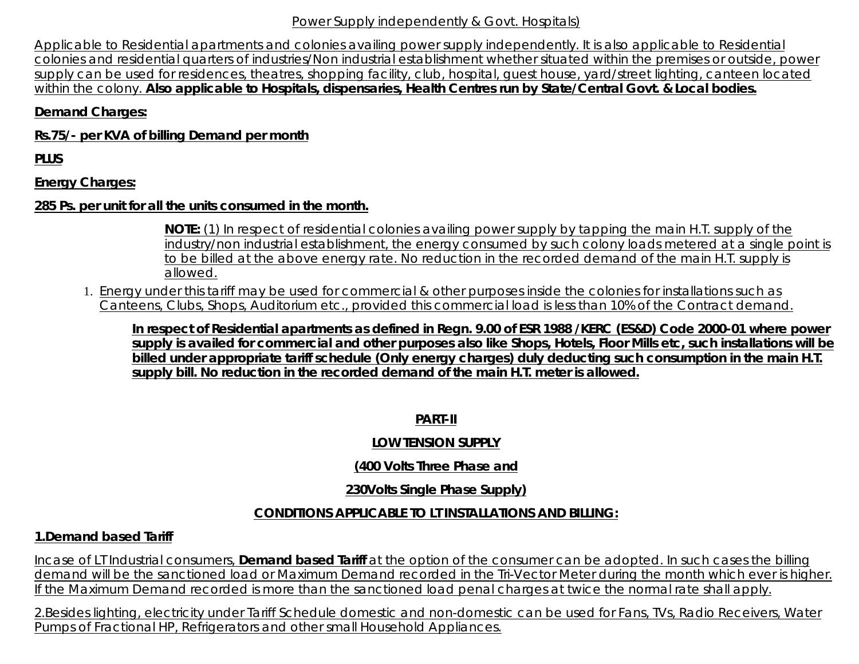#### Power Supply independently & Govt. Hospitals)

Applicable to Residential apartments and colonies availing power supply independently. It is also applicable to Residential colonies and residential quarters of industries/Non industrial establishment whether situated within the premises or outside, power supply can be used for residences, theatres, shopping facility, club, hospital, guest house, yard/street lighting, canteen located within the colony. **Also applicable to Hospitals, dispensaries, Health Centres run by State/Central Govt. & Local bodies.**

#### **Demand Charges:**

**Rs.75/- per KVA of billing Demand per month**

**PLUS**

**Energy Charges:**

#### **285 Ps. per unit for all the units consumed in the month.**

**NOTE:** (1) In respect of residential colonies availing power supply by tapping the main H.T. supply of the industry/non industrial establishment, the energy consumed by such colony loads metered at a single point is to be billed at the above energy rate. No reduction in the recorded demand of the main H.T. supply is allowed.

1. Energy under this tariff may be used for commercial & other purposes inside the colonies for installations such as Canteens, Clubs, Shops, Auditorium etc., provided this commercial load is less than 10% of the Contract demand.

**In respect of Residential apartments as defined in Regn. 9.00 of ESR 1988 /KERC (ES&D) Code 2000-01 where power supply is availed for commercial and other purposes also like Shops, Hotels, Floor Mills etc, such installations will be billed under appropriate tariff schedule (Only energy charges) duly deducting such consumption in the main H.T. supply bill. No reduction in the recorded demand of the main H.T. meter is allowed.**

**PART-II**

#### **LOW TENSION SUPPLY**

## **(400 Volts Three Phase and**

## **230Volts Single Phase Supply)**

## **CONDITIONS APPLICABLE TO LT INSTALLATIONS AND BILLING:**

## **1.Demand based Tariff**

Incase of LT Industrial consumers, **Demand based Tariff** at the option of the consumer can be adopted. In such cases the billing demand will be the sanctioned load or Maximum Demand recorded in the Tri-Vector Meter during the month which ever is higher. If the Maximum Demand recorded is more than the sanctioned load penal charges at twice the normal rate shall apply.

2.Besides lighting, electricity under Tariff Schedule domestic and non-domestic can be used for Fans, TVs, Radio Receivers, Water Pumps of Fractional HP, Refrigerators and other small Household Appliances.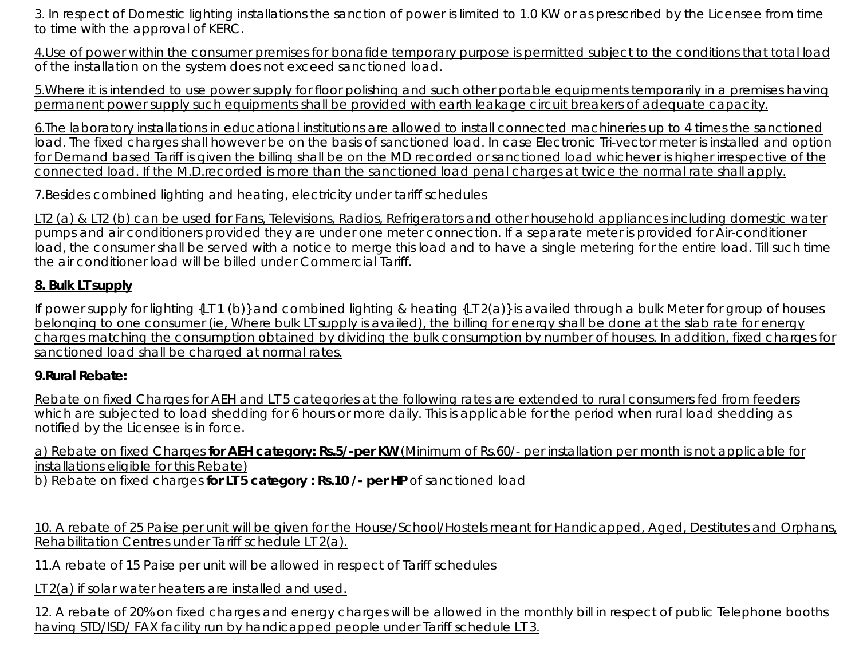3. In respect of Domestic lighting installations the sanction of power is limited to 1.0 KW or as prescribed by the Licensee from time to time with the approval of KERC.

4.Use of power within the consumer premises for bonafide temporary purpose is permitted subject to the conditions that total load of the installation on the system does not exceed sanctioned load.

5.Where it is intended to use power supply for floor polishing and such other portable equipments temporarily in a premises having permanent power supply such equipments shall be provided with earth leakage circuit breakers of adequate capacity.

6.The laboratory installations in educational institutions are allowed to install connected machineries up to 4 times the sanctioned load. The fixed charges shall however be on the basis of sanctioned load. In case Electronic Tri-vector meter is installed and option for Demand based Tariff is given the billing shall be on the MD recorded or sanctioned load whichever is higher irrespective of the connected load. If the M.D.recorded is more than the sanctioned load penal charges at twice the normal rate shall apply.

7.Besides combined lighting and heating, electricity under tariff schedules

LT2 (a) & LT2 (b) can be used for Fans, Televisions, Radios, Refrigerators and other household appliances including domestic water pumps and air conditioners provided they are under one meter connection. If a separate meter is provided for Air-conditioner load, the consumer shall be served with a notice to merge this load and to have a single metering for the entire load. Till such time the air conditioner load will be billed under Commercial Tariff.

# **8. Bulk LT supply**

If power supply for lighting {LT 1 (b)} and combined lighting & heating {LT 2(a)} is availed through a bulk Meter for group of houses belonging to one consumer (ie, Where bulk LT supply is availed), the billing for energy shall be done at the slab rate for energy charges matching the consumption obtained by dividing the bulk consumption by number of houses. In addition, fixed charges for sanctioned load shall be charged at normal rates.

# **9.Rural Rebate:**

Rebate on fixed Charges for AEH and LT 5 categories at the following rates are extended to rural consumers fed from feeders which are subjected to load shedding for 6 hours or more daily. This is applicable for the period when rural load shedding as notified by the Licensee is in force.

a) Rebate on fixed Charges **for AEH category: Rs.5/-per KW** (Minimum of Rs.60/- per installation per month is not applicable for installations eligible for this Rebate) b) Rebate on fixed charges **for LT 5 category : Rs.10 /- per HP** of sanctioned load

10. A rebate of 25 Paise per unit will be given for the House/School/Hostels meant for Handicapped, Aged, Destitutes and Orphans, Rehabilitation Centres under Tariff schedule LT 2(a).

11.A rebate of 15 Paise per unit will be allowed in respect of Tariff schedules

LT 2(a) if solar water heaters are installed and used.

12. A rebate of 20% on fixed charges and energy charges will be allowed in the monthly bill in respect of public Telephone booths having STD/ISD/ FAX facility run by handicapped people under Tariff schedule LT 3.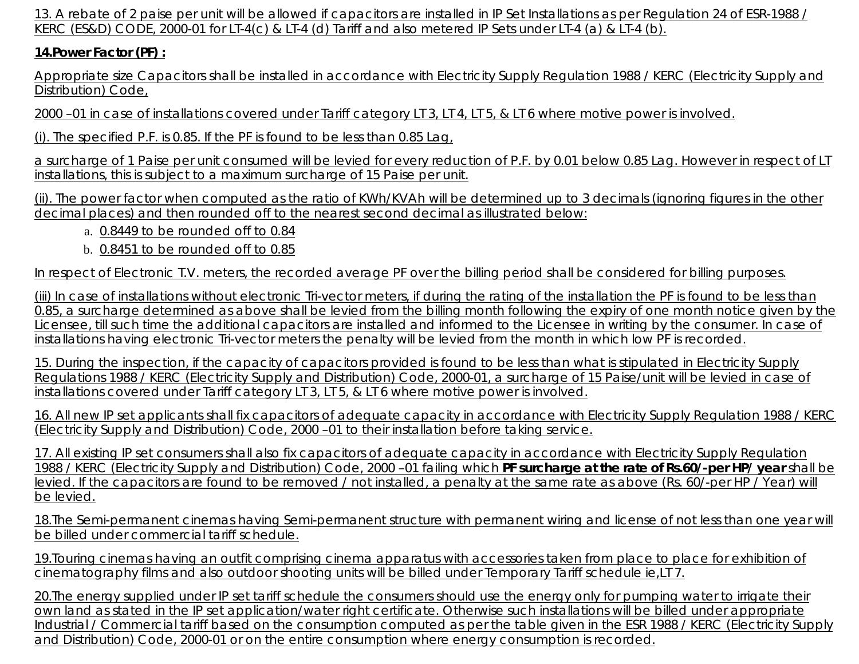13. A rebate of 2 paise per unit will be allowed if capacitors are installed in IP Set Installations as per Regulation 24 of ESR-1988 / KERC (ES&D) CODE, 2000-01 for LT-4(c) & LT-4 (d) Tariff and also metered IP Sets under LT-4 (a) & LT-4 (b).

# **14.Power Factor (PF) :**

Appropriate size Capacitors shall be installed in accordance with Electricity Supply Regulation 1988 / KERC (Electricity Supply and Distribution) Code,

2000 –01 in case of installations covered under Tariff category LT 3, LT 4, LT 5, & LT 6 where motive power is involved.

(i). The specified P.F. is 0.85. If the PF is found to be less than 0.85 Lag,

a surcharge of 1 Paise per unit consumed will be levied for every reduction of P.F. by 0.01 below 0.85 Lag. However in respect of LT installations, this is subject to a maximum surcharge of 15 Paise per unit.

(ii). The power factor when computed as the ratio of KWh/KVAh will be determined up to 3 decimals (ignoring figures in the other decimal places) and then rounded off to the nearest second decimal as illustrated below:

- a. 0.8449 to be rounded off to 0.84
- b. 0.8451 to be rounded off to 0.85

In respect of Electronic T.V. meters, the recorded average PF over the billing period shall be considered for billing purposes.

(iii) In case of installations without electronic Tri-vector meters, if during the rating of the installation the PF is found to be less than 0.85, a surcharge determined as above shall be levied from the billing month following the expiry of one month notice given by the Licensee, till such time the additional capacitors are installed and informed to the Licensee in writing by the consumer. In case of installations having electronic Tri-vector meters the penalty will be levied from the month in which low PF is recorded.

15. During the inspection, if the capacity of capacitors provided is found to be less than what is stipulated in Electricity Supply Regulations 1988 / KERC (Electricity Supply and Distribution) Code, 2000-01, a surcharge of 15 Paise/unit will be levied in case of installations covered under Tariff category LT 3, LT 5, & LT 6 where motive power is involved.

16. All new IP set applicants shall fix capacitors of adequate capacity in accordance with Electricity Supply Regulation 1988 / KERC (Electricity Supply and Distribution) Code, 2000 –01 to their installation before taking service.

17. All existing IP set consumers shall also fix capacitors of adequate capacity in accordance with Electricity Supply Regulation 1988 / KERC (Electricity Supply and Distribution) Code, 2000 –01 failing which **PF surcharge at the rate of Rs.60/-per HP/ year** shall be levied. If the capacitors are found to be removed / not installed, a penalty at the same rate as above (Rs. 60/-per HP / Year) will be levied.

18.The Semi-permanent cinemas having Semi-permanent structure with permanent wiring and license of not less than one year will be billed under commercial tariff schedule.

19.Touring cinemas having an outfit comprising cinema apparatus with accessories taken from place to place for exhibition of cinematography films and also outdoor shooting units will be billed under Temporary Tariff schedule ie,LT 7.

20.The energy supplied under IP set tariff schedule the consumers should use the energy only for pumping water to irrigate their own land as stated in the IP set application/water right certificate. Otherwise such installations will be billed under appropriate Industrial / Commercial tariff based on the consumption computed as per the table given in the ESR 1988 / KERC (Electricity Supply and Distribution) Code, 2000-01 or on the entire consumption where energy consumption is recorded.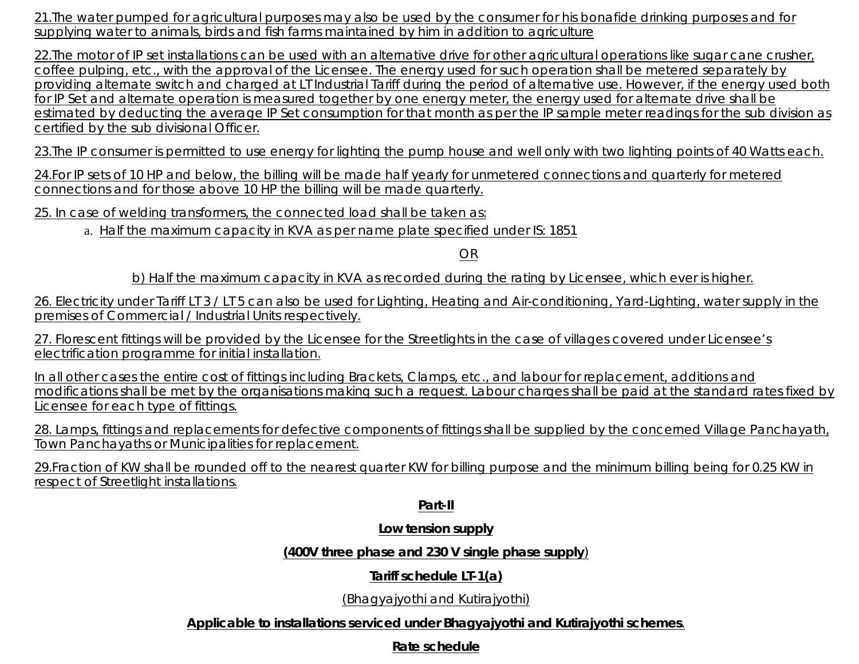21.The water pumped for agricultural purposes may also be used by the consumer for his bonafide drinking purposes and for supplying water to animals, birds and fish farms maintained by him in addition to agriculture

22.The motor of IP set installations can be used with an alternative drive for other agricultural operations like sugar cane crusher, coffee pulping, etc., with the approval of the Licensee. The energy used for such operation shall be metered separately by providing alternate switch and charged at LT Industrial Tariff during the period of alternative use. However, if the energy used both for IP Set and alternate operation is measured together by one energy meter, the energy used for alternate drive shall be estimated by deducting the average IP Set consumption for that month as per the IP sample meter readings for the sub division as certified by the sub divisional Officer.

23.The IP consumer is permitted to use energy for lighting the pump house and well only with two lighting points of 40 Watts each.

24.For IP sets of 10 HP and below, the billing will be made half yearly for unmetered connections and quarterly for metered connections and for those above 10 HP the billing will be made quarterly.

25. In case of welding transformers, the connected load shall be taken as:

a. Half the maximum capacity in KVA as per name plate specified under IS: 1851

OR

b) Half the maximum capacity in KVA as recorded during the rating by Licensee, which ever is higher.

26. Electricity under Tariff LT 3 / LT 5 can also be used for Lighting, Heating and Air-conditioning, Yard-Lighting, water supply in the premises of Commercial / Industrial Units respectively.

27. Florescent fittings will be provided by the Licensee for the Streetlights in the case of villages covered under Licensee's electrification programme for initial installation.

In all other cases the entire cost of fittings including Brackets, Clamps, etc., and labour for replacement, additions and modifications shall be met by the organisations making such a request. Labour charges shall be paid at the standard rates fixed by Licensee for each type of fittings.

28. Lamps, fittings and replacements for defective components of fittings shall be supplied by the concerned Village Panchayath, Town Panchayaths or Municipalities for replacement.

29.Fraction of KW shall be rounded off to the nearest quarter KW for billing purpose and the minimum billing being for 0.25 KW in respect of Streetlight installations.

#### **Part-II**

## **Low tension supply**

**(400V three phase and 230 V single phase supply**)

**Tariff schedule LT-1(a)**

(Bhagyajyothi and Kutirajyothi)

**Applicable to installations serviced under Bhagyajyothi and Kutirajyothi schemes**.

**Rate schedule**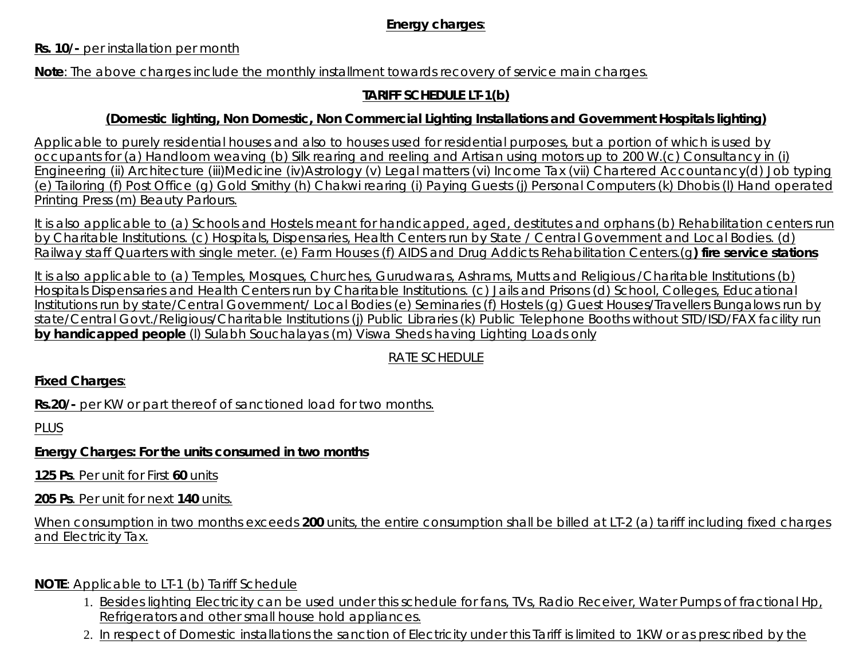## **Energy charges**:

#### **Rs. 10/-** per installation per month

**Note**: The above charges include the monthly installment towards recovery of service main charges.

#### **TARIFF SCHEDULE LT-1(b)**

#### **(Domestic lighting, Non Domestic, Non Commercial Lighting Installations and Government Hospitals lighting)**

Applicable to purely residential houses and also to houses used for residential purposes, but a portion of which is used by occupants for (a) Handloom weaving (b) Silk rearing and reeling and Artisan using motors up to 200 W.(c) Consultancy in (i) Engineering (ii) Architecture (iii)Medicine (iv)Astrology (v) Legal matters (vi) Income Tax (vii) Chartered Accountancy(d) Job typing (e) Tailoring (f) Post Office (g) Gold Smithy (h) Chakwi rearing (i) Paying Guests (j) Personal Computers (k) Dhobis (l) Hand operated Printing Press (m) Beauty Parlours.

It is also applicable to (a) Schools and Hostels meant for handicapped, aged, destitutes and orphans (b) Rehabilitation centers run by Charitable Institutions. (c) Hospitals, Dispensaries, Health Centers run by State / Central Government and Local Bodies. (d) Railway staff Quarters with single meter. (e) Farm Houses (f) AIDS and Drug Addicts Rehabilitation Centers.(g**) fire service stations**

It is also applicable to (a) Temples, Mosques, Churches, Gurudwaras, Ashrams, Mutts and Religious /Charitable Institutions (b) Hospitals Dispensaries and Health Centers run by Charitable Institutions. (c) Jails and Prisons (d) School, Colleges, Educational Institutions run by state/Central Government/ Local Bodies (e) Seminaries (f) Hostels (g) Guest Houses/Travellers Bungalows run by state/Central Govt./Religious/Charitable Institutions (j) Public Libraries (k) Public Telephone Booths without STD/ISD/FAX facility run **by handicapped people** (l) Sulabh Souchalayas (m) Viswa Sheds having Lighting Loads only

# RATE SCHEDULE

**Fixed Charges**:

**Rs.20/-** per KW or part thereof of sanctioned load for two months.

PLUS

**Energy Charges: For the units consumed in two months**

**125 Ps**. Per unit for First **60** units

**205 Ps**. Per unit for next **140** units.

When consumption in two months exceeds **200** units, the entire consumption shall be billed at LT-2 (a) tariff including fixed charges and Electricity Tax.

#### **NOTE**: Applicable to LT-1 (b) Tariff Schedule

- 1. Besides lighting Electricity can be used under this schedule for fans, TVs, Radio Receiver, Water Pumps of fractional Hp, Refrigerators and other small house hold appliances.
- 2. In respect of Domestic installations the sanction of Electricity under this Tariff is limited to 1KW or as prescribed by the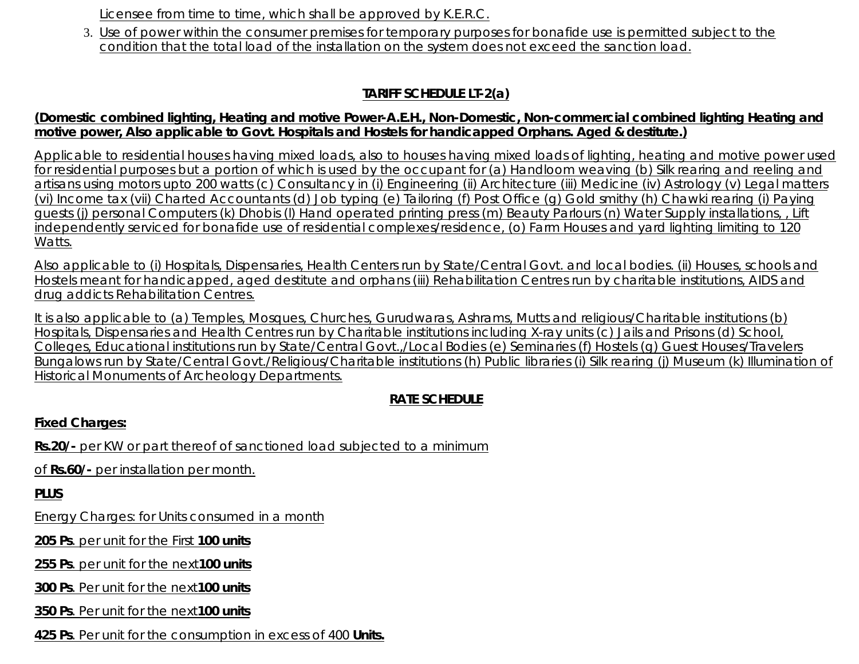Licensee from time to time, which shall be approved by K.E.R.C.

3. <u>Use of power within the consumer premises for temporary purposes for bonafide use is permitted subject to the</u> condition that the total load of the installation on the system does not exceed the sanction load.

# **TARIFF SCHEDULE LT-2(a)**

#### **(Domestic combined lighting, Heating and motive Power-A.E.H., Non-Domestic, Non-commercial combined lighting Heating and motive power, Also applicable to Govt. Hospitals and Hostels for handicapped Orphans. Aged & destitute.)**

Applicable to residential houses having mixed loads, also to houses having mixed loads of lighting, heating and motive power used for residential purposes but a portion of which is used by the occupant for (a) Handloom weaving (b) Silk rearing and reeling and artisans using motors upto 200 watts (c) Consultancy in (i) Engineering (ii) Architecture (iii) Medicine (iv) Astrology (v) Legal matters (vi) Income tax (vii) Charted Accountants (d) Job typing (e) Tailoring (f) Post Office (g) Gold smithy (h) Chawki rearing (i) Paying guests (j) personal Computers (k) Dhobis (l) Hand operated printing press (m) Beauty Parlours (n) Water Supply installations, , Lift independently serviced for bonafide use of residential complexes/residence, (o) Farm Houses and yard lighting limiting to 120 Watts.

Also applicable to (i) Hospitals, Dispensaries, Health Centers run by State/Central Govt. and local bodies. (ii) Houses, schools and Hostels meant for handicapped, aged destitute and orphans (iii) Rehabilitation Centres run by charitable institutions, AIDS and drug addicts Rehabilitation Centres.

It is also applicable to (a) Temples, Mosques, Churches, Gurudwaras, Ashrams, Mutts and religious/Charitable institutions (b) Hospitals, Dispensaries and Health Centres run by Charitable institutions including X-ray units (c) Jails and Prisons (d) School, Colleges, Educational institutions run by State/Central Govt.,/Local Bodies (e) Seminaries (f) Hostels (g) Guest Houses/Travelers Bungalows run by State/Central Govt./Religious/Charitable institutions (h) Public libraries (i) Silk rearing (j) Museum (k) Illumination of Historical Monuments of Archeology Departments.

# **RATE SCHEDULE**

**Fixed Charges:**

**Rs.20/-** per KW or part thereof of sanctioned load subjected to a minimum

of **Rs.60/-** per installation per month.

**PLUS**

*Energy Charges: for Units consumed in a month*

**205 Ps**. per unit for the First **100 units**

**255 Ps**. per unit for the next**100 units**

**300 Ps**. Per unit for the next**100 units**

**350 Ps**. Per unit for the next**100 units**

**425 Ps**. Per unit for the consumption in excess of 400 **Units.**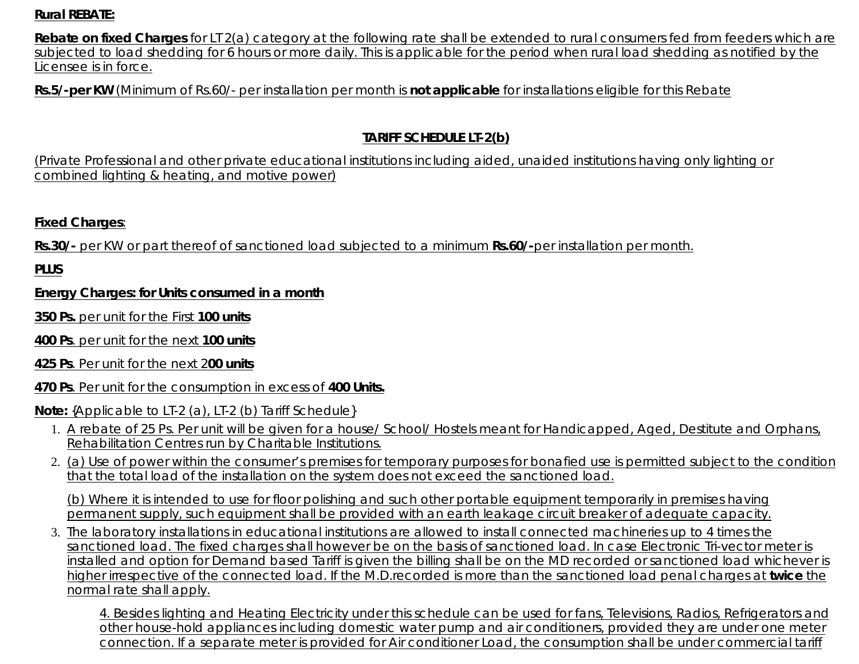## **Rural REBATE:**

**Rebate on fixed Charges** for LT 2(a) category at the following rate shall be extended to rural consumers fed from feeders which are subjected to load shedding for 6 hours or more daily. This is applicable for the period when rural load shedding as notified by the Licensee is in force.

**Rs.5/-per KW** (Minimum of Rs.60/- per installation per month is **not applicable** for installations eligible for this Rebate

# **TARIFF SCHEDULE LT-2(b)**

(Private Professional and other private educational institutions including aided, unaided institutions having only lighting or combined lighting & heating, and motive power)

## **Fixed Charges**:

**Rs.30/-** per KW or part thereof of sanctioned load subjected to a minimum **Rs.60/-**per installation per month.

**PLUS**

## **Energy Charges: for Units consumed in a month**

**350 Ps.** per unit for the First **100 units**

- **400 Ps**. per unit for the next **100 units**
- **425 Ps**. Per unit for the next 2**00 units**

## **470 Ps**. Per unit for the consumption in excess of **400 Units.**

#### **Note:** {Applicable to LT-2 (a), LT-2 (b) Tariff Schedule}

- 1. A rebate of 25 Ps. Per unit will be given for a house/ School/ Hostels meant for Handicapped, Aged, Destitute and Orphans, Rehabilitation Centres run by Charitable Institutions.
- 2. <u>(a) Use of power within the consumer's premises for temporary purposes for bonafied use is permitted subject to the condition</u> that the total load of the installation on the system does not exceed the sanctioned load.

(b) Where it is intended to use for floor polishing and such other portable equipment temporarily in premises having permanent supply, such equipment shall be provided with an earth leakage circuit breaker of adequate capacity.

3. The laboratory installations in educational institutions are allowed to install connected machineries up to 4 times the sanctioned load. The fixed charges shall however be on the basis of sanctioned load. In case Electronic Tri-vector meter is installed and option for Demand based Tariff is given the billing shall be on the MD recorded or sanctioned load whichever is higher irrespective of the connected load. If the M.D.recorded is more than the sanctioned load penal charges at **twice** the normal rate shall apply.

4. Besides lighting and Heating Electricity under this schedule can be used for fans, Televisions, Radios, Refrigerators and other house-hold appliances including domestic water pump and air conditioners, provided they are under one meter connection. If a separate meter is provided for Air conditioner Load, the consumption shall be under commercial tariff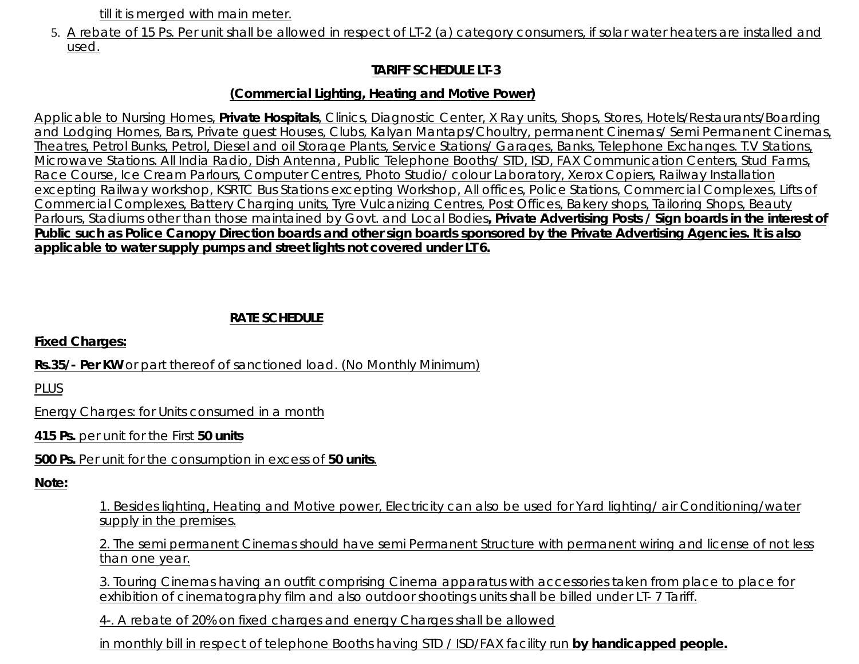till it is merged with main meter.

5. A rebate of 15 Ps. Per unit shall be allowed in respect of LT-2 (a) category consumers, if solar water heaters are installed and used.

# **TARIFF SCHEDULE LT-3**

## **(Commercial Lighting, Heating and Motive Power)**

Applicable to Nursing Homes, **Private Hospitals**, Clinics, Diagnostic Center, X Ray units, Shops, Stores, Hotels/Restaurants/Boarding and Lodging Homes, Bars, Private guest Houses, Clubs, Kalyan Mantaps/Choultry, permanent Cinemas/ Semi Permanent Cinemas, Theatres, Petrol Bunks, Petrol, Diesel and oil Storage Plants, Service Stations/ Garages, Banks, Telephone Exchanges. T.V Stations, Microwave Stations. All India Radio, Dish Antenna, Public Telephone Booths/ STD, ISD, FAX Communication Centers, Stud Farms, Race Course, Ice Cream Parlours, Computer Centres, Photo Studio/ colour Laboratory, Xerox Copiers, Railway Installation excepting Railway workshop, KSRTC Bus Stations excepting Workshop, All offices, Police Stations, Commercial Complexes, Lifts of Commercial Complexes, Battery Charging units, Tyre Vulcanizing Centres, Post Offices, Bakery shops, Tailoring Shops, Beauty Parlours, Stadiums other than those maintained by Govt. and Local Bodies**, Private Advertising Posts / Sign boards in the interest of Public such as Police Canopy Direction boards and other sign boards sponsored by the Private Advertising Agencies. It is also applicable to water supply pumps and street lights not covered under LT 6.**

## **RATE SCHEDULE**

**Fixed Charges:**

**Rs.35/- Per KW** or part thereof of sanctioned load. (No Monthly Minimum)

PLUS

Energy Charges: for Units consumed in a month

**415 Ps.** per unit for the First **50 units**

**500 Ps.** Per unit for the consumption in excess of **50 units**.

**Note:**

1. Besides lighting, Heating and Motive power, Electricity can also be used for Yard lighting/ air Conditioning/water supply in the premises.

2. The semi permanent Cinemas should have semi Permanent Structure with permanent wiring and license of not less than one year.

3. Touring Cinemas having an outfit comprising Cinema apparatus with accessories taken from place to place for exhibition of cinematography film and also outdoor shootings units shall be billed under LT- 7 Tariff.

4-. A rebate of 20% on fixed charges and energy Charges shall be allowed

in monthly bill in respect of telephone Booths having STD / ISD/FAX facility run **by handicapped people.**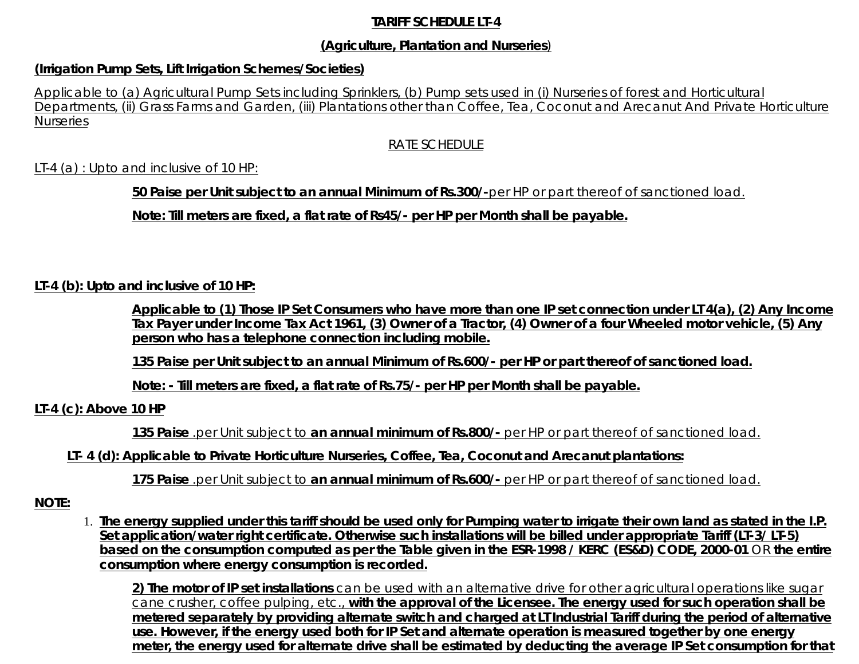#### **TARIFF SCHEDULE LT-4**

#### **(Agriculture, Plantation and Nurseries**)

#### **(Irrigation Pump Sets, Lift Irrigation Schemes/Societies)**

Applicable to (a) Agricultural Pump Sets including Sprinklers, (b) Pump sets used in (i) Nurseries of forest and Horticultural Departments, (ii) Grass Farms and Garden, (iii) Plantations other than Coffee, Tea, Coconut and Arecanut And Private Horticulture **Nurseries** 

#### RATE SCHEDULE

#### LT-4 (a) : Upto and inclusive of 10 HP:

**50 Paise per Unit subject to an annual Minimum of Rs.300/-**per HP or part thereof of sanctioned load.

**Note: Till meters are fixed, a flat rate of Rs45/- per HP per Month shall be payable.**

#### **LT-4 (b): Upto and inclusive of 10 HP:**

**Applicable to (1) Those IP Set Consumers who have more than one IP set connection under LT 4(a), (2) Any Income Tax Payer under Income Tax Act 1961, (3) Owner of a Tractor, (4) Owner of a four Wheeled motor vehicle, (5) Any person who has a telephone connection including mobile.**

**135 Paise per Unit subject to an annual Minimum of Rs.600/- per HP or part thereof of sanctioned load.**

**Note: - Till meters are fixed, a flat rate of Rs.75/- per HP per Month shall be payable.**

#### **LT-4 (c): Above 10 HP**

**135 Paise** .per Unit subject to **an annual minimum of Rs.800/-** per HP or part thereof of sanctioned load.

**LT- 4 (d): Applicable to Private Horticulture Nurseries, Coffee, Tea, Coconut and Arecanut plantations:**

**175 Paise** .per Unit subject to **an annual minimum of Rs.600/-** per HP or part thereof of sanctioned load.

#### **NOTE:**

**The energy supplied under this tariff should be used only for Pumping water to irrigate their own land as stated in the I.P.** 1. **Set application/water right certificate. Otherwise such installations will be billed under appropriate Tariff (LT-3/ LT-5) based on the consumption computed as per the Table given in the ESR-1998 / KERC (ES&D) CODE, 2000-01** OR **the entire consumption where energy consumption is recorded.**

**2) The motor of IP set installations** can be used with an alternative drive for other agricultural operations like sugar cane crusher, coffee pulping, etc., **with the approval of the Licensee. The energy used for such operation shall be metered separately by providing alternate switch and charged at LT Industrial Tariff during the period of alternative use. However, if the energy used both for IP Set and alternate operation is measured together by one energy meter, the energy used for alternate drive shall be estimated by deducting the average IP Set consumption for that**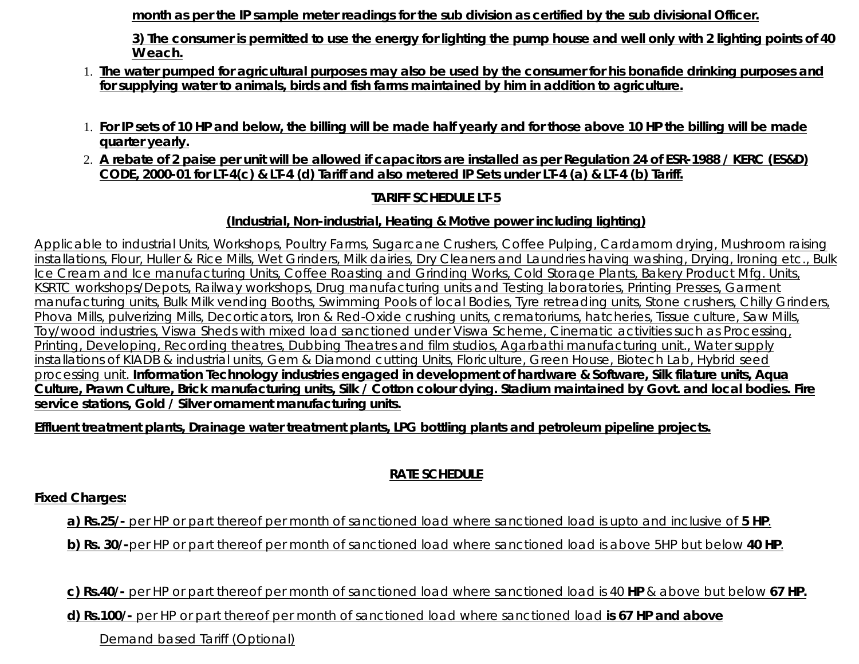**month as per the IP sample meter readings for the sub division as certified by the sub divisional Officer.**

**3) The consumer is permitted to use the energy for lighting the pump house and well only with 2 lighting points of 40 W each.**

- **The water pumped for agricultural purposes may also be used by the consumer for his bonafide drinking purposes and** 1. **for supplying water to animals, birds and fish farms maintained by him in addition to agriculture.**
- **For IP sets of 10 HP and below, the billing will be made half yearly and for those above 10 HP the billing will be made** 1. **quarter yearly.**
- **A rebate of 2 paise per unit will be allowed if capacitors are installed as per Regulation 24 of ESR-1988 / KERC (ES&D)** 2. **CODE, 2000-01 for LT-4(c) & LT-4 (d) Tariff and also metered IP Sets under LT-4 (a) & LT-4 (b) Tariff.**

## **TARIFF SCHEDULE LT-5**

## **(Industrial, Non-industrial, Heating & Motive power including lighting)**

Applicable to industrial Units, Workshops, Poultry Farms, Sugarcane Crushers, Coffee Pulping, Cardamom drying, Mushroom raising installations, Flour, Huller & Rice Mills, Wet Grinders, Milk dairies, Dry Cleaners and Laundries having washing, Drying, Ironing etc., Bulk Ice Cream and Ice manufacturing Units, Coffee Roasting and Grinding Works, Cold Storage Plants, Bakery Product Mfg. Units, KSRTC workshops/Depots, Railway workshops, Drug manufacturing units and Testing laboratories, Printing Presses, Garment manufacturing units, Bulk Milk vending Booths, Swimming Pools of local Bodies, Tyre retreading units, Stone crushers, Chilly Grinders, Phova Mills, pulverizing Mills, Decorticators, Iron & Red-Oxide crushing units, crematoriums, hatcheries, Tissue culture, Saw Mills, Toy/wood industries, Viswa Sheds with mixed load sanctioned under Viswa Scheme, Cinematic activities such as Processing, Printing, Developing, Recording theatres, Dubbing Theatres and film studios, Agarbathi manufacturing unit., Water supply installations of KIADB & industrial units, Gem & Diamond cutting Units, Floriculture, Green House, Biotech Lab, Hybrid seed processing unit. **Information Technology industries engaged in development of hardware & Software, Silk filature units, Aqua Culture, Prawn Culture, Brick manufacturing units, Silk / Cotton colour dying. Stadium maintained by Govt. and local bodies. Fire service stations, Gold / Silver ornament manufacturing units.**

**Effluent treatment plants, Drainage water treatment plants, LPG bottling plants and petroleum pipeline projects.**

# **RATE SCHEDULE**

**Fixed Charges:**

**a) Rs.25/-** per HP or part thereof per month of sanctioned load where sanctioned load is upto and inclusive of **5 HP**.

**b) Rs. 30/-**per HP or part thereof per month of sanctioned load where sanctioned load is above 5HP but below **40 HP**.

**c) Rs.40/-** per HP or part thereof per month of sanctioned load where sanctioned load is 40 **HP** & above but below **67 HP.**

**d) Rs.100/-** per HP or part thereof per month of sanctioned load where sanctioned load **is 67 HP and above**

Demand based Tariff (Optional)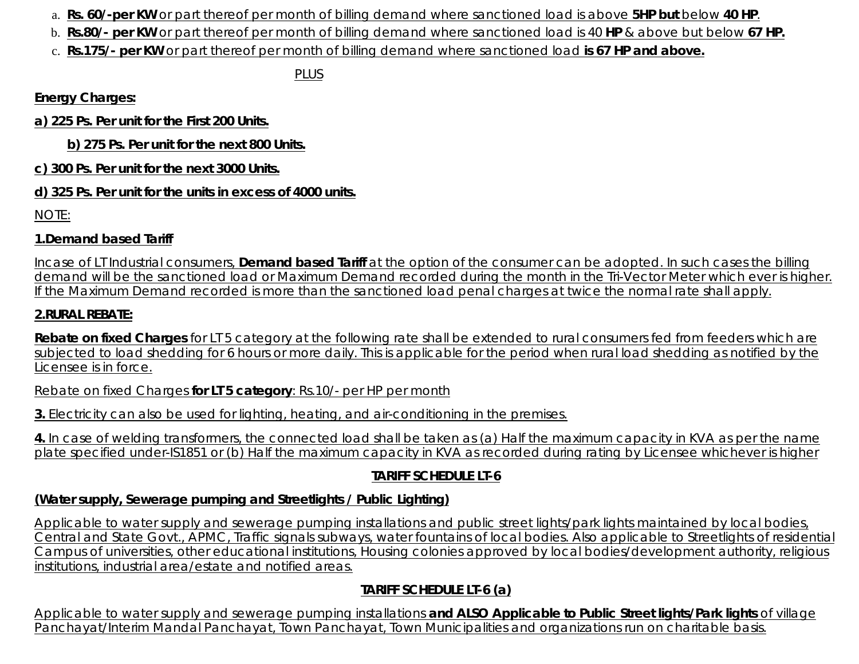- a. **Rs. 60/-per KW** or part thereof per month of billing demand where sanctioned load is above **5HP but** below **40 HP**.
- b. **Rs.80/- per KW** or part thereof per month of billing demand where sanctioned load is 40 **HP** & above but below **67 HP.**
- c. **Rs.175/- per KW** or part thereof per month of billing demand where sanctioned load **is 67 HP and above.**

*PLUS*

**Energy Charges:**

**a) 225 Ps. Per unit for the First 200 Units.**

**b) 275 Ps. Per unit for the next 800 Units.**

**c) 300 Ps. Per unit for the next 3000 Units.**

# **d) 325 Ps. Per unit for the units in excess of 4000 units.**

NOTE:

# **1.Demand based Tariff**

Incase of LT Industrial consumers, **Demand based Tariff** at the option of the consumer can be adopted. In such cases the billing demand will be the sanctioned load or Maximum Demand recorded during the month in the Tri-Vector Meter which ever is higher. If the Maximum Demand recorded is more than the sanctioned load penal charges at twice the normal rate shall apply.

# **2.RURAL REBATE:**

**Rebate on fixed Charges** for LT 5 category at the following rate shall be extended to rural consumers fed from feeders which are subjected to load shedding for 6 hours or more daily. This is applicable for the period when rural load shedding as notified by the Licensee is in force.

Rebate on fixed Charges **for LT 5 category**: Rs.10/- per HP per month

**3.** Electricity can also be used for lighting, heating, and air-conditioning in the premises.

**4.** In case of welding transformers, the connected load shall be taken as (a) Half the maximum capacity in KVA as per the name plate specified under-IS1851 or (b) Half the maximum capacity in KVA as recorded during rating by Licensee whichever is higher

# **TARIFF SCHEDULE LT-6**

# **(Water supply, Sewerage pumping and Streetlights / Public Lighting)**

Applicable to water supply and sewerage pumping installations and public street lights/park lights maintained by local bodies, Central and State Govt., APMC, Traffic signals subways, water fountains of local bodies. Also applicable to Streetlights of residential Campus of universities, other educational institutions, Housing colonies approved by local bodies/development authority, religious institutions, industrial area/estate and notified areas.

# **TARIFF SCHEDULE LT-6 (a)**

Applicable to water supply and sewerage pumping installations **and ALSO Applicable to Public Street lights/Park lights** of village Panchayat/Interim Mandal Panchayat, Town Panchayat, Town Municipalities and organizations run on charitable basis.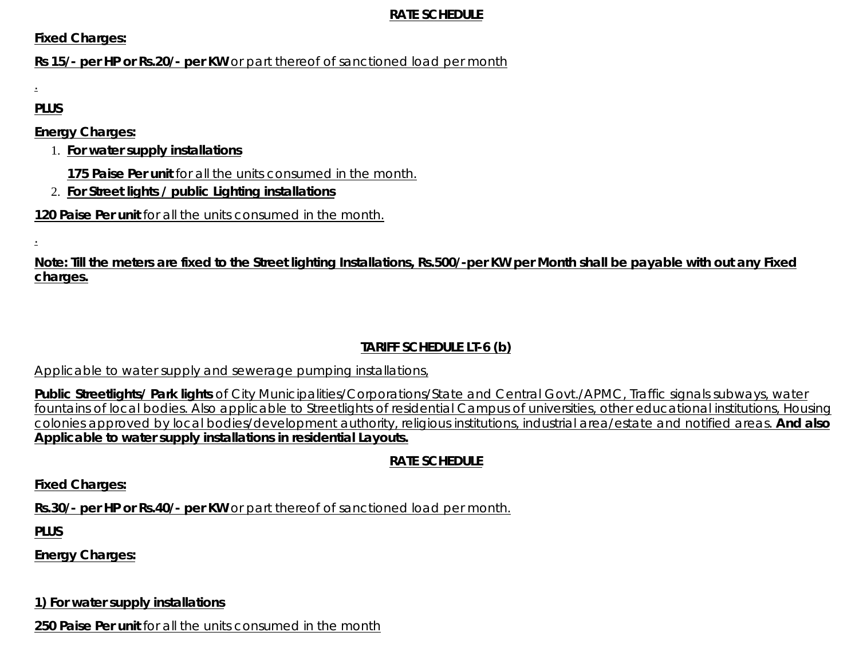#### **RATE SCHEDULE**

**Fixed Charges:**

**Rs 15/- per HP or Rs.20/- per KW** or part thereof of sanctioned load per month

.

**PLUS**

**Energy Charges:**

- **For water supply installations** 1.
	- **175 Paise Per unit** for all the units consumed in the month.
- 2. **For Street lights / public Lighting installations**

**120 Paise Per unit** for all the units consumed in the month.

.

**Note: Till the meters are fixed to the Street lighting Installations, Rs.500/-per KW per Month shall be payable with out any Fixed charges.**

# **TARIFF SCHEDULE LT-6 (b)**

Applicable to water supply and sewerage pumping installations,

**Public Streetlights/ Park lights** of City Municipalities/Corporations/State and Central Govt./APMC, Traffic signals subways, water fountains of local bodies. Also applicable to Streetlights of residential Campus of universities, other educational institutions, Housing colonies approved by local bodies/development authority, religious institutions, industrial area/estate and notified areas. **And also Applicable to water supply installations in residential Layouts.**

# **RATE SCHEDULE**

**Fixed Charges:**

**Rs.30/- per HP or Rs.40/- per KW** or part thereof of sanctioned load per month.

**PLUS**

**Energy Charges:**

**1) For water supply installations**

**250 Paise Per unit** for all the units consumed in the month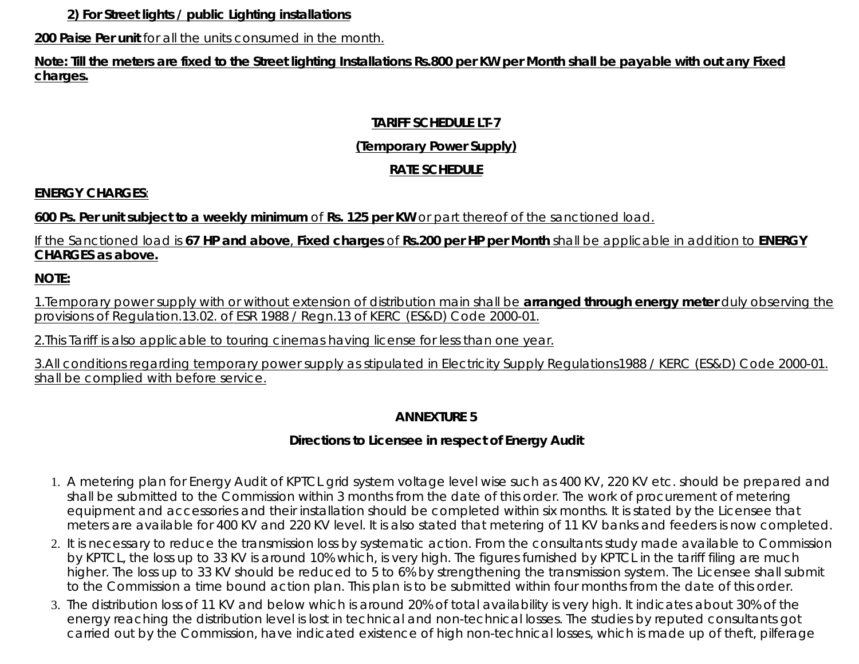**2) For Street lights / public Lighting installations**

**200 Paise Per unit** for all the units consumed in the month.

**Note: Till the meters are fixed to the Street lighting Installations Rs.800 per KW per Month shall be payable with out any Fixed charges.**

# **TARIFF SCHEDULE LT-7**

# **(Temporary Power Supply)**

# **RATE SCHEDULE**

# **ENERGY CHARGES**:

# **600 Ps. Per unit subject to a weekly minimum** of **Rs. 125 per KW** or part thereof of the sanctioned load.

# If the Sanctioned load is **67 HP and above**, **Fixed charges** of **Rs.200 per HP per Month** shall be applicable in addition to **ENERGY CHARGES as above.**

**NOTE:**

1.Temporary power supply with or without extension of distribution main shall be **arranged through energy meter** duly observing the provisions of Regulation.13.02. of ESR 1988 / Regn.13 of KERC (ES&D) Code 2000-01.

2.This Tariff is also applicable to touring cinemas having license for less than one year.

3.All conditions regarding temporary power supply as stipulated in Electricity Supply Regulations1988 / KERC (ES&D) Code 2000-01. shall be complied with before service.

# **ANNEXTURE 5**

# **Directions to Licensee in respect of Energy Audit**

- 1. A metering plan for Energy Audit of KPTCL grid system voltage level wise such as 400 KV, 220 KV etc. should be prepared and shall be submitted to the Commission within 3 months from the date of this order. The work of procurement of metering equipment and accessories and their installation should be completed within six months. It is stated by the Licensee that meters are available for 400 KV and 220 KV level. It is also stated that metering of 11 KV banks and feeders is now completed.
- 2. It is necessary to reduce the transmission loss by systematic action. From the consultants study made available to Commission by KPTCL, the loss up to 33 KV is around 10% which, is very high. The figures furnished by KPTCL in the tariff filing are much higher. The loss up to 33 KV should be reduced to 5 to 6% by strengthening the transmission system. The Licensee shall submit to the Commission a time bound action plan. This plan is to be submitted within four months from the date of this order.
- 3. The distribution loss of 11 KV and below which is around 20% of total availability is very high. It indicates about 30% of the energy reaching the distribution level is lost in technical and non-technical losses. The studies by reputed consultants got carried out by the Commission, have indicated existence of high non-technical losses, which is made up of theft, pilferage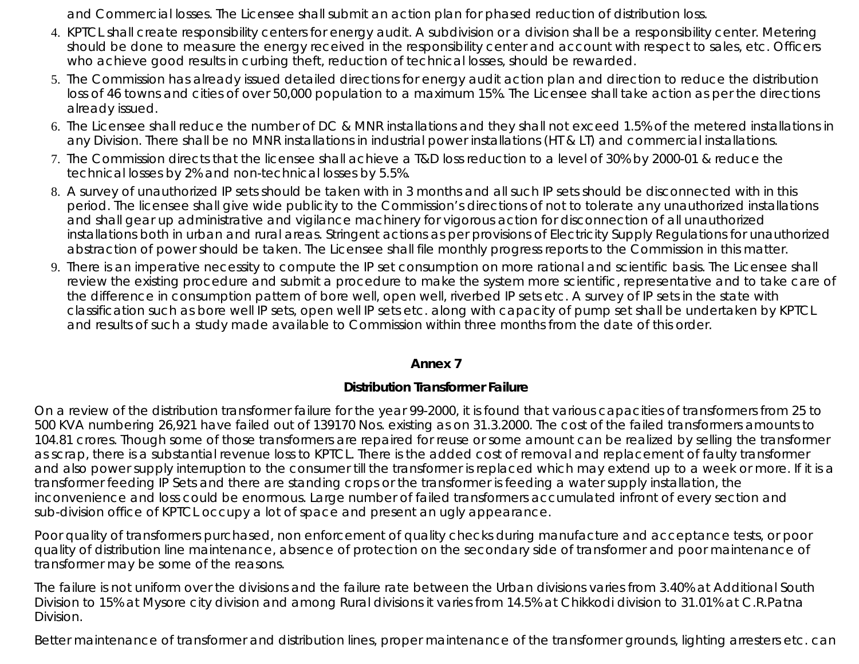and Commercial losses. The Licensee shall submit an action plan for phased reduction of distribution loss.

- 4. KPTCL shall create responsibility centers for energy audit. A subdivision or a division shall be a responsibility center. Metering should be done to measure the energy received in the responsibility center and account with respect to sales, etc. Officers who achieve good results in curbing theft, reduction of technical losses, should be rewarded.
- 5. The Commission has already issued detailed directions for energy audit action plan and direction to reduce the distribution loss of 46 towns and cities of over 50,000 population to a maximum 15%. The Licensee shall take action as per the directions already issued.
- 6. The Licensee shall reduce the number of DC & MNR installations and they shall not exceed 1.5% of the metered installations in any Division. There shall be no MNR installations in industrial power installations (HT & LT) and commercial installations.
- 7. The Commission directs that the licensee shall achieve a T&D loss reduction to a level of 30% by 2000-01 & reduce the technical losses by 2% and non-technical losses by 5.5%.
- A survey of unauthorized IP sets should be taken with in 3 months and all such IP sets should be disconnected with in this 8. period. The licensee shall give wide publicity to the Commission's directions of not to tolerate any unauthorized installations and shall gear up administrative and vigilance machinery for vigorous action for disconnection of all unauthorized installations both in urban and rural areas. Stringent actions as per provisions of Electricity Supply Regulations for unauthorized abstraction of power should be taken. The Licensee shall file monthly progress reports to the Commission in this matter.
- 9. There is an imperative necessity to compute the IP set consumption on more rational and scientific basis. The Licensee shall review the existing procedure and submit a procedure to make the system more scientific, representative and to take care of the difference in consumption pattern of bore well, open well, riverbed IP sets etc. A survey of IP sets in the state with classification such as bore well IP sets, open well IP sets etc. along with capacity of pump set shall be undertaken by KPTCL and results of such a study made available to Commission within three months from the date of this order.

#### **Annex 7**

## **Distribution Transformer Failure**

On a review of the distribution transformer failure for the year 99-2000, it is found that various capacities of transformers from 25 to 500 KVA numbering 26,921 have failed out of 139170 Nos. existing as on 31.3.2000. The cost of the failed transformers amounts to 104.81 crores. Though some of those transformers are repaired for reuse or some amount can be realized by selling the transformer as scrap, there is a substantial revenue loss to KPTCL. There is the added cost of removal and replacement of faulty transformer and also power supply interruption to the consumer till the transformer is replaced which may extend up to a week or more. If it is a transformer feeding IP Sets and there are standing crops or the transformer is feeding a water supply installation, the inconvenience and loss could be enormous. Large number of failed transformers accumulated infront of every section and sub-division office of KPTCL occupy a lot of space and present an ugly appearance.

Poor quality of transformers purchased, non enforcement of quality checks during manufacture and acceptance tests, or poor quality of distribution line maintenance, absence of protection on the secondary side of transformer and poor maintenance of transformer may be some of the reasons.

The failure is not uniform over the divisions and the failure rate between the Urban divisions varies from 3.40% at Additional South Division to 15% at Mysore city division and among Rural divisions it varies from 14.5% at Chikkodi division to 31.01% at C.R.Patna Division.

Better maintenance of transformer and distribution lines, proper maintenance of the transformer grounds, lighting arresters etc. can